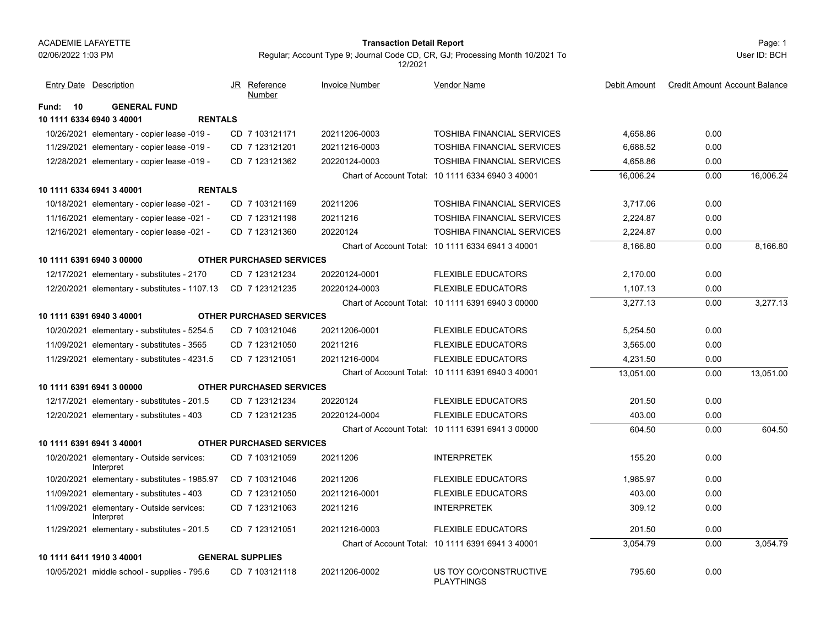#### Page: 1 **Transaction Detail Report**

Regular; Account Type 9; Journal Code CD, CR, GJ; Processing Month 10/2021 To 12/2021

User ID: BCH

|             | Entry Date Description                                 | Reference<br>JR<br>Number       | <b>Invoice Number</b> | Vendor Name                                       | Debit Amount | <b>Credit Amount Account Balance</b> |           |
|-------------|--------------------------------------------------------|---------------------------------|-----------------------|---------------------------------------------------|--------------|--------------------------------------|-----------|
| 10<br>Fund: | <b>GENERAL FUND</b>                                    |                                 |                       |                                                   |              |                                      |           |
|             | 10 1111 6334 6940 3 40001<br><b>RENTALS</b>            |                                 |                       |                                                   |              |                                      |           |
|             | 10/26/2021 elementary - copier lease -019 -            | CD 7 103121171                  | 20211206-0003         | <b>TOSHIBA FINANCIAL SERVICES</b>                 | 4,658.86     | 0.00                                 |           |
|             | 11/29/2021 elementary - copier lease -019 -            | CD 7 123121201                  | 20211216-0003         | <b>TOSHIBA FINANCIAL SERVICES</b>                 | 6,688.52     | 0.00                                 |           |
|             | 12/28/2021 elementary - copier lease -019 -            | CD 7 123121362                  | 20220124-0003         | <b>TOSHIBA FINANCIAL SERVICES</b>                 | 4,658.86     | 0.00                                 |           |
|             |                                                        |                                 |                       | Chart of Account Total: 10 1111 6334 6940 3 40001 | 16,006.24    | 0.00                                 | 16,006.24 |
|             | 10 1111 6334 6941 3 40001<br><b>RENTALS</b>            |                                 |                       |                                                   |              |                                      |           |
|             | 10/18/2021 elementary - copier lease -021 -            | CD 7 103121169                  | 20211206              | <b>TOSHIBA FINANCIAL SERVICES</b>                 | 3,717.06     | 0.00                                 |           |
|             | 11/16/2021 elementary - copier lease -021 -            | CD 7 123121198                  | 20211216              | <b>TOSHIBA FINANCIAL SERVICES</b>                 | 2,224.87     | 0.00                                 |           |
|             | 12/16/2021 elementary - copier lease -021 -            | CD 7 123121360                  | 20220124              | <b>TOSHIBA FINANCIAL SERVICES</b>                 | 2,224.87     | 0.00                                 |           |
|             |                                                        |                                 |                       | Chart of Account Total: 10 1111 6334 6941 3 40001 | 8,166.80     | 0.00                                 | 8,166.80  |
|             | 10 1111 6391 6940 3 00000                              | <b>OTHER PURCHASED SERVICES</b> |                       |                                                   |              |                                      |           |
|             | 12/17/2021 elementary - substitutes - 2170             | CD 7 123121234                  | 20220124-0001         | <b>FLEXIBLE EDUCATORS</b>                         | 2,170.00     | 0.00                                 |           |
|             | 12/20/2021 elementary - substitutes - 1107.13          | CD 7 123121235                  | 20220124-0003         | <b>FLEXIBLE EDUCATORS</b>                         | 1,107.13     | 0.00                                 |           |
|             |                                                        |                                 |                       | Chart of Account Total: 10 1111 6391 6940 3 00000 | 3,277.13     | 0.00                                 | 3,277.13  |
|             | 10 1111 6391 6940 3 40001                              | <b>OTHER PURCHASED SERVICES</b> |                       |                                                   |              |                                      |           |
|             | 10/20/2021 elementary - substitutes - 5254.5           | CD 7 103121046                  | 20211206-0001         | <b>FLEXIBLE EDUCATORS</b>                         | 5,254.50     | 0.00                                 |           |
|             | 11/09/2021 elementary - substitutes - 3565             | CD 7 123121050                  | 20211216              | <b>FLEXIBLE EDUCATORS</b>                         | 3,565.00     | 0.00                                 |           |
|             | 11/29/2021 elementary - substitutes - 4231.5           | CD 7 123121051                  | 20211216-0004         | <b>FLEXIBLE EDUCATORS</b>                         | 4,231.50     | 0.00                                 |           |
|             |                                                        |                                 |                       | Chart of Account Total: 10 1111 6391 6940 3 40001 | 13,051.00    | 0.00                                 | 13,051.00 |
|             | 10 1111 6391 6941 3 00000                              | <b>OTHER PURCHASED SERVICES</b> |                       |                                                   |              |                                      |           |
|             | 12/17/2021 elementary - substitutes - 201.5            | CD 7 123121234                  | 20220124              | <b>FLEXIBLE EDUCATORS</b>                         | 201.50       | 0.00                                 |           |
|             | 12/20/2021 elementary - substitutes - 403              | CD 7 123121235                  | 20220124-0004         | <b>FLEXIBLE EDUCATORS</b>                         | 403.00       | 0.00                                 |           |
|             |                                                        |                                 |                       | Chart of Account Total: 10 1111 6391 6941 3 00000 | 604.50       | 0.00                                 | 604.50    |
|             | 10 1111 6391 6941 3 40001                              | <b>OTHER PURCHASED SERVICES</b> |                       |                                                   |              |                                      |           |
|             | 10/20/2021 elementary - Outside services:<br>Interpret | CD 7 103121059                  | 20211206              | <b>INTERPRETEK</b>                                | 155.20       | 0.00                                 |           |
|             | 10/20/2021 elementary - substitutes - 1985.97          | CD 7 103121046                  | 20211206              | <b>FLEXIBLE EDUCATORS</b>                         | 1,985.97     | 0.00                                 |           |
|             | 11/09/2021 elementary - substitutes - 403              | CD 7 123121050                  | 20211216-0001         | <b>FLEXIBLE EDUCATORS</b>                         | 403.00       | 0.00                                 |           |
|             | 11/09/2021 elementary - Outside services:<br>Interpret | CD 7 123121063                  | 20211216              | <b>INTERPRETEK</b>                                | 309.12       | 0.00                                 |           |
|             | 11/29/2021 elementary - substitutes - 201.5            | CD 7 123121051                  | 20211216-0003         | <b>FLEXIBLE EDUCATORS</b>                         | 201.50       | 0.00                                 |           |
|             |                                                        |                                 |                       | Chart of Account Total: 10 1111 6391 6941 3 40001 | 3,054.79     | 0.00                                 | 3,054.79  |
|             | 10 1111 6411 1910 3 40001                              | <b>GENERAL SUPPLIES</b>         |                       |                                                   |              |                                      |           |

10/05/2021 middle school - supplies - 795.6 CD 7 103121118 20211206-0002 US TOY CO/CONSTRUCTIVE 795.60 0.00 PLAYTHINGS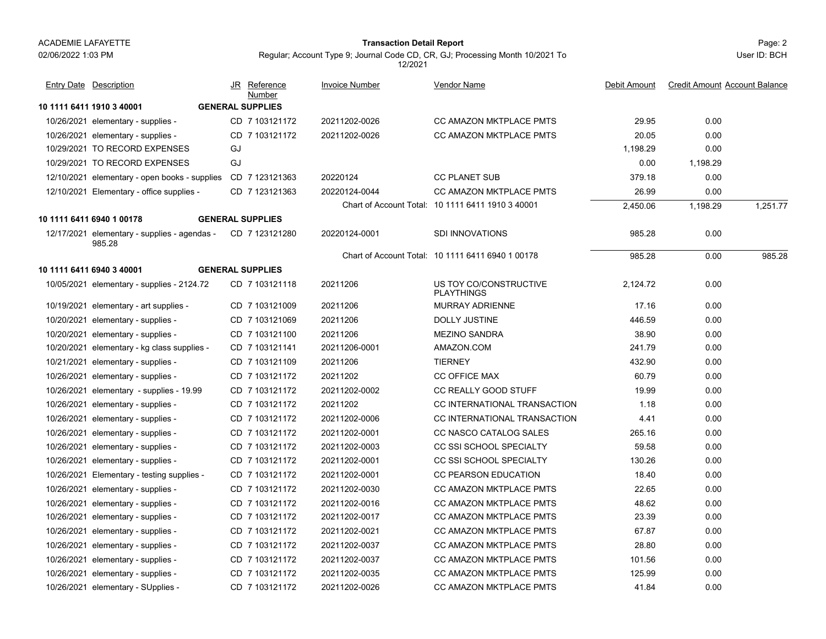#### Page: 2 **Transaction Detail Report**

Regular; Account Type 9; Journal Code CD, CR, GJ; Processing Month 10/2021 To 12/2021

| <b>Entry Date Description</b>                          | JR Reference<br>Number  | <b>Invoice Number</b> | <b>Vendor Name</b>                                | Debit Amount | <b>Credit Amount Account Balance</b> |
|--------------------------------------------------------|-------------------------|-----------------------|---------------------------------------------------|--------------|--------------------------------------|
| 10 1111 6411 1910 3 40001                              | <b>GENERAL SUPPLIES</b> |                       |                                                   |              |                                      |
| 10/26/2021 elementary - supplies -                     | CD 7 103121172          | 20211202-0026         | <b>CC AMAZON MKTPLACE PMTS</b>                    | 29.95        | 0.00                                 |
| 10/26/2021 elementary - supplies -                     | CD 7 103121172          | 20211202-0026         | <b>CC AMAZON MKTPLACE PMTS</b>                    | 20.05        | 0.00                                 |
| 10/29/2021 TO RECORD EXPENSES                          | GJ                      |                       |                                                   | 1,198.29     | 0.00                                 |
| 10/29/2021 TO RECORD EXPENSES                          | GJ                      |                       |                                                   | 0.00         | 1.198.29                             |
| 12/10/2021 elementary - open books - supplies          | CD 7 123121363          | 20220124              | <b>CC PLANET SUB</b>                              | 379.18       | 0.00                                 |
| 12/10/2021 Elementary - office supplies -              | CD 7 123121363          | 20220124-0044         | <b>CC AMAZON MKTPLACE PMTS</b>                    | 26.99        | 0.00                                 |
|                                                        |                         |                       | Chart of Account Total: 10 1111 6411 1910 3 40001 | 2,450.06     | 1,198.29<br>1,251.77                 |
| 10 1111 6411 6940 1 00178                              | <b>GENERAL SUPPLIES</b> |                       |                                                   |              |                                      |
| 12/17/2021 elementary - supplies - agendas -<br>985.28 | CD 7 123121280          | 20220124-0001         | <b>SDI INNOVATIONS</b>                            | 985.28       | 0.00                                 |
|                                                        |                         |                       | Chart of Account Total: 10 1111 6411 6940 1 00178 | 985.28       | 0.00<br>985.28                       |
| 10 1111 6411 6940 3 40001                              | <b>GENERAL SUPPLIES</b> |                       |                                                   |              |                                      |
| 10/05/2021 elementary - supplies - 2124.72             | CD 7 103121118          | 20211206              | US TOY CO/CONSTRUCTIVE<br><b>PLAYTHINGS</b>       | 2,124.72     | 0.00                                 |
| 10/19/2021 elementary - art supplies -                 | CD 7 103121009          | 20211206              | <b>MURRAY ADRIENNE</b>                            | 17.16        | 0.00                                 |
| 10/20/2021 elementary - supplies -                     | CD 7 103121069          | 20211206              | DOLLY JUSTINE                                     | 446.59       | 0.00                                 |
| 10/20/2021 elementary - supplies -                     | CD 7 103121100          | 20211206              | <b>MEZINO SANDRA</b>                              | 38.90        | 0.00                                 |
| 10/20/2021 elementary - kg class supplies -            | CD 7 103121141          | 20211206-0001         | AMAZON.COM                                        | 241.79       | 0.00                                 |
| 10/21/2021 elementary - supplies -                     | CD 7 103121109          | 20211206              | <b>TIERNEY</b>                                    | 432.90       | 0.00                                 |
| 10/26/2021 elementary - supplies -                     | CD 7 103121172          | 20211202              | <b>CC OFFICE MAX</b>                              | 60.79        | 0.00                                 |
| 10/26/2021 elementary - supplies - 19.99               | CD 7 103121172          | 20211202-0002         | CC REALLY GOOD STUFF                              | 19.99        | 0.00                                 |
| 10/26/2021 elementary - supplies -                     | CD 7 103121172          | 20211202              | CC INTERNATIONAL TRANSACTION                      | 1.18         | 0.00                                 |
| 10/26/2021 elementary - supplies -                     | CD 7 103121172          | 20211202-0006         | CC INTERNATIONAL TRANSACTION                      | 4.41         | 0.00                                 |
| 10/26/2021 elementary - supplies -                     | CD 7 103121172          | 20211202-0001         | CC NASCO CATALOG SALES                            | 265.16       | 0.00                                 |
| 10/26/2021 elementary - supplies -                     | CD 7 103121172          | 20211202-0003         | CC SSI SCHOOL SPECIALTY                           | 59.58        | 0.00                                 |
| 10/26/2021 elementary - supplies -                     | CD 7 103121172          | 20211202-0001         | CC SSI SCHOOL SPECIALTY                           | 130.26       | 0.00                                 |
| 10/26/2021 Elementary - testing supplies -             | CD 7 103121172          | 20211202-0001         | <b>CC PEARSON EDUCATION</b>                       | 18.40        | 0.00                                 |
| 10/26/2021 elementary - supplies -                     | CD 7 103121172          | 20211202-0030         | <b>CC AMAZON MKTPLACE PMTS</b>                    | 22.65        | 0.00                                 |
| 10/26/2021 elementary - supplies -                     | CD 7 103121172          | 20211202-0016         | <b>CC AMAZON MKTPLACE PMTS</b>                    | 48.62        | 0.00                                 |
| 10/26/2021 elementary - supplies -                     | CD 7 103121172          | 20211202-0017         | <b>CC AMAZON MKTPLACE PMTS</b>                    | 23.39        | 0.00                                 |
| 10/26/2021 elementary - supplies -                     | CD 7 103121172          | 20211202-0021         | <b>CC AMAZON MKTPLACE PMTS</b>                    | 67.87        | 0.00                                 |
| 10/26/2021 elementary - supplies -                     | CD 7 103121172          | 20211202-0037         | <b>CC AMAZON MKTPLACE PMTS</b>                    | 28.80        | 0.00                                 |
| 10/26/2021 elementary - supplies -                     | CD 7 103121172          | 20211202-0037         | <b>CC AMAZON MKTPLACE PMTS</b>                    | 101.56       | 0.00                                 |
| 10/26/2021 elementary - supplies -                     | CD 7 103121172          | 20211202-0035         | CC AMAZON MKTPLACE PMTS                           | 125.99       | 0.00                                 |
| 10/26/2021 elementary - SUpplies -                     | CD 7 103121172          | 20211202-0026         | <b>CC AMAZON MKTPLACE PMTS</b>                    | 41.84        | 0.00                                 |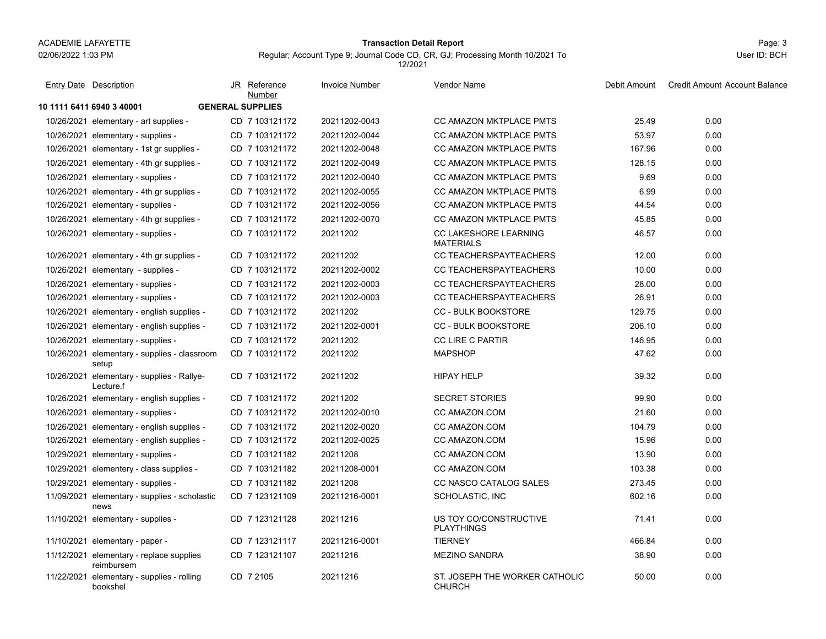#### Page: 3 **Transaction Detail Report**

Regular; Account Type 9; Journal Code CD, CR, GJ; Processing Month 10/2021 To

**10 1111 6411 6940 3 40001 GENERAL SUPPLIES**10/26/2021 elementary - art supplies cd 7 103121172 20211202-0043 CC AMAZON MKTPLACE PMTS 25.49 25.49 0.00 10/26/2021 elementary - supplies elementary - supplies - Supplies - Supplies - CD 20211202-0044 CC AMAZON MKTPLACE PMTS - 20211202-0044 10/26/2021elementary - 1st gr supplies - CD 7 103121172 20211202-0048 CC AMAZON MKTPLACE PMTS 167.96 0.00 10/26/2021elementary - 4th gr supplies - CD 7 103121172 20211202-0049 CC AMAZON MKTPLACE PMTS 128.15 0.00 10/26/2021elementary - supplies - CD 7 103121172 20211202-0040 CC AMAZON MKTPLACE PMTS 7 9.69 0.00 10/26/2021elementary - 4th gr supplies - CD 7 103121172 20211202-0055 CC AMAZON MKTPLACE PMTS 6.99 0.00 10/26/2021 elementary - supplies elementary - supplies - supplies - CC 20211202-0056 CC 2021200 CC AMAZON MKTPLACE PMTS - 2021 44.54 0.00 10/26/2021elementary - 4th gr supplies - CD 7 103121172 20211202-0070 CC AMAZON MKTPLACE PMTS 45.85 0.00 10/26/2021 elementary - supplies elementary - Supplies - Supplies - Supplies - CC LAKESHORE LEARNING - The - 46.57 0.00 **MATFRIALS** 7 10312117210/26/2021elementary - 4th gr supplies - CD 7 103121172 20211202 CC TEACHERSPAYTEACHERS 4 12.00 0.00 10/26/2021 elementary - supplies elementary - supplies - supplies - CD 20211202-0002 CC TEACHERSPAYTEACHERS - 2021 10.00 0.00 10/26/2021elementary - supplies - CD 7 103121172 20211202-0003 CC TEACHERSPAYTEACHERS 28.00 0.00 10/26/2021elementary - supplies - CD 7 103121172 20211202-0003 CC TEACHERSPAYTEACHERS 26.91 0.00 10/26/2021 elementary - english supplies - CD 7 103121172 20211202 CC - BULK BOOKSTORE 0.00 10/26/2021 elementary - english supplies - CD 7 103121172 20211202-0001 CC - BULK BOOKSTORE 0.00 10/26/2021elementary - supplies - CD 7 103121172 20211202 CC LIRE C PARTIR 146.95 0.00 10/26/2021 elementary - supplies - classroom 47.62 0.00 setup CD 20211202 MAPSHOP 7 103121172 10/26/2021 elementary - supplies - Rallye- CD 7 103121172 20211202 HIPAY HELP 0.00 Lecture.fCD 20211202 HIPAY HELP 7 103121172 10/26/2021 elementary - english supplies - CD 7 103121172 20211202 SECRET STORIES 99.90 0.00 10/26/2021elementary - supplies - CD 7 103121172 20211202-0010 CC AMAZON.COM 21.60 21.60 0.00 10/26/2021elementary - english supplies - CD 7 103121172 20211202-0020 CC AMAZON.COM 104.79 104.79 0.00 10/26/2021 elementary - english supplies - CD 7 103121172 20211202-0025 CC AMAZON.COM 0.00 10/29/2021 elementary - supplies - CD 7 103121182 20211208 CC AMAZON.COM 0.00 10/29/2021elementery - class supplies - CD 7 103121182 20211208-0001 CC AMAZON.COM 103.38 10.00 10/29/2021 elementary - supplies elementary - supplies - CD 20211208 CC NASCO CATALOG SALES 7 103121182 273.45 0.00 11/09/2021 elementary - supplies - scholastic CD 7 123121109 20211216-0001 SCHOLASTIC, INC 602.16 0.00 newsCD 7 123121109 20211216-0001 SCHOLASTIC, INC 11/10/2021 elementary - supplies elementary - supplies - Supplies - CD/CONSTRUCTIVE 71.41 0.00 PI AYTHINGS 7 12312112811/10/2021 elementary - paper - CD 7 123121117 20211216-0001 TIERNEY 466.84 0.00 11/12/2021 elementary - replace supplies CD\_7 123121107 20211216 MEZINO SANDRA 38.90 0.00 reimbursemCD 20211216 MEZINO SANDRA 7 123121107 11/22/2021 elementary - supplies - rolling 1 elementary - supplies - rolling CD 7 2105 20211216 ST. JOSEPH THE WORKER CATHOLIC 50.00 0.00 bookshelCHURCH7 2105JR Reference Invoice Number Vendor NameDebit Amount Credit Amount Account Balance NumberEntry Date Description JR Reference <u>Invoice Number</u> <u>Vendor Name</u> Debit Amount Credit Amount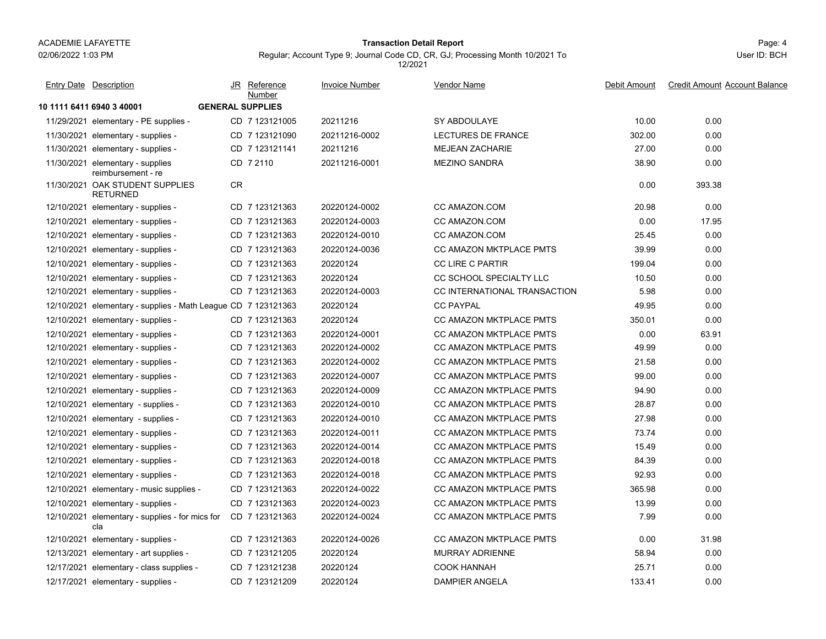#### Page: 4 **Transaction Detail Report**

Entry Date Description JR Reference <u>Invoice Number</u> <u>Vendor Name</u> Debit Amount Credit Amount

JR Reference Invoice Number

Regular; Account Type 9; Journal Code CD, CR, GJ; Processing Month 10/2021 To

Vendor Name

12/2021

**10 1111 6411 6940 3 40001 GENERAL SUPPLIES**11/29/2021 elementary - PE supplies - CD 7 123121005 20211216 SY ABDOULAYE 0.00 11/30/2021 elementary - supplies - CD 7 123121090 20211216-0002 LECTURES DE FRANCE 302.00 0.00 11/30/2021 elementary - supplies - CD 7 123121141 20211216 MEJEAN ZACHARIE 0.00 11/30/2021 elementary - supplies CD\_7 2110 20211216-0001 MEZINO SANDRA 38.90 0.00 reimbursement - reCD 20211216-0001 MEZINO SANDRA 7 2110 11/30/2021 OAK STUDENT SUPPLIES 0.00 393.38 RETURNEDCR12/10/2021 elementary - supplies - CD 7 123121363 20220124-0002 CC AMAZON.COM 0.00 12/10/2021 elementary - supplies - CD 20220124-0003 CC AMAZON.COM 7 123121363 0.00 17.95 12/10/2021 elementary - supplies - CD 7 123121363 20220124-0010 CC AMAZON.COM 25.45 0.00 12/10/2021 elementary - supplies elementary - supplies - Supplies - Supplies - CD 20220124-0036 CC AMAZON MKTPLACE PMTS - 2009 0.000 0.00 12/10/2021elementary - supplies - CD 7 123121363 20220124 CC LIRE C PARTIR 199.04 199.04 0.00 12/10/2021 elementary - supplies elementary - supplies - Supplies - Supplies - Supplies - CO 20220124 CC SCHOOL SPECIALTY LLC - The - 20220124 12/10/2021elementary - supplies - CD 7 123121363 20220124-0003 CC INTERNATIONAL TRANSACTION 5.98 0.00 12/10/2021elementary - supplies - Math League CD 7 123121363 20220124 CC PAYPAL 49.95 49.95 0.00 12/10/2021 elementary - supplies elementary - supplies - Supplies - Supplies - Supplies - CD 20220124 CC AMAZON MKTPLACE PMTS - 20220124 0.000 12/10/2021elementary - supplies - CD 7 123121363 20220124-0001 CC AMAZON MKTPLACE PMTS 7 0.00 63.91 12/10/2021elementary - supplies - CD 7 123121363 20220124-0002 CC AMAZON MKTPLACE PMTS 49.99 0.00 12/10/2021 elementary - supplies elementary - supplies - Supplies - Supplies - CD 20220124-0002 CC AMAZON MKTPLACE PMTS - 21.58 21.58 21.58 12/10/2021 elementary - supplies elementary - supplies - supplies - supplies - Supplies - Supplies - Supplies - Supplies - Supplies - Supplies - Supplies - Supplies - Supplies - Supplies - Supplies - Supplies - Supplies - Supplies - Supplies - Supplies - 12/10/2021elementary - supplies - CD 7 123121363 20220124-0009 CC AMAZON MKTPLACE PMTS 94.90 94.90 0.00 12/10/2021elementary - supplies - CD 7 123121363 20220124-0010 CC AMAZON MKTPLACE PMTS 28.87 0.00 12/10/2021 elementary - supplies elementary - supplies - Supplies - Supplies - Supplies - CD 20220124-0010 CC AMAZON MKTPLACE PMTS - 27.98 27.98 12/10/2021elementary - supplies - CD 7 123121363 20220124-0011 CC AMAZON MKTPLACE PMTS 73.74 0.00 12/10/2021elementary - supplies - CD 7 123121363 20220124-0014 CC AMAZON MKTPLACE PMTS 7 15.49 0.00 12/10/2021elementary - supplies - CD 7 123121363 20220124-0018 CC AMAZON MKTPLACE PMTS 34.39 84.39 0.00 12/10/2021 elementary - supplies elementary - supplies - supplies - supplies - CD 20220124-0018 0.00 CC AMAZON MKTPLACE PMTS - 0.00 000 000 000 12/10/2021elementary - music supplies - CD 7 123121363 20220124-0022 CC AMAZON MKTPLACE PMTS 365.98 0.00 12/10/2021 elementary - supplies elementary - supplies - Supplies - Supplies - Supplies - Supplies - Supplies - Supplies - Supplies - Supplies - Supplies - Supplies - Supplies - Supplies - Supplies - Supplies - Supplies - Supplies - Supplies - Supplies - 12/10/2021 elementary - supplies - for mics for CD\_7 123121363 20220124-0024 CC AMAZON MKTPLACE PMTS 7.99 0.00 claCD 20220124-0024 CC AMAZON MKTPLACE PMTS 7 123121363 12/10/2021 elementary - supplies elementary - supplies - Supplies - Supplies - CD 20120124-0026 CC AMAZON MKTPLACE PMTS - 20200124-0026 12/13/2021 elementary - art supplies - CD 7 123121205 20220124 MURRAY ADRIENNE 58.94 0.00 12/17/2021 elementary - class supplies - CD 7 123121238 20220124 COOK HANNAH 0.00 12/17/2021 elementary - supplies - CD 7 123121209 20220124 DAMPIER ANGELA 0.00 Number

# User ID: BCH

<u>e</u> Debit Amount Credit Amount Account Balance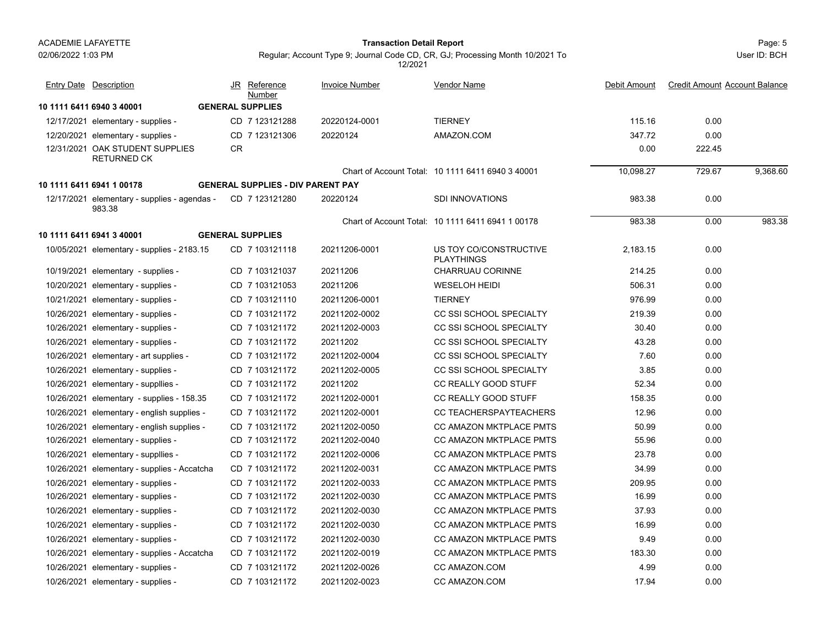02/06/2022 1:03 PM

#### Page: 5 **Transaction Detail Report**

Regular; Account Type 9; Journal Code CD, CR, GJ; Processing Month 10/2021 To 12/2021

| <b>Entry Date Description</b>                          | Reference<br><u>JR</u><br>Number         | <b>Invoice Number</b> | <b>Vendor Name</b>                                | Debit Amount | <b>Credit Amount Account Balance</b> |          |
|--------------------------------------------------------|------------------------------------------|-----------------------|---------------------------------------------------|--------------|--------------------------------------|----------|
| 10 1111 6411 6940 3 40001                              | <b>GENERAL SUPPLIES</b>                  |                       |                                                   |              |                                      |          |
| 12/17/2021 elementary - supplies -                     | CD 7 123121288                           | 20220124-0001         | <b>TIERNEY</b>                                    | 115.16       | 0.00                                 |          |
| 12/20/2021 elementary - supplies -                     | CD 7 123121306                           | 20220124              | AMAZON.COM                                        | 347.72       | 0.00                                 |          |
| 12/31/2021 OAK STUDENT SUPPLIES<br><b>RETURNED CK</b>  | <b>CR</b>                                |                       |                                                   | 0.00         | 222.45                               |          |
|                                                        |                                          |                       | Chart of Account Total: 10 1111 6411 6940 3 40001 | 10,098.27    | 729.67                               | 9,368.60 |
| 10 1111 6411 6941 1 00178                              | <b>GENERAL SUPPLIES - DIV PARENT PAY</b> |                       |                                                   |              |                                      |          |
| 12/17/2021 elementary - supplies - agendas -<br>983.38 | CD 7 123121280                           | 20220124              | <b>SDI INNOVATIONS</b>                            | 983.38       | 0.00                                 |          |
|                                                        |                                          |                       | Chart of Account Total: 10 1111 6411 6941 1 00178 | 983.38       | 0.00                                 | 983.38   |
| 10 1111 6411 6941 3 40001                              | <b>GENERAL SUPPLIES</b>                  |                       |                                                   |              |                                      |          |
| 10/05/2021 elementary - supplies - 2183.15             | CD 7 103121118                           | 20211206-0001         | US TOY CO/CONSTRUCTIVE<br><b>PLAYTHINGS</b>       | 2,183.15     | 0.00                                 |          |
| 10/19/2021 elementary - supplies -                     | CD 7 103121037                           | 20211206              | CHARRUAU CORINNE                                  | 214.25       | 0.00                                 |          |
| 10/20/2021 elementary - supplies -                     | CD 7 103121053                           | 20211206              | <b>WESELOH HEIDI</b>                              | 506.31       | 0.00                                 |          |
| 10/21/2021 elementary - supplies -                     | CD 7 103121110                           | 20211206-0001         | <b>TIERNEY</b>                                    | 976.99       | 0.00                                 |          |
| 10/26/2021 elementary - supplies -                     | CD 7 103121172                           | 20211202-0002         | <b>CC SSI SCHOOL SPECIALTY</b>                    | 219.39       | 0.00                                 |          |
| 10/26/2021 elementary - supplies -                     | CD 7 103121172                           | 20211202-0003         | CC SSI SCHOOL SPECIALTY                           | 30.40        | 0.00                                 |          |
| 10/26/2021 elementary - supplies -                     | CD 7 103121172                           | 20211202              | CC SSI SCHOOL SPECIALTY                           | 43.28        | 0.00                                 |          |
| 10/26/2021 elementary - art supplies -                 | CD 7 103121172                           | 20211202-0004         | CC SSI SCHOOL SPECIALTY                           | 7.60         | 0.00                                 |          |
| 10/26/2021 elementary - supplies -                     | CD 7 103121172                           | 20211202-0005         | CC SSI SCHOOL SPECIALTY                           | 3.85         | 0.00                                 |          |
| 10/26/2021 elementary - suppliies -                    | CD 7 103121172                           | 20211202              | CC REALLY GOOD STUFF                              | 52.34        | 0.00                                 |          |
| 10/26/2021 elementary - supplies - 158.35              | CD 7 103121172                           | 20211202-0001         | CC REALLY GOOD STUFF                              | 158.35       | 0.00                                 |          |
| 10/26/2021 elementary - english supplies -             | CD 7 103121172                           | 20211202-0001         | <b>CC TEACHERSPAYTEACHERS</b>                     | 12.96        | 0.00                                 |          |
| 10/26/2021 elementary - english supplies -             | CD 7 103121172                           | 20211202-0050         | <b>CC AMAZON MKTPLACE PMTS</b>                    | 50.99        | 0.00                                 |          |
| 10/26/2021 elementary - supplies -                     | CD 7 103121172                           | 20211202-0040         | <b>CC AMAZON MKTPLACE PMTS</b>                    | 55.96        | 0.00                                 |          |
| 10/26/2021 elementary - suppllies -                    | CD 7 103121172                           | 20211202-0006         | <b>CC AMAZON MKTPLACE PMTS</b>                    | 23.78        | 0.00                                 |          |
| 10/26/2021 elementary - supplies - Accatcha            | CD 7 103121172                           | 20211202-0031         | CC AMAZON MKTPLACE PMTS                           | 34.99        | 0.00                                 |          |
| 10/26/2021 elementary - supplies -                     | CD 7 103121172                           | 20211202-0033         | CC AMAZON MKTPLACE PMTS                           | 209.95       | 0.00                                 |          |
| 10/26/2021 elementary - supplies -                     | CD 7 103121172                           | 20211202-0030         | CC AMAZON MKTPLACE PMTS                           | 16.99        | 0.00                                 |          |
| 10/26/2021 elementary - supplies -                     | CD 7 103121172                           | 20211202-0030         | CC AMAZON MKTPLACE PMTS                           | 37.93        | 0.00                                 |          |
| 10/26/2021 elementary - supplies -                     | CD 7 103121172                           | 20211202-0030         | <b>CC AMAZON MKTPLACE PMTS</b>                    | 16.99        | 0.00                                 |          |
| 10/26/2021 elementary - supplies -                     | CD 7 103121172                           | 20211202-0030         | <b>CC AMAZON MKTPLACE PMTS</b>                    | 9.49         | 0.00                                 |          |
| 10/26/2021 elementary - supplies - Accatcha            | CD 7 103121172                           | 20211202-0019         | CC AMAZON MKTPLACE PMTS                           | 183.30       | 0.00                                 |          |
| 10/26/2021 elementary - supplies -                     | CD 7 103121172                           | 20211202-0026         | CC AMAZON.COM                                     | 4.99         | 0.00                                 |          |
| 10/26/2021 elementary - supplies -                     | CD 7 103121172                           | 20211202-0023         | CC AMAZON.COM                                     | 17.94        | 0.00                                 |          |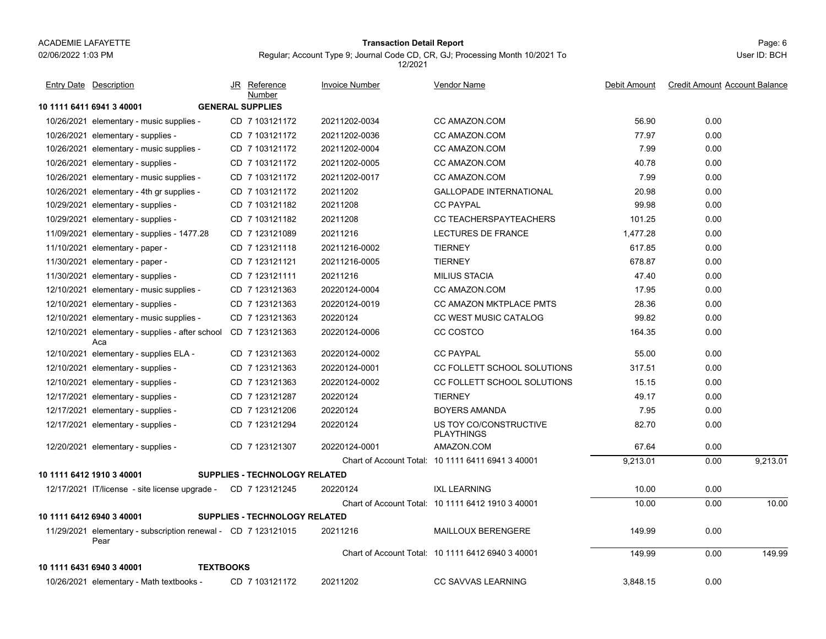#### Page: 6 **Transaction Detail Report**

Regular; Account Type 9; Journal Code CD, CR, GJ; Processing Month 10/2021 To 12/2021

| <b>Entry Date Description</b>                                         | JR<br>Reference<br>Number            | <b>Invoice Number</b> | <b>Vendor Name</b>                                | Debit Amount | <b>Credit Amount Account Balance</b> |
|-----------------------------------------------------------------------|--------------------------------------|-----------------------|---------------------------------------------------|--------------|--------------------------------------|
| 10 1111 6411 6941 3 40001                                             | <b>GENERAL SUPPLIES</b>              |                       |                                                   |              |                                      |
| 10/26/2021 elementary - music supplies -                              | CD 7 103121172                       | 20211202-0034         | CC AMAZON.COM                                     | 56.90        | 0.00                                 |
| 10/26/2021 elementary - supplies -                                    | CD 7 103121172                       | 20211202-0036         | CC AMAZON.COM                                     | 77.97        | 0.00                                 |
| 10/26/2021 elementary - music supplies -                              | CD 7 103121172                       | 20211202-0004         | CC AMAZON.COM                                     | 7.99         | 0.00                                 |
| 10/26/2021 elementary - supplies -                                    | CD 7 103121172                       | 20211202-0005         | CC AMAZON.COM                                     | 40.78        | 0.00                                 |
| 10/26/2021 elementary - music supplies -                              | CD 7 103121172                       | 20211202-0017         | CC AMAZON.COM                                     | 7.99         | 0.00                                 |
| 10/26/2021 elementary - 4th gr supplies -                             | CD 7 103121172                       | 20211202              | <b>GALLOPADE INTERNATIONAL</b>                    | 20.98        | 0.00                                 |
| 10/29/2021 elementary - supplies -                                    | CD 7 103121182                       | 20211208              | <b>CC PAYPAL</b>                                  | 99.98        | 0.00                                 |
| 10/29/2021 elementary - supplies -                                    | CD 7 103121182                       | 20211208              | <b>CC TEACHERSPAYTEACHERS</b>                     | 101.25       | 0.00                                 |
| 11/09/2021 elementary - supplies - 1477.28                            | CD 7 123121089                       | 20211216              | LECTURES DE FRANCE                                | 1,477.28     | 0.00                                 |
| $11/10/2021$ elementary - paper -                                     | CD 7 123121118                       | 20211216-0002         | <b>TIERNEY</b>                                    | 617.85       | 0.00                                 |
| 11/30/2021 elementary - paper -                                       | CD 7 123121121                       | 20211216-0005         | <b>TIERNEY</b>                                    | 678.87       | 0.00                                 |
| 11/30/2021 elementary - supplies -                                    | CD 7 123121111                       | 20211216              | <b>MILIUS STACIA</b>                              | 47.40        | 0.00                                 |
| 12/10/2021 elementary - music supplies -                              | CD 7 123121363                       | 20220124-0004         | CC AMAZON.COM                                     | 17.95        | 0.00                                 |
| 12/10/2021 elementary - supplies -                                    | CD 7 123121363                       | 20220124-0019         | CC AMAZON MKTPLACE PMTS                           | 28.36        | 0.00                                 |
| 12/10/2021 elementary - music supplies -                              | CD 7 123121363                       | 20220124              | <b>CC WEST MUSIC CATALOG</b>                      | 99.82        | 0.00                                 |
| 12/10/2021 elementary - supplies - after school<br>Aca                | CD 7 123121363                       | 20220124-0006         | CC COSTCO                                         | 164.35       | 0.00                                 |
| 12/10/2021 elementary - supplies ELA -                                | CD 7 123121363                       | 20220124-0002         | <b>CC PAYPAL</b>                                  | 55.00        | 0.00                                 |
| 12/10/2021 elementary - supplies -                                    | CD 7 123121363                       | 20220124-0001         | CC FOLLETT SCHOOL SOLUTIONS                       | 317.51       | 0.00                                 |
| 12/10/2021 elementary - supplies -                                    | CD 7 123121363                       | 20220124-0002         | CC FOLLETT SCHOOL SOLUTIONS                       | 15.15        | 0.00                                 |
| 12/17/2021 elementary - supplies -                                    | CD 7 123121287                       | 20220124              | <b>TIERNEY</b>                                    | 49.17        | 0.00                                 |
| 12/17/2021 elementary - supplies -                                    | CD 7 123121206                       | 20220124              | <b>BOYERS AMANDA</b>                              | 7.95         | 0.00                                 |
| 12/17/2021 elementary - supplies -                                    | CD 7 123121294                       | 20220124              | US TOY CO/CONSTRUCTIVE<br><b>PLAYTHINGS</b>       | 82.70        | 0.00                                 |
| 12/20/2021 elementary - supplies -                                    | CD 7 123121307                       | 20220124-0001         | AMAZON.COM                                        | 67.64        | 0.00                                 |
|                                                                       |                                      |                       | Chart of Account Total: 10 1111 6411 6941 3 40001 | 9,213.01     | 0.00<br>9,213.01                     |
| 10 1111 6412 1910 3 40001                                             | <b>SUPPLIES - TECHNOLOGY RELATED</b> |                       |                                                   |              |                                      |
| 12/17/2021 IT/license - site license upgrade - CD 7 123121245         |                                      | 20220124              | <b>IXL LEARNING</b>                               | 10.00        | 0.00                                 |
|                                                                       |                                      |                       | Chart of Account Total: 10 1111 6412 1910 3 40001 | 10.00        | 10.00<br>0.00                        |
| 10 1111 6412 6940 3 40001                                             | <b>SUPPLIES - TECHNOLOGY RELATED</b> |                       |                                                   |              |                                      |
| 11/29/2021 elementary - subscription renewal - CD 7 123121015<br>Pear |                                      | 20211216              | MAILLOUX BERENGERE                                | 149.99       | 0.00                                 |
|                                                                       |                                      |                       | Chart of Account Total: 10 1111 6412 6940 3 40001 | 149.99       | 149.99<br>0.00                       |
| 10 1111 6431 6940 3 40001<br><b>TEXTBOOKS</b>                         |                                      |                       |                                                   |              |                                      |
| 10/26/2021 elementary - Math textbooks -                              | CD 7 103121172                       | 20211202              | <b>CC SAVVAS LEARNING</b>                         | 3,848.15     | 0.00                                 |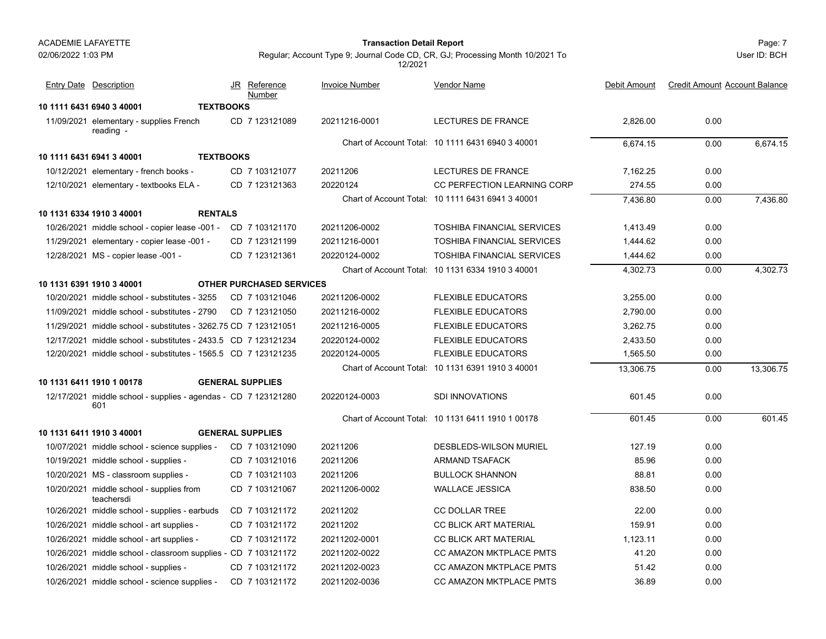02/06/2022 1:03 PM

#### Page: 7 **Transaction Detail Report**

Regular; Account Type 9; Journal Code CD, CR, GJ; Processing Month 10/2021 To 12/2021

**10 1111 6431 6940 3 40001 TEXTBOOKS**11/09/2021 elementary - supplies French CD\_7 123121089 20211216-0001 LECTURES DE FRANCE 2,826.00 0.00 reading - CD 20211216-0001 LECTURES DE FRANCE 7 123121089 Chart of Account Total: 10 1111 6431 6940 3 40001 6,674.15 0.00 6,674.15 **10 1111 6431 6941 3 40001 TEXTBOOKS**10/12/2021 elementary - french books - CD 7 103121077 20211206 LECTURES DE FRANCE 7,162.25 0.00 12/10/2021 elementary - textbooks ELA elementary - textbooks 20220124 CC PERFECTION LEARNING CORP 274.55 274.55 20.00 Chart of Account Total: 10 1111 6431 6941 3 40001 7,436.80 0.00 7,436.80 **10 1131 6334 1910 3 40001 RENTALS**10/26/2021 middle school - copier lease -001 - CD 7 103121170 20211206-0002 TOSHIBA FINANCIAL SERVICES 1,413.49 0.00 11/29/2021 elementary - copier lease -001 - CD 7 123121199 20211216-0001 TOSHIBA FINANCIAL SERVICES 1,444.62 0.00 12/28/2021 MS - copier lease -001 -CD 7 123121361 - 20220124-0002 - COSHIBA FINANCIAL SERVICES - 20.444.62 0.00 Chart of Account Total: 10 1131 6334 1910 3 40001 4,302.73 0.00 4,302.73 **10 1131 6391 1910 3 40001 OTHER PURCHASED SERVICES**10/20/2021 middle school - substitutes - 3255 CD 7 103121046 20211206-0002 FLEXIBLE EDUCATORS CD 7 103121046 20211206-0002 FLEXIBLE EDUCATORS 3.255.00 0.00 11/09/2021 middle school - substitutes - 2790 CD 7 123121050 20211216-0002 FLEXIBLE EDUCATORS CD 7 123121050 20211216-0002 FLEXIBLE EDUCATORS 2 2,790.00 0.00 11/29/2021 middle school - substitutes - 3262.75 CD 20211216-0005 FLEXIBLE EDUCATORS 7 123121051 3,262.75 0.00 12/17/2021 middle school - substitutes - 2433.5 CD 20220124-0002 FLEXIBLE EDUCATORS20220124-0002 FLEXIBLE EDUCATORS 2.433.50 0.00 12/20/2021 middle school - substitutes - 1565.5 CD 7 123121235 20220124-0005 FLEXIBLE EDUCATORS 7 123121235 1,565.50 0.00 Chart of Account Total: 10 1131 6391 1910 3 40001 13,306.75 0.00 13,306.75 **10 1131 6411 1910 1 00178 GENERAL SUPPLIES**12/17/2021 middle school - supplies - agendas - 601.45 0.00 CD 20220124-0003 SDI INNOVATIONS601 20220124-0003 SDI INNOVATIONS Chart of Account Total: 10 1131 6411 1910 1 00178 601.45 0.00 601.45 **10 1131 6411 1910 3 40001 GENERAL SUPPLIES**10/07/2021 middle school - science supplies - CD 7 103121090 20211206 DESBLEDS-WILSON MURIEL 127.19 0.00 10/19/2021 middle school - supplies - CD 7 103121016 20211206 ARMAND TSAFACK 85.96 0.00 10/20/2021 MS - classroom supplies - CD 7 103121103 20211206 BULLOCK SHANNON 88.81 0.00 10/20/2021 middle school - supplies from CD\_7 103121067 20211206-0002 WALLACE JESSICA 838.50 0.00 teachersdiCD 20211206-0002 WALLACE JESSICA 7 103121067 10/26/2021 middle school - supplies - earbuds CD 7 103121172 20211202 CC DOLLAR TREE 22.00 0.00 10/26/2021 middle school - art supplies - CD 7 103121172 20211202 CC BLICK ART MATERIAL 0.00 10/26/2021 middle school - art supplies - CD 7 103121172 20211202-0001 CC BLICK ART MATERIAL 1,123.11 0.00 10/26/2021 middle school - classroom supplies - CD \_7 103121172 20211202-0022 CC AMAZON MKTPLACE PMTS 0.00 10/26/2021 middle school - supplies - CD 7 103121172 20211202-0023 CC AMAZON MKTPLACE PMTS 51.42 0.00 10/26/2021 middle school - science supplies - CD 7 103121172 20211202-0036 CC AMAZON MKTPLACE PMTS 36.89 0.00 JR Reference Invoice Number Vendor NameDebit Amount Credit Amount Account Balance NumberEntry Date Description JR Reference <u>Invoice Number</u> <u>Vendor Name</u> Debit Amount Credit Amount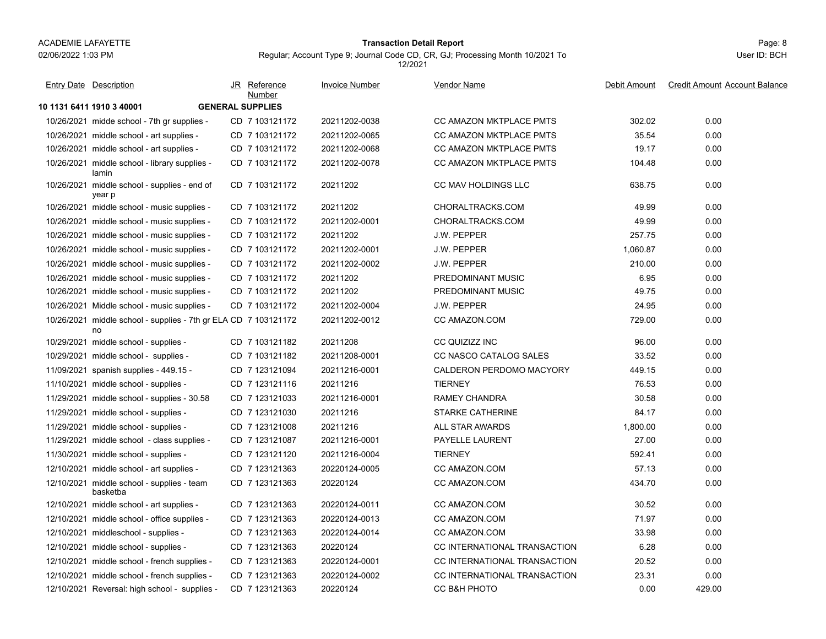#### Page: 8 **Transaction Detail Report**

Regular; Account Type 9; Journal Code CD, CR, GJ; Processing Month 10/2021 To

**10 1131 6411 1910 3 40001 GENERAL SUPPLIES**10/26/2021 midde school - 7th gr supplies - CD \_7 103121172 20211202-0038 CC AMAZON MKTPLACE PMTS 302.02 0.00 10/26/2021 middle school - art supplies - CD 7 103121172 20211202-0065 CC AMAZON MKTPLACE PMTS 35.54 0.00 10/26/2021 middle school - art supplies - CD 7 103121172 20211202-0068 CC AMAZON MKTPLACE PMTS 19.17 0.00 10/26/2021 middle school - library supplies - CD\_7 103121172 20211202-0078 CC AMAZON MKTPLACE PMTS 0.00 laminCD 20211202-0078 CC AMAZON MKTPLACE PMTS 7 103121172 10/26/2021 middle school - supplies - end of CD\_7 103121172 20211202 CC MAV HOLDINGS LLC 638.75 0.00 year p CD 20211202 CC MAV HOLDINGS LLC 7 103121172 10/26/2021 middle school - music supplies - CD 7 103121172 20211202 CHORALTRACKS.COM 0 10/26/2021 middle school - music supplies - CD 7 103121172 20211202-0001 CHORALTRACKS.COM 0.00 10/26/2021 middle school - music supplies - CD 7 103121172 20211202 J.W. PEPPER 257.75 0.00 10/26/2021 middle school - music supplies - CD 7 103121172 20211202-0001 J.W. PEPPER 0.00 10/26/2021 middle school - music supplies - CD 7 103121172 20211202-0002 J.W. PEPPER 210.00 0.00 10/26/2021 middle school - music supplies - CD\_7 103121172 20211202 PREDOMINANT MUSIC 6.95 0.00 10/26/2021 middle school - music supplies - CD\_7 103121172 20211202 PREDOMINANT MUSIC 49.75 0.00 10/26/2021 Middle school - music supplies - CD 7 103121172 20211202-0004 J.W. PEPPER 24.95 0.00 10/26/2021 middle school - supplies - 7th gr ELA 729.00 0.00 noCD 20211202-0012 CC AMAZON.COM 7 103121172 10/29/2021 middle school - supplies - CD 7 103121182 20211208 CC QUIZIZZ INC 96.00 0.00 10/29/2021 middle school - supplies - CD 7 103121182 20211208-0001 CC NASCO CATALOG SALES 33.52 0.00 11/09/2021spanish supplies - 449.15 - CD 7 123121094 20211216-0001 CALDERON PERDOMO MACYORY 449.15 0.00 11/10/2021 middle school - supplies - CD 7 123121116 20211216 TIERNEY 76.53 0.00 11/29/2021 middle school - supplies - 30.58 CD 7 123121033 20211216-0001 RAMEY CHANDRA 0.00 11/29/2021 middle school - supplies - CD 7 123121030 20211216 STARKE CATHERINE 84.17 0.00 11/29/2021 middle school - supplies - CD 7 123121008 20211216 ALL STAR AWARDS 1,800.00 0.00 11/29/2021 middle school - class supplies - CD 7 123121087 20211216-0001 PAYELLE LAURENT 0.00 11/30/2021 middle school - supplies - CD 7 123121120 20211216-0004 TIERNEY 592.41 0.00 12/10/2021 middle school - art supplies - CD 7 123121363 20220124-0005 CC AMAZON.COM 57.13 0.00 12/10/2021 middle school - supplies - team CD\_7 123121363 20220124 CC AMAZON.COM 434.70 basketbaCD 20220124 CC AMAZON.COM 7 123121363 12/10/2021 middle school - art supplies - CD 7 123121363 20220124-0011 CC AMAZON.COM 0.00 12/10/2021 middle school - office supplies - CD 7 123121363 20220124-0013 CC AMAZON.COM 71.97 0.00 12/10/2021 middleschool - supplies - CD 7 123121363 20220124-0014 CC AMAZON.COM 33.98 0.00 12/10/2021 middle school - supplies middle school - supplies - CD 20220124 CC INTERNATIONAL TRANSACTION 7 123121363 6.28 0.00 12/10/2021 middle school - french supplies - CD 7 123121363 20220124-0001 CC INTERNATIONAL TRANSACTION 20.52 0.00 12/10/2021 middle school - french supplies - CD 7 123121363 20220124-0002 CC INTERNATIONAL TRANSACTION 23.31 0.00 12/10/2021 Reversal: high school - supplies - CD 7 123121363 20220124 CC B&H PHOTO 0.00 429.00 JR Reference Invoice Number Vendor NameDebit Amount Credit Amount Account Balance NumberEntry Date Description JR Reference <u>Invoice Number</u> <u>Vendor Name</u> Debit Amount Credit Amount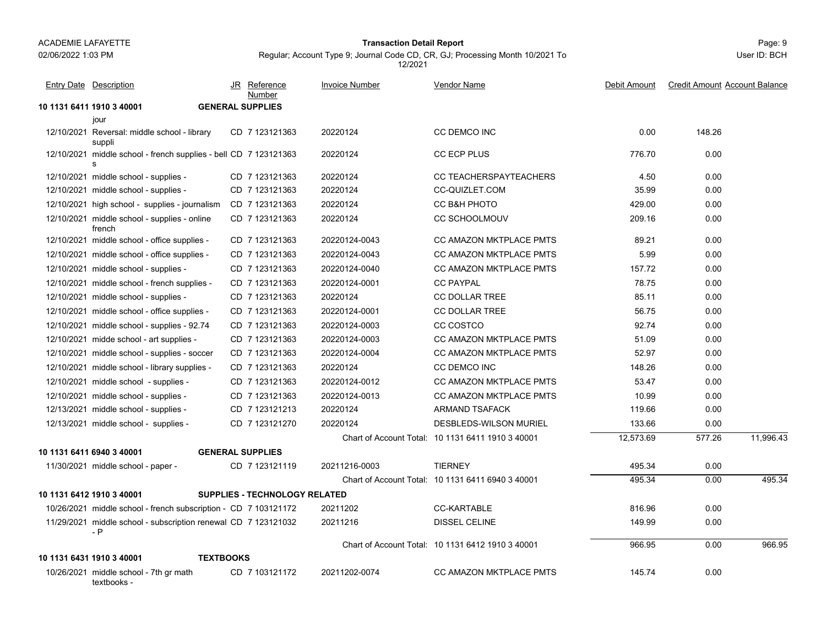textbooks -

### Page: 9 **Transaction Detail Report**

Regular; Account Type 9; Journal Code CD, CR, GJ; Processing Month 10/2021 To 12/2021

| <b>Entry Date Description</b>                                         |                  | JR Reference<br>Number               | <b>Invoice Number</b> | <b>Vendor Name</b>                                | Debit Amount | <b>Credit Amount Account Balance</b> |           |
|-----------------------------------------------------------------------|------------------|--------------------------------------|-----------------------|---------------------------------------------------|--------------|--------------------------------------|-----------|
| 10 1131 6411 1910 3 40001                                             |                  | <b>GENERAL SUPPLIES</b>              |                       |                                                   |              |                                      |           |
| jour                                                                  |                  |                                      |                       |                                                   |              |                                      |           |
| 12/10/2021 Reversal: middle school - library<br>suppli                |                  | CD 7 123121363                       | 20220124              | <b>CC DEMCO INC</b>                               | 0.00         | 148.26                               |           |
| 12/10/2021 middle school - french supplies - bell CD 7 123121363<br>s |                  |                                      | 20220124              | CC ECP PLUS                                       | 776.70       | 0.00                                 |           |
| 12/10/2021 middle school - supplies -                                 |                  | CD 7 123121363                       | 20220124              | <b>CC TEACHERSPAYTEACHERS</b>                     | 4.50         | 0.00                                 |           |
| 12/10/2021 middle school - supplies -                                 |                  | CD 7 123121363                       | 20220124              | <b>CC-QUIZLET.COM</b>                             | 35.99        | 0.00                                 |           |
| 12/10/2021 high school - supplies - journalism                        |                  | CD 7 123121363                       | 20220124              | CC B&H PHOTO                                      | 429.00       | 0.00                                 |           |
| 12/10/2021 middle school - supplies - online<br>french                |                  | CD 7 123121363                       | 20220124              | <b>CC SCHOOLMOUV</b>                              | 209.16       | 0.00                                 |           |
| 12/10/2021 middle school - office supplies -                          |                  | CD 7 123121363                       | 20220124-0043         | CC AMAZON MKTPLACE PMTS                           | 89.21        | 0.00                                 |           |
| 12/10/2021 middle school - office supplies -                          |                  | CD 7 123121363                       | 20220124-0043         | <b>CC AMAZON MKTPLACE PMTS</b>                    | 5.99         | 0.00                                 |           |
| 12/10/2021 middle school - supplies -                                 |                  | CD 7 123121363                       | 20220124-0040         | <b>CC AMAZON MKTPLACE PMTS</b>                    | 157.72       | 0.00                                 |           |
| 12/10/2021 middle school - french supplies -                          |                  | CD 7 123121363                       | 20220124-0001         | <b>CC PAYPAL</b>                                  | 78.75        | 0.00                                 |           |
| 12/10/2021 middle school - supplies -                                 |                  | CD 7 123121363                       | 20220124              | <b>CC DOLLAR TREE</b>                             | 85.11        | 0.00                                 |           |
| 12/10/2021 middle school - office supplies -                          |                  | CD 7 123121363                       | 20220124-0001         | <b>CC DOLLAR TREE</b>                             | 56.75        | 0.00                                 |           |
| 12/10/2021 middle school - supplies - 92.74                           |                  | CD 7 123121363                       | 20220124-0003         | CC COSTCO                                         | 92.74        | 0.00                                 |           |
| 12/10/2021 midde school - art supplies -                              |                  | CD 7 123121363                       | 20220124-0003         | <b>CC AMAZON MKTPLACE PMTS</b>                    | 51.09        | 0.00                                 |           |
| 12/10/2021 middle school - supplies - soccer                          |                  | CD 7 123121363                       | 20220124-0004         | <b>CC AMAZON MKTPLACE PMTS</b>                    | 52.97        | 0.00                                 |           |
| 12/10/2021 middle school - library supplies -                         |                  | CD 7 123121363                       | 20220124              | CC DEMCO INC                                      | 148.26       | 0.00                                 |           |
| 12/10/2021 middle school - supplies -                                 |                  | CD 7 123121363                       | 20220124-0012         | CC AMAZON MKTPLACE PMTS                           | 53.47        | 0.00                                 |           |
| 12/10/2021 middle school - supplies -                                 |                  | CD 7 123121363                       | 20220124-0013         | CC AMAZON MKTPLACE PMTS                           | 10.99        | 0.00                                 |           |
| 12/13/2021 middle school - supplies -                                 |                  | CD 7 123121213                       | 20220124              | <b>ARMAND TSAFACK</b>                             | 119.66       | 0.00                                 |           |
| 12/13/2021 middle school - supplies -                                 |                  | CD 7 123121270                       | 20220124              | DESBLEDS-WILSON MURIEL                            | 133.66       | 0.00                                 |           |
|                                                                       |                  |                                      |                       | Chart of Account Total: 10 1131 6411 1910 3 40001 | 12,573.69    | 577.26                               | 11,996.43 |
| 10 1131 6411 6940 3 40001                                             |                  | <b>GENERAL SUPPLIES</b>              |                       |                                                   |              |                                      |           |
| 11/30/2021 middle school - paper -                                    |                  | CD 7 123121119                       | 20211216-0003         | <b>TIERNEY</b>                                    | 495.34       | 0.00                                 |           |
|                                                                       |                  |                                      |                       | Chart of Account Total: 10 1131 6411 6940 3 40001 | 495.34       | 0.00                                 | 495.34    |
| 10 1131 6412 1910 3 40001                                             |                  | <b>SUPPLIES - TECHNOLOGY RELATED</b> |                       |                                                   |              |                                      |           |
| 10/26/2021 middle school - french subscription - CD 7 103121172       |                  |                                      | 20211202              | <b>CC-KARTABLE</b>                                | 816.96       | 0.00                                 |           |
| 11/29/2021 middle school - subscription renewal CD 7 123121032<br>- P |                  |                                      | 20211216              | <b>DISSEL CELINE</b>                              | 149.99       | 0.00                                 |           |
|                                                                       |                  |                                      |                       | Chart of Account Total: 10 1131 6412 1910 3 40001 | 966.95       | 0.00                                 | 966.95    |
| 10 1131 6431 1910 3 40001                                             | <b>TEXTBOOKS</b> |                                      |                       |                                                   |              |                                      |           |
| 10/26/2021 middle school - 7th gr math                                |                  | CD 7 103121172                       | 20211202-0074         | <b>CC AMAZON MKTPLACE PMTS</b>                    | 145.74       | 0.00                                 |           |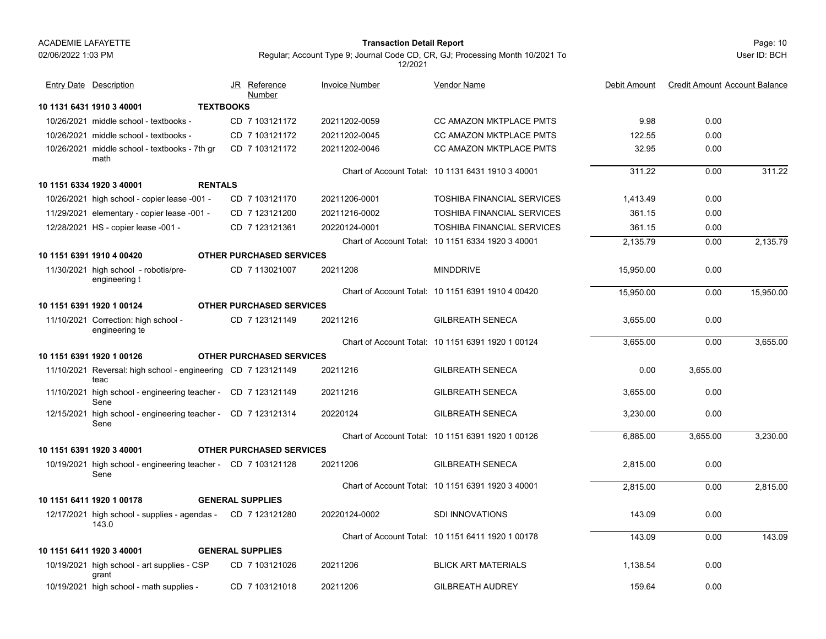#### Page: 10 **Transaction Detail Report**

Regular; Account Type 9; Journal Code CD, CR, GJ; Processing Month 10/2021 To 12/2021

| <b>Entry Date Description</b>                                                       | JR Reference<br>Number                            | <b>Invoice Number</b> | <b>Vendor Name</b>                                | Debit Amount | <b>Credit Amount Account Balance</b> |           |
|-------------------------------------------------------------------------------------|---------------------------------------------------|-----------------------|---------------------------------------------------|--------------|--------------------------------------|-----------|
| 10 1131 6431 1910 3 40001                                                           | <b>TEXTBOOKS</b>                                  |                       |                                                   |              |                                      |           |
| 10/26/2021 middle school - textbooks -                                              | CD 7 103121172                                    | 20211202-0059         | <b>CC AMAZON MKTPLACE PMTS</b>                    | 9.98         | 0.00                                 |           |
| 10/26/2021 middle school - textbooks -                                              | CD 7 103121172                                    | 20211202-0045         | <b>CC AMAZON MKTPLACE PMTS</b>                    | 122.55       | 0.00                                 |           |
| 10/26/2021 middle school - textbooks - 7th gr<br>math                               | CD 7 103121172                                    | 20211202-0046         | <b>CC AMAZON MKTPLACE PMTS</b>                    | 32.95        | 0.00                                 |           |
| 10 1151 6334 1920 3 40001<br><b>RENTALS</b>                                         |                                                   |                       | Chart of Account Total: 10 1131 6431 1910 3 40001 | 311.22       | 0.00                                 | 311.22    |
|                                                                                     |                                                   |                       |                                                   |              |                                      |           |
| 10/26/2021 high school - copier lease -001 -                                        | CD 7 103121170                                    | 20211206-0001         | <b>TOSHIBA FINANCIAL SERVICES</b>                 | 1,413.49     | 0.00                                 |           |
| 11/29/2021 elementary - copier lease -001 -                                         | CD 7 123121200                                    | 20211216-0002         | <b>TOSHIBA FINANCIAL SERVICES</b>                 | 361.15       | 0.00                                 |           |
| 12/28/2021 HS - copier lease -001 -                                                 | CD 7 123121361                                    | 20220124-0001         | <b>TOSHIBA FINANCIAL SERVICES</b>                 | 361.15       | 0.00                                 |           |
|                                                                                     |                                                   |                       | Chart of Account Total: 10 1151 6334 1920 3 40001 | 2,135.79     | 0.00                                 | 2,135.79  |
| 10 1151 6391 1910 4 00420<br>11/30/2021 high school - robotis/pre-<br>engineering t | <b>OTHER PURCHASED SERVICES</b><br>CD 7 113021007 | 20211208              | <b>MINDDRIVE</b>                                  | 15,950.00    | 0.00                                 |           |
|                                                                                     |                                                   |                       | Chart of Account Total: 10 1151 6391 1910 4 00420 | 15.950.00    | 0.00                                 | 15,950.00 |
| 10 1151 6391 1920 1 00124                                                           | <b>OTHER PURCHASED SERVICES</b>                   |                       |                                                   |              |                                      |           |
| 11/10/2021 Correction: high school -<br>engineering te                              | CD 7 123121149                                    | 20211216              | <b>GILBREATH SENECA</b>                           | 3,655.00     | 0.00                                 |           |
|                                                                                     |                                                   |                       | Chart of Account Total: 10 1151 6391 1920 1 00124 | 3,655.00     | 0.00                                 | 3,655.00  |
| 10 1151 6391 1920 1 00126                                                           | <b>OTHER PURCHASED SERVICES</b>                   |                       |                                                   |              |                                      |           |
| 11/10/2021 Reversal: high school - engineering CD 7 123121149<br>teac               |                                                   | 20211216              | <b>GILBREATH SENECA</b>                           | 0.00         | 3,655.00                             |           |
| 11/10/2021 high school - engineering teacher - CD 7 123121149<br>Sene               |                                                   | 20211216              | <b>GILBREATH SENECA</b>                           | 3,655.00     | 0.00                                 |           |
| 12/15/2021 high school - engineering teacher - CD 7 123121314<br>Sene               |                                                   | 20220124              | <b>GILBREATH SENECA</b>                           | 3,230.00     | 0.00                                 |           |
|                                                                                     |                                                   |                       | Chart of Account Total: 10 1151 6391 1920 1 00126 | 6,885.00     | 3,655.00                             | 3,230.00  |
| 10 1151 6391 1920 3 40001                                                           | <b>OTHER PURCHASED SERVICES</b>                   |                       |                                                   |              |                                      |           |
| 10/19/2021 high school - engineering teacher - CD 7 103121128<br>Sene               |                                                   | 20211206              | <b>GILBREATH SENECA</b>                           | 2,815.00     | 0.00                                 |           |
|                                                                                     |                                                   |                       | Chart of Account Total: 10 1151 6391 1920 3 40001 | 2,815.00     | 0.00                                 | 2,815.00  |
| 10 1151 6411 1920 1 00178                                                           | <b>GENERAL SUPPLIES</b>                           |                       |                                                   |              |                                      |           |
| 12/17/2021 high school - supplies - agendas -<br>143.0                              | CD 7 123121280                                    | 20220124-0002         | <b>SDI INNOVATIONS</b>                            | 143.09       | 0.00                                 |           |
|                                                                                     |                                                   |                       | Chart of Account Total: 10 1151 6411 1920 1 00178 | 143.09       | 0.00                                 | 143.09    |
| 10 1151 6411 1920 3 40001                                                           | <b>GENERAL SUPPLIES</b>                           |                       |                                                   |              |                                      |           |
| 10/19/2021 high school - art supplies - CSP<br>grant                                | CD 7 103121026                                    | 20211206              | <b>BLICK ART MATERIALS</b>                        | 1,138.54     | 0.00                                 |           |
| 10/19/2021 high school - math supplies -                                            | CD 7 103121018                                    | 20211206              | <b>GILBREATH AUDREY</b>                           | 159.64       | 0.00                                 |           |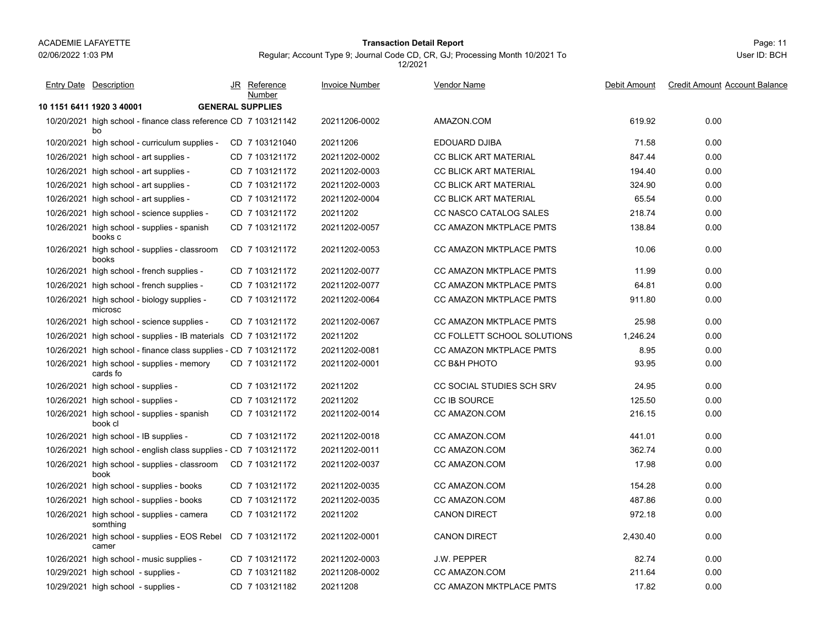#### Page: 11 **Transaction Detail Report**

Regular; Account Type 9; Journal Code CD, CR, GJ; Processing Month 10/2021 To 12/2021

| <b>Entry Date Description</b>                                         | JR Reference<br>Number  | <b>Invoice Number</b> | <b>Vendor Name</b>               | Debit Amount | <b>Credit Amount Account Balance</b> |
|-----------------------------------------------------------------------|-------------------------|-----------------------|----------------------------------|--------------|--------------------------------------|
| 10 1151 6411 1920 3 40001                                             | <b>GENERAL SUPPLIES</b> |                       |                                  |              |                                      |
| 10/20/2021 high school - finance class reference CD 7 103121142<br>bo |                         | 20211206-0002         | AMAZON.COM                       | 619.92       | 0.00                                 |
| 10/20/2021 high school - curriculum supplies -                        | CD 7 103121040          | 20211206              | EDOUARD DJIBA                    | 71.58        | 0.00                                 |
| 10/26/2021 high school - art supplies -                               | CD 7 103121172          | 20211202-0002         | <b>CC BLICK ART MATERIAL</b>     | 847.44       | 0.00                                 |
| 10/26/2021 high school - art supplies -                               | CD 7 103121172          | 20211202-0003         | <b>CC BLICK ART MATERIAL</b>     | 194.40       | 0.00                                 |
| 10/26/2021 high school - art supplies -                               | CD 7 103121172          | 20211202-0003         | CC BLICK ART MATERIAL            | 324.90       | 0.00                                 |
| 10/26/2021 high school - art supplies -                               | CD 7 103121172          | 20211202-0004         | CC BLICK ART MATERIAL            | 65.54        | 0.00                                 |
| 10/26/2021 high school - science supplies -                           | CD 7 103121172          | 20211202              | CC NASCO CATALOG SALES           | 218.74       | 0.00                                 |
| 10/26/2021 high school - supplies - spanish<br>books c                | CD 7 103121172          | 20211202-0057         | CC AMAZON MKTPLACE PMTS          | 138.84       | 0.00                                 |
| 10/26/2021 high school - supplies - classroom<br>books                | CD 7 103121172          | 20211202-0053         | CC AMAZON MKTPLACE PMTS          | 10.06        | 0.00                                 |
| 10/26/2021 high school - french supplies -                            | CD 7 103121172          | 20211202-0077         | CC AMAZON MKTPLACE PMTS          | 11.99        | 0.00                                 |
| 10/26/2021 high school - french supplies -                            | CD 7 103121172          | 20211202-0077         | <b>CC AMAZON MKTPLACE PMTS</b>   | 64.81        | 0.00                                 |
| 10/26/2021 high school - biology supplies -<br>microsc                | CD 7 103121172          | 20211202-0064         | CC AMAZON MKTPLACE PMTS          | 911.80       | 0.00                                 |
| 10/26/2021 high school - science supplies -                           | CD 7 103121172          | 20211202-0067         | CC AMAZON MKTPLACE PMTS          | 25.98        | 0.00                                 |
| 10/26/2021 high school - supplies - IB materials CD 7 103121172       |                         | 20211202              | CC FOLLETT SCHOOL SOLUTIONS      | 1,246.24     | 0.00                                 |
| 10/26/2021 high school - finance class supplies - CD 7 103121172      |                         | 20211202-0081         | CC AMAZON MKTPLACE PMTS          | 8.95         | 0.00                                 |
| 10/26/2021 high school - supplies - memory<br>cards fo                | CD 7 103121172          | 20211202-0001         | CC B&H PHOTO                     | 93.95        | 0.00                                 |
| 10/26/2021 high school - supplies -                                   | CD 7 103121172          | 20211202              | <b>CC SOCIAL STUDIES SCH SRV</b> | 24.95        | 0.00                                 |
| 10/26/2021 high school - supplies -                                   | CD 7 103121172          | 20211202              | <b>CC IB SOURCE</b>              | 125.50       | 0.00                                 |
| 10/26/2021 high school - supplies - spanish<br>book cl                | CD 7 103121172          | 20211202-0014         | CC AMAZON.COM                    | 216.15       | 0.00                                 |
| 10/26/2021 high school - IB supplies -                                | CD 7 103121172          | 20211202-0018         | CC AMAZON.COM                    | 441.01       | 0.00                                 |
| 10/26/2021 high school - english class supplies - CD 7 103121172      |                         | 20211202-0011         | CC AMAZON.COM                    | 362.74       | 0.00                                 |
| 10/26/2021 high school - supplies - classroom<br>book                 | CD 7 103121172          | 20211202-0037         | CC AMAZON.COM                    | 17.98        | 0.00                                 |
| 10/26/2021 high school - supplies - books                             | CD 7 103121172          | 20211202-0035         | CC AMAZON.COM                    | 154.28       | 0.00                                 |
| 10/26/2021 high school - supplies - books                             | CD 7 103121172          | 20211202-0035         | CC AMAZON COM                    | 487.86       | 0.00                                 |
| 10/26/2021 high school - supplies - camera<br>somthing                | CD 7 103121172          | 20211202              | <b>CANON DIRECT</b>              | 972.18       | 0.00                                 |
| 10/26/2021 high school - supplies - EOS Rebel<br>camer                | CD 7 103121172          | 20211202-0001         | <b>CANON DIRECT</b>              | 2,430.40     | 0.00                                 |
| 10/26/2021 high school - music supplies -                             | CD 7 103121172          | 20211202-0003         | <b>J.W. PEPPER</b>               | 82.74        | 0.00                                 |
| 10/29/2021 high school - supplies -                                   | CD 7 103121182          | 20211208-0002         | CC AMAZON.COM                    | 211.64       | 0.00                                 |
| 10/29/2021 high school - supplies -                                   | CD 7 103121182          | 20211208              | <b>CC AMAZON MKTPLACE PMTS</b>   | 17.82        | 0.00                                 |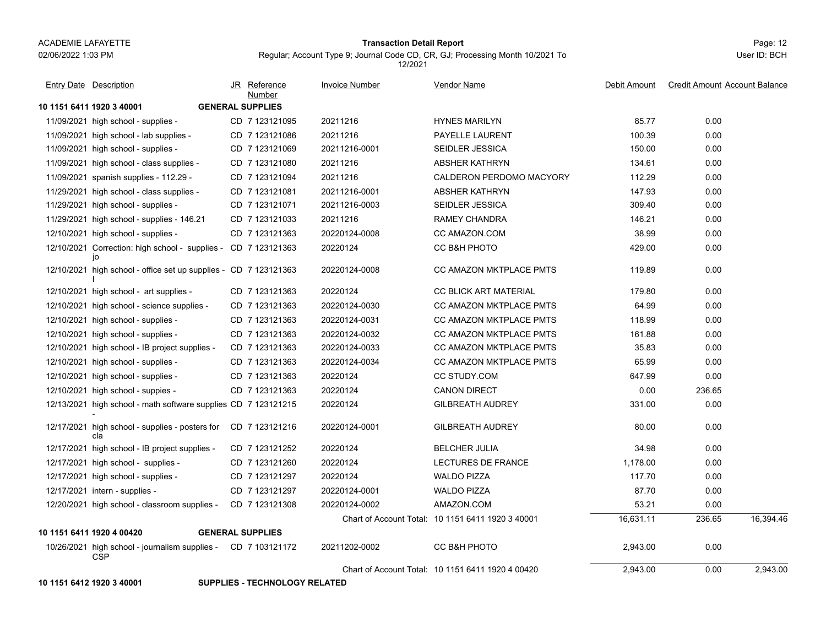#### Page: 12 **Transaction Detail Report**

Regular; Account Type 9; Journal Code CD, CR, GJ; Processing Month 10/2021 To 12/2021

User ID: BCH

| <b>Entry Date Description</b>                                               | JR Reference<br>Number  | <b>Invoice Number</b> | <b>Vendor Name</b>                                | Debit Amount | <b>Credit Amount Account Balance</b> |           |
|-----------------------------------------------------------------------------|-------------------------|-----------------------|---------------------------------------------------|--------------|--------------------------------------|-----------|
| 10 1151 6411 1920 3 40001                                                   | <b>GENERAL SUPPLIES</b> |                       |                                                   |              |                                      |           |
| 11/09/2021 high school - supplies -                                         | CD 7 123121095          | 20211216              | <b>HYNES MARILYN</b>                              | 85.77        | 0.00                                 |           |
| 11/09/2021 high school - lab supplies -                                     | CD 7 123121086          | 20211216              | PAYELLE LAURENT                                   | 100.39       | 0.00                                 |           |
| 11/09/2021 high school - supplies -                                         | CD 7 123121069          | 20211216-0001         | <b>SEIDLER JESSICA</b>                            | 150.00       | 0.00                                 |           |
| 11/09/2021 high school - class supplies -                                   | CD 7 123121080          | 20211216              | ABSHER KATHRYN                                    | 134.61       | 0.00                                 |           |
| 11/09/2021 spanish supplies - 112.29 -                                      | CD 7 123121094          | 20211216              | CALDERON PERDOMO MACYORY                          | 112.29       | 0.00                                 |           |
| 11/29/2021 high school - class supplies -                                   | CD 7 123121081          | 20211216-0001         | <b>ABSHER KATHRYN</b>                             | 147.93       | 0.00                                 |           |
| 11/29/2021 high school - supplies -                                         | CD 7 123121071          | 20211216-0003         | <b>SEIDLER JESSICA</b>                            | 309.40       | 0.00                                 |           |
| 11/29/2021 high school - supplies - 146.21                                  | CD 7 123121033          | 20211216              | RAMEY CHANDRA                                     | 146.21       | 0.00                                 |           |
| 12/10/2021 high school - supplies -                                         | CD 7 123121363          | 20220124-0008         | CC AMAZON.COM                                     | 38.99        | 0.00                                 |           |
| 12/10/2021 Correction: high school - supplies - CD 7 123121363<br>jo        |                         | 20220124              | CC B&H PHOTO                                      | 429.00       | 0.00                                 |           |
| 12/10/2021 high school - office set up supplies - CD 7 123121363            |                         | 20220124-0008         | CC AMAZON MKTPLACE PMTS                           | 119.89       | 0.00                                 |           |
| 12/10/2021 high school - art supplies -                                     | CD 7 123121363          | 20220124              | <b>CC BLICK ART MATERIAL</b>                      | 179.80       | 0.00                                 |           |
| 12/10/2021 high school - science supplies -                                 | CD 7 123121363          | 20220124-0030         | CC AMAZON MKTPLACE PMTS                           | 64.99        | 0.00                                 |           |
| 12/10/2021 high school - supplies -                                         | CD 7 123121363          | 20220124-0031         | <b>CC AMAZON MKTPLACE PMTS</b>                    | 118.99       | 0.00                                 |           |
| 12/10/2021 high school - supplies -                                         | CD 7 123121363          | 20220124-0032         | <b>CC AMAZON MKTPLACE PMTS</b>                    | 161.88       | 0.00                                 |           |
| 12/10/2021 high school - IB project supplies -                              | CD 7 123121363          | 20220124-0033         | CC AMAZON MKTPLACE PMTS                           | 35.83        | 0.00                                 |           |
| 12/10/2021 high school - supplies -                                         | CD 7 123121363          | 20220124-0034         | <b>CC AMAZON MKTPLACE PMTS</b>                    | 65.99        | 0.00                                 |           |
| 12/10/2021 high school - supplies -                                         | CD 7 123121363          | 20220124              | CC STUDY.COM                                      | 647.99       | 0.00                                 |           |
| 12/10/2021 high school - suppies -                                          | CD 7 123121363          | 20220124              | <b>CANON DIRECT</b>                               | 0.00         | 236.65                               |           |
| 12/13/2021 high school - math software supplies CD 7 123121215              |                         | 20220124              | <b>GILBREATH AUDREY</b>                           | 331.00       | 0.00                                 |           |
| 12/17/2021 high school - supplies - posters for<br>cla                      | CD 7 123121216          | 20220124-0001         | <b>GILBREATH AUDREY</b>                           | 80.00        | 0.00                                 |           |
| 12/17/2021 high school - IB project supplies -                              | CD 7 123121252          | 20220124              | <b>BELCHER JULIA</b>                              | 34.98        | 0.00                                 |           |
| 12/17/2021 high school - supplies -                                         | CD 7 123121260          | 20220124              | <b>LECTURES DE FRANCE</b>                         | 1.178.00     | 0.00                                 |           |
| 12/17/2021 high school - supplies -                                         | CD 7 123121297          | 20220124              | <b>WALDO PIZZA</b>                                | 117.70       | 0.00                                 |           |
| 12/17/2021 intern - supplies -                                              | CD 7 123121297          | 20220124-0001         | <b>WALDO PIZZA</b>                                | 87.70        | 0.00                                 |           |
| 12/20/2021 high school - classroom supplies -                               | CD 7 123121308          | 20220124-0002         | AMAZON.COM                                        | 53.21        | 0.00                                 |           |
|                                                                             |                         |                       | Chart of Account Total: 10 1151 6411 1920 3 40001 | 16,631.11    | 236.65                               | 16.394.46 |
| 10 1151 6411 1920 4 00420                                                   | <b>GENERAL SUPPLIES</b> |                       |                                                   |              |                                      |           |
| 10/26/2021 high school - journalism supplies - CD 7 103121172<br><b>CSP</b> |                         | 20211202-0002         | CC B&H PHOTO                                      | 2,943.00     | 0.00                                 |           |
|                                                                             |                         |                       | Chart of Account Total: 10 1151 6411 1920 4 00420 | 2,943.00     | 0.00                                 | 2,943.00  |

**10 1151 6412 1920 3 40001 SUPPLIES - TECHNOLOGY RELATED**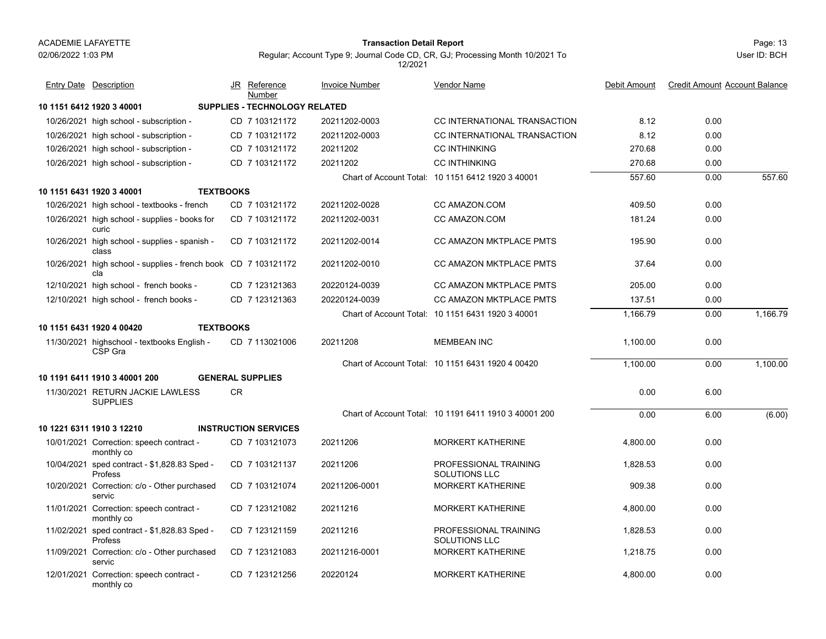#### Page: 13 **Transaction Detail Report**

| <b>Entry Date Description</b>                                         |    | JR Reference<br>Number               | <b>Invoice Number</b> | <b>Vendor Name</b>                                    | Debit Amount | <b>Credit Amount Account Balance</b> |          |
|-----------------------------------------------------------------------|----|--------------------------------------|-----------------------|-------------------------------------------------------|--------------|--------------------------------------|----------|
| 10 1151 6412 1920 3 40001                                             |    | <b>SUPPLIES - TECHNOLOGY RELATED</b> |                       |                                                       |              |                                      |          |
| 10/26/2021 high school - subscription -                               |    | CD 7 103121172                       | 20211202-0003         | CC INTERNATIONAL TRANSACTION                          | 8.12         | 0.00                                 |          |
| 10/26/2021 high school - subscription -                               |    | CD 7 103121172                       | 20211202-0003         | CC INTERNATIONAL TRANSACTION                          | 8.12         | 0.00                                 |          |
| 10/26/2021 high school - subscription -                               |    | CD 7 103121172                       | 20211202              | <b>CC INTHINKING</b>                                  | 270.68       | 0.00                                 |          |
| 10/26/2021 high school - subscription -                               |    | CD 7 103121172                       | 20211202              | <b>CC INTHINKING</b>                                  | 270.68       | 0.00                                 |          |
|                                                                       |    |                                      |                       | Chart of Account Total: 10 1151 6412 1920 3 40001     | 557.60       | 0.00                                 | 557.60   |
| 10 1151 6431 1920 3 40001<br><b>TEXTBOOKS</b>                         |    |                                      |                       |                                                       |              |                                      |          |
| 10/26/2021 high school - textbooks - french                           |    | CD 7 103121172                       | 20211202-0028         | CC AMAZON.COM                                         | 409.50       | 0.00                                 |          |
| 10/26/2021 high school - supplies - books for<br>curic                |    | CD 7 103121172                       | 20211202-0031         | CC AMAZON.COM                                         | 181.24       | 0.00                                 |          |
| 10/26/2021 high school - supplies - spanish -<br>class                |    | CD 7 103121172                       | 20211202-0014         | CC AMAZON MKTPLACE PMTS                               | 195.90       | 0.00                                 |          |
| 10/26/2021 high school - supplies - french book CD 7 103121172<br>cla |    |                                      | 20211202-0010         | <b>CC AMAZON MKTPLACE PMTS</b>                        | 37.64        | 0.00                                 |          |
| 12/10/2021 high school - french books -                               |    | CD 7 123121363                       | 20220124-0039         | <b>CC AMAZON MKTPLACE PMTS</b>                        | 205.00       | 0.00                                 |          |
| 12/10/2021 high school - french books -                               |    | CD 7 123121363                       | 20220124-0039         | <b>CC AMAZON MKTPLACE PMTS</b>                        | 137.51       | 0.00                                 |          |
|                                                                       |    |                                      |                       | Chart of Account Total: 10 1151 6431 1920 3 40001     | 1,166.79     | 0.00                                 | 1,166.79 |
| <b>TEXTBOOKS</b><br>10 1151 6431 1920 4 00420                         |    |                                      |                       |                                                       |              |                                      |          |
| 11/30/2021 highschool - textbooks English -<br>CSP Gra                |    | CD 7 113021006                       | 20211208              | <b>MEMBEAN INC</b>                                    | 1,100.00     | 0.00                                 |          |
|                                                                       |    |                                      |                       | Chart of Account Total: 10 1151 6431 1920 4 00420     | 1,100.00     | 0.00                                 | 1,100.00 |
| 10 1191 6411 1910 3 40001 200                                         |    | <b>GENERAL SUPPLIES</b>              |                       |                                                       |              |                                      |          |
| 11/30/2021 RETURN JACKIE LAWLESS<br><b>SUPPLIES</b>                   | CR |                                      |                       |                                                       | 0.00         | 6.00                                 |          |
|                                                                       |    |                                      |                       | Chart of Account Total: 10 1191 6411 1910 3 40001 200 | 0.00         | 6.00                                 | (6.00)   |
| 10 1221 6311 1910 3 12210                                             |    | <b>INSTRUCTION SERVICES</b>          |                       |                                                       |              |                                      |          |
| 10/01/2021 Correction: speech contract -<br>monthly co                |    | CD 7 103121073                       | 20211206              | <b>MORKERT KATHERINE</b>                              | 4,800.00     | 0.00                                 |          |
| 10/04/2021 sped contract - \$1,828.83 Sped -<br>Profess               |    | CD 7 103121137                       | 20211206              | PROFESSIONAL TRAINING<br>SOLUTIONS LLC                | 1,828.53     | 0.00                                 |          |
| 10/20/2021 Correction: c/o - Other purchased<br>servic                |    | CD 7 103121074                       | 20211206-0001         | <b>MORKERT KATHERINE</b>                              | 909.38       | 0.00                                 |          |
| 11/01/2021 Correction: speech contract -<br>monthly co                |    | CD 7 123121082                       | 20211216              | <b>MORKERT KATHERINE</b>                              | 4,800.00     | 0.00                                 |          |
| 11/02/2021 sped contract - \$1,828.83 Sped -<br>Profess               |    | CD 7 123121159                       | 20211216              | PROFESSIONAL TRAINING<br><b>SOLUTIONS LLC</b>         | 1,828.53     | 0.00                                 |          |
| 11/09/2021 Correction: c/o - Other purchased<br>servic                |    | CD 7 123121083                       | 20211216-0001         | <b>MORKERT KATHERINE</b>                              | 1,218.75     | 0.00                                 |          |
| 12/01/2021 Correction: speech contract -<br>monthly co                |    | CD 7 123121256                       | 20220124              | MORKERT KATHERINE                                     | 4,800.00     | 0.00                                 |          |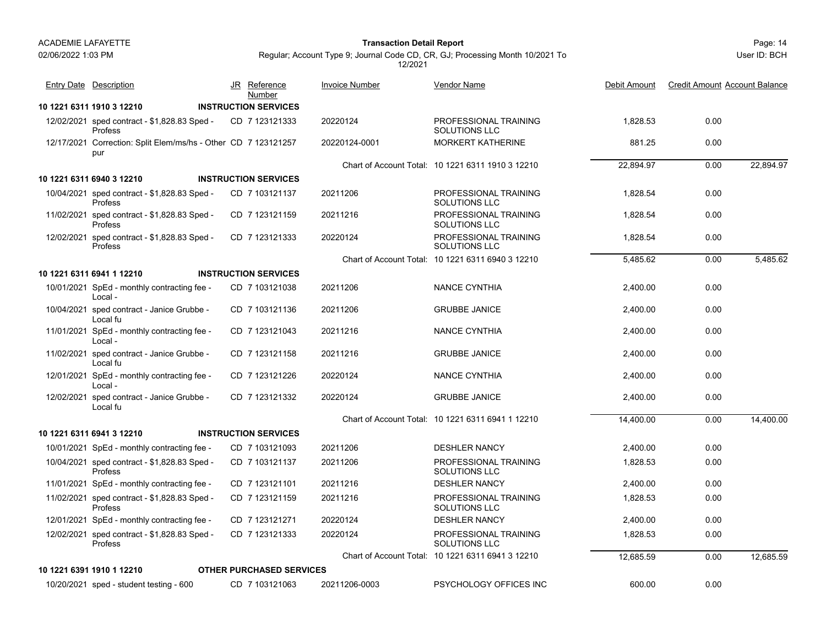# 02/06/2022 1:03 PM

#### Page: 14 **Transaction Detail Report**

Regular; Account Type 9; Journal Code CD, CR, GJ; Processing Month 10/2021 To 12/2021

| <b>Entry Date</b> Description                                         | JR Reference                          | <b>Invoice Number</b> | <b>Vendor Name</b>                                | Debit Amount | <b>Credit Amount Account Balance</b> |           |
|-----------------------------------------------------------------------|---------------------------------------|-----------------------|---------------------------------------------------|--------------|--------------------------------------|-----------|
| 10 1221 6311 1910 3 12210                                             | Number<br><b>INSTRUCTION SERVICES</b> |                       |                                                   |              |                                      |           |
| 12/02/2021 sped contract - \$1,828.83 Sped -<br>Profess               | CD 7 123121333                        | 20220124              | PROFESSIONAL TRAINING<br>SOLUTIONS LLC            | 1.828.53     | 0.00                                 |           |
| 12/17/2021 Correction: Split Elem/ms/hs - Other CD 7 123121257<br>pur |                                       | 20220124-0001         | <b>MORKERT KATHERINE</b>                          | 881.25       | 0.00                                 |           |
|                                                                       |                                       |                       | Chart of Account Total: 10 1221 6311 1910 3 12210 | 22,894.97    | 0.00                                 | 22,894.97 |
| 10 1221 6311 6940 3 12210                                             | <b>INSTRUCTION SERVICES</b>           |                       |                                                   |              |                                      |           |
| 10/04/2021 sped contract - \$1,828.83 Sped -<br>Profess               | CD 7 103121137                        | 20211206              | PROFESSIONAL TRAINING<br><b>SOLUTIONS LLC</b>     | 1.828.54     | 0.00                                 |           |
| 11/02/2021 sped contract - \$1,828.83 Sped -<br>Profess               | CD 7 123121159                        | 20211216              | PROFESSIONAL TRAINING<br><b>SOLUTIONS LLC</b>     | 1,828.54     | 0.00                                 |           |
| 12/02/2021 sped contract - \$1,828.83 Sped -<br>Profess               | CD 7 123121333                        | 20220124              | PROFESSIONAL TRAINING<br>SOLUTIONS LLC            | 1,828.54     | 0.00                                 |           |
|                                                                       |                                       |                       | Chart of Account Total: 10 1221 6311 6940 3 12210 | 5,485.62     | 0.00                                 | 5,485.62  |
| 10 1221 6311 6941 1 12210                                             | <b>INSTRUCTION SERVICES</b>           |                       |                                                   |              |                                      |           |
| 10/01/2021 SpEd - monthly contracting fee -<br>Local -                | CD 7 103121038                        | 20211206              | <b>NANCE CYNTHIA</b>                              | 2,400.00     | 0.00                                 |           |
| 10/04/2021 sped contract - Janice Grubbe -<br>Local fu                | CD 7 103121136                        | 20211206              | <b>GRUBBE JANICE</b>                              | 2,400.00     | 0.00                                 |           |
| 11/01/2021 SpEd - monthly contracting fee -<br>Local -                | CD 7 123121043                        | 20211216              | NANCE CYNTHIA                                     | 2,400.00     | 0.00                                 |           |
| 11/02/2021 sped contract - Janice Grubbe -<br>Local fu                | CD 7 123121158                        | 20211216              | <b>GRUBBE JANICE</b>                              | 2,400.00     | 0.00                                 |           |
| 12/01/2021 SpEd - monthly contracting fee -<br>Local -                | CD 7 123121226                        | 20220124              | <b>NANCE CYNTHIA</b>                              | 2,400.00     | 0.00                                 |           |
| 12/02/2021 sped contract - Janice Grubbe -<br>Local fu                | CD 7 123121332                        | 20220124              | <b>GRUBBE JANICE</b>                              | 2,400.00     | 0.00                                 |           |
|                                                                       |                                       |                       | Chart of Account Total: 10 1221 6311 6941 1 12210 | 14,400.00    | 0.00                                 | 14,400.00 |
| 10 1221 6311 6941 3 12210                                             | <b>INSTRUCTION SERVICES</b>           |                       |                                                   |              |                                      |           |
| 10/01/2021 SpEd - monthly contracting fee -                           | CD 7 103121093                        | 20211206              | <b>DESHLER NANCY</b>                              | 2,400.00     | 0.00                                 |           |
| 10/04/2021 sped contract - \$1,828.83 Sped -<br>Profess               | CD 7 103121137                        | 20211206              | PROFESSIONAL TRAINING<br><b>SOLUTIONS LLC</b>     | 1,828.53     | 0.00                                 |           |
| 11/01/2021 SpEd - monthly contracting fee -                           | CD 7 123121101                        | 20211216              | <b>DESHLER NANCY</b>                              | 2,400.00     | 0.00                                 |           |
| 11/02/2021 sped contract - \$1,828.83 Sped -<br>Profess               | CD 7 123121159                        | 20211216              | PROFESSIONAL TRAINING<br>SOLUTIONS LLC            | 1,828.53     | 0.00                                 |           |
| 12/01/2021 SpEd - monthly contracting fee -                           | CD 7 123121271                        | 20220124              | <b>DESHLER NANCY</b>                              | 2,400.00     | 0.00                                 |           |
| 12/02/2021 sped contract - \$1,828.83 Sped -<br>Profess               | CD 7 123121333                        | 20220124              | PROFESSIONAL TRAINING<br><b>SOLUTIONS LLC</b>     | 1,828.53     | 0.00                                 |           |
|                                                                       |                                       |                       | Chart of Account Total: 10 1221 6311 6941 3 12210 | 12,685.59    | 0.00                                 | 12,685.59 |
| 10 1221 6391 1910 1 12210                                             | <b>OTHER PURCHASED SERVICES</b>       |                       |                                                   |              |                                      |           |
| 10/20/2021 sped - student testing - 600                               | CD 7 103121063                        | 20211206-0003         | PSYCHOLOGY OFFICES INC                            | 600.00       | 0.00                                 |           |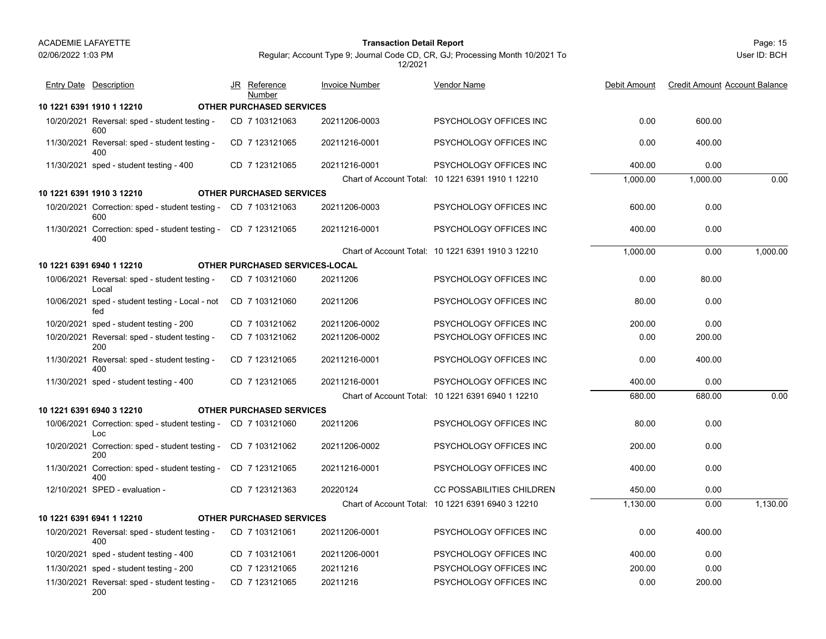#### Page: 15 **Transaction Detail Report**

# Regular; Account Type 9; Journal Code CD, CR, GJ; Processing Month 10/2021 To 12/2021

| <b>Entry Date Description</b>                                         | JR Reference | Number                          | <b>Invoice Number</b> | <b>Vendor Name</b>                                | Debit Amount | <b>Credit Amount Account Balance</b> |          |
|-----------------------------------------------------------------------|--------------|---------------------------------|-----------------------|---------------------------------------------------|--------------|--------------------------------------|----------|
| 10 1221 6391 1910 1 12210                                             |              | <b>OTHER PURCHASED SERVICES</b> |                       |                                                   |              |                                      |          |
| 10/20/2021 Reversal: sped - student testing -<br>600                  |              | CD 7 103121063                  | 20211206-0003         | PSYCHOLOGY OFFICES INC                            | 0.00         | 600.00                               |          |
| 11/30/2021 Reversal: sped - student testing -<br>400                  |              | CD 7 123121065                  | 20211216-0001         | PSYCHOLOGY OFFICES INC                            | 0.00         | 400.00                               |          |
| 11/30/2021 sped - student testing - 400                               |              | CD 7 123121065                  | 20211216-0001         | PSYCHOLOGY OFFICES INC                            | 400.00       | 0.00                                 |          |
|                                                                       |              |                                 |                       | Chart of Account Total: 10 1221 6391 1910 1 12210 | 1,000.00     | 1,000.00                             | 0.00     |
| 10 1221 6391 1910 3 12210                                             |              | <b>OTHER PURCHASED SERVICES</b> |                       |                                                   |              |                                      |          |
| 10/20/2021 Correction: sped - student testing - CD 7 103121063<br>600 |              |                                 | 20211206-0003         | PSYCHOLOGY OFFICES INC                            | 600.00       | 0.00                                 |          |
| 11/30/2021 Correction: sped - student testing - CD 7 123121065<br>400 |              |                                 | 20211216-0001         | PSYCHOLOGY OFFICES INC                            | 400.00       | 0.00                                 |          |
|                                                                       |              |                                 |                       | Chart of Account Total: 10 1221 6391 1910 3 12210 | 1.000.00     | 0.00                                 | 1,000.00 |
| 10 1221 6391 6940 1 12210                                             |              | OTHER PURCHASED SERVICES-LOCAL  |                       |                                                   |              |                                      |          |
| 10/06/2021 Reversal: sped - student testing -<br>Local                |              | CD 7 103121060                  | 20211206              | PSYCHOLOGY OFFICES INC                            | 0.00         | 80.00                                |          |
| 10/06/2021 sped - student testing - Local - not<br>fed                |              | CD 7 103121060                  | 20211206              | PSYCHOLOGY OFFICES INC                            | 80.00        | 0.00                                 |          |
| 10/20/2021 sped - student testing - 200                               |              | CD 7 103121062                  | 20211206-0002         | PSYCHOLOGY OFFICES INC                            | 200.00       | 0.00                                 |          |
| 10/20/2021 Reversal: sped - student testing -<br>200                  |              | CD 7 103121062                  | 20211206-0002         | PSYCHOLOGY OFFICES INC                            | 0.00         | 200.00                               |          |
| 11/30/2021 Reversal: sped - student testing -<br>400                  |              | CD 7 123121065                  | 20211216-0001         | PSYCHOLOGY OFFICES INC                            | 0.00         | 400.00                               |          |
| 11/30/2021 sped - student testing - 400                               |              | CD 7 123121065                  | 20211216-0001         | PSYCHOLOGY OFFICES INC                            | 400.00       | 0.00                                 |          |
|                                                                       |              |                                 |                       | Chart of Account Total: 10 1221 6391 6940 1 12210 | 680.00       | 680.00                               | 0.00     |
| 10 1221 6391 6940 3 12210                                             |              | <b>OTHER PURCHASED SERVICES</b> |                       |                                                   |              |                                      |          |
| 10/06/2021 Correction: sped - student testing - CD 7 103121060<br>Loc |              |                                 | 20211206              | PSYCHOLOGY OFFICES INC                            | 80.00        | 0.00                                 |          |
| 10/20/2021 Correction: sped - student testing -<br>200                |              | CD 7 103121062                  | 20211206-0002         | PSYCHOLOGY OFFICES INC                            | 200.00       | 0.00                                 |          |
| 11/30/2021 Correction: sped - student testing -<br>400                |              | CD 7 123121065                  | 20211216-0001         | PSYCHOLOGY OFFICES INC                            | 400.00       | 0.00                                 |          |
| 12/10/2021 SPED - evaluation -                                        |              | CD 7 123121363                  | 20220124              | <b>CC POSSABILITIES CHILDREN</b>                  | 450.00       | 0.00                                 |          |
|                                                                       |              |                                 |                       | Chart of Account Total: 10 1221 6391 6940 3 12210 | 1,130.00     | 0.00                                 | 1.130.00 |
| 10 1221 6391 6941 1 12210                                             |              | <b>OTHER PURCHASED SERVICES</b> |                       |                                                   |              |                                      |          |
| 10/20/2021 Reversal: sped - student testing -<br>400                  |              | CD 7 103121061                  | 20211206-0001         | PSYCHOLOGY OFFICES INC                            | 0.00         | 400.00                               |          |
| 10/20/2021 sped - student testing - 400                               |              | CD 7 103121061                  | 20211206-0001         | PSYCHOLOGY OFFICES INC                            | 400.00       | 0.00                                 |          |
| 11/30/2021 sped - student testing - 200                               |              | CD 7 123121065                  | 20211216              | PSYCHOLOGY OFFICES INC                            | 200.00       | 0.00                                 |          |
| 11/30/2021 Reversal: sped - student testing -<br>200                  |              | CD 7 123121065                  | 20211216              | PSYCHOLOGY OFFICES INC                            | 0.00         | 200.00                               |          |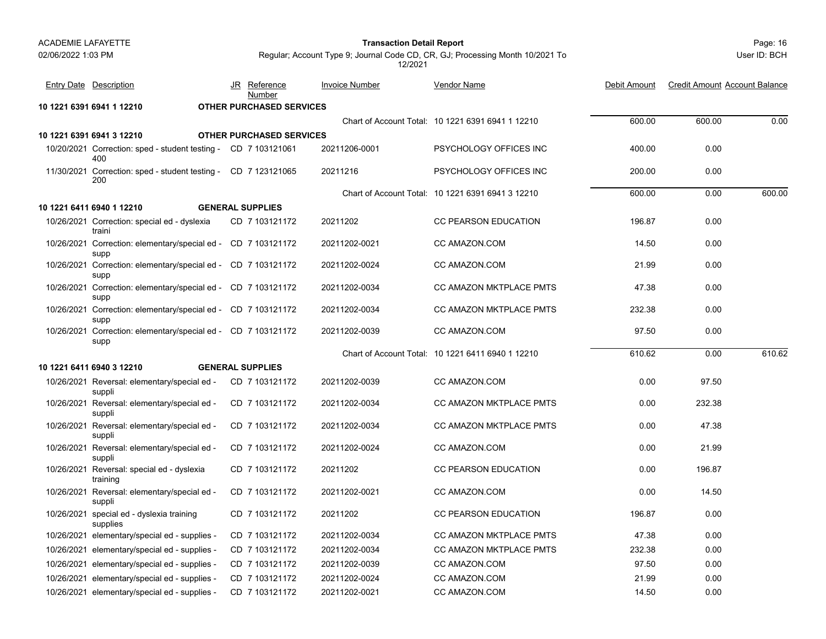#### Page: 16 **Transaction Detail Report**

**Invoice Number** 

JR Reference

User ID: BCH

Regular; Account Type 9; Journal Code CD, CR, GJ; Processing Month 10/2021 To 12/2021

Entry Date Description JR Reference <u>Invoice Number</u> <u>Vendor Name</u> Debit Amount Credit Amount Account Balance

Vendor Name

|                                                                       | <b>Number</b>                   |               |                                                   |        |        |        |
|-----------------------------------------------------------------------|---------------------------------|---------------|---------------------------------------------------|--------|--------|--------|
| 10 1221 6391 6941 1 12210                                             | <b>OTHER PURCHASED SERVICES</b> |               |                                                   |        |        |        |
|                                                                       |                                 |               | Chart of Account Total: 10 1221 6391 6941 1 12210 | 600.00 | 600.00 | 0.00   |
| 10 1221 6391 6941 3 12210                                             | <b>OTHER PURCHASED SERVICES</b> |               |                                                   |        |        |        |
| 10/20/2021 Correction: sped - student testing - CD 7 103121061<br>400 |                                 | 20211206-0001 | PSYCHOLOGY OFFICES INC                            | 400.00 | 0.00   |        |
| 11/30/2021 Correction: sped - student testing - CD 7 123121065<br>200 |                                 | 20211216      | PSYCHOLOGY OFFICES INC                            | 200.00 | 0.00   |        |
|                                                                       |                                 |               | Chart of Account Total: 10 1221 6391 6941 3 12210 | 600.00 | 0.00   | 600.00 |
| 10 1221 6411 6940 1 12210                                             | <b>GENERAL SUPPLIES</b>         |               |                                                   |        |        |        |
| 10/26/2021 Correction: special ed - dyslexia<br>traini                | CD 7 103121172                  | 20211202      | <b>CC PEARSON EDUCATION</b>                       | 196.87 | 0.00   |        |
| 10/26/2021 Correction: elementary/special ed - CD 7 103121172<br>supp |                                 | 20211202-0021 | CC AMAZON.COM                                     | 14.50  | 0.00   |        |
| 10/26/2021 Correction: elementary/special ed - CD 7 103121172<br>supp |                                 | 20211202-0024 | CC AMAZON COM                                     | 21.99  | 0.00   |        |
| 10/26/2021 Correction: elementary/special ed - CD 7 103121172<br>supp |                                 | 20211202-0034 | CC AMAZON MKTPLACE PMTS                           | 47.38  | 0.00   |        |
| 10/26/2021 Correction: elementary/special ed - CD 7 103121172<br>supp |                                 | 20211202-0034 | CC AMAZON MKTPLACE PMTS                           | 232.38 | 0.00   |        |
| 10/26/2021 Correction: elementary/special ed - CD 7 103121172<br>supp |                                 | 20211202-0039 | CC AMAZON.COM                                     | 97.50  | 0.00   |        |
|                                                                       |                                 |               | Chart of Account Total: 10 1221 6411 6940 1 12210 | 610.62 | 0.00   | 610.62 |
| 10 1221 6411 6940 3 12210                                             | <b>GENERAL SUPPLIES</b>         |               |                                                   |        |        |        |
| 10/26/2021 Reversal: elementary/special ed -<br>suppli                | CD 7 103121172                  | 20211202-0039 | CC AMAZON.COM                                     | 0.00   | 97.50  |        |
| 10/26/2021 Reversal: elementary/special ed -<br>suppli                | CD 7 103121172                  | 20211202-0034 | <b>CC AMAZON MKTPLACE PMTS</b>                    | 0.00   | 232.38 |        |
| 10/26/2021 Reversal: elementary/special ed -<br>suppli                | CD 7 103121172                  | 20211202-0034 | CC AMAZON MKTPLACE PMTS                           | 0.00   | 47.38  |        |
| 10/26/2021 Reversal: elementary/special ed -<br>suppli                | CD 7 103121172                  | 20211202-0024 | CC AMAZON.COM                                     | 0.00   | 21.99  |        |
| 10/26/2021 Reversal: special ed - dyslexia<br>training                | CD 7 103121172                  | 20211202      | <b>CC PEARSON EDUCATION</b>                       | 0.00   | 196.87 |        |
| 10/26/2021 Reversal: elementary/special ed -<br>suppli                | CD 7 103121172                  | 20211202-0021 | CC AMAZON COM                                     | 0.00   | 14.50  |        |
| 10/26/2021 special ed - dyslexia training<br>supplies                 | CD 7 103121172                  | 20211202      | CC PEARSON EDUCATION                              | 196.87 | 0.00   |        |
| 10/26/2021 elementary/special ed - supplies -                         | CD 7 103121172                  | 20211202-0034 | CC AMAZON MKTPLACE PMTS                           | 47.38  | 0.00   |        |
| 10/26/2021 elementary/special ed - supplies -                         | CD 7 103121172                  | 20211202-0034 | CC AMAZON MKTPLACE PMTS                           | 232.38 | 0.00   |        |
| 10/26/2021 elementary/special ed - supplies -                         | CD 7 103121172                  | 20211202-0039 | CC AMAZON.COM                                     | 97.50  | 0.00   |        |
| 10/26/2021 elementary/special ed - supplies -                         | CD 7 103121172                  | 20211202-0024 | CC AMAZON.COM                                     | 21.99  | 0.00   |        |

10/26/2021 elementary/special ed - supplies - CD 7 103121172 20211202-0021 CC AMAZON.COM 14.50 0.00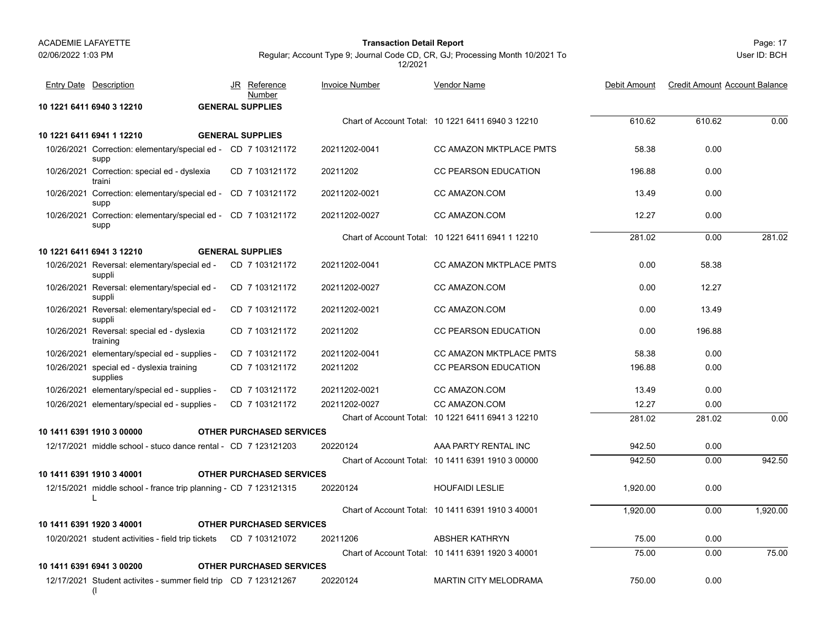**10 1221 6411 6941 1 12210 GENERAL SUPPLIES**

Entry Date Description

supp

traini

supp

supp

**10 1221 6411 6940 3 12210 GENERAL SUPPLIES**

**GENERAL SUPPLIES** 

<u>Number</u>

JR Reference Invoice Number

#### Page: 17 **Transaction Detail Report**

User ID: BCH

610.62 610.62 0.00

Debit Amount Credit Amount Account Balance

Regular; Account Type 9; Journal Code CD, CR, GJ; Processing Month 10/2021 To 12/2021

Chart of Account Total: 10 1221 6411 6940 3 12210

Vendor Name

10/26/2021 Correction: elementary/special ed - CD\_7 103121172 20211202-0041 CC AMAZON MKTPLACE PMTS 58.38 0.00 CD 20211202-0041 CC AMAZON MKTPLACE PMTS 7 103121172 10/26/2021 Correction: special ed - dyslexia CD 7 103121172 20211202 CC PEARSON EDUCATION 196.88 0.00 CD 20211202 CC PEARSON EDUCATION 7 103121172 10/26/2021 Correction: elementary/special ed - CD\_7 103121172 20211202-0021 CC AMAZON.COM 0.00 CD 20211202-0021 CC AMAZON.COM 7 103121172 10/26/2021 Correction: elementary/special ed - CD\_7 103121172 20211202-0027 CC AMAZON.COM 12.27 0.00 CD 20211202-0027 CC AMAZON.COM 7 103121172 Chart of Account Total: 10 1221 6411 6941 1 12210281.02 0.00 281.02

|            | 10 1221 6411 6941 3 12210                                        | <b>GENERAL SUPPLIES</b>         |               |                                                   |          |        |          |
|------------|------------------------------------------------------------------|---------------------------------|---------------|---------------------------------------------------|----------|--------|----------|
|            | 10/26/2021 Reversal: elementary/special ed -<br>suppli           | CD 7 103121172                  | 20211202-0041 | CC AMAZON MKTPLACE PMTS                           | 0.00     | 58.38  |          |
| 10/26/2021 | Reversal: elementary/special ed -<br>suppli                      | CD 7 103121172                  | 20211202-0027 | CC AMAZON.COM                                     | 0.00     | 12.27  |          |
|            | 10/26/2021 Reversal: elementary/special ed -<br>suppli           | CD 7 103121172                  | 20211202-0021 | CC AMAZON.COM                                     | 0.00     | 13.49  |          |
|            | 10/26/2021 Reversal: special ed - dyslexia<br>training           | CD 7 103121172                  | 20211202      | <b>CC PEARSON EDUCATION</b>                       | 0.00     | 196.88 |          |
|            | 10/26/2021 elementary/special ed - supplies -                    | CD 7 103121172                  | 20211202-0041 | CC AMAZON MKTPLACE PMTS                           | 58.38    | 0.00   |          |
|            | 10/26/2021 special ed - dyslexia training<br>supplies            | CD 7 103121172                  | 20211202      | <b>CC PEARSON EDUCATION</b>                       | 196.88   | 0.00   |          |
|            | 10/26/2021 elementary/special ed - supplies -                    | CD 7 103121172                  | 20211202-0021 | CC AMAZON.COM                                     | 13.49    | 0.00   |          |
|            | 10/26/2021 elementary/special ed - supplies -                    | CD 7 103121172                  | 20211202-0027 | CC AMAZON.COM                                     | 12.27    | 0.00   |          |
|            |                                                                  |                                 |               | Chart of Account Total: 10 1221 6411 6941 3 12210 | 281.02   | 281.02 | 0.00     |
|            | 10 1411 6391 1910 3 00000                                        | <b>OTHER PURCHASED SERVICES</b> |               |                                                   |          |        |          |
|            | 12/17/2021 middle school - stuco dance rental - CD 7 123121203   |                                 | 20220124      | AAA PARTY RENTAL INC                              | 942.50   | 0.00   |          |
|            |                                                                  |                                 |               | Chart of Account Total: 10 1411 6391 1910 3 00000 | 942.50   | 0.00   | 942.50   |
|            | 10 1411 6391 1910 3 40001                                        | <b>OTHER PURCHASED SERVICES</b> |               |                                                   |          |        |          |
|            | 12/15/2021 middle school - france trip planning - CD 7 123121315 |                                 | 20220124      | <b>HOUFAIDI LESLIE</b>                            | 1,920.00 | 0.00   |          |
|            |                                                                  |                                 |               | Chart of Account Total: 10 1411 6391 1910 3 40001 | 1,920.00 | 0.00   | 1,920.00 |
|            | 10 1411 6391 1920 3 40001                                        | <b>OTHER PURCHASED SERVICES</b> |               |                                                   |          |        |          |

10/20/2021 student activities - field trip tickets CD 7 103121072 20211206 ABSHER KATHRYN 75.00 0.00 Chart of Account Total: 10 1411 6391 1920 3 40001 75.00 0.00 75.00 **10 1411 6391 6941 3 00200 OTHER PURCHASED SERVICES**12/17/2021 Student activites - summer field trip CD\_7 123121267 20220124 MARTIN CITY MELODRAMA 750.00 0.00 CD 20220124 MARTIN CITY MELODRAMA 7 123121267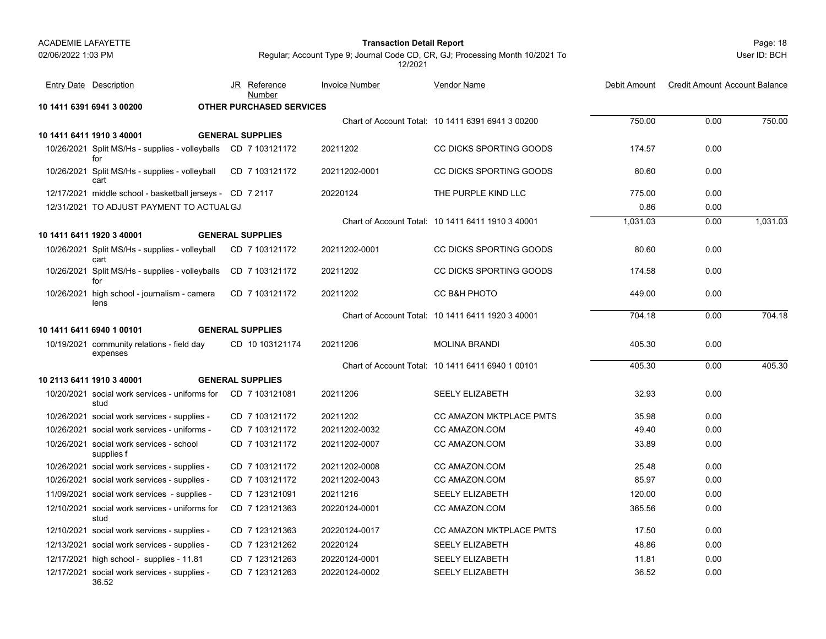#### Page: 18 **Transaction Detail Report**

User ID: BCH

| <b>Entry Date Description</b>                                         | JR Reference<br>Number          | <b>Invoice Number</b> | <b>Vendor Name</b>                                | Debit Amount | <b>Credit Amount Account Balance</b> |          |
|-----------------------------------------------------------------------|---------------------------------|-----------------------|---------------------------------------------------|--------------|--------------------------------------|----------|
| 10 1411 6391 6941 3 00200                                             | <b>OTHER PURCHASED SERVICES</b> |                       |                                                   |              |                                      |          |
|                                                                       |                                 |                       | Chart of Account Total: 10 1411 6391 6941 3 00200 | 750.00       | 0.00                                 | 750.00   |
| 10 1411 6411 1910 3 40001                                             | <b>GENERAL SUPPLIES</b>         |                       |                                                   |              |                                      |          |
| 10/26/2021 Split MS/Hs - supplies - volleyballs CD 7 103121172<br>for |                                 | 20211202              | CC DICKS SPORTING GOODS                           | 174.57       | 0.00                                 |          |
| 10/26/2021 Split MS/Hs - supplies - volleyball<br>cart                | CD 7 103121172                  | 20211202-0001         | CC DICKS SPORTING GOODS                           | 80.60        | 0.00                                 |          |
| 12/17/2021 middle school - basketball jerseys - CD 7 2117             |                                 | 20220124              | THE PURPLE KIND LLC                               | 775.00       | 0.00                                 |          |
| 12/31/2021 TO ADJUST PAYMENT TO ACTUAL GJ                             |                                 |                       |                                                   | 0.86         | 0.00                                 |          |
|                                                                       |                                 |                       | Chart of Account Total: 10 1411 6411 1910 3 40001 | 1,031.03     | 0.00                                 | 1,031.03 |
| 10 1411 6411 1920 3 40001                                             | <b>GENERAL SUPPLIES</b>         |                       |                                                   |              |                                      |          |
| 10/26/2021 Split MS/Hs - supplies - volleyball<br>cart                | CD 7 103121172                  | 20211202-0001         | CC DICKS SPORTING GOODS                           | 80.60        | 0.00                                 |          |
| 10/26/2021 Split MS/Hs - supplies - volleyballs<br>for                | CD 7 103121172                  | 20211202              | CC DICKS SPORTING GOODS                           | 174.58       | 0.00                                 |          |
| 10/26/2021 high school - journalism - camera<br>lens                  | CD 7 103121172                  | 20211202              | CC B&H PHOTO                                      | 449.00       | 0.00                                 |          |
|                                                                       |                                 |                       | Chart of Account Total: 10 1411 6411 1920 3 40001 | 704.18       | 0.00                                 | 704.18   |
| 10 1411 6411 6940 1 00101                                             | <b>GENERAL SUPPLIES</b>         |                       |                                                   |              |                                      |          |
| 10/19/2021 community relations - field day<br>expenses                | CD 10 103121174                 | 20211206              | <b>MOLINA BRANDI</b>                              | 405.30       | 0.00                                 |          |
|                                                                       |                                 |                       | Chart of Account Total: 10 1411 6411 6940 1 00101 | 405.30       | 0.00                                 | 405.30   |
| 10 2113 6411 1910 3 40001                                             | <b>GENERAL SUPPLIES</b>         |                       |                                                   |              |                                      |          |
| 10/20/2021 social work services - uniforms for<br>stud                | CD 7 103121081                  | 20211206              | <b>SEELY ELIZABETH</b>                            | 32.93        | 0.00                                 |          |
| 10/26/2021 social work services - supplies -                          | CD 7 103121172                  | 20211202              | <b>CC AMAZON MKTPLACE PMTS</b>                    | 35.98        | 0.00                                 |          |
| 10/26/2021 social work services - uniforms -                          | CD 7 103121172                  | 20211202-0032         | CC AMAZON.COM                                     | 49.40        | 0.00                                 |          |
| 10/26/2021 social work services - school<br>supplies f                | CD 7 103121172                  | 20211202-0007         | CC AMAZON.COM                                     | 33.89        | 0.00                                 |          |
| 10/26/2021 social work services - supplies -                          | CD 7 103121172                  | 20211202-0008         | CC AMAZON.COM                                     | 25.48        | 0.00                                 |          |
| 10/26/2021 social work services - supplies -                          | CD 7 103121172                  | 20211202-0043         | CC AMAZON.COM                                     | 85.97        | 0.00                                 |          |
| 11/09/2021 social work services - supplies -                          | CD 7 123121091                  | 20211216              | <b>SEELY ELIZABETH</b>                            | 120.00       | 0.00                                 |          |
| 12/10/2021 social work services - uniforms for<br>stud                | CD 7 123121363                  | 20220124-0001         | CC AMAZON.COM                                     | 365.56       | 0.00                                 |          |
| 12/10/2021 social work services - supplies -                          | CD 7 123121363                  | 20220124-0017         | CC AMAZON MKTPLACE PMTS                           | 17.50        | 0.00                                 |          |
| 12/13/2021 social work services - supplies -                          | CD 7 123121262                  | 20220124              | <b>SEELY ELIZABETH</b>                            | 48.86        | 0.00                                 |          |
| 12/17/2021 high school - supplies - 11.81                             | CD 7 123121263                  | 20220124-0001         | <b>SEELY ELIZABETH</b>                            | 11.81        | 0.00                                 |          |
| 12/17/2021 social work services - supplies -<br>36.52                 | CD 7 123121263                  | 20220124-0002         | <b>SEELY ELIZABETH</b>                            | 36.52        | 0.00                                 |          |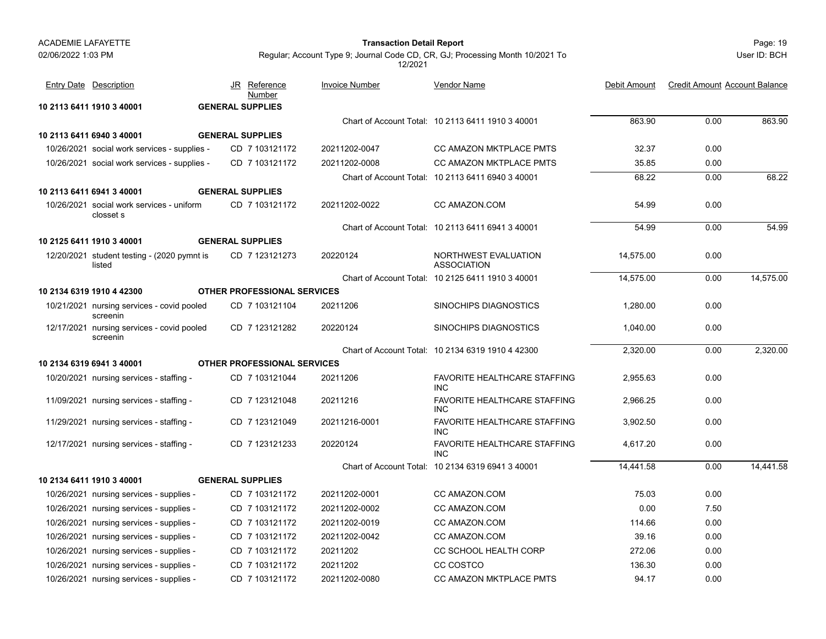#### Page: 19 **Transaction Detail Report**

User ID: BCH

| <b>Entry Date Description</b>                          | JR<br><u>Reference</u><br>Number | <b>Invoice Number</b> | Vendor Name                                       | Debit Amount | <b>Credit Amount Account Balance</b> |           |
|--------------------------------------------------------|----------------------------------|-----------------------|---------------------------------------------------|--------------|--------------------------------------|-----------|
| 10 2113 6411 1910 3 40001                              | <b>GENERAL SUPPLIES</b>          |                       |                                                   |              |                                      |           |
|                                                        |                                  |                       | Chart of Account Total: 10 2113 6411 1910 3 40001 | 863.90       | 0.00                                 | 863.90    |
| 10 2113 6411 6940 3 40001                              | <b>GENERAL SUPPLIES</b>          |                       |                                                   |              |                                      |           |
| 10/26/2021 social work services - supplies -           | CD 7 103121172                   | 20211202-0047         | CC AMAZON MKTPLACE PMTS                           | 32.37        | 0.00                                 |           |
| 10/26/2021 social work services - supplies -           | CD 7 103121172                   | 20211202-0008         | <b>CC AMAZON MKTPLACE PMTS</b>                    | 35.85        | 0.00                                 |           |
|                                                        |                                  |                       | Chart of Account Total: 10 2113 6411 6940 3 40001 | 68.22        | 0.00                                 | 68.22     |
| 10 2113 6411 6941 3 40001                              | <b>GENERAL SUPPLIES</b>          |                       |                                                   |              |                                      |           |
| 10/26/2021 social work services - uniform<br>closset s | CD 7 103121172                   | 20211202-0022         | CC AMAZON.COM                                     | 54.99        | 0.00                                 |           |
|                                                        |                                  |                       | Chart of Account Total: 10 2113 6411 6941 3 40001 | 54.99        | 0.00                                 | 54.99     |
| 10 2125 6411 1910 3 40001                              | <b>GENERAL SUPPLIES</b>          |                       |                                                   |              |                                      |           |
| 12/20/2021 student testing - (2020 pymnt is<br>listed  | CD 7 123121273                   | 20220124              | NORTHWEST EVALUATION<br><b>ASSOCIATION</b>        | 14,575.00    | 0.00                                 |           |
|                                                        |                                  |                       | Chart of Account Total: 10 2125 6411 1910 3 40001 | 14,575.00    | 0.00                                 | 14,575.00 |
| 10 2134 6319 1910 4 42300                              | OTHER PROFESSIONAL SERVICES      |                       |                                                   |              |                                      |           |
| 10/21/2021 nursing services - covid pooled<br>screenin | CD 7 103121104                   | 20211206              | <b>SINOCHIPS DIAGNOSTICS</b>                      | 1.280.00     | 0.00                                 |           |
| 12/17/2021 nursing services - covid pooled<br>screenin | CD 7 123121282                   | 20220124              | <b>SINOCHIPS DIAGNOSTICS</b>                      | 1,040.00     | 0.00                                 |           |
|                                                        |                                  |                       | Chart of Account Total: 10 2134 6319 1910 4 42300 | 2,320.00     | 0.00                                 | 2,320.00  |
| 10 2134 6319 6941 3 40001                              | OTHER PROFESSIONAL SERVICES      |                       |                                                   |              |                                      |           |
| 10/20/2021 nursing services - staffing -               | CD 7 103121044                   | 20211206              | <b>FAVORITE HEALTHCARE STAFFING</b><br><b>INC</b> | 2.955.63     | 0.00                                 |           |
| 11/09/2021 nursing services - staffing -               | CD 7 123121048                   | 20211216              | <b>FAVORITE HEALTHCARE STAFFING</b><br><b>INC</b> | 2.966.25     | 0.00                                 |           |
| 11/29/2021 nursing services - staffing -               | CD 7 123121049                   | 20211216-0001         | <b>FAVORITE HEALTHCARE STAFFING</b><br><b>INC</b> | 3.902.50     | 0.00                                 |           |
| 12/17/2021 nursing services - staffing -               | CD 7 123121233                   | 20220124              | <b>FAVORITE HEALTHCARE STAFFING</b><br><b>INC</b> | 4.617.20     | 0.00                                 |           |
|                                                        |                                  |                       | Chart of Account Total: 10 2134 6319 6941 3 40001 | 14.441.58    | 0.00                                 | 14.441.58 |
| 10 2134 6411 1910 3 40001                              | <b>GENERAL SUPPLIES</b>          |                       |                                                   |              |                                      |           |
| 10/26/2021 nursing services - supplies -               | CD 7 103121172                   | 20211202-0001         | CC AMAZON.COM                                     | 75.03        | 0.00                                 |           |
| 10/26/2021 nursing services - supplies -               | CD 7 103121172                   | 20211202-0002         | CC AMAZON.COM                                     | 0.00         | 7.50                                 |           |
| 10/26/2021 nursing services - supplies -               | CD 7 103121172                   | 20211202-0019         | CC AMAZON.COM                                     | 114.66       | 0.00                                 |           |
| 10/26/2021 nursing services - supplies -               | CD 7 103121172                   | 20211202-0042         | CC AMAZON.COM                                     | 39.16        | 0.00                                 |           |
| 10/26/2021 nursing services - supplies -               | CD 7 103121172                   | 20211202              | CC SCHOOL HEALTH CORP                             | 272.06       | 0.00                                 |           |
| 10/26/2021 nursing services - supplies -               | CD 7 103121172                   | 20211202              | CC COSTCO                                         | 136.30       | 0.00                                 |           |
| 10/26/2021 nursing services - supplies -               | CD 7 103121172                   | 20211202-0080         | <b>CC AMAZON MKTPLACE PMTS</b>                    | 94.17        | 0.00                                 |           |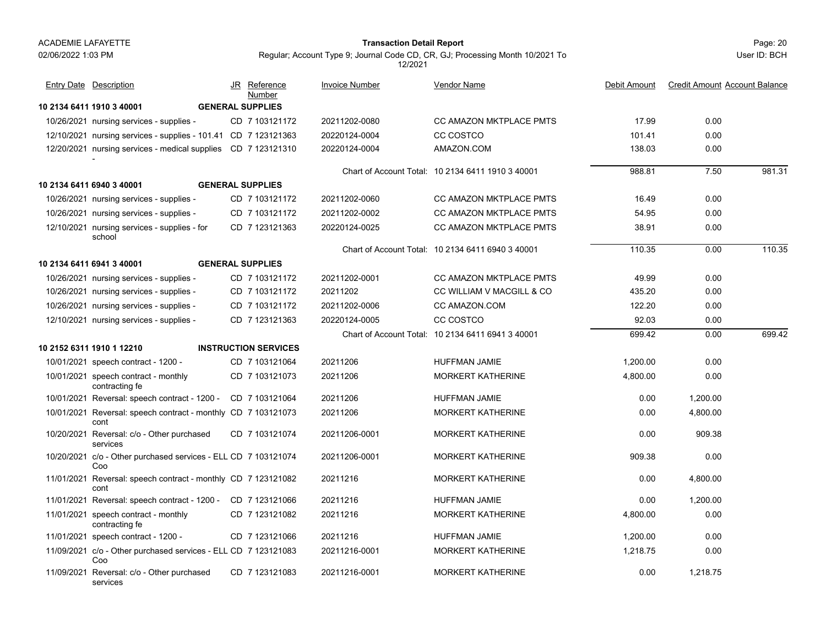services

#### Page: 20 **Transaction Detail Report**

Regular; Account Type 9; Journal Code CD, CR, GJ; Processing Month 10/2021 To 12/2021

| <b>Entry Date Description</b>                                         | JR Reference<br>Number      | <b>Invoice Number</b> | Vendor Name                                       | Debit Amount | <b>Credit Amount Account Balance</b> |        |
|-----------------------------------------------------------------------|-----------------------------|-----------------------|---------------------------------------------------|--------------|--------------------------------------|--------|
| 10 2134 6411 1910 3 40001                                             | <b>GENERAL SUPPLIES</b>     |                       |                                                   |              |                                      |        |
| 10/26/2021 nursing services - supplies -                              | CD 7 103121172              | 20211202-0080         | <b>CC AMAZON MKTPLACE PMTS</b>                    | 17.99        | 0.00                                 |        |
| 12/10/2021 nursing services - supplies - 101.41 CD 7 123121363        |                             | 20220124-0004         | CC COSTCO                                         | 101.41       | 0.00                                 |        |
| 12/20/2021 nursing services - medical supplies CD 7 123121310         |                             | 20220124-0004         | AMAZON.COM                                        | 138.03       | 0.00                                 |        |
|                                                                       |                             |                       |                                                   |              |                                      |        |
|                                                                       |                             |                       | Chart of Account Total: 10 2134 6411 1910 3 40001 | 988.81       | 7.50                                 | 981.31 |
| 10 2134 6411 6940 3 40001                                             | <b>GENERAL SUPPLIES</b>     |                       |                                                   |              |                                      |        |
| 10/26/2021 nursing services - supplies -                              | CD 7 103121172              | 20211202-0060         | <b>CC AMAZON MKTPLACE PMTS</b>                    | 16.49        | 0.00                                 |        |
| 10/26/2021 nursing services - supplies -                              | CD 7 103121172              | 20211202-0002         | <b>CC AMAZON MKTPLACE PMTS</b>                    | 54.95        | 0.00                                 |        |
| 12/10/2021 nursing services - supplies - for<br>school                | CD 7 123121363              | 20220124-0025         | <b>CC AMAZON MKTPLACE PMTS</b>                    | 38.91        | 0.00                                 |        |
|                                                                       |                             |                       | Chart of Account Total: 10 2134 6411 6940 3 40001 | 110.35       | 0.00                                 | 110.35 |
| 10 2134 6411 6941 3 40001                                             | <b>GENERAL SUPPLIES</b>     |                       |                                                   |              |                                      |        |
| 10/26/2021 nursing services - supplies -                              | CD 7 103121172              | 20211202-0001         | CC AMAZON MKTPLACE PMTS                           | 49.99        | 0.00                                 |        |
| 10/26/2021 nursing services - supplies -                              | CD 7 103121172              | 20211202              | CC WILLIAM V MACGILL & CO                         | 435.20       | 0.00                                 |        |
| 10/26/2021 nursing services - supplies -                              | CD 7 103121172              | 20211202-0006         | CC AMAZON.COM                                     | 122.20       | 0.00                                 |        |
| 12/10/2021 nursing services - supplies -                              | CD 7 123121363              | 20220124-0005         | CC COSTCO                                         | 92.03        | 0.00                                 |        |
|                                                                       |                             |                       | Chart of Account Total: 10 2134 6411 6941 3 40001 | 699.42       | 0.00                                 | 699.42 |
| 10 2152 6311 1910 1 12210                                             | <b>INSTRUCTION SERVICES</b> |                       |                                                   |              |                                      |        |
| 10/01/2021 speech contract - 1200 -                                   | CD 7 103121064              | 20211206              | <b>HUFFMAN JAMIE</b>                              | 1.200.00     | 0.00                                 |        |
| 10/01/2021 speech contract - monthly<br>contracting fe                | CD 7 103121073              | 20211206              | MORKERT KATHERINE                                 | 4,800.00     | 0.00                                 |        |
| 10/01/2021 Reversal: speech contract - 1200 - CD 7 103121064          |                             | 20211206              | HUFFMAN JAMIE                                     | 0.00         | 1,200.00                             |        |
| 10/01/2021 Reversal: speech contract - monthly CD 7 103121073<br>cont |                             | 20211206              | <b>MORKERT KATHERINE</b>                          | 0.00         | 4,800.00                             |        |
| 10/20/2021 Reversal: c/o - Other purchased<br>services                | CD 7 103121074              | 20211206-0001         | <b>MORKERT KATHERINE</b>                          | 0.00         | 909.38                               |        |
| 10/20/2021 c/o - Other purchased services - ELL CD 7 103121074<br>Coo |                             | 20211206-0001         | <b>MORKERT KATHERINE</b>                          | 909.38       | 0.00                                 |        |
| 11/01/2021 Reversal: speech contract - monthly CD 7 123121082<br>cont |                             | 20211216              | <b>MORKERT KATHERINE</b>                          | 0.00         | 4,800.00                             |        |
| 11/01/2021 Reversal: speech contract - 1200 -                         | CD 7 123121066              | 20211216              | <b>HUFFMAN JAMIE</b>                              | 0.00         | 1,200.00                             |        |
| 11/01/2021 speech contract - monthly<br>contracting fe                | CD 7 123121082              | 20211216              | <b>MORKERT KATHERINE</b>                          | 4,800.00     | 0.00                                 |        |
| 11/01/2021 speech contract - 1200 -                                   | CD 7 123121066              | 20211216              | <b>HUFFMAN JAMIE</b>                              | 1,200.00     | 0.00                                 |        |
| 11/09/2021 c/o - Other purchased services - ELL CD 7 123121083<br>Coo |                             | 20211216-0001         | <b>MORKERT KATHERINE</b>                          | 1,218.75     | 0.00                                 |        |
| 11/09/2021 Reversal: c/o - Other purchased                            | CD 7 123121083              | 20211216-0001         | <b>MORKERT KATHERINE</b>                          | 0.00         | 1.218.75                             |        |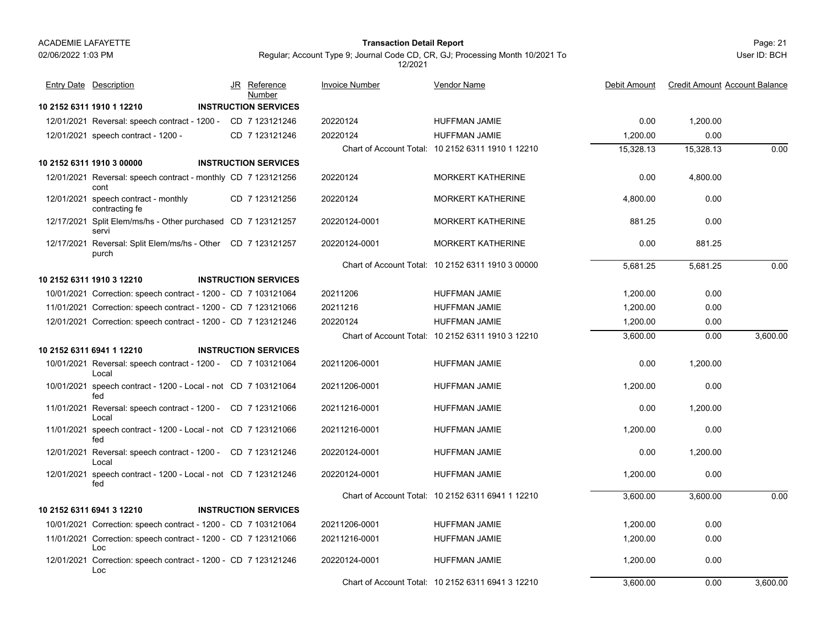#### Page: 21 **Transaction Detail Report**

Regular; Account Type 9; Journal Code CD, CR, GJ; Processing Month 10/2021 To 12/2021

| <b>Entry Date Description</b>                                         | JR Reference<br>Number      | <b>Invoice Number</b> | <b>Vendor Name</b>                                | Debit Amount | <b>Credit Amount Account Balance</b> |          |
|-----------------------------------------------------------------------|-----------------------------|-----------------------|---------------------------------------------------|--------------|--------------------------------------|----------|
| 10 2152 6311 1910 1 12210                                             | <b>INSTRUCTION SERVICES</b> |                       |                                                   |              |                                      |          |
| 12/01/2021 Reversal: speech contract - 1200 - CD 7 123121246          |                             | 20220124              | HUFFMAN JAMIE                                     | 0.00         | 1,200.00                             |          |
| 12/01/2021 speech contract - 1200 -                                   | CD 7 123121246              | 20220124              | <b>HUFFMAN JAMIE</b>                              | 1,200.00     | 0.00                                 |          |
|                                                                       |                             |                       | Chart of Account Total: 10 2152 6311 1910 1 12210 | 15,328.13    | 15,328.13                            | 0.00     |
| 10 2152 6311 1910 3 00000                                             | <b>INSTRUCTION SERVICES</b> |                       |                                                   |              |                                      |          |
| 12/01/2021 Reversal: speech contract - monthly CD 7 123121256<br>cont |                             | 20220124              | <b>MORKERT KATHERINE</b>                          | 0.00         | 4,800.00                             |          |
| 12/01/2021 speech contract - monthly<br>contracting fe                | CD 7 123121256              | 20220124              | <b>MORKERT KATHERINE</b>                          | 4,800.00     | 0.00                                 |          |
| 12/17/2021 Split Elem/ms/hs - Other purchased CD 7 123121257<br>servi |                             | 20220124-0001         | <b>MORKERT KATHERINE</b>                          | 881.25       | 0.00                                 |          |
| 12/17/2021 Reversal: Split Elem/ms/hs - Other CD 7 123121257<br>purch |                             | 20220124-0001         | <b>MORKERT KATHERINE</b>                          | 0.00         | 881.25                               |          |
|                                                                       |                             |                       | Chart of Account Total: 10 2152 6311 1910 3 00000 | 5,681.25     | 5,681.25                             | 0.00     |
| 10 2152 6311 1910 3 12210                                             | <b>INSTRUCTION SERVICES</b> |                       |                                                   |              |                                      |          |
| 10/01/2021 Correction: speech contract - 1200 - CD 7 103121064        |                             | 20211206              | HUFFMAN JAMIE                                     | 1,200.00     | 0.00                                 |          |
| 11/01/2021 Correction: speech contract - 1200 - CD 7 123121066        |                             | 20211216              | HUFFMAN JAMIE                                     | 1,200.00     | 0.00                                 |          |
| 12/01/2021 Correction: speech contract - 1200 - CD 7 123121246        |                             | 20220124              | <b>HUFFMAN JAMIE</b>                              | 1,200.00     | 0.00                                 |          |
|                                                                       |                             |                       | Chart of Account Total: 10 2152 6311 1910 3 12210 | 3,600.00     | 0.00                                 | 3,600.00 |
| 10 2152 6311 6941 1 12210                                             | <b>INSTRUCTION SERVICES</b> |                       |                                                   |              |                                      |          |
| 10/01/2021 Reversal: speech contract - 1200 - CD 7 103121064<br>Local |                             | 20211206-0001         | <b>HUFFMAN JAMIE</b>                              | 0.00         | 1.200.00                             |          |
| 10/01/2021 speech contract - 1200 - Local - not CD 7 103121064<br>fed |                             | 20211206-0001         | HUFFMAN JAMIE                                     | 1,200.00     | 0.00                                 |          |
| 11/01/2021 Reversal: speech contract - 1200 - CD 7 123121066<br>Local |                             | 20211216-0001         | HUFFMAN JAMIE                                     | 0.00         | 1,200.00                             |          |
| 11/01/2021 speech contract - 1200 - Local - not CD 7 123121066<br>fed |                             | 20211216-0001         | <b>HUFFMAN JAMIE</b>                              | 1,200.00     | 0.00                                 |          |
| 12/01/2021 Reversal: speech contract - 1200 - CD 7 123121246<br>Local |                             | 20220124-0001         | HUFFMAN JAMIE                                     | 0.00         | 1,200.00                             |          |
| 12/01/2021 speech contract - 1200 - Local - not CD 7 123121246<br>fed |                             | 20220124-0001         | <b>HUFFMAN JAMIE</b>                              | 1,200.00     | 0.00                                 |          |
|                                                                       |                             |                       | Chart of Account Total: 10 2152 6311 6941 1 12210 | 3,600.00     | 3,600.00                             | 0.00     |
| 10 2152 6311 6941 3 12210                                             | <b>INSTRUCTION SERVICES</b> |                       |                                                   |              |                                      |          |
| 10/01/2021 Correction: speech contract - 1200 - CD 7 103121064        |                             | 20211206-0001         | <b>HUFFMAN JAMIE</b>                              | 1,200.00     | 0.00                                 |          |
| 11/01/2021 Correction: speech contract - 1200 - CD 7 123121066<br>Loc |                             | 20211216-0001         | HUFFMAN JAMIE                                     | 1,200.00     | 0.00                                 |          |
| 12/01/2021 Correction: speech contract - 1200 - CD 7 123121246<br>Loc |                             | 20220124-0001         | HUFFMAN JAMIE                                     | 1,200.00     | 0.00                                 |          |
|                                                                       |                             |                       | Chart of Account Total: 10 2152 6311 6941 3 12210 | 3,600.00     | 0.00                                 | 3,600.00 |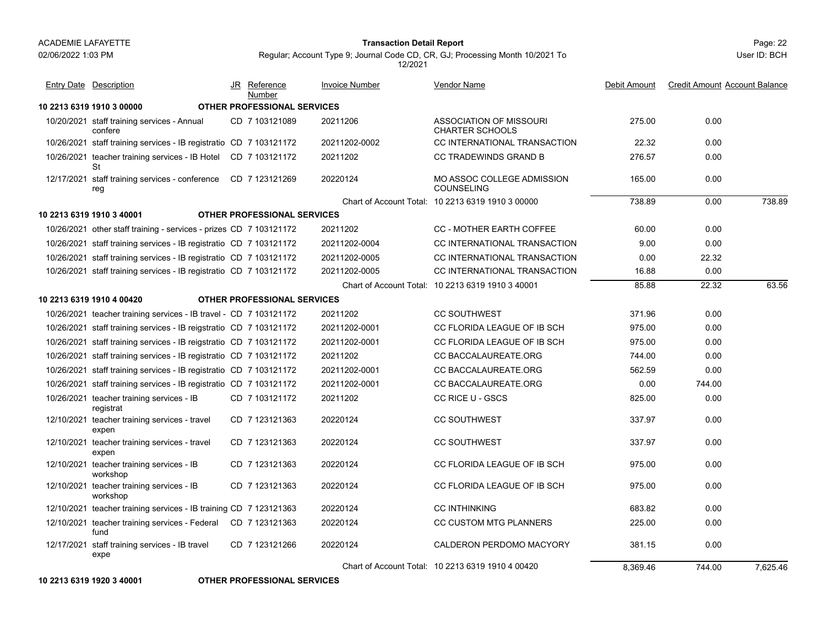#### Page: 22 **Transaction Detail Report**

Regular; Account Type 9; Journal Code CD, CR, GJ; Processing Month 10/2021 To 12/2021

| <b>Entry Date Description</b>                                          | JR Reference<br>Number             | <b>Invoice Number</b> | Vendor Name                                              | Debit Amount | <b>Credit Amount Account Balance</b> |          |
|------------------------------------------------------------------------|------------------------------------|-----------------------|----------------------------------------------------------|--------------|--------------------------------------|----------|
| 10 2213 6319 1910 3 00000                                              | OTHER PROFESSIONAL SERVICES        |                       |                                                          |              |                                      |          |
| 10/20/2021 staff training services - Annual<br>confere                 | CD 7 103121089                     | 20211206              | <b>ASSOCIATION OF MISSOURI</b><br><b>CHARTER SCHOOLS</b> | 275.00       | 0.00                                 |          |
| 10/26/2021 staff training services - IB registratio CD 7 103121172     |                                    | 20211202-0002         | CC INTERNATIONAL TRANSACTION                             | 22.32        | 0.00                                 |          |
| 10/26/2021 teacher training services - IB Hotel CD 7 103121172<br>St   |                                    | 20211202              | <b>CC TRADEWINDS GRAND B</b>                             | 276.57       | 0.00                                 |          |
| 12/17/2021 staff training services - conference  CD 7 123121269<br>reg |                                    | 20220124              | MO ASSOC COLLEGE ADMISSION<br><b>COUNSELING</b>          | 165.00       | 0.00                                 |          |
|                                                                        |                                    |                       | Chart of Account Total: 10 2213 6319 1910 3 00000        | 738.89       | 0.00                                 | 738.89   |
| 10 2213 6319 1910 3 40001                                              | <b>OTHER PROFESSIONAL SERVICES</b> |                       |                                                          |              |                                      |          |
| 10/26/2021 other staff training - services - prizes CD 7 103121172     |                                    | 20211202              | CC - MOTHER EARTH COFFEE                                 | 60.00        | 0.00                                 |          |
| 10/26/2021 staff training services - IB registratio CD 7 103121172     |                                    | 20211202-0004         | CC INTERNATIONAL TRANSACTION                             | 9.00         | 0.00                                 |          |
| 10/26/2021 staff training services - IB registratio CD 7 103121172     |                                    | 20211202-0005         | CC INTERNATIONAL TRANSACTION                             | 0.00         | 22.32                                |          |
| 10/26/2021 staff training services - IB registratio CD 7 103121172     |                                    | 20211202-0005         | CC INTERNATIONAL TRANSACTION                             | 16.88        | 0.00                                 |          |
|                                                                        |                                    |                       | Chart of Account Total: 10 2213 6319 1910 3 40001        | 85.88        | 22.32                                | 63.56    |
| 10 2213 6319 1910 4 00420                                              | <b>OTHER PROFESSIONAL SERVICES</b> |                       |                                                          |              |                                      |          |
| 10/26/2021 teacher training services - IB travel - CD 7 103121172      |                                    | 20211202              | <b>CC SOUTHWEST</b>                                      | 371.96       | 0.00                                 |          |
| 10/26/2021 staff training services - IB reigstratio CD 7 103121172     |                                    | 20211202-0001         | CC FLORIDA LEAGUE OF IB SCH                              | 975.00       | 0.00                                 |          |
| 10/26/2021 staff training services - IB reigstratio CD 7 103121172     |                                    | 20211202-0001         | CC FLORIDA LEAGUE OF IB SCH                              | 975.00       | 0.00                                 |          |
| 10/26/2021 staff training services - IB registratio CD 7 103121172     |                                    | 20211202              | CC BACCALAUREATE.ORG                                     | 744.00       | 0.00                                 |          |
| 10/26/2021 staff training services - IB registratio CD 7 103121172     |                                    | 20211202-0001         | CC BACCALAUREATE.ORG                                     | 562.59       | 0.00                                 |          |
| 10/26/2021 staff training services - IB registratio CD 7 103121172     |                                    | 20211202-0001         | CC BACCALAUREATE.ORG                                     | 0.00         | 744.00                               |          |
| 10/26/2021 teacher training services - IB<br>registrat                 | CD 7 103121172                     | 20211202              | CC RICE U - GSCS                                         | 825.00       | 0.00                                 |          |
| 12/10/2021 teacher training services - travel<br>expen                 | CD 7 123121363                     | 20220124              | <b>CC SOUTHWEST</b>                                      | 337.97       | 0.00                                 |          |
| 12/10/2021 teacher training services - travel<br>expen                 | CD 7 123121363                     | 20220124              | <b>CC SOUTHWEST</b>                                      | 337.97       | 0.00                                 |          |
| 12/10/2021 teacher training services - IB<br>workshop                  | CD 7 123121363                     | 20220124              | CC FLORIDA LEAGUE OF IB SCH                              | 975.00       | 0.00                                 |          |
| 12/10/2021 teacher training services - IB<br>workshop                  | CD 7 123121363                     | 20220124              | CC FLORIDA LEAGUE OF IB SCH                              | 975.00       | 0.00                                 |          |
| 12/10/2021 teacher training services - IB training CD 7 123121363      |                                    | 20220124              | <b>CC INTHINKING</b>                                     | 683.82       | 0.00                                 |          |
| 12/10/2021 teacher training services - Federal CD 7 123121363<br>fund  |                                    | 20220124              | CC CUSTOM MTG PLANNERS                                   | 225.00       | 0.00                                 |          |
| 12/17/2021 staff training services - IB travel<br>expe                 | CD 7 123121266                     | 20220124              | CALDERON PERDOMO MACYORY                                 | 381.15       | 0.00                                 |          |
|                                                                        |                                    |                       | Chart of Account Total: 10 2213 6319 1910 4 00420        | 8,369.46     | 744.00                               | 7,625.46 |

**10 2213 6319 1920 3 40001 OTHER PROFESSIONAL SERVICES**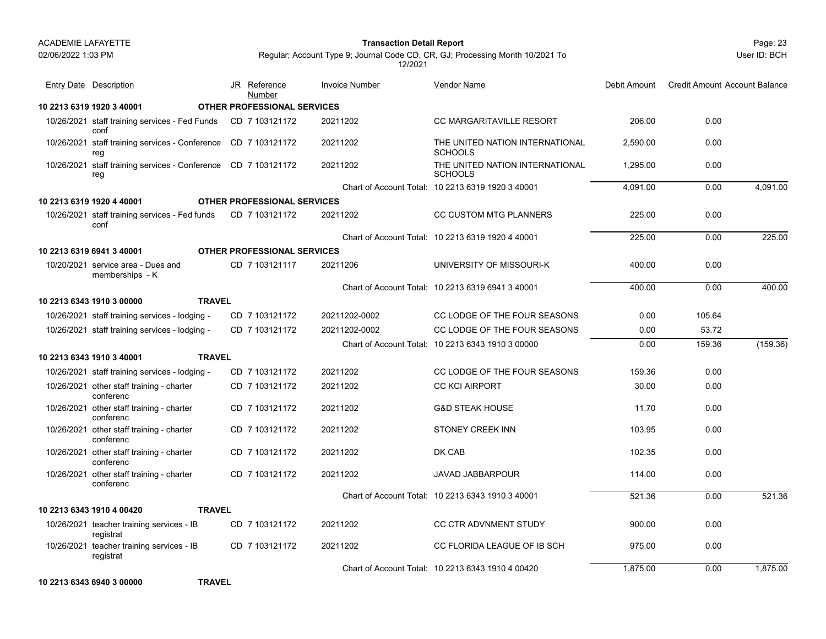Entry Date Description

conf

reg

reg

conf

**10 2213 6319 1920 3 40001 OTHER PROFESSIONAL SERVICES**

**10 2213 6319 1920 4 40001 OTHER PROFESSIONAL SERVICES**

### Page: 23 **Transaction Detail Report**

10/26/2021 staff training services - Fed Funds CD=7 103121172 20211202 CC MARGARITAVILLE RESORT 206.00 0.00

JR Reference Invoice Number

<u>Number</u>

10/26/2021 staff training services - Conference CD 7 103121172 20211202 THE UNITED NATION INTERNATIONAL 2,590.00 0.00

CD 20211202 CC MARGARITAVILLE RESORT 7 103121172

CD 20211202 THE UNITED NATION INTERNATIONAL

User ID: BCH

Debit Amount Credit Amount Account Balance

### Regular; Account Type 9; Journal Code CD, CR, GJ; Processing Month 10/2021 To 12/2021

Vendor Name

**SCHOOLS** 10/26/2021 staff training services - Conference CD 7 103121172 20211202 THE UNITED NATION INTERNATIONAL 1,295.00 0.00 CD 20211202 THE UNITED NATION INTERNATIONAL **SCHOOLS** Chart of Account Total: 10 2213 6319 1920 3 40001 4,091.00 0.00 4,091.00 10/26/2021 staff training services - Fed funds CD\_7 103121172 20211202 CC CUSTOM MTG PLANNERS 225.00 0.00 CD 20211202 CC CUSTOM MTG PLANNERS 7 103121172 Chart of Account Total: 10 2213 6319 1920 4 40001225.00 0.00 225.00

| 10 2213 6319 6941 3 40001                              | <b>OTHER PROFESSIONAL SERVICES</b> |               |                                                   |          |        |          |
|--------------------------------------------------------|------------------------------------|---------------|---------------------------------------------------|----------|--------|----------|
| 10/20/2021 service area - Dues and<br>memberships - K  | CD 7 103121117                     | 20211206      | UNIVERSITY OF MISSOURI-K                          | 400.00   | 0.00   |          |
|                                                        |                                    |               | Chart of Account Total: 10 2213 6319 6941 3 40001 | 400.00   | 0.00   | 400.00   |
| 10 2213 6343 1910 3 00000                              | <b>TRAVEL</b>                      |               |                                                   |          |        |          |
| 10/26/2021 staff training services - lodging -         | CD 7 103121172                     | 20211202-0002 | CC LODGE OF THE FOUR SEASONS                      | 0.00     | 105.64 |          |
| 10/26/2021 staff training services - lodging -         | CD 7 103121172                     | 20211202-0002 | CC LODGE OF THE FOUR SEASONS                      | 0.00     | 53.72  |          |
|                                                        |                                    |               | Chart of Account Total: 10 2213 6343 1910 3 00000 | 0.00     | 159.36 | (159.36) |
| 10 2213 6343 1910 3 40001                              | <b>TRAVEL</b>                      |               |                                                   |          |        |          |
| 10/26/2021 staff training services - lodging -         | CD 7 103121172                     | 20211202      | CC LODGE OF THE FOUR SEASONS                      | 159.36   | 0.00   |          |
| 10/26/2021 other staff training - charter<br>conferenc | CD 7 103121172                     | 20211202      | <b>CC KCI AIRPORT</b>                             | 30.00    | 0.00   |          |
| 10/26/2021 other staff training - charter<br>conferenc | CD 7 103121172                     | 20211202      | <b>G&amp;D STEAK HOUSE</b>                        | 11.70    | 0.00   |          |
| 10/26/2021 other staff training - charter<br>conferenc | CD 7 103121172                     | 20211202      | STONEY CREEK INN                                  | 103.95   | 0.00   |          |
| 10/26/2021 other staff training - charter<br>conferenc | CD 7 103121172                     | 20211202      | DK CAB                                            | 102.35   | 0.00   |          |
| 10/26/2021 other staff training - charter<br>conferenc | CD 7 103121172                     | 20211202      | <b>JAVAD JABBARPOUR</b>                           | 114.00   | 0.00   |          |
|                                                        |                                    |               | Chart of Account Total: 10 2213 6343 1910 3 40001 | 521.36   | 0.00   | 521.36   |
| 10 2213 6343 1910 4 00420                              | <b>TRAVEL</b>                      |               |                                                   |          |        |          |
| 10/26/2021 teacher training services - IB<br>registrat | CD 7 103121172                     | 20211202      | <b>CC CTR ADVNMENT STUDY</b>                      | 900.00   | 0.00   |          |
| 10/26/2021 teacher training services - IB<br>registrat | CD 7 103121172                     | 20211202      | CC FLORIDA LEAGUE OF IB SCH                       | 975.00   | 0.00   |          |
|                                                        |                                    |               | Chart of Account Total: 10 2213 6343 1910 4 00420 | 1,875.00 | 0.00   | 1,875.00 |
| 10 2213 6343 6940 3 00000                              | <b>TRAVEL</b>                      |               |                                                   |          |        |          |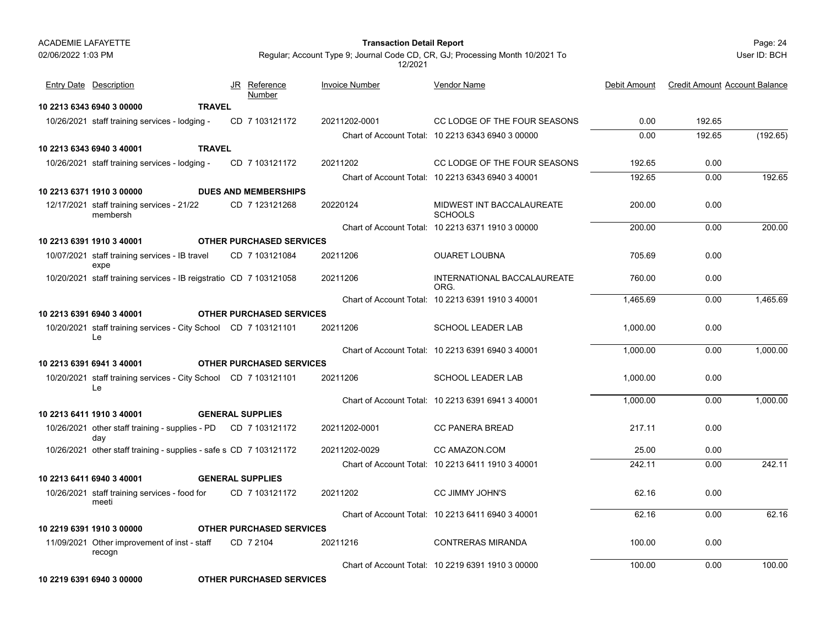### Page: 24 **Transaction Detail Report**

User ID: BCH

| <b>Entry Date Description</b>                                         | JR Reference<br><b>Number</b>   | <b>Invoice Number</b> | <b>Vendor Name</b>                                | Debit Amount | <b>Credit Amount Account Balance</b> |          |
|-----------------------------------------------------------------------|---------------------------------|-----------------------|---------------------------------------------------|--------------|--------------------------------------|----------|
| 10 2213 6343 6940 3 00000<br><b>TRAVEL</b>                            |                                 |                       |                                                   |              |                                      |          |
| 10/26/2021 staff training services - lodging -                        | CD 7 103121172                  | 20211202-0001         | CC LODGE OF THE FOUR SEASONS                      | 0.00         | 192.65                               |          |
|                                                                       |                                 |                       | Chart of Account Total: 10 2213 6343 6940 3 00000 | 0.00         | 192.65                               | (192.65) |
| 10 2213 6343 6940 3 40001<br><b>TRAVEL</b>                            |                                 |                       |                                                   |              |                                      |          |
| 10/26/2021 staff training services - lodging -                        | CD 7 103121172                  | 20211202              | CC LODGE OF THE FOUR SEASONS                      | 192.65       | 0.00                                 |          |
|                                                                       |                                 |                       | Chart of Account Total: 10 2213 6343 6940 3 40001 | 192.65       | 0.00                                 | 192.65   |
| 10 2213 6371 1910 3 00000                                             | <b>DUES AND MEMBERSHIPS</b>     |                       |                                                   |              |                                      |          |
| 12/17/2021 staff training services - 21/22<br>membersh                | CD 7 123121268                  | 20220124              | MIDWEST INT BACCALAUREATE<br><b>SCHOOLS</b>       | 200.00       | 0.00                                 |          |
|                                                                       |                                 |                       | Chart of Account Total: 10 2213 6371 1910 3 00000 | 200.00       | 0.00                                 | 200.00   |
| 10 2213 6391 1910 3 40001                                             | <b>OTHER PURCHASED SERVICES</b> |                       |                                                   |              |                                      |          |
| 10/07/2021 staff training services - IB travel<br>expe                | CD 7 103121084                  | 20211206              | <b>OUARET LOUBNA</b>                              | 705.69       | 0.00                                 |          |
| 10/20/2021 staff training services - IB reigstratio CD 7 103121058    |                                 | 20211206              | INTERNATIONAL BACCALAUREATE<br>ORG.               | 760.00       | 0.00                                 |          |
|                                                                       |                                 |                       | Chart of Account Total: 10 2213 6391 1910 3 40001 | 1,465.69     | 0.00                                 | 1,465.69 |
| 10 2213 6391 6940 3 40001                                             | <b>OTHER PURCHASED SERVICES</b> |                       |                                                   |              |                                      |          |
| 10/20/2021 staff training services - City School CD 7 103121101<br>Le |                                 | 20211206              | <b>SCHOOL LEADER LAB</b>                          | 1.000.00     | 0.00                                 |          |
|                                                                       |                                 |                       | Chart of Account Total: 10 2213 6391 6940 3 40001 | 1,000.00     | 0.00                                 | 1,000.00 |
| 10 2213 6391 6941 3 40001                                             | <b>OTHER PURCHASED SERVICES</b> |                       |                                                   |              |                                      |          |
| 10/20/2021 staff training services - City School CD 7 103121101<br>Le |                                 | 20211206              | <b>SCHOOL LEADER LAB</b>                          | 1.000.00     | 0.00                                 |          |
|                                                                       |                                 |                       | Chart of Account Total: 10 2213 6391 6941 3 40001 | 1,000.00     | 0.00                                 | 1,000.00 |
| 10 2213 6411 1910 3 40001                                             | <b>GENERAL SUPPLIES</b>         |                       |                                                   |              |                                      |          |
| 10/26/2021 other staff training - supplies - PD CD 7 103121172<br>day |                                 | 20211202-0001         | <b>CC PANERA BREAD</b>                            | 217.11       | 0.00                                 |          |
| 10/26/2021 other staff training - supplies - safe s CD 7 103121172    |                                 | 20211202-0029         | CC AMAZON.COM                                     | 25.00        | 0.00                                 |          |
|                                                                       |                                 |                       | Chart of Account Total: 10 2213 6411 1910 3 40001 | 242.11       | 0.00                                 | 242.11   |
| 10 2213 6411 6940 3 40001                                             | <b>GENERAL SUPPLIES</b>         |                       |                                                   |              |                                      |          |
| 10/26/2021 staff training services - food for<br>meeti                | CD 7 103121172                  | 20211202              | CC JIMMY JOHN'S                                   | 62.16        | 0.00                                 |          |
|                                                                       |                                 |                       | Chart of Account Total: 10 2213 6411 6940 3 40001 | 62.16        | 0.00                                 | 62.16    |
| 10 2219 6391 1910 3 00000                                             | <b>OTHER PURCHASED SERVICES</b> |                       |                                                   |              |                                      |          |
| 11/09/2021 Other improvement of inst - staff<br>recogn                | CD 7 2104                       | 20211216              | <b>CONTRERAS MIRANDA</b>                          | 100.00       | 0.00                                 |          |
|                                                                       |                                 |                       | Chart of Account Total: 10 2219 6391 1910 3 00000 | 100.00       | 0.00                                 | 100.00   |
| 10 2219 6391 6940 3 00000                                             | <b>OTHER PURCHASED SERVICES</b> |                       |                                                   |              |                                      |          |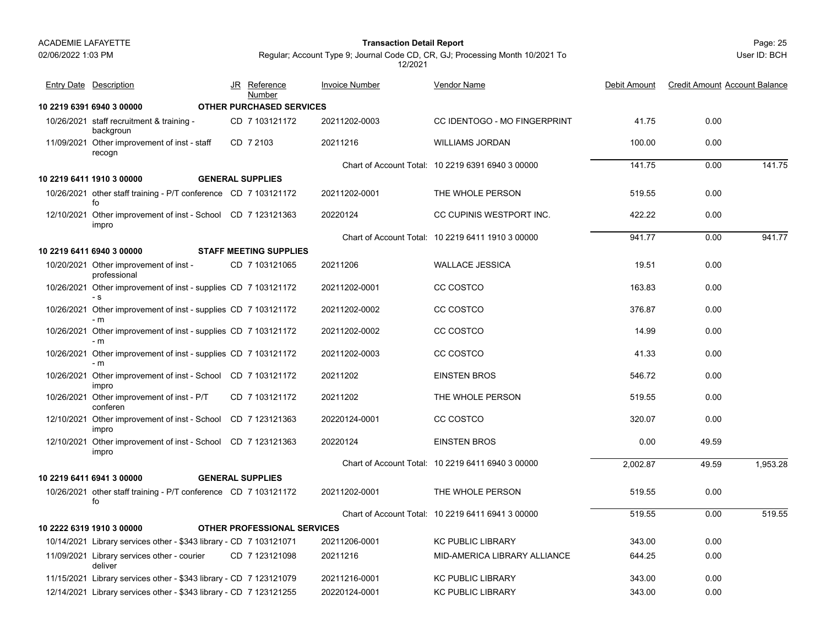02/06/2022 1:03 PM

#### Page: 25 **Transaction Detail Report**

JR Reference Invoice Number

<u>Number</u>

Regular; Account Type 9; Journal Code CD, CR, GJ; Processing Month 10/2021 To 12/2021

Vendor Name

Entry Date Description JR Reference <u>Invoice Number</u> <u>Vendor Name</u> Debit Amount Credit Amount Account Balance

| 10 2219 6391 6940 3 00000                                              |  | <b>OTHER PURCHASED SERVICES</b>    |               |                                                   |          |       |          |
|------------------------------------------------------------------------|--|------------------------------------|---------------|---------------------------------------------------|----------|-------|----------|
| 10/26/2021 staff recruitment & training -<br>backgroun                 |  | CD 7 103121172                     | 20211202-0003 | CC IDENTOGO - MO FINGERPRINT                      | 41.75    | 0.00  |          |
| 11/09/2021 Other improvement of inst - staff<br>recogn                 |  | CD 7 2103                          | 20211216      | <b>WILLIAMS JORDAN</b>                            | 100.00   | 0.00  |          |
|                                                                        |  |                                    |               | Chart of Account Total: 10 2219 6391 6940 3 00000 | 141.75   | 0.00  | 141.75   |
| 10 2219 6411 1910 3 00000                                              |  | <b>GENERAL SUPPLIES</b>            |               |                                                   |          |       |          |
| 10/26/2021 other staff training - P/T conference CD 7 103121172<br>fo  |  |                                    | 20211202-0001 | THE WHOLE PERSON                                  | 519.55   | 0.00  |          |
| 12/10/2021 Other improvement of inst - School CD 7 123121363<br>impro  |  |                                    | 20220124      | CC CUPINIS WESTPORT INC.                          | 422.22   | 0.00  |          |
|                                                                        |  |                                    |               | Chart of Account Total: 10 2219 6411 1910 3 00000 | 941.77   | 0.00  | 941.77   |
| 10 2219 6411 6940 3 00000                                              |  | <b>STAFF MEETING SUPPLIES</b>      |               |                                                   |          |       |          |
| 10/20/2021 Other improvement of inst -<br>professional                 |  | CD 7 103121065                     | 20211206      | <b>WALLACE JESSICA</b>                            | 19.51    | 0.00  |          |
| 10/26/2021 Other improvement of inst - supplies CD 7 103121172<br>- s  |  |                                    | 20211202-0001 | CC COSTCO                                         | 163.83   | 0.00  |          |
| 10/26/2021 Other improvement of inst - supplies CD 7 103121172<br>$-m$ |  |                                    | 20211202-0002 | CC COSTCO                                         | 376.87   | 0.00  |          |
| 10/26/2021 Other improvement of inst - supplies CD 7 103121172<br>$-m$ |  |                                    | 20211202-0002 | CC COSTCO                                         | 14.99    | 0.00  |          |
| 10/26/2021 Other improvement of inst - supplies CD 7 103121172<br>- m  |  |                                    | 20211202-0003 | CC COSTCO                                         | 41.33    | 0.00  |          |
| 10/26/2021 Other improvement of inst - School CD 7 103121172<br>impro  |  |                                    | 20211202      | <b>EINSTEN BROS</b>                               | 546.72   | 0.00  |          |
| 10/26/2021 Other improvement of inst - P/T<br>conferen                 |  | CD 7 103121172                     | 20211202      | THE WHOLE PERSON                                  | 519.55   | 0.00  |          |
| 12/10/2021 Other improvement of inst - School CD 7 123121363<br>impro  |  |                                    | 20220124-0001 | CC COSTCO                                         | 320.07   | 0.00  |          |
| 12/10/2021 Other improvement of inst - School CD 7 123121363<br>impro  |  |                                    | 20220124      | <b>EINSTEN BROS</b>                               | 0.00     | 49.59 |          |
|                                                                        |  |                                    |               | Chart of Account Total: 10 2219 6411 6940 3 00000 | 2,002.87 | 49.59 | 1,953.28 |
| 10 2219 6411 6941 3 00000                                              |  | <b>GENERAL SUPPLIES</b>            |               |                                                   |          |       |          |
| 10/26/2021 other staff training - P/T conference CD 7 103121172<br>fo  |  |                                    | 20211202-0001 | THE WHOLE PERSON                                  | 519.55   | 0.00  |          |
|                                                                        |  |                                    |               | Chart of Account Total: 10 2219 6411 6941 3 00000 | 519.55   | 0.00  | 519.55   |
| 10 2222 6319 1910 3 00000                                              |  | <b>OTHER PROFESSIONAL SERVICES</b> |               |                                                   |          |       |          |
| 10/14/2021 Library services other - \$343 library - CD 7 103121071     |  |                                    | 20211206-0001 | <b>KC PUBLIC LIBRARY</b>                          | 343.00   | 0.00  |          |
| 11/09/2021 Library services other - courier<br>deliver                 |  | CD 7 123121098                     | 20211216      | MID-AMERICA LIBRARY ALLIANCE                      | 644.25   | 0.00  |          |
| 11/15/2021 Library services other - \$343 library - CD 7 123121079     |  |                                    | 20211216-0001 | <b>KC PUBLIC LIBRARY</b>                          | 343.00   | 0.00  |          |
| 12/14/2021 Library services other - \$343 library - CD 7 123121255     |  |                                    | 20220124-0001 | <b>KC PUBLIC LIBRARY</b>                          | 343.00   | 0.00  |          |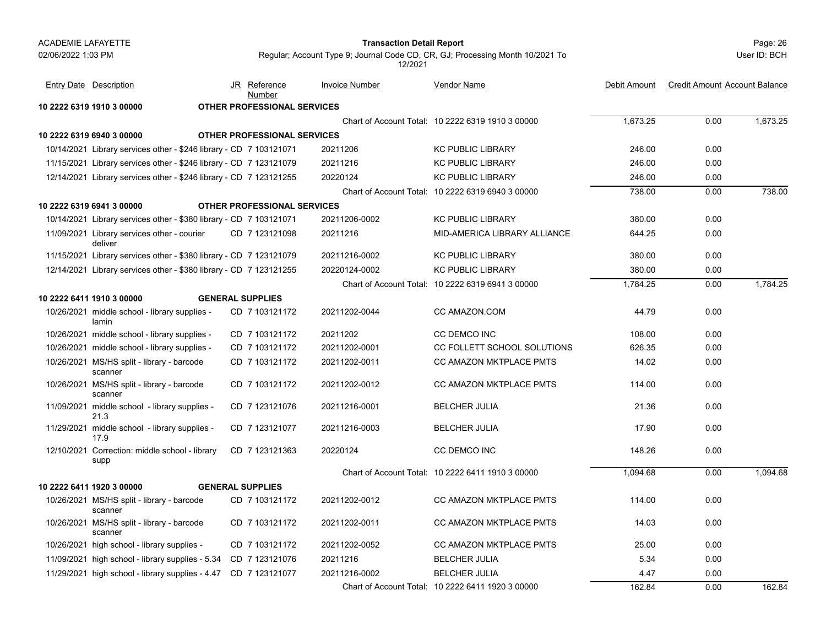#### Page: 26 **Transaction Detail Report**

User ID: BCH

| <b>Entry Date Description</b>                                      | JR Reference<br>Number             | <b>Invoice Number</b> | <b>Vendor Name</b>                                | Debit Amount | <b>Credit Amount Account Balance</b> |          |
|--------------------------------------------------------------------|------------------------------------|-----------------------|---------------------------------------------------|--------------|--------------------------------------|----------|
| 10 2222 6319 1910 3 00000                                          | <b>OTHER PROFESSIONAL SERVICES</b> |                       |                                                   |              |                                      |          |
|                                                                    |                                    |                       | Chart of Account Total: 10 2222 6319 1910 3 00000 | 1,673.25     | 0.00                                 | 1,673.25 |
| 10 2222 6319 6940 3 00000                                          | <b>OTHER PROFESSIONAL SERVICES</b> |                       |                                                   |              |                                      |          |
| 10/14/2021 Library services other - \$246 library - CD 7 103121071 |                                    | 20211206              | <b>KC PUBLIC LIBRARY</b>                          | 246.00       | 0.00                                 |          |
| 11/15/2021 Library services other - \$246 library - CD 7 123121079 |                                    | 20211216              | <b>KC PUBLIC LIBRARY</b>                          | 246.00       | 0.00                                 |          |
| 12/14/2021 Library services other - \$246 library - CD 7 123121255 |                                    | 20220124              | <b>KC PUBLIC LIBRARY</b>                          | 246.00       | 0.00                                 |          |
|                                                                    |                                    |                       | Chart of Account Total: 10 2222 6319 6940 3 00000 | 738.00       | 0.00                                 | 738.00   |
| 10 2222 6319 6941 3 00000                                          | <b>OTHER PROFESSIONAL SERVICES</b> |                       |                                                   |              |                                      |          |
| 10/14/2021 Library services other - \$380 library - CD 7 103121071 |                                    | 20211206-0002         | <b>KC PUBLIC LIBRARY</b>                          | 380.00       | 0.00                                 |          |
| 11/09/2021 Library services other - courier<br>deliver             | CD 7 123121098                     | 20211216              | MID-AMERICA LIBRARY ALLIANCE                      | 644.25       | 0.00                                 |          |
| 11/15/2021 Library services other - \$380 library - CD 7 123121079 |                                    | 20211216-0002         | <b>KC PUBLIC LIBRARY</b>                          | 380.00       | 0.00                                 |          |
| 12/14/2021 Library services other - \$380 library - CD 7 123121255 |                                    | 20220124-0002         | <b>KC PUBLIC LIBRARY</b>                          | 380.00       | 0.00                                 |          |
|                                                                    |                                    |                       | Chart of Account Total: 10 2222 6319 6941 3 00000 | 1,784.25     | 0.00                                 | 1,784.25 |
| 10 2222 6411 1910 3 00000                                          | <b>GENERAL SUPPLIES</b>            |                       |                                                   |              |                                      |          |
| 10/26/2021 middle school - library supplies -<br>lamin             | CD 7 103121172                     | 20211202-0044         | CC AMAZON.COM                                     | 44.79        | 0.00                                 |          |
| 10/26/2021 middle school - library supplies -                      | CD 7 103121172                     | 20211202              | <b>CC DEMCO INC</b>                               | 108.00       | 0.00                                 |          |
| 10/26/2021 middle school - library supplies -                      | CD 7 103121172                     | 20211202-0001         | CC FOLLETT SCHOOL SOLUTIONS                       | 626.35       | 0.00                                 |          |
| 10/26/2021 MS/HS split - library - barcode<br>scanner              | CD 7 103121172                     | 20211202-0011         | CC AMAZON MKTPLACE PMTS                           | 14.02        | 0.00                                 |          |
| 10/26/2021 MS/HS split - library - barcode<br>scanner              | CD 7 103121172                     | 20211202-0012         | CC AMAZON MKTPLACE PMTS                           | 114.00       | 0.00                                 |          |
| 11/09/2021 middle school - library supplies -<br>21.3              | CD 7 123121076                     | 20211216-0001         | <b>BELCHER JULIA</b>                              | 21.36        | 0.00                                 |          |
| 11/29/2021 middle school - library supplies -<br>17.9              | CD 7 123121077                     | 20211216-0003         | <b>BELCHER JULIA</b>                              | 17.90        | 0.00                                 |          |
| 12/10/2021 Correction: middle school - library<br>supp             | CD 7 123121363                     | 20220124              | <b>CC DEMCO INC</b>                               | 148.26       | 0.00                                 |          |
|                                                                    |                                    |                       | Chart of Account Total: 10 2222 6411 1910 3 00000 | 1.094.68     | 0.00                                 | 1.094.68 |
| 10 2222 6411 1920 3 00000                                          | <b>GENERAL SUPPLIES</b>            |                       |                                                   |              |                                      |          |
| 10/26/2021 MS/HS split - library - barcode<br>scanner              | CD 7 103121172                     | 20211202-0012         | <b>CC AMAZON MKTPLACE PMTS</b>                    | 114.00       | 0.00                                 |          |
| 10/26/2021 MS/HS split - library - barcode<br>scanner              | CD 7 103121172                     | 20211202-0011         | CC AMAZON MKTPLACE PMTS                           | 14.03        | 0.00                                 |          |
| 10/26/2021 high school - library supplies -                        | CD 7 103121172                     | 20211202-0052         | CC AMAZON MKTPLACE PMTS                           | 25.00        | 0.00                                 |          |
| 11/09/2021 high school - library supplies - 5.34                   | CD 7 123121076                     | 20211216              | <b>BELCHER JULIA</b>                              | 5.34         | 0.00                                 |          |
| 11/29/2021 high school - library supplies - 4.47 CD 7 123121077    |                                    | 20211216-0002         | <b>BELCHER JULIA</b>                              | 4.47         | 0.00                                 |          |
|                                                                    |                                    |                       | Chart of Account Total: 10 2222 6411 1920 3 00000 | 162.84       | 0.00                                 | 162.84   |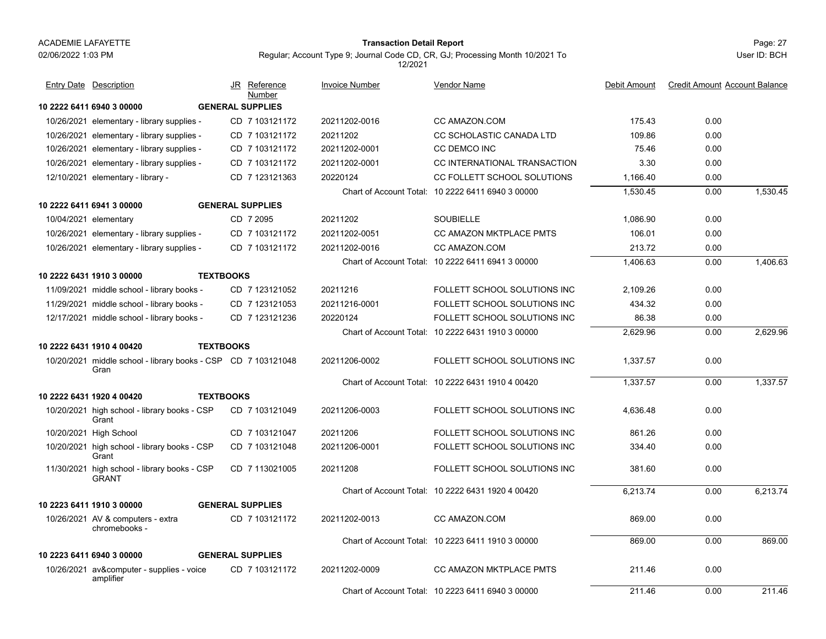#### Page: 27 **Transaction Detail Report**

Regular; Account Type 9; Journal Code CD, CR, GJ; Processing Month 10/2021 To 12/2021

|                       | <b>Entry Date Description</b>                                         | JR Reference<br>Number  | <b>Invoice Number</b> | <b>Vendor Name</b>                                | Debit Amount | <b>Credit Amount Account Balance</b> |          |
|-----------------------|-----------------------------------------------------------------------|-------------------------|-----------------------|---------------------------------------------------|--------------|--------------------------------------|----------|
|                       | 10 2222 6411 6940 3 00000                                             | <b>GENERAL SUPPLIES</b> |                       |                                                   |              |                                      |          |
|                       | 10/26/2021 elementary - library supplies -                            | CD 7 103121172          | 20211202-0016         | CC AMAZON.COM                                     | 175.43       | 0.00                                 |          |
|                       | 10/26/2021 elementary - library supplies -                            | CD 7 103121172          | 20211202              | CC SCHOLASTIC CANADA LTD                          | 109.86       | 0.00                                 |          |
|                       | 10/26/2021 elementary - library supplies -                            | CD 7 103121172          | 20211202-0001         | <b>CC DEMCO INC</b>                               | 75.46        | 0.00                                 |          |
|                       | 10/26/2021 elementary - library supplies -                            | CD 7 103121172          | 20211202-0001         | CC INTERNATIONAL TRANSACTION                      | 3.30         | 0.00                                 |          |
|                       | 12/10/2021 elementary - library -                                     | CD 7 123121363          | 20220124              | CC FOLLETT SCHOOL SOLUTIONS                       | 1,166.40     | 0.00                                 |          |
|                       |                                                                       |                         |                       | Chart of Account Total: 10 2222 6411 6940 3 00000 | 1,530.45     | 0.00                                 | 1,530.45 |
|                       | 10 2222 6411 6941 3 00000                                             | <b>GENERAL SUPPLIES</b> |                       |                                                   |              |                                      |          |
| 10/04/2021 elementary |                                                                       | CD 7 2095               | 20211202              | <b>SOUBIELLE</b>                                  | 1,086.90     | 0.00                                 |          |
|                       | 10/26/2021 elementary - library supplies -                            | CD 7 103121172          | 20211202-0051         | <b>CC AMAZON MKTPLACE PMTS</b>                    | 106.01       | 0.00                                 |          |
|                       | 10/26/2021 elementary - library supplies -                            | CD 7 103121172          | 20211202-0016         | CC AMAZON.COM                                     | 213.72       | 0.00                                 |          |
|                       |                                                                       |                         |                       | Chart of Account Total: 10 2222 6411 6941 3 00000 | 1.406.63     | 0.00                                 | 1.406.63 |
|                       | 10 2222 6431 1910 3 00000                                             | <b>TEXTBOOKS</b>        |                       |                                                   |              |                                      |          |
|                       | 11/09/2021 middle school - library books -                            | CD 7 123121052          | 20211216              | FOLLETT SCHOOL SOLUTIONS INC                      | 2,109.26     | 0.00                                 |          |
|                       | 11/29/2021 middle school - library books -                            | CD 7 123121053          | 20211216-0001         | FOLLETT SCHOOL SOLUTIONS INC                      | 434.32       | 0.00                                 |          |
|                       | 12/17/2021 middle school - library books -                            | CD 7 123121236          | 20220124              | FOLLETT SCHOOL SOLUTIONS INC                      | 86.38        | 0.00                                 |          |
|                       |                                                                       |                         |                       | Chart of Account Total: 10 2222 6431 1910 3 00000 | 2,629.96     | 0.00                                 | 2,629.96 |
|                       | 10 2222 6431 1910 4 00420                                             | <b>TEXTBOOKS</b>        |                       |                                                   |              |                                      |          |
|                       | 10/20/2021 middle school - library books - CSP CD 7 103121048<br>Gran |                         | 20211206-0002         | FOLLETT SCHOOL SOLUTIONS INC                      | 1,337.57     | 0.00                                 |          |
|                       |                                                                       |                         |                       | Chart of Account Total: 10 2222 6431 1910 4 00420 | 1,337.57     | 0.00                                 | 1,337.57 |
|                       | 10 2222 6431 1920 4 00420                                             | <b>TEXTBOOKS</b>        |                       |                                                   |              |                                      |          |
|                       | 10/20/2021 high school - library books - CSP<br>Grant                 | CD 7 103121049          | 20211206-0003         | FOLLETT SCHOOL SOLUTIONS INC                      | 4.636.48     | 0.00                                 |          |
|                       | 10/20/2021 High School                                                | CD 7 103121047          | 20211206              | FOLLETT SCHOOL SOLUTIONS INC                      | 861.26       | 0.00                                 |          |
|                       | 10/20/2021 high school - library books - CSP<br>Grant                 | CD 7 103121048          | 20211206-0001         | FOLLETT SCHOOL SOLUTIONS INC                      | 334.40       | 0.00                                 |          |
|                       | 11/30/2021 high school - library books - CSP<br><b>GRANT</b>          | CD 7 113021005          | 20211208              | FOLLETT SCHOOL SOLUTIONS INC                      | 381.60       | 0.00                                 |          |
|                       |                                                                       |                         |                       | Chart of Account Total: 10 2222 6431 1920 4 00420 | 6,213.74     | 0.00                                 | 6.213.74 |
|                       | 10 2223 6411 1910 3 00000                                             | <b>GENERAL SUPPLIES</b> |                       |                                                   |              |                                      |          |
|                       | 10/26/2021 AV & computers - extra<br>chromebooks -                    | CD 7 103121172          | 20211202-0013         | CC AMAZON.COM                                     | 869.00       | 0.00                                 |          |
|                       |                                                                       |                         |                       | Chart of Account Total: 10 2223 6411 1910 3 00000 | 869.00       | 0.00                                 | 869.00   |
|                       | 10 2223 6411 6940 3 00000                                             | <b>GENERAL SUPPLIES</b> |                       |                                                   |              |                                      |          |
|                       | 10/26/2021 av&computer - supplies - voice<br>amplifier                | CD 7 103121172          | 20211202-0009         | CC AMAZON MKTPLACE PMTS                           | 211.46       | 0.00                                 |          |
|                       |                                                                       |                         |                       | Chart of Account Total: 10 2223 6411 6940 3 00000 | 211.46       | 0.00                                 | 211.46   |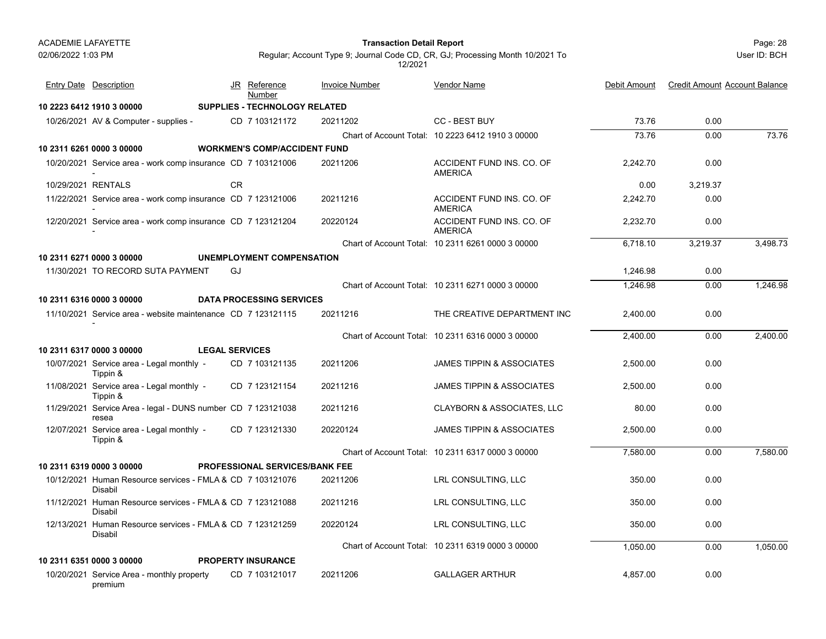#### Page: 28 **Transaction Detail Report**

User ID: BCH

| <b>Entry Date Description</b>                                         |                       | JR Reference<br>Number                | <b>Invoice Number</b> | Vendor Name                                       | Debit Amount | <b>Credit Amount Account Balance</b> |          |
|-----------------------------------------------------------------------|-----------------------|---------------------------------------|-----------------------|---------------------------------------------------|--------------|--------------------------------------|----------|
| 10 2223 6412 1910 3 00000                                             |                       | SUPPLIES - TECHNOLOGY RELATED         |                       |                                                   |              |                                      |          |
| 10/26/2021 AV & Computer - supplies -                                 |                       | CD 7 103121172                        | 20211202              | <b>CC - BEST BUY</b>                              | 73.76        | 0.00                                 |          |
|                                                                       |                       |                                       |                       | Chart of Account Total: 10 2223 6412 1910 3 00000 | 73.76        | 0.00                                 | 73.76    |
| 10 2311 6261 0000 3 00000                                             |                       | <b>WORKMEN'S COMP/ACCIDENT FUND</b>   |                       |                                                   |              |                                      |          |
| 10/20/2021 Service area - work comp insurance CD 7 103121006          |                       |                                       | 20211206              | ACCIDENT FUND INS. CO. OF<br><b>AMERICA</b>       | 2,242.70     | 0.00                                 |          |
| 10/29/2021 RENTALS                                                    |                       | <b>CR</b>                             |                       |                                                   | 0.00         | 3,219.37                             |          |
| 11/22/2021 Service area - work comp insurance CD 7 123121006          |                       |                                       | 20211216              | ACCIDENT FUND INS. CO. OF<br><b>AMERICA</b>       | 2,242.70     | 0.00                                 |          |
| 12/20/2021 Service area - work comp insurance CD 7 123121204          |                       |                                       | 20220124              | ACCIDENT FUND INS. CO. OF<br><b>AMERICA</b>       | 2,232.70     | 0.00                                 |          |
|                                                                       |                       |                                       |                       | Chart of Account Total: 10 2311 6261 0000 3 00000 | 6,718.10     | 3,219.37                             | 3,498.73 |
| 10 2311 6271 0000 3 00000                                             |                       | <b>UNEMPLOYMENT COMPENSATION</b>      |                       |                                                   |              |                                      |          |
| 11/30/2021 TO RECORD SUTA PAYMENT                                     |                       | GJ                                    |                       |                                                   | 1,246.98     | 0.00                                 |          |
|                                                                       |                       |                                       |                       | Chart of Account Total: 10 2311 6271 0000 3 00000 | 1.246.98     | 0.00                                 | 1.246.98 |
| 10 2311 6316 0000 3 00000                                             |                       | <b>DATA PROCESSING SERVICES</b>       |                       |                                                   |              |                                      |          |
| 11/10/2021 Service area - website maintenance CD 7 123121115          |                       |                                       | 20211216              | THE CREATIVE DEPARTMENT INC                       | 2,400.00     | 0.00                                 |          |
|                                                                       |                       |                                       |                       | Chart of Account Total: 10 2311 6316 0000 3 00000 | 2,400.00     | 0.00                                 | 2,400.00 |
| 10 2311 6317 0000 3 00000                                             | <b>LEGAL SERVICES</b> |                                       |                       |                                                   |              |                                      |          |
| 10/07/2021 Service area - Legal monthly -<br>Tippin &                 |                       | CD 7 103121135                        | 20211206              | <b>JAMES TIPPIN &amp; ASSOCIATES</b>              | 2,500.00     | 0.00                                 |          |
| 11/08/2021 Service area - Legal monthly -<br>Tippin &                 |                       | CD 7 123121154                        | 20211216              | <b>JAMES TIPPIN &amp; ASSOCIATES</b>              | 2,500.00     | 0.00                                 |          |
| 11/29/2021 Service Area - legal - DUNS number CD 7 123121038<br>resea |                       |                                       | 20211216              | <b>CLAYBORN &amp; ASSOCIATES, LLC</b>             | 80.00        | 0.00                                 |          |
| 12/07/2021 Service area - Legal monthly -<br>Tippin &                 |                       | CD 7 123121330                        | 20220124              | <b>JAMES TIPPIN &amp; ASSOCIATES</b>              | 2,500.00     | 0.00                                 |          |
|                                                                       |                       |                                       |                       | Chart of Account Total: 10 2311 6317 0000 3 00000 | 7.580.00     | 0.00                                 | 7,580.00 |
| 10 2311 6319 0000 3 00000                                             |                       | <b>PROFESSIONAL SERVICES/BANK FEE</b> |                       |                                                   |              |                                      |          |
| 10/12/2021 Human Resource services - FMLA & CD 7 103121076<br>Disabil |                       |                                       | 20211206              | LRL CONSULTING, LLC                               | 350.00       | 0.00                                 |          |
| 11/12/2021 Human Resource services - FMLA & CD 7 123121088<br>Disabil |                       |                                       | 20211216              | LRL CONSULTING, LLC                               | 350.00       | 0.00                                 |          |
| 12/13/2021 Human Resource services - FMLA & CD 7 123121259<br>Disabil |                       |                                       | 20220124              | LRL CONSULTING, LLC                               | 350.00       | 0.00                                 |          |
|                                                                       |                       |                                       |                       | Chart of Account Total: 10 2311 6319 0000 3 00000 | 1,050.00     | 0.00                                 | 1,050.00 |
| 10 2311 6351 0000 3 00000                                             |                       | <b>PROPERTY INSURANCE</b>             |                       |                                                   |              |                                      |          |
| 10/20/2021 Service Area - monthly property<br>premium                 |                       | CD 7 103121017                        | 20211206              | <b>GALLAGER ARTHUR</b>                            | 4,857.00     | 0.00                                 |          |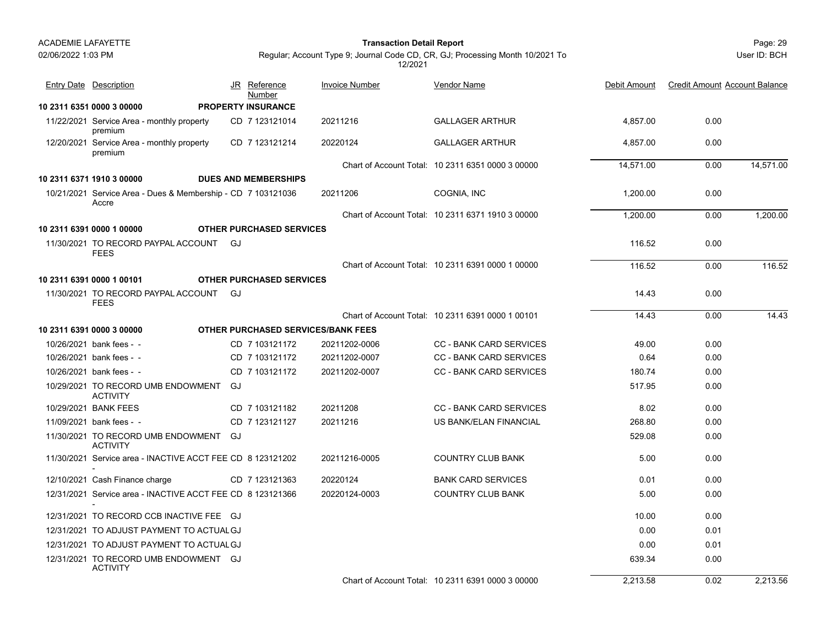02/06/2022 1:03 PM

#### Page: 29 **Transaction Detail Report**

JR Reference Invoice Number

Regular; Account Type 9; Journal Code CD, CR, GJ; Processing Month 10/2021 To 12/2021

Entry Date Description JR Reference <u>Invoice Number</u> <u>Vendor Name</u> Debit Amount Credit Amount Account Balance

Vendor Name

|                                                                       |  | <u>Number</u>                             |               |                                                   |           |      |           |
|-----------------------------------------------------------------------|--|-------------------------------------------|---------------|---------------------------------------------------|-----------|------|-----------|
| 10 2311 6351 0000 3 00000                                             |  | <b>PROPERTY INSURANCE</b>                 |               |                                                   |           |      |           |
| 11/22/2021 Service Area - monthly property<br>premium                 |  | CD 7 123121014                            | 20211216      | <b>GALLAGER ARTHUR</b>                            | 4.857.00  | 0.00 |           |
| 12/20/2021 Service Area - monthly property<br>premium                 |  | CD 7 123121214                            | 20220124      | <b>GALLAGER ARTHUR</b>                            | 4,857.00  | 0.00 |           |
|                                                                       |  |                                           |               | Chart of Account Total: 10 2311 6351 0000 3 00000 | 14,571.00 | 0.00 | 14,571.00 |
| 10 2311 6371 1910 3 00000                                             |  | <b>DUES AND MEMBERSHIPS</b>               |               |                                                   |           |      |           |
| 10/21/2021 Service Area - Dues & Membership - CD 7 103121036<br>Accre |  |                                           | 20211206      | COGNIA, INC                                       | 1,200.00  | 0.00 |           |
|                                                                       |  |                                           |               | Chart of Account Total: 10 2311 6371 1910 3 00000 | 1,200.00  | 0.00 | 1,200.00  |
| 10 2311 6391 0000 1 00000                                             |  | <b>OTHER PURCHASED SERVICES</b>           |               |                                                   |           |      |           |
| 11/30/2021 TO RECORD PAYPAL ACCOUNT GJ<br><b>FEES</b>                 |  |                                           |               |                                                   | 116.52    | 0.00 |           |
|                                                                       |  |                                           |               | Chart of Account Total: 10 2311 6391 0000 1 00000 | 116.52    | 0.00 | 116.52    |
| 10 2311 6391 0000 1 00101                                             |  | <b>OTHER PURCHASED SERVICES</b>           |               |                                                   |           |      |           |
| 11/30/2021 TO RECORD PAYPAL ACCOUNT GJ<br><b>FEES</b>                 |  |                                           |               |                                                   | 14.43     | 0.00 |           |
|                                                                       |  |                                           |               | Chart of Account Total: 10 2311 6391 0000 1 00101 | 14.43     | 0.00 | 14.43     |
| 10 2311 6391 0000 3 00000                                             |  | <b>OTHER PURCHASED SERVICES/BANK FEES</b> |               |                                                   |           |      |           |
| 10/26/2021 bank fees - -                                              |  | CD 7 103121172                            | 20211202-0006 | <b>CC - BANK CARD SERVICES</b>                    | 49.00     | 0.00 |           |
| 10/26/2021 bank fees - -                                              |  | CD 7 103121172                            | 20211202-0007 | <b>CC - BANK CARD SERVICES</b>                    | 0.64      | 0.00 |           |
| 10/26/2021 bank fees - -                                              |  | CD 7 103121172                            | 20211202-0007 | <b>CC - BANK CARD SERVICES</b>                    | 180.74    | 0.00 |           |
| 10/29/2021 TO RECORD UMB ENDOWMENT GJ<br><b>ACTIVITY</b>              |  |                                           |               |                                                   | 517.95    | 0.00 |           |
| 10/29/2021 BANK FEES                                                  |  | CD 7 103121182                            | 20211208      | <b>CC - BANK CARD SERVICES</b>                    | 8.02      | 0.00 |           |
| 11/09/2021 bank fees - -                                              |  | CD 7 123121127                            | 20211216      | US BANK/ELAN FINANCIAL                            | 268.80    | 0.00 |           |
| 11/30/2021 TO RECORD UMB ENDOWMENT GJ<br><b>ACTIVITY</b>              |  |                                           |               |                                                   | 529.08    | 0.00 |           |
| 11/30/2021 Service area - INACTIVE ACCT FEE CD 8 123121202            |  |                                           | 20211216-0005 | <b>COUNTRY CLUB BANK</b>                          | 5.00      | 0.00 |           |
| 12/10/2021 Cash Finance charge                                        |  | CD 7 123121363                            | 20220124      | <b>BANK CARD SERVICES</b>                         | 0.01      | 0.00 |           |
| 12/31/2021 Service area - INACTIVE ACCT FEE CD 8 123121366            |  |                                           | 20220124-0003 | <b>COUNTRY CLUB BANK</b>                          | 5.00      | 0.00 |           |
| 12/31/2021 TO RECORD CCB INACTIVE FEE GJ                              |  |                                           |               |                                                   | 10.00     | 0.00 |           |
| 12/31/2021 TO ADJUST PAYMENT TO ACTUAL GJ                             |  |                                           |               |                                                   | 0.00      | 0.01 |           |
| 12/31/2021 TO ADJUST PAYMENT TO ACTUAL GJ                             |  |                                           |               |                                                   | 0.00      | 0.01 |           |
| 12/31/2021 TO RECORD UMB ENDOWMENT GJ<br><b>ACTIVITY</b>              |  |                                           |               |                                                   | 639.34    | 0.00 |           |

User ID: BCH

Chart of Account Total: 10 2311 6391 0000 3 00000

2,213.58 0.02 2,213.56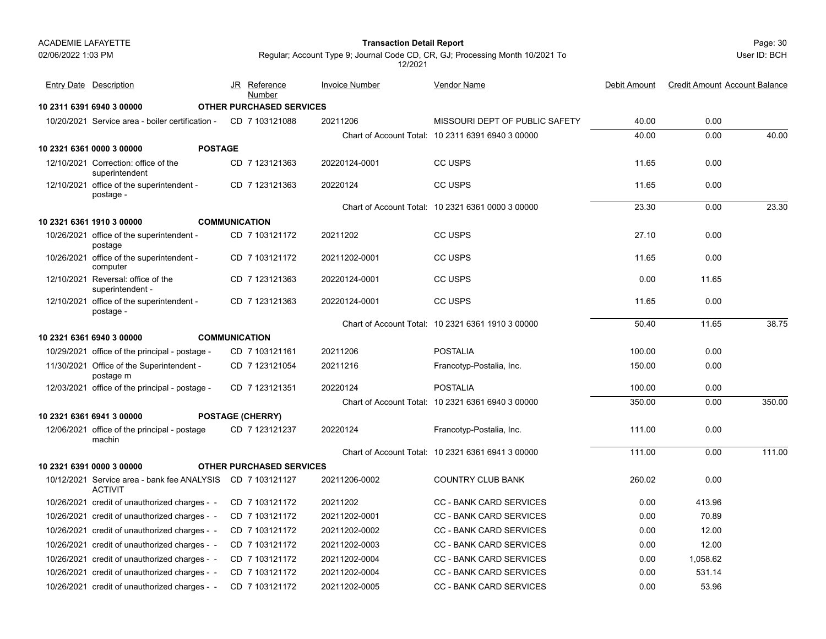Page: 30 **Transaction Detail Report**

User ID: BCH

| <b>Entry Date Description</b>                                 |                | JR Reference<br>Number          | <b>Invoice Number</b> | Vendor Name                                       | Debit Amount | <b>Credit Amount Account Balance</b> |        |
|---------------------------------------------------------------|----------------|---------------------------------|-----------------------|---------------------------------------------------|--------------|--------------------------------------|--------|
| 10 2311 6391 6940 3 00000                                     |                | <b>OTHER PURCHASED SERVICES</b> |                       |                                                   |              |                                      |        |
| 10/20/2021 Service area - boiler certification -              |                | CD 7 103121088                  | 20211206              | MISSOURI DEPT OF PUBLIC SAFETY                    | 40.00        | 0.00                                 |        |
|                                                               |                |                                 |                       | Chart of Account Total: 10 2311 6391 6940 3 00000 | 40.00        | 0.00                                 | 40.00  |
| 10 2321 6361 0000 3 00000                                     | <b>POSTAGE</b> |                                 |                       |                                                   |              |                                      |        |
| 12/10/2021 Correction: office of the<br>superintendent        |                | CD 7 123121363                  | 20220124-0001         | CC USPS                                           | 11.65        | 0.00                                 |        |
| 12/10/2021 office of the superintendent -<br>postage -        |                | CD 7 123121363                  | 20220124              | CC USPS                                           | 11.65        | 0.00                                 |        |
|                                                               |                |                                 |                       | Chart of Account Total: 10 2321 6361 0000 3 00000 | 23.30        | 0.00                                 | 23.30  |
| 10 2321 6361 1910 3 00000                                     |                | <b>COMMUNICATION</b>            |                       |                                                   |              |                                      |        |
| 10/26/2021 office of the superintendent -<br>postage          |                | CD 7 103121172                  | 20211202              | CC USPS                                           | 27.10        | 0.00                                 |        |
| 10/26/2021 office of the superintendent -<br>computer         |                | CD 7 103121172                  | 20211202-0001         | CC USPS                                           | 11.65        | 0.00                                 |        |
| 12/10/2021 Reversal: office of the<br>superintendent -        |                | CD 7 123121363                  | 20220124-0001         | CC USPS                                           | 0.00         | 11.65                                |        |
| 12/10/2021 office of the superintendent -<br>postage -        |                | CD 7 123121363                  | 20220124-0001         | CC USPS                                           | 11.65        | 0.00                                 |        |
|                                                               |                |                                 |                       | Chart of Account Total: 10 2321 6361 1910 3 00000 | 50.40        | 11.65                                | 38.75  |
| 10 2321 6361 6940 3 00000                                     |                | <b>COMMUNICATION</b>            |                       |                                                   |              |                                      |        |
| 10/29/2021 office of the principal - postage -                |                | CD 7 103121161                  | 20211206              | <b>POSTALIA</b>                                   | 100.00       | 0.00                                 |        |
| 11/30/2021 Office of the Superintendent -<br>postage m        |                | CD 7 123121054                  | 20211216              | Francotyp-Postalia, Inc.                          | 150.00       | 0.00                                 |        |
| 12/03/2021 office of the principal - postage -                |                | CD 7 123121351                  | 20220124              | <b>POSTALIA</b>                                   | 100.00       | 0.00                                 |        |
|                                                               |                |                                 |                       | Chart of Account Total: 10 2321 6361 6940 3 00000 | 350.00       | 0.00                                 | 350.00 |
| 10 2321 6361 6941 3 00000                                     |                | <b>POSTAGE (CHERRY)</b>         |                       |                                                   |              |                                      |        |
| 12/06/2021 office of the principal - postage<br>machin        |                | CD 7 123121237                  | 20220124              | Francotyp-Postalia, Inc.                          | 111.00       | 0.00                                 |        |
|                                                               |                |                                 |                       | Chart of Account Total: 10 2321 6361 6941 3 00000 | 111.00       | 0.00                                 | 111.00 |
| 10 2321 6391 0000 3 00000                                     |                | <b>OTHER PURCHASED SERVICES</b> |                       |                                                   |              |                                      |        |
| 10/12/2021 Service area - bank fee ANALYSIS<br><b>ACTIVIT</b> |                | CD 7 103121127                  | 20211206-0002         | <b>COUNTRY CLUB BANK</b>                          | 260.02       | 0.00                                 |        |
| 10/26/2021 credit of unauthorized charges - -                 |                | CD 7 103121172                  | 20211202              | <b>CC - BANK CARD SERVICES</b>                    | 0.00         | 413.96                               |        |
| 10/26/2021 credit of unauthorized charges - -                 |                | CD 7 103121172                  | 20211202-0001         | <b>CC - BANK CARD SERVICES</b>                    | 0.00         | 70.89                                |        |
| 10/26/2021 credit of unauthorized charges - -                 |                | CD 7 103121172                  | 20211202-0002         | <b>CC - BANK CARD SERVICES</b>                    | 0.00         | 12.00                                |        |
| 10/26/2021 credit of unauthorized charges - -                 |                | CD 7 103121172                  | 20211202-0003         | <b>CC - BANK CARD SERVICES</b>                    | 0.00         | 12.00                                |        |
| 10/26/2021 credit of unauthorized charges - -                 |                | CD 7 103121172                  | 20211202-0004         | <b>CC - BANK CARD SERVICES</b>                    | 0.00         | 1,058.62                             |        |
| 10/26/2021 credit of unauthorized charges - -                 |                | CD 7 103121172                  | 20211202-0004         | <b>CC - BANK CARD SERVICES</b>                    | 0.00         | 531.14                               |        |
| 10/26/2021 credit of unauthorized charges - -                 |                | CD 7 103121172                  | 20211202-0005         | <b>CC - BANK CARD SERVICES</b>                    | 0.00         | 53.96                                |        |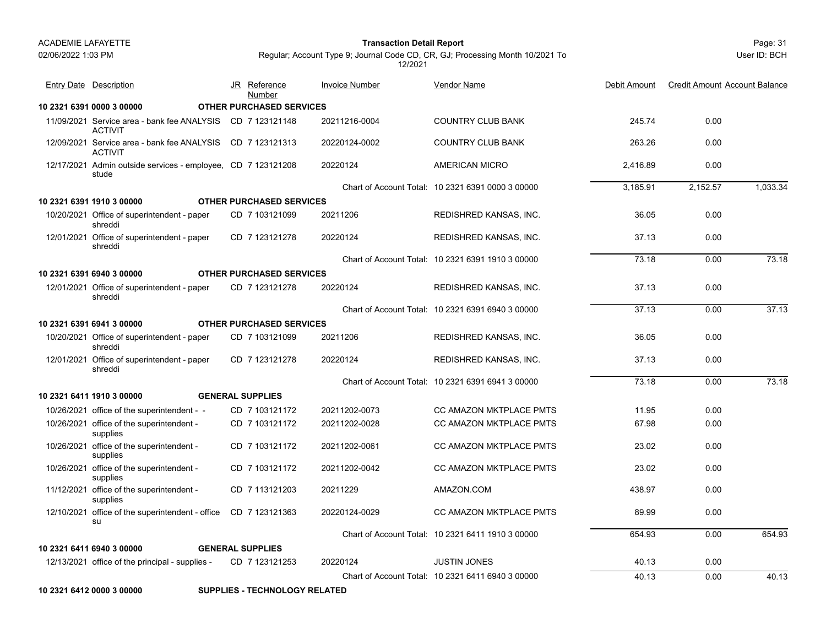#### Page: 31 **Transaction Detail Report**

Regular; Account Type 9; Journal Code CD, CR, GJ; Processing Month 10/2021 To 12/2021

User ID: BCH

| <b>Entry Date</b> Description                                                | JR Reference<br>Number          | <b>Invoice Number</b> | Vendor Name                                       | Debit Amount | <b>Credit Amount Account Balance</b> |          |
|------------------------------------------------------------------------------|---------------------------------|-----------------------|---------------------------------------------------|--------------|--------------------------------------|----------|
| 10 2321 6391 0000 3 00000                                                    | <b>OTHER PURCHASED SERVICES</b> |                       |                                                   |              |                                      |          |
| 11/09/2021 Service area - bank fee ANALYSIS CD 7 123121148<br><b>ACTIVIT</b> |                                 | 20211216-0004         | <b>COUNTRY CLUB BANK</b>                          | 245.74       | 0.00                                 |          |
| 12/09/2021 Service area - bank fee ANALYSIS CD 7 123121313<br><b>ACTIVIT</b> |                                 | 20220124-0002         | <b>COUNTRY CLUB BANK</b>                          | 263.26       | 0.00                                 |          |
| 12/17/2021 Admin outside services - employee, CD 7 123121208<br>stude        |                                 | 20220124              | <b>AMERICAN MICRO</b>                             | 2.416.89     | 0.00                                 |          |
|                                                                              |                                 |                       | Chart of Account Total: 10 2321 6391 0000 3 00000 | 3.185.91     | 2.152.57                             | 1.033.34 |
| 10 2321 6391 1910 3 00000                                                    | <b>OTHER PURCHASED SERVICES</b> |                       |                                                   |              |                                      |          |
| 10/20/2021 Office of superintendent - paper<br>shreddi                       | CD 7 103121099                  | 20211206              | REDISHRED KANSAS, INC.                            | 36.05        | 0.00                                 |          |
| 12/01/2021 Office of superintendent - paper<br>shreddi                       | CD 7 123121278                  | 20220124              | REDISHRED KANSAS, INC.                            | 37.13        | 0.00                                 |          |
|                                                                              |                                 |                       | Chart of Account Total: 10 2321 6391 1910 3 00000 | 73.18        | 0.00                                 | 73.18    |
| 10 2321 6391 6940 3 00000                                                    | <b>OTHER PURCHASED SERVICES</b> |                       |                                                   |              |                                      |          |
| 12/01/2021 Office of superintendent - paper<br>shreddi                       | CD 7 123121278                  | 20220124              | REDISHRED KANSAS, INC.                            | 37.13        | 0.00                                 |          |
|                                                                              |                                 |                       | Chart of Account Total: 10 2321 6391 6940 3 00000 | 37.13        | 0.00                                 | 37.13    |
| 10 2321 6391 6941 3 00000                                                    | <b>OTHER PURCHASED SERVICES</b> |                       |                                                   |              |                                      |          |
| 10/20/2021 Office of superintendent - paper<br>shreddi                       | CD 7 103121099                  | 20211206              | REDISHRED KANSAS, INC.                            | 36.05        | 0.00                                 |          |
| 12/01/2021 Office of superintendent - paper<br>shreddi                       | CD 7 123121278                  | 20220124              | REDISHRED KANSAS, INC.                            | 37.13        | 0.00                                 |          |
|                                                                              |                                 |                       | Chart of Account Total: 10 2321 6391 6941 3 00000 | 73.18        | 0.00                                 | 73.18    |
| 10 2321 6411 1910 3 00000                                                    | <b>GENERAL SUPPLIES</b>         |                       |                                                   |              |                                      |          |
| 10/26/2021 office of the superintendent - -                                  | CD 7 103121172                  | 20211202-0073         | <b>CC AMAZON MKTPLACE PMTS</b>                    | 11.95        | 0.00                                 |          |
| 10/26/2021 office of the superintendent -<br>supplies                        | CD 7 103121172                  | 20211202-0028         | CC AMAZON MKTPLACE PMTS                           | 67.98        | 0.00                                 |          |
| 10/26/2021 office of the superintendent -<br>supplies                        | CD 7 103121172                  | 20211202-0061         | CC AMAZON MKTPLACE PMTS                           | 23.02        | 0.00                                 |          |
| 10/26/2021 office of the superintendent -<br>supplies                        | CD 7 103121172                  | 20211202-0042         | <b>CC AMAZON MKTPLACE PMTS</b>                    | 23.02        | 0.00                                 |          |
| 11/12/2021 office of the superintendent -<br>supplies                        | CD 7 113121203                  | 20211229              | AMAZON.COM                                        | 438.97       | 0.00                                 |          |
| 12/10/2021 office of the superintendent - office<br>su                       | CD 7 123121363                  | 20220124-0029         | <b>CC AMAZON MKTPLACE PMTS</b>                    | 89.99        | 0.00                                 |          |
|                                                                              |                                 |                       | Chart of Account Total: 10 2321 6411 1910 3 00000 | 654.93       | 0.00                                 | 654.93   |
| 10 2321 6411 6940 3 00000                                                    | <b>GENERAL SUPPLIES</b>         |                       |                                                   |              |                                      |          |
| 12/13/2021 office of the principal - supplies -                              | CD 7 123121253                  | 20220124              | <b>JUSTIN JONES</b>                               | 40.13        | 0.00                                 |          |
|                                                                              |                                 |                       | Chart of Account Total: 10 2321 6411 6940 3 00000 | 40.13        | 0.00                                 | 40.13    |

**10 2321 6412 0000 3 00000 SUPPLIES - TECHNOLOGY RELATED**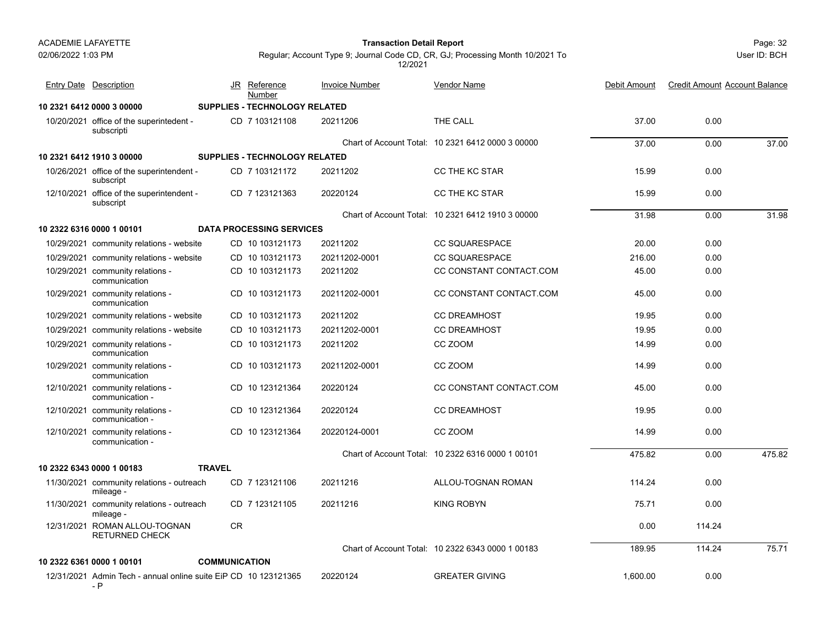Page: 32 **Transaction Detail Report**

User ID: BCH

| Entry Date Description                                          | JR                   | Reference<br>Number                  | <b>Invoice Number</b> | <b>Vendor Name</b>                                | Debit Amount | <b>Credit Amount Account Balance</b> |        |
|-----------------------------------------------------------------|----------------------|--------------------------------------|-----------------------|---------------------------------------------------|--------------|--------------------------------------|--------|
| 10 2321 6412 0000 3 00000                                       |                      | SUPPLIES - TECHNOLOGY RELATED        |                       |                                                   |              |                                      |        |
| 10/20/2021 office of the superintedent -<br>subscripti          |                      | CD 7 103121108                       | 20211206              | THE CALL                                          | 37.00        | 0.00                                 |        |
|                                                                 |                      |                                      |                       | Chart of Account Total: 10 2321 6412 0000 3 00000 | 37.00        | 0.00                                 | 37.00  |
| 10 2321 6412 1910 3 00000                                       |                      | <b>SUPPLIES - TECHNOLOGY RELATED</b> |                       |                                                   |              |                                      |        |
| 10/26/2021 office of the superintendent -<br>subscript          |                      | CD 7 103121172                       | 20211202              | CC THE KC STAR                                    | 15.99        | 0.00                                 |        |
| 12/10/2021 office of the superintendent -<br>subscript          |                      | CD 7 123121363                       | 20220124              | CC THE KC STAR                                    | 15.99        | 0.00                                 |        |
|                                                                 |                      |                                      |                       | Chart of Account Total: 10 2321 6412 1910 3 00000 | 31.98        | 0.00                                 | 31.98  |
| 10 2322 6316 0000 1 00101                                       |                      | <b>DATA PROCESSING SERVICES</b>      |                       |                                                   |              |                                      |        |
| 10/29/2021 community relations - website                        |                      | CD 10 103121173                      | 20211202              | <b>CC SQUARESPACE</b>                             | 20.00        | 0.00                                 |        |
| 10/29/2021 community relations - website                        |                      | CD 10 103121173                      | 20211202-0001         | <b>CC SQUARESPACE</b>                             | 216.00       | 0.00                                 |        |
| 10/29/2021 community relations -<br>communication               |                      | CD 10 103121173                      | 20211202              | CC CONSTANT CONTACT.COM                           | 45.00        | 0.00                                 |        |
| 10/29/2021 community relations -<br>communication               |                      | CD 10 103121173                      | 20211202-0001         | CC CONSTANT CONTACT.COM                           | 45.00        | 0.00                                 |        |
| 10/29/2021 community relations - website                        |                      | CD 10 103121173                      | 20211202              | <b>CC DREAMHOST</b>                               | 19.95        | 0.00                                 |        |
| 10/29/2021 community relations - website                        |                      | CD 10 103121173                      | 20211202-0001         | <b>CC DREAMHOST</b>                               | 19.95        | 0.00                                 |        |
| 10/29/2021 community relations -<br>communication               |                      | CD 10 103121173                      | 20211202              | CC ZOOM                                           | 14.99        | 0.00                                 |        |
| 10/29/2021 community relations -<br>communication               |                      | CD 10 103121173                      | 20211202-0001         | CC ZOOM                                           | 14.99        | 0.00                                 |        |
| 12/10/2021 community relations -<br>communication -             |                      | CD 10 123121364                      | 20220124              | CC CONSTANT CONTACT.COM                           | 45.00        | 0.00                                 |        |
| 12/10/2021 community relations -<br>communication -             |                      | CD 10 123121364                      | 20220124              | <b>CC DREAMHOST</b>                               | 19.95        | 0.00                                 |        |
| 12/10/2021 community relations -<br>communication -             |                      | CD 10 123121364                      | 20220124-0001         | CC ZOOM                                           | 14.99        | 0.00                                 |        |
|                                                                 |                      |                                      |                       | Chart of Account Total: 10 2322 6316 0000 1 00101 | 475.82       | 0.00                                 | 475.82 |
| 10 2322 6343 0000 1 00183                                       | <b>TRAVEL</b>        |                                      |                       |                                                   |              |                                      |        |
| 11/30/2021 community relations - outreach<br>mileage -          |                      | CD 7 123121106                       | 20211216              | ALLOU-TOGNAN ROMAN                                | 114.24       | 0.00                                 |        |
| 11/30/2021 community relations - outreach<br>mileage -          |                      | CD 7 123121105                       | 20211216              | <b>KING ROBYN</b>                                 | 75.71        | 0.00                                 |        |
| 12/31/2021 ROMAN ALLOU-TOGNAN<br><b>RETURNED CHECK</b>          | CR                   |                                      |                       |                                                   | 0.00         | 114.24                               |        |
|                                                                 |                      |                                      |                       | Chart of Account Total: 10 2322 6343 0000 1 00183 | 189.95       | 114.24                               | 75.71  |
| 10 2322 6361 0000 1 00101                                       | <b>COMMUNICATION</b> |                                      |                       |                                                   |              |                                      |        |
| 12/31/2021 Admin Tech - annual online suite EiP CD 10 123121365 |                      |                                      | 20220124              | <b>GREATER GIVING</b>                             | 1,600.00     | 0.00                                 |        |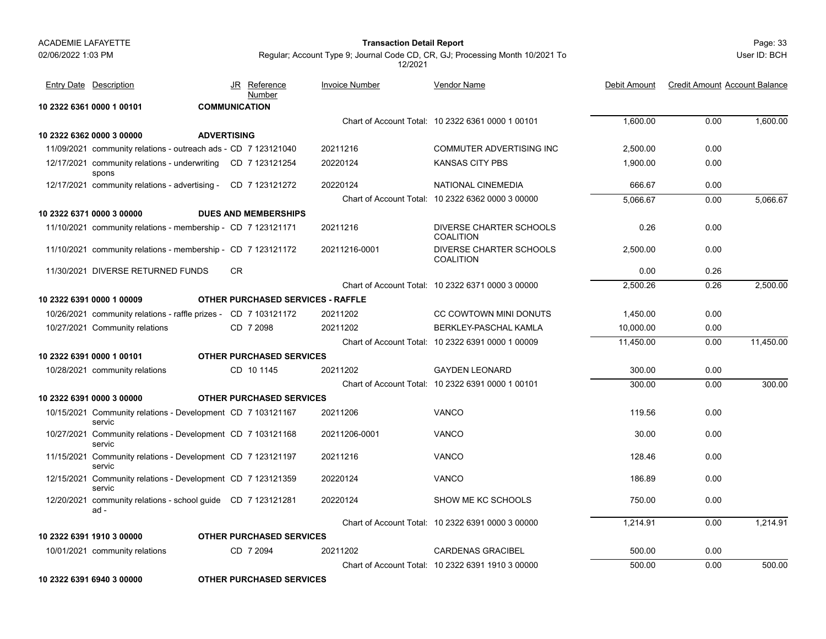#### Page: 33 **Transaction Detail Report**

Regular; Account Type 9; Journal Code CD, CR, GJ; Processing Month 10/2021 To 12/2021

User ID: BCH

| <b>Entry Date</b> Description                                          |     | JR Reference<br>Number                   | <b>Invoice Number</b> | Vendor Name                                       | Debit Amount | <b>Credit Amount Account Balance</b> |           |
|------------------------------------------------------------------------|-----|------------------------------------------|-----------------------|---------------------------------------------------|--------------|--------------------------------------|-----------|
| 10 2322 6361 0000 1 00101                                              |     | <b>COMMUNICATION</b>                     |                       |                                                   |              |                                      |           |
|                                                                        |     |                                          |                       | Chart of Account Total: 10 2322 6361 0000 1 00101 | 1.600.00     | 0.00                                 | 1,600.00  |
| 10 2322 6362 0000 3 00000<br><b>ADVERTISING</b>                        |     |                                          |                       |                                                   |              |                                      |           |
| 11/09/2021 community relations - outreach ads - CD 7 123121040         |     |                                          | 20211216              | <b>COMMUTER ADVERTISING INC</b>                   | 2,500.00     | 0.00                                 |           |
| 12/17/2021 community relations - underwriting CD 7 123121254<br>spons  |     |                                          | 20220124              | <b>KANSAS CITY PBS</b>                            | 1,900.00     | 0.00                                 |           |
| 12/17/2021 community relations - advertising - CD 7 123121272          |     |                                          | 20220124              | NATIONAL CINEMEDIA                                | 666.67       | 0.00                                 |           |
|                                                                        |     |                                          |                       | Chart of Account Total: 10 2322 6362 0000 3 00000 | 5.066.67     | 0.00                                 | 5.066.67  |
| 10 2322 6371 0000 3 00000                                              |     | <b>DUES AND MEMBERSHIPS</b>              |                       |                                                   |              |                                      |           |
| 11/10/2021 community relations - membership - CD 7 123121171           |     |                                          | 20211216              | DIVERSE CHARTER SCHOOLS<br><b>COALITION</b>       | 0.26         | 0.00                                 |           |
| 11/10/2021 community relations - membership - CD 7 123121172           |     |                                          | 20211216-0001         | DIVERSE CHARTER SCHOOLS<br><b>COALITION</b>       | 2,500.00     | 0.00                                 |           |
| 11/30/2021 DIVERSE RETURNED FUNDS                                      | CR. |                                          |                       |                                                   | 0.00         | 0.26                                 |           |
|                                                                        |     |                                          |                       | Chart of Account Total: 10 2322 6371 0000 3 00000 | 2,500.26     | 0.26                                 | 2,500.00  |
| 10 2322 6391 0000 1 00009                                              |     | <b>OTHER PURCHASED SERVICES - RAFFLE</b> |                       |                                                   |              |                                      |           |
| 10/26/2021 community relations - raffle prizes - CD 7 103121172        |     |                                          | 20211202              | CC COWTOWN MINI DONUTS                            | 1,450.00     | 0.00                                 |           |
| 10/27/2021 Community relations                                         |     | CD 7 2098                                | 20211202              | BERKLEY-PASCHAL KAMLA                             | 10,000.00    | 0.00                                 |           |
|                                                                        |     |                                          |                       | Chart of Account Total: 10 2322 6391 0000 1 00009 | 11,450.00    | 0.00                                 | 11,450.00 |
| 10 2322 6391 0000 1 00101                                              |     | <b>OTHER PURCHASED SERVICES</b>          |                       |                                                   |              |                                      |           |
| 10/28/2021 community relations                                         |     | CD 10 1145                               | 20211202              | <b>GAYDEN LEONARD</b>                             | 300.00       | 0.00                                 |           |
|                                                                        |     |                                          |                       | Chart of Account Total: 10 2322 6391 0000 1 00101 | 300.00       | 0.00                                 | 300.00    |
| 10 2322 6391 0000 3 00000                                              |     | <b>OTHER PURCHASED SERVICES</b>          |                       |                                                   |              |                                      |           |
| 10/15/2021 Community relations - Development CD 7 103121167<br>servic  |     |                                          | 20211206              | VANCO                                             | 119.56       | 0.00                                 |           |
| 10/27/2021 Community relations - Development CD 7 103121168<br>servic  |     |                                          | 20211206-0001         | <b>VANCO</b>                                      | 30.00        | 0.00                                 |           |
| 11/15/2021 Community relations - Development CD 7 123121197<br>servic  |     |                                          | 20211216              | <b>VANCO</b>                                      | 128.46       | 0.00                                 |           |
| 12/15/2021 Community relations - Development CD 7 123121359<br>servic  |     |                                          | 20220124              | <b>VANCO</b>                                      | 186.89       | 0.00                                 |           |
| 12/20/2021 community relations - school guide CD 7 123121281<br>$ad -$ |     |                                          | 20220124              | SHOW ME KC SCHOOLS                                | 750.00       | 0.00                                 |           |
|                                                                        |     |                                          |                       | Chart of Account Total: 10 2322 6391 0000 3 00000 | 1.214.91     | 0.00                                 | 1.214.91  |
| 10 2322 6391 1910 3 00000                                              |     | <b>OTHER PURCHASED SERVICES</b>          |                       |                                                   |              |                                      |           |
| 10/01/2021 community relations                                         |     | CD 7 2094                                | 20211202              | <b>CARDENAS GRACIBEL</b>                          | 500.00       | 0.00                                 |           |
|                                                                        |     |                                          |                       | Chart of Account Total: 10 2322 6391 1910 3 00000 | 500.00       | 0.00                                 | 500.00    |
|                                                                        |     |                                          |                       |                                                   |              |                                      |           |

**10 2322 6391 6940 3 00000 OTHER PURCHASED SERVICES**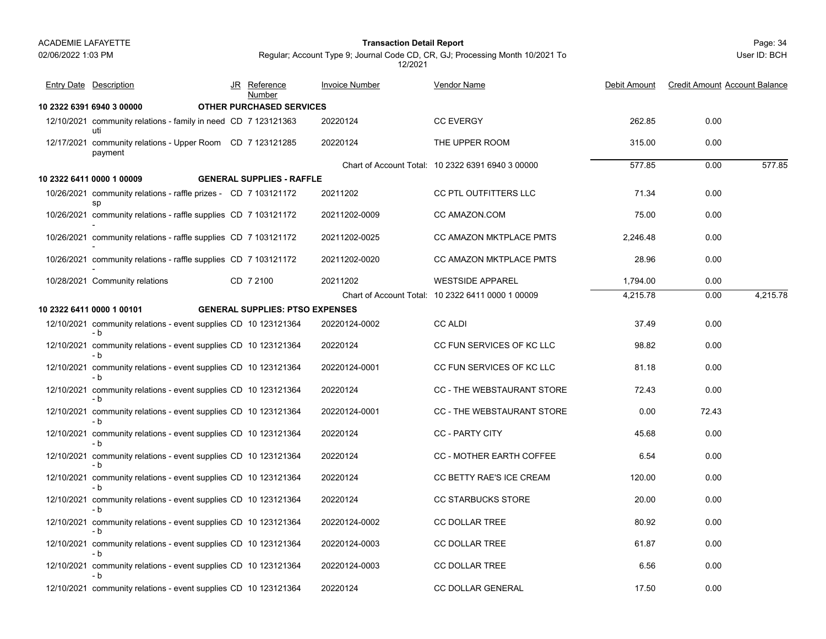#### Page: 34 **Transaction Detail Report**

User ID: BCH

| <b>Entry Date Description</b>                                                 | JR Reference<br>Number                 | <b>Invoice Number</b> | <b>Vendor Name</b>                                | Debit Amount | <b>Credit Amount Account Balance</b> |          |
|-------------------------------------------------------------------------------|----------------------------------------|-----------------------|---------------------------------------------------|--------------|--------------------------------------|----------|
| 10 2322 6391 6940 3 00000                                                     | <b>OTHER PURCHASED SERVICES</b>        |                       |                                                   |              |                                      |          |
| 12/10/2021 community relations - family in need CD 7 123121363<br>uti         |                                        | 20220124              | <b>CC EVERGY</b>                                  | 262.85       | 0.00                                 |          |
| 12/17/2021 community relations - Upper Room CD 7 123121285<br>payment         |                                        | 20220124              | THE UPPER ROOM                                    | 315.00       | 0.00                                 |          |
|                                                                               |                                        |                       | Chart of Account Total: 10 2322 6391 6940 3 00000 | 577.85       | 0.00                                 | 577.85   |
| 10 2322 6411 0000 1 00009                                                     | <b>GENERAL SUPPLIES - RAFFLE</b>       |                       |                                                   |              |                                      |          |
| 10/26/2021 community relations - raffle prizes - CD 7 103121172<br>sp         |                                        | 20211202              | CC PTL OUTFITTERS LLC                             | 71.34        | 0.00                                 |          |
| 10/26/2021 community relations - raffle supplies CD 7 103121172               |                                        | 20211202-0009         | CC AMAZON.COM                                     | 75.00        | 0.00                                 |          |
| 10/26/2021 community relations - raffle supplies CD 7 103121172               |                                        | 20211202-0025         | CC AMAZON MKTPLACE PMTS                           | 2,246.48     | 0.00                                 |          |
| 10/26/2021 community relations - raffle supplies CD 7 103121172               |                                        | 20211202-0020         | CC AMAZON MKTPLACE PMTS                           | 28.96        | 0.00                                 |          |
| 10/28/2021 Community relations                                                | CD 7 2100                              | 20211202              | <b>WESTSIDE APPAREL</b>                           | 1,794.00     | 0.00                                 |          |
|                                                                               |                                        |                       | Chart of Account Total: 10 2322 6411 0000 1 00009 | 4,215.78     | 0.00                                 | 4,215.78 |
| 10 2322 6411 0000 1 00101                                                     | <b>GENERAL SUPPLIES: PTSO EXPENSES</b> |                       |                                                   |              |                                      |          |
| 12/10/2021 community relations - event supplies CD 10 123121364<br>- b        |                                        | 20220124-0002         | <b>CC ALDI</b>                                    | 37.49        | 0.00                                 |          |
| 12/10/2021 community relations - event supplies CD 10 123121364<br>- b        |                                        | 20220124              | CC FUN SERVICES OF KC LLC                         | 98.82        | 0.00                                 |          |
| 12/10/2021 community relations - event supplies CD 10 123121364<br>- b        |                                        | 20220124-0001         | CC FUN SERVICES OF KC LLC                         | 81.18        | 0.00                                 |          |
| 12/10/2021 community relations - event supplies CD 10 123121364<br>- b        |                                        | 20220124              | CC - THE WEBSTAURANT STORE                        | 72.43        | 0.00                                 |          |
| 12/10/2021 community relations - event supplies CD 10 123121364<br>- b        |                                        | 20220124-0001         | CC - THE WEBSTAURANT STORE                        | 0.00         | 72.43                                |          |
| 12/10/2021 community relations - event supplies CD 10 123121364<br>- b        |                                        | 20220124              | <b>CC - PARTY CITY</b>                            | 45.68        | 0.00                                 |          |
| 12/10/2021 community relations - event supplies CD 10 123121364<br>- b        |                                        | 20220124              | CC - MOTHER EARTH COFFEE                          | 6.54         | 0.00                                 |          |
| 12/10/2021 community relations - event supplies CD 10 123121364<br>- b        |                                        | 20220124              | CC BETTY RAE'S ICE CREAM                          | 120.00       | 0.00                                 |          |
| 12/10/2021 community relations - event supplies CD 10 123121364<br>- b        |                                        | 20220124              | <b>CC STARBUCKS STORE</b>                         | 20.00        | 0.00                                 |          |
| 12/10/2021 community relations - event supplies CD 10 123121364<br>- b        |                                        | 20220124-0002         | <b>CC DOLLAR TREE</b>                             | 80.92        | 0.00                                 |          |
| 12/10/2021 community relations - event supplies CD 10 123121364               |                                        | 20220124-0003         | <b>CC DOLLAR TREE</b>                             | 61.87        | 0.00                                 |          |
| - b<br>12/10/2021 community relations - event supplies CD 10 123121364<br>- b |                                        | 20220124-0003         | <b>CC DOLLAR TREE</b>                             | 6.56         | 0.00                                 |          |
| 12/10/2021 community relations - event supplies CD 10 123121364               |                                        | 20220124              | <b>CC DOLLAR GENERAL</b>                          | 17.50        | 0.00                                 |          |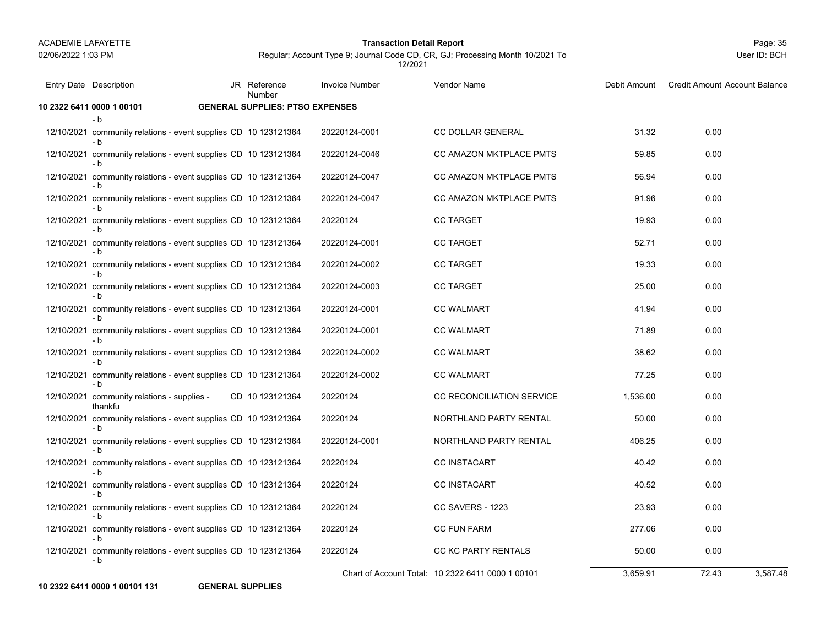#### Page: 35 **Transaction Detail Report**

User ID: BCH

# Regular; Account Type 9; Journal Code CD, CR, GJ; Processing Month 10/2021 To 12/2021

| <b>Entry Date Description</b>                                          | JR Reference<br>Number                 | <b>Invoice Number</b> | <b>Vendor Name</b>                                | Debit Amount | <b>Credit Amount Account Balance</b> |
|------------------------------------------------------------------------|----------------------------------------|-----------------------|---------------------------------------------------|--------------|--------------------------------------|
| 10 2322 6411 0000 1 00101                                              | <b>GENERAL SUPPLIES: PTSO EXPENSES</b> |                       |                                                   |              |                                      |
| - b<br>12/10/2021 community relations - event supplies CD 10 123121364 |                                        | 20220124-0001         | <b>CC DOLLAR GENERAL</b>                          | 31.32        | 0.00                                 |
| - b                                                                    |                                        |                       |                                                   |              |                                      |
| 12/10/2021 community relations - event supplies CD 10 123121364<br>- b |                                        | 20220124-0046         | CC AMAZON MKTPLACE PMTS                           | 59.85        | 0.00                                 |
| 12/10/2021 community relations - event supplies CD 10 123121364<br>- b |                                        | 20220124-0047         | CC AMAZON MKTPLACE PMTS                           | 56.94        | 0.00                                 |
| 12/10/2021 community relations - event supplies CD 10 123121364<br>- b |                                        | 20220124-0047         | CC AMAZON MKTPLACE PMTS                           | 91.96        | 0.00                                 |
| 12/10/2021 community relations - event supplies CD 10 123121364<br>- b |                                        | 20220124              | <b>CC TARGET</b>                                  | 19.93        | 0.00                                 |
| 12/10/2021 community relations - event supplies CD 10 123121364<br>- b |                                        | 20220124-0001         | <b>CC TARGET</b>                                  | 52.71        | 0.00                                 |
| 12/10/2021 community relations - event supplies CD 10 123121364        |                                        | 20220124-0002         | <b>CC TARGET</b>                                  | 19.33        | 0.00                                 |
| 12/10/2021 community relations - event supplies CD 10 123121364<br>- b |                                        | 20220124-0003         | <b>CC TARGET</b>                                  | 25.00        | 0.00                                 |
| 12/10/2021 community relations - event supplies CD 10 123121364<br>- b |                                        | 20220124-0001         | <b>CC WALMART</b>                                 | 41.94        | 0.00                                 |
| 12/10/2021 community relations - event supplies CD 10 123121364        |                                        | 20220124-0001         | <b>CC WALMART</b>                                 | 71.89        | 0.00                                 |
| 12/10/2021 community relations - event supplies CD 10 123121364<br>- b |                                        | 20220124-0002         | <b>CC WALMART</b>                                 | 38.62        | 0.00                                 |
| 12/10/2021 community relations - event supplies CD 10 123121364<br>- b |                                        | 20220124-0002         | <b>CC WALMART</b>                                 | 77.25        | 0.00                                 |
| 12/10/2021 community relations - supplies -<br>thankfu                 | CD 10 123121364                        | 20220124              | CC RECONCILIATION SERVICE                         | 1,536.00     | 0.00                                 |
| 12/10/2021 community relations - event supplies CD 10 123121364<br>- b |                                        | 20220124              | NORTHLAND PARTY RENTAL                            | 50.00        | 0.00                                 |
| 12/10/2021 community relations - event supplies CD 10 123121364<br>- b |                                        | 20220124-0001         | NORTHLAND PARTY RENTAL                            | 406.25       | 0.00                                 |
| 12/10/2021 community relations - event supplies CD 10 123121364        |                                        | 20220124              | <b>CC INSTACART</b>                               | 40.42        | 0.00                                 |
| 12/10/2021 community relations - event supplies CD 10 123121364<br>- b |                                        | 20220124              | <b>CC INSTACART</b>                               | 40.52        | 0.00                                 |
| 12/10/2021 community relations - event supplies CD 10 123121364<br>- b |                                        | 20220124              | CC SAVERS - 1223                                  | 23.93        | 0.00                                 |
| 12/10/2021 community relations - event supplies CD 10 123121364<br>- b |                                        | 20220124              | <b>CC FUN FARM</b>                                | 277.06       | 0.00                                 |
| 12/10/2021 community relations - event supplies CD 10 123121364<br>- b |                                        | 20220124              | CC KC PARTY RENTALS                               | 50.00        | 0.00                                 |
|                                                                        |                                        |                       | Chart of Account Total: 10 2322 6411 0000 1 00101 | 3,659.91     | 72.43<br>3.587.48                    |

**10 2322 6411 0000 1 00101 131 GENERAL SUPPLIES**

**GENERAL SUPPLIES**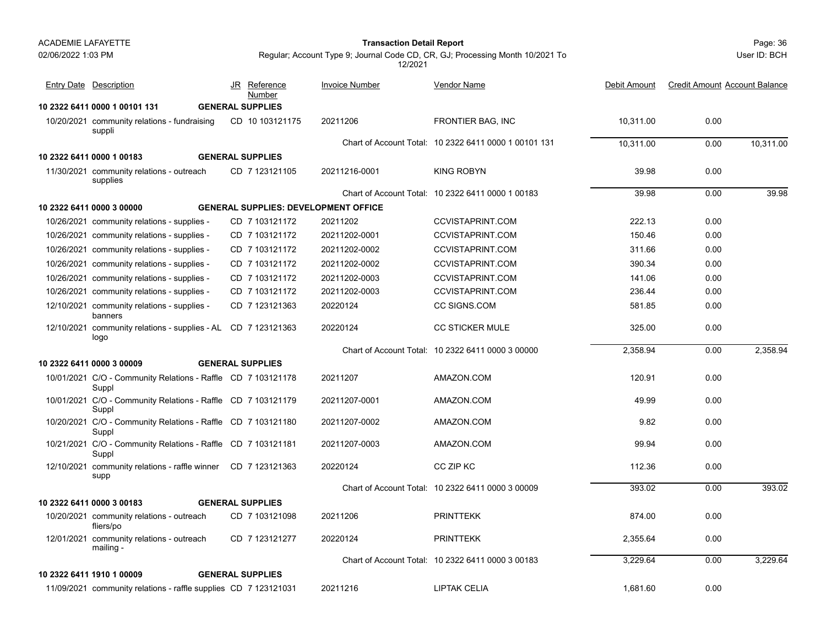02/06/2022 1:03 PM

#### Page: 36 **Transaction Detail Report**

User ID: BCH

| <b>Entry Date Description</b>                                         | Reference<br>JR<br>Number                   | <b>Invoice Number</b> | <b>Vendor Name</b>                                    | Debit Amount | <b>Credit Amount Account Balance</b> |           |
|-----------------------------------------------------------------------|---------------------------------------------|-----------------------|-------------------------------------------------------|--------------|--------------------------------------|-----------|
| 10 2322 6411 0000 1 00101 131                                         | <b>GENERAL SUPPLIES</b>                     |                       |                                                       |              |                                      |           |
| 10/20/2021 community relations - fundraising<br>suppli                | CD 10 103121175                             | 20211206              | FRONTIER BAG, INC                                     | 10,311.00    | 0.00                                 |           |
|                                                                       |                                             |                       | Chart of Account Total: 10 2322 6411 0000 1 00101 131 | 10.311.00    | 0.00                                 | 10,311.00 |
| 10 2322 6411 0000 1 00183                                             | <b>GENERAL SUPPLIES</b>                     |                       |                                                       |              |                                      |           |
| 11/30/2021 community relations - outreach<br>supplies                 | CD 7 123121105                              | 20211216-0001         | <b>KING ROBYN</b>                                     | 39.98        | 0.00                                 |           |
|                                                                       |                                             |                       | Chart of Account Total: 10 2322 6411 0000 1 00183     | 39.98        | 0.00                                 | 39.98     |
| 10 2322 6411 0000 3 00000                                             | <b>GENERAL SUPPLIES: DEVELOPMENT OFFICE</b> |                       |                                                       |              |                                      |           |
| 10/26/2021 community relations - supplies -                           | CD 7 103121172                              | 20211202              | <b>CCVISTAPRINT.COM</b>                               | 222.13       | 0.00                                 |           |
| 10/26/2021 community relations - supplies -                           | CD 7 103121172                              | 20211202-0001         | <b>CCVISTAPRINT.COM</b>                               | 150.46       | 0.00                                 |           |
| 10/26/2021 community relations - supplies -                           | CD 7 103121172                              | 20211202-0002         | <b>CCVISTAPRINT.COM</b>                               | 311.66       | 0.00                                 |           |
| 10/26/2021 community relations - supplies -                           | CD 7 103121172                              | 20211202-0002         | <b>CCVISTAPRINT.COM</b>                               | 390.34       | 0.00                                 |           |
| 10/26/2021 community relations - supplies -                           | CD 7 103121172                              | 20211202-0003         | <b>CCVISTAPRINT.COM</b>                               | 141.06       | 0.00                                 |           |
| 10/26/2021 community relations - supplies -                           | CD 7 103121172                              | 20211202-0003         | <b>CCVISTAPRINT.COM</b>                               | 236.44       | 0.00                                 |           |
| 12/10/2021 community relations - supplies -<br>banners                | CD 7 123121363                              | 20220124              | <b>CC SIGNS COM</b>                                   | 581.85       | 0.00                                 |           |
| 12/10/2021 community relations - supplies - AL CD 7 123121363<br>logo |                                             | 20220124              | <b>CC STICKER MULE</b>                                | 325.00       | 0.00                                 |           |
|                                                                       |                                             |                       | Chart of Account Total: 10 2322 6411 0000 3 00000     | 2,358.94     | 0.00                                 | 2,358.94  |
| 10 2322 6411 0000 3 00009                                             | <b>GENERAL SUPPLIES</b>                     |                       |                                                       |              |                                      |           |
| 10/01/2021 C/O - Community Relations - Raffle CD 7 103121178<br>Suppl |                                             | 20211207              | AMAZON.COM                                            | 120.91       | 0.00                                 |           |
| 10/01/2021 C/O - Community Relations - Raffle CD 7 103121179<br>Suppl |                                             | 20211207-0001         | AMAZON.COM                                            | 49.99        | 0.00                                 |           |
| 10/20/2021 C/O - Community Relations - Raffle CD 7 103121180<br>Suppl |                                             | 20211207-0002         | AMAZON.COM                                            | 9.82         | 0.00                                 |           |
| 10/21/2021 C/O - Community Relations - Raffle CD 7 103121181<br>Suppl |                                             | 20211207-0003         | AMAZON.COM                                            | 99.94        | 0.00                                 |           |
| 12/10/2021 community relations - raffle winner CD 7 123121363<br>supp |                                             | 20220124              | CC ZIP KC                                             | 112.36       | 0.00                                 |           |
|                                                                       |                                             |                       | Chart of Account Total: 10 2322 6411 0000 3 00009     | 393.02       | 0.00                                 | 393.02    |
| 10 2322 6411 0000 3 00183                                             | <b>GENERAL SUPPLIES</b>                     |                       |                                                       |              |                                      |           |
| 10/20/2021 community relations - outreach<br>fliers/po                | CD 7 103121098                              | 20211206              | <b>PRINTTEKK</b>                                      | 874.00       | 0.00                                 |           |
| 12/01/2021 community relations - outreach<br>mailing -                | CD 7 123121277                              | 20220124              | <b>PRINTTEKK</b>                                      | 2,355.64     | 0.00                                 |           |
|                                                                       |                                             |                       | Chart of Account Total: 10 2322 6411 0000 3 00183     | 3,229.64     | 0.00                                 | 3,229.64  |
| 10 2322 6411 1910 1 00009                                             | <b>GENERAL SUPPLIES</b>                     |                       |                                                       |              |                                      |           |
| 11/09/2021 community relations - raffle supplies CD 7 123121031       |                                             | 20211216              | <b>LIPTAK CELIA</b>                                   | 1.681.60     | 0.00                                 |           |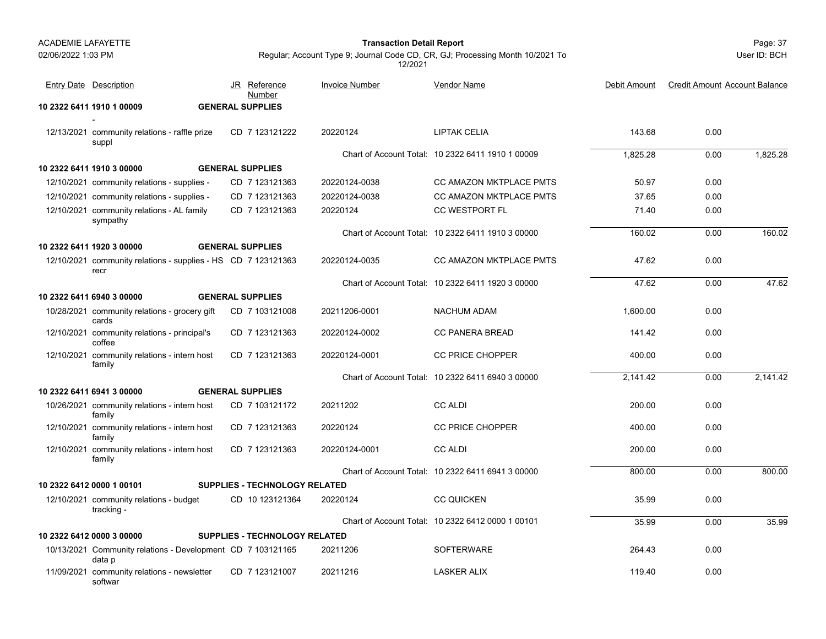#### Page: 37 **Transaction Detail Report**

Entry Date Description JR Reference <u>Invoice Number</u> <u>Vendor Name</u> Debit Amount Credit Amount

JR Reference Invoice Number

Number

User ID: BCH

Debit Amount Credit Amount Account Balance

Regular; Account Type 9; Journal Code CD, CR, GJ; Processing Month 10/2021 To 12/2021

Vendor Name

**10 2322 6411 1910 1 00009 GENERAL SUPPLIES**12/13/2021 community relations - raffle prize CD\_7 123121222 20220124 LIPTAK CELIA 143.68 0.00 suppl CD 7 123121222 20220124 **1 IPTAK CFI IA** Chart of Account Total: 10 2322 6411 1910 1 00009 1,825.28 0.00 1,825.28 **10 2322 6411 1910 3 00000 GENERAL SUPPLIES**12/10/2021 community relations - supplies - CD 7 123121363 20220124-0038 CC AMAZON MKTPLACE PMTS 50.97 0.00 12/10/2021 community relations - supplies - CD 7 123121363 20220124-0038 CC AMAZON MKTPLACE PMTS 37.65 0.00 12/10/2021 community relations - AL family CD\_7 123121363 20220124 CC WESTPORT FL 0.00 sympathy CD 20220124 CC WESTPORT FL 7 123121363 Chart of Account Total: 10 2322 6411 1910 3 00000 160.02 0.00 160.02 **10 2322 6411 1920 3 00000 GENERAL SUPPLIES**12/10/2021 community relations - supplies - HS CD 7 123121363 20220124-0035 CC AMAZON MKTPLACE PMTS 47.62 0.00 recrCD 20220124-0035 CC AMAZON MKTPLACE PMTS 7 123121363 Chart of Account Total: 10 2322 6411 1920 3 00000 47.62 0.00 47.62 **10 2322 6411 6940 3 00000 GENERAL SUPPLIES**10/28/2021 community relations - grocery gift CD\_7 103121008 20211206-0001 NACHUM ADAM 1,600.00 0.00 cardsCD 7 103121008 20211206-0001 NACHUM ADAM 20211206-0001 12/10/2021 community relations - principal's CD 7 123121363 20220124-0002 CC PANERA BREAD 141.42 0.00 coffeeCD 20220124-0002 CC PANERA BREAD 7 123121363 12/10/2021 community relations - intern host CD\_7 123121363 20220124-0001 CC PRICE CHOPPER 400.00 0.00 family CD 20220124-0001 CC PRICE CHOPPER 7 123121363 Chart of Account Total: 10 2322 6411 6940 3 00000 2,141.42 0.00 2,141.42 **10 2322 6411 6941 3 00000 GENERAL SUPPLIES**10/26/2021 community relations - intern host 200.00 0.00 family CD 7 103121172 20211202 CC ALDI 12/10/2021 community relations - intern host CD\_7 123121363 20220124 CC PRICE CHOPPER 0.00 family CD 20220124 CC PRICE CHOPPER 7 123121363 12/10/2021 community relations - intern host 200.00 0.00 family CD 7 123121363 20220124-0001 CC ALDI 20220124-0001 Chart of Account Total: 10 2322 6411 6941 3 00000 800.00 0.00 800.00 **10 2322 6412 0000 1 00101 SUPPLIES - TECHNOLOGY RELATED**12/10/2021 community relations - budget CD\_10 123121364 20220124 CC QUICKEN 35.99 0.00 tracking - CD 20220124 CC QUICKEN 10 123121364 Chart of Account Total: 10 2322 6412 0000 1 00101 35.990.00 35.99

**10 2322 6412 0000 3 00000 SUPPLIES - TECHNOLOGY RELATED**10/13/2021 Community relations - Development 264.43 0.00 CD 20211206 SOFTERWARE 7 103121165 data p

#### 11/09/2021 community relations - newsletter CD\_7 123121007 20211216 LASKER ALIX 0.00 softwar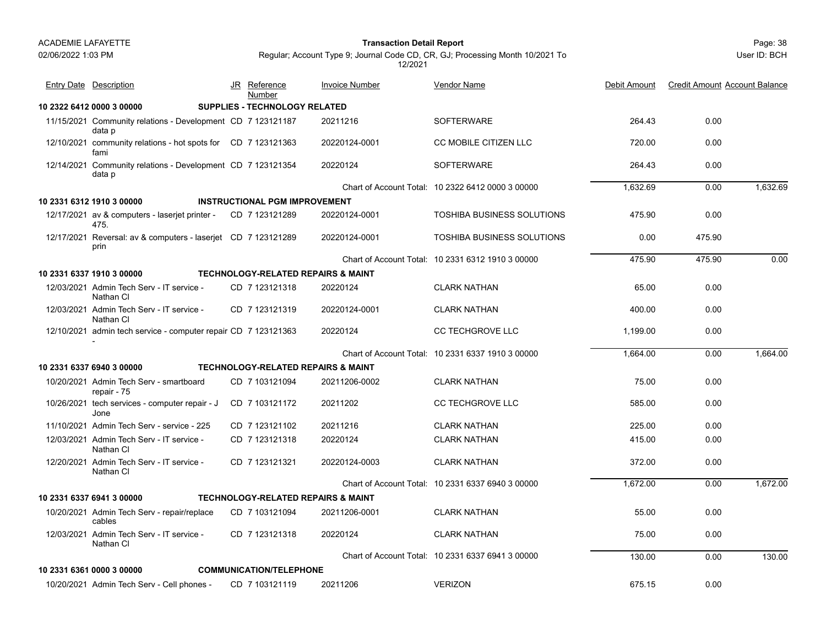02/06/2022 1:03 PM

#### Page: 38 **Transaction Detail Report**

Regular; Account Type 9; Journal Code CD, CR, GJ; Processing Month 10/2021 To 12/2021

| <b>Entry Date Description</b>                                         | JR Reference<br>Number                        | <b>Invoice Number</b> | <b>Vendor Name</b>                                | Debit Amount | <b>Credit Amount Account Balance</b> |          |
|-----------------------------------------------------------------------|-----------------------------------------------|-----------------------|---------------------------------------------------|--------------|--------------------------------------|----------|
| 10 2322 6412 0000 3 00000                                             | <b>SUPPLIES - TECHNOLOGY RELATED</b>          |                       |                                                   |              |                                      |          |
| 11/15/2021 Community relations - Development CD 7 123121187<br>data p |                                               | 20211216              | <b>SOFTERWARE</b>                                 | 264.43       | 0.00                                 |          |
| 12/10/2021 community relations - hot spots for CD 7 123121363<br>fami |                                               | 20220124-0001         | <b>CC MOBILE CITIZEN LLC</b>                      | 720.00       | 0.00                                 |          |
| 12/14/2021 Community relations - Development CD 7 123121354<br>data p |                                               | 20220124              | <b>SOFTERWARE</b>                                 | 264.43       | 0.00                                 |          |
|                                                                       |                                               |                       | Chart of Account Total: 10 2322 6412 0000 3 00000 | 1.632.69     | 0.00                                 | 1.632.69 |
| 10 2331 6312 1910 3 00000                                             | <b>INSTRUCTIONAL PGM IMPROVEMENT</b>          |                       |                                                   |              |                                      |          |
| 12/17/2021 av & computers - laserjet printer -<br>475.                | CD 7 123121289                                | 20220124-0001         | <b>TOSHIBA BUSINESS SOLUTIONS</b>                 | 475.90       | 0.00                                 |          |
| 12/17/2021 Reversal: av & computers - laserjet CD 7 123121289<br>prin |                                               | 20220124-0001         | <b>TOSHIBA BUSINESS SOLUTIONS</b>                 | 0.00         | 475.90                               |          |
|                                                                       |                                               |                       | Chart of Account Total: 10 2331 6312 1910 3 00000 | 475.90       | 475.90                               | 0.00     |
| 10 2331 6337 1910 3 00000                                             | <b>TECHNOLOGY-RELATED REPAIRS &amp; MAINT</b> |                       |                                                   |              |                                      |          |
| 12/03/2021 Admin Tech Serv - IT service -<br>Nathan CI                | CD 7 123121318                                | 20220124              | <b>CLARK NATHAN</b>                               | 65.00        | 0.00                                 |          |
| 12/03/2021 Admin Tech Serv - IT service -<br>Nathan CI                | CD 7 123121319                                | 20220124-0001         | <b>CLARK NATHAN</b>                               | 400.00       | 0.00                                 |          |
| 12/10/2021 admin tech service - computer repair CD 7 123121363        |                                               | 20220124              | <b>CC TECHGROVE LLC</b>                           | 1.199.00     | 0.00                                 |          |
|                                                                       |                                               |                       | Chart of Account Total: 10 2331 6337 1910 3 00000 | 1,664.00     | 0.00                                 | 1,664.00 |
| 10 2331 6337 6940 3 00000                                             | <b>TECHNOLOGY-RELATED REPAIRS &amp; MAINT</b> |                       |                                                   |              |                                      |          |
| 10/20/2021 Admin Tech Serv - smartboard<br>repair - 75                | CD 7 103121094                                | 20211206-0002         | <b>CLARK NATHAN</b>                               | 75.00        | 0.00                                 |          |
| 10/26/2021 tech services - computer repair - J<br>Jone                | CD 7 103121172                                | 20211202              | <b>CC TECHGROVE LLC</b>                           | 585.00       | 0.00                                 |          |
| 11/10/2021 Admin Tech Serv - service - 225                            | CD 7 123121102                                | 20211216              | <b>CLARK NATHAN</b>                               | 225.00       | 0.00                                 |          |
| 12/03/2021 Admin Tech Serv - IT service -<br>Nathan CI                | CD 7 123121318                                | 20220124              | <b>CLARK NATHAN</b>                               | 415.00       | 0.00                                 |          |
| 12/20/2021 Admin Tech Serv - IT service -<br>Nathan CI                | CD 7 123121321                                | 20220124-0003         | <b>CLARK NATHAN</b>                               | 372.00       | 0.00                                 |          |
|                                                                       |                                               |                       | Chart of Account Total: 10 2331 6337 6940 3 00000 | 1,672.00     | 0.00                                 | 1,672.00 |
| 10 2331 6337 6941 3 00000                                             | <b>TECHNOLOGY-RELATED REPAIRS &amp; MAINT</b> |                       |                                                   |              |                                      |          |
| 10/20/2021 Admin Tech Serv - repair/replace<br>cables                 | CD 7 103121094                                | 20211206-0001         | <b>CLARK NATHAN</b>                               | 55.00        | 0.00                                 |          |
| 12/03/2021 Admin Tech Serv - IT service -<br>Nathan CI                | CD 7 123121318                                | 20220124              | <b>CLARK NATHAN</b>                               | 75.00        | 0.00                                 |          |
|                                                                       |                                               |                       | Chart of Account Total: 10 2331 6337 6941 3 00000 | 130.00       | 0.00                                 | 130.00   |
| 10 2331 6361 0000 3 00000                                             | <b>COMMUNICATION/TELEPHONE</b>                |                       |                                                   |              |                                      |          |
| 10/20/2021 Admin Tech Serv - Cell phones -                            | CD 7 103121119                                | 20211206              | <b>VERIZON</b>                                    | 675.15       | 0.00                                 |          |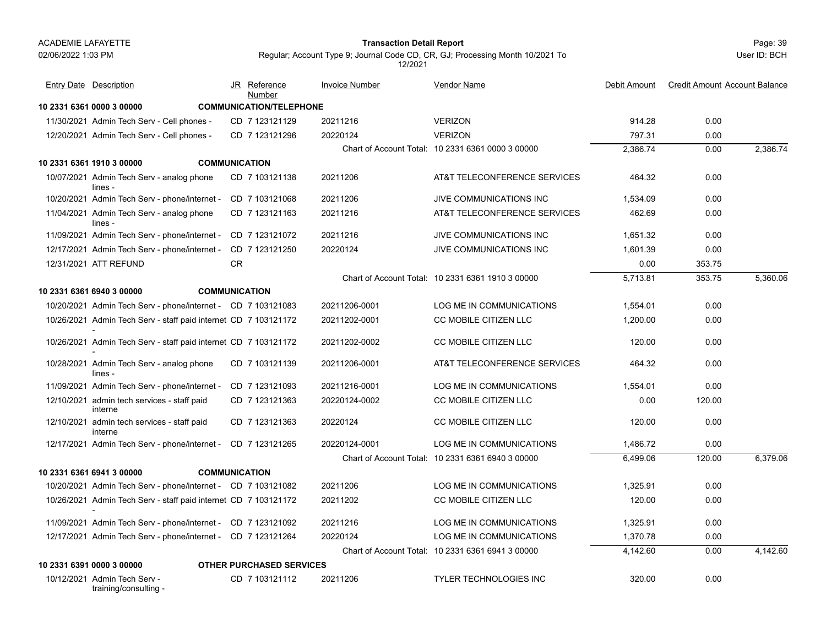#### Page: 39 **Transaction Detail Report**

User ID: BCH

| <b>Entry Date</b> Description                                   |           | JR Reference<br>Number          | <b>Invoice Number</b> | <b>Vendor Name</b>                                | Debit Amount | <b>Credit Amount Account Balance</b> |          |
|-----------------------------------------------------------------|-----------|---------------------------------|-----------------------|---------------------------------------------------|--------------|--------------------------------------|----------|
| 10 2331 6361 0000 3 00000                                       |           | <b>COMMUNICATION/TELEPHONE</b>  |                       |                                                   |              |                                      |          |
| 11/30/2021 Admin Tech Serv - Cell phones -                      |           | CD 7 123121129                  | 20211216              | <b>VERIZON</b>                                    | 914.28       | 0.00                                 |          |
| 12/20/2021 Admin Tech Serv - Cell phones -                      |           | CD 7 123121296                  | 20220124              | <b>VERIZON</b>                                    | 797.31       | 0.00                                 |          |
|                                                                 |           |                                 |                       | Chart of Account Total: 10 2331 6361 0000 3 00000 | 2,386.74     | 0.00                                 | 2,386.74 |
| 10 2331 6361 1910 3 00000                                       |           | <b>COMMUNICATION</b>            |                       |                                                   |              |                                      |          |
| 10/07/2021 Admin Tech Serv - analog phone<br>lines -            |           | CD 7 103121138                  | 20211206              | AT&T TELECONFERENCE SERVICES                      | 464.32       | 0.00                                 |          |
| 10/20/2021 Admin Tech Serv - phone/internet -                   |           | CD 7 103121068                  | 20211206              | JIVE COMMUNICATIONS INC                           | 1,534.09     | 0.00                                 |          |
| 11/04/2021 Admin Tech Serv - analog phone<br>lines -            |           | CD 7 123121163                  | 20211216              | AT&T TELECONFERENCE SERVICES                      | 462.69       | 0.00                                 |          |
| 11/09/2021 Admin Tech Serv - phone/internet -                   |           | CD 7 123121072                  | 20211216              | JIVE COMMUNICATIONS INC                           | 1,651.32     | 0.00                                 |          |
| 12/17/2021 Admin Tech Serv - phone/internet -                   |           | CD 7 123121250                  | 20220124              | JIVE COMMUNICATIONS INC                           | 1,601.39     | 0.00                                 |          |
| 12/31/2021 ATT REFUND                                           | <b>CR</b> |                                 |                       |                                                   | 0.00         | 353.75                               |          |
|                                                                 |           |                                 |                       | Chart of Account Total: 10 2331 6361 1910 3 00000 | 5,713.81     | 353.75                               | 5,360.06 |
| 10 2331 6361 6940 3 00000                                       |           | <b>COMMUNICATION</b>            |                       |                                                   |              |                                      |          |
| 10/20/2021 Admin Tech Serv - phone/internet - CD 7 103121083    |           |                                 | 20211206-0001         | LOG ME IN COMMUNICATIONS                          | 1,554.01     | 0.00                                 |          |
| 10/26/2021 Admin Tech Serv - staff paid internet CD 7 103121172 |           |                                 | 20211202-0001         | <b>CC MOBILE CITIZEN LLC</b>                      | 1,200.00     | 0.00                                 |          |
| 10/26/2021 Admin Tech Serv - staff paid internet CD 7 103121172 |           |                                 | 20211202-0002         | CC MOBILE CITIZEN LLC                             | 120.00       | 0.00                                 |          |
| 10/28/2021 Admin Tech Serv - analog phone<br>lines -            |           | CD 7 103121139                  | 20211206-0001         | AT&T TELECONFERENCE SERVICES                      | 464.32       | 0.00                                 |          |
| 11/09/2021 Admin Tech Serv - phone/internet -                   |           | CD 7 123121093                  | 20211216-0001         | LOG ME IN COMMUNICATIONS                          | 1,554.01     | 0.00                                 |          |
| 12/10/2021 admin tech services - staff paid<br>interne          |           | CD 7 123121363                  | 20220124-0002         | CC MOBILE CITIZEN LLC                             | 0.00         | 120.00                               |          |
| 12/10/2021 admin tech services - staff paid<br>interne          |           | CD 7 123121363                  | 20220124              | CC MOBILE CITIZEN LLC                             | 120.00       | 0.00                                 |          |
| 12/17/2021 Admin Tech Serv - phone/internet - CD 7 123121265    |           |                                 | 20220124-0001         | LOG ME IN COMMUNICATIONS                          | 1,486.72     | 0.00                                 |          |
|                                                                 |           |                                 |                       | Chart of Account Total: 10 2331 6361 6940 3 00000 | 6,499.06     | 120.00                               | 6.379.06 |
| 10 2331 6361 6941 3 00000                                       |           | <b>COMMUNICATION</b>            |                       |                                                   |              |                                      |          |
| 10/20/2021 Admin Tech Serv - phone/internet - CD 7 103121082    |           |                                 | 20211206              | LOG ME IN COMMUNICATIONS                          | 1,325.91     | 0.00                                 |          |
| 10/26/2021 Admin Tech Serv - staff paid internet CD 7 103121172 |           |                                 | 20211202              | CC MOBILE CITIZEN LLC                             | 120.00       | 0.00                                 |          |
| 11/09/2021 Admin Tech Serv - phone/internet - CD 7 123121092    |           |                                 | 20211216              | LOG ME IN COMMUNICATIONS                          | 1,325.91     | 0.00                                 |          |
| 12/17/2021 Admin Tech Serv - phone/internet - CD 7 123121264    |           |                                 | 20220124              | LOG ME IN COMMUNICATIONS                          | 1,370.78     | 0.00                                 |          |
|                                                                 |           |                                 |                       | Chart of Account Total: 10 2331 6361 6941 3 00000 | 4,142.60     | 0.00                                 | 4,142.60 |
| 10 2331 6391 0000 3 00000                                       |           | <b>OTHER PURCHASED SERVICES</b> |                       |                                                   |              |                                      |          |
| 10/12/2021 Admin Tech Serv -<br>training/consulting -           |           | CD 7 103121112                  | 20211206              | <b>TYLER TECHNOLOGIES INC</b>                     | 320.00       | 0.00                                 |          |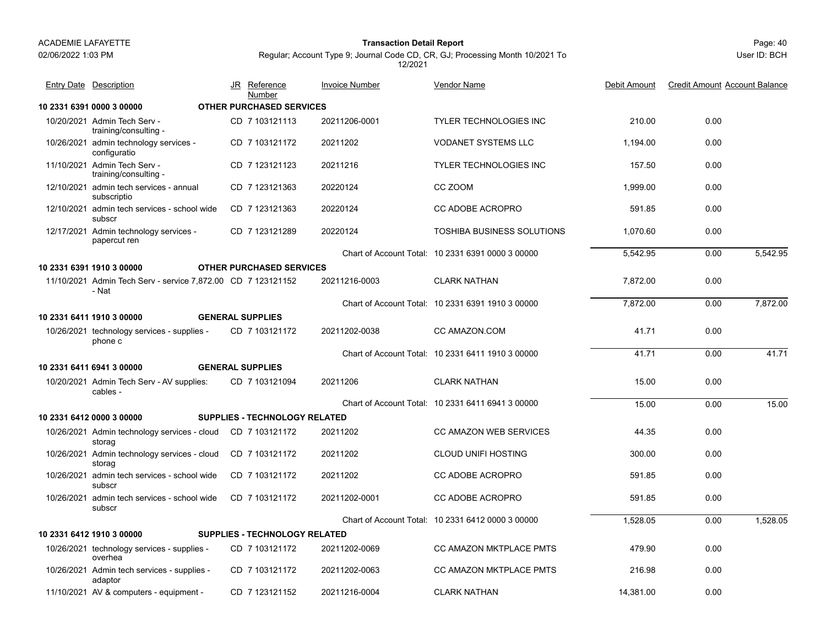02/06/2022 1:03 PM

#### Page: 40 **Transaction Detail Report**

| <b>Entry Date Description</b>                                         | JR Reference<br>Number          | <b>Invoice Number</b> | <b>Vendor Name</b>                                | Debit Amount | <b>Credit Amount Account Balance</b> |          |
|-----------------------------------------------------------------------|---------------------------------|-----------------------|---------------------------------------------------|--------------|--------------------------------------|----------|
| 10 2331 6391 0000 3 00000                                             | <b>OTHER PURCHASED SERVICES</b> |                       |                                                   |              |                                      |          |
| 10/20/2021 Admin Tech Serv -<br>training/consulting -                 | CD 7 103121113                  | 20211206-0001         | <b>TYLER TECHNOLOGIES INC</b>                     | 210.00       | 0.00                                 |          |
| 10/26/2021 admin technology services -<br>configuratio                | CD 7 103121172                  | 20211202              | <b>VODANET SYSTEMS LLC</b>                        | 1,194.00     | 0.00                                 |          |
| 11/10/2021 Admin Tech Serv -<br>training/consulting -                 | CD 7 123121123                  | 20211216              | <b>TYLER TECHNOLOGIES INC</b>                     | 157.50       | 0.00                                 |          |
| 12/10/2021 admin tech services - annual<br>subscriptio                | CD 7 123121363                  | 20220124              | CC ZOOM                                           | 1.999.00     | 0.00                                 |          |
| 12/10/2021 admin tech services - school wide<br>subscr                | CD 7 123121363                  | 20220124              | CC ADOBE ACROPRO                                  | 591.85       | 0.00                                 |          |
| 12/17/2021 Admin technology services -<br>papercut ren                | CD 7 123121289                  | 20220124              | <b>TOSHIBA BUSINESS SOLUTIONS</b>                 | 1,070.60     | 0.00                                 |          |
|                                                                       |                                 |                       | Chart of Account Total: 10 2331 6391 0000 3 00000 | 5,542.95     | 0.00                                 | 5.542.95 |
| 10 2331 6391 1910 3 00000                                             | <b>OTHER PURCHASED SERVICES</b> |                       |                                                   |              |                                      |          |
| 11/10/2021 Admin Tech Serv - service 7,872.00 CD 7 123121152<br>- Nat |                                 | 20211216-0003         | <b>CLARK NATHAN</b>                               | 7,872.00     | 0.00                                 |          |
|                                                                       |                                 |                       | Chart of Account Total: 10 2331 6391 1910 3 00000 | 7,872.00     | 0.00                                 | 7,872.00 |
| 10 2331 6411 1910 3 00000                                             | <b>GENERAL SUPPLIES</b>         |                       |                                                   |              |                                      |          |
| 10/26/2021 technology services - supplies -<br>phone c                | CD 7 103121172                  | 20211202-0038         | CC AMAZON.COM                                     | 41.71        | 0.00                                 |          |
|                                                                       |                                 |                       | Chart of Account Total: 10 2331 6411 1910 3 00000 | 41.71        | 0.00                                 | 41.71    |
| 10 2331 6411 6941 3 00000                                             | <b>GENERAL SUPPLIES</b>         |                       |                                                   |              |                                      |          |
| 10/20/2021 Admin Tech Serv - AV supplies:<br>cables -                 | CD 7 103121094                  | 20211206              | <b>CLARK NATHAN</b>                               | 15.00        | 0.00                                 |          |
|                                                                       |                                 |                       | Chart of Account Total: 10 2331 6411 6941 3 00000 | 15.00        | 0.00                                 | 15.00    |
| 10 2331 6412 0000 3 00000                                             | SUPPLIES - TECHNOLOGY RELATED   |                       |                                                   |              |                                      |          |
| 10/26/2021 Admin technology services - cloud<br>storag                | CD 7 103121172                  | 20211202              | <b>CC AMAZON WEB SERVICES</b>                     | 44.35        | 0.00                                 |          |
| 10/26/2021 Admin technology services - cloud<br>storag                | CD 7 103121172                  | 20211202              | <b>CLOUD UNIFI HOSTING</b>                        | 300.00       | 0.00                                 |          |
| 10/26/2021 admin tech services - school wide<br>subscr                | CD 7 103121172                  | 20211202              | <b>CC ADOBE ACROPRO</b>                           | 591.85       | 0.00                                 |          |
| 10/26/2021 admin tech services - school wide<br>subscr                | CD 7 103121172                  | 20211202-0001         | CC ADOBE ACROPRO                                  | 591.85       | 0.00                                 |          |
|                                                                       |                                 |                       | Chart of Account Total: 10 2331 6412 0000 3 00000 | 1,528.05     | 0.00                                 | 1.528.05 |
| 10 2331 6412 1910 3 00000                                             | SUPPLIES - TECHNOLOGY RELATED   |                       |                                                   |              |                                      |          |
| 10/26/2021 technology services - supplies -<br>overhea                | CD 7 103121172                  | 20211202-0069         | CC AMAZON MKTPLACE PMTS                           | 479.90       | 0.00                                 |          |
| 10/26/2021 Admin tech services - supplies -<br>adaptor                | CD 7 103121172                  | 20211202-0063         | CC AMAZON MKTPLACE PMTS                           | 216.98       | 0.00                                 |          |
| 11/10/2021 AV & computers - equipment -                               | CD 7 123121152                  | 20211216-0004         | <b>CLARK NATHAN</b>                               | 14.381.00    | 0.00                                 |          |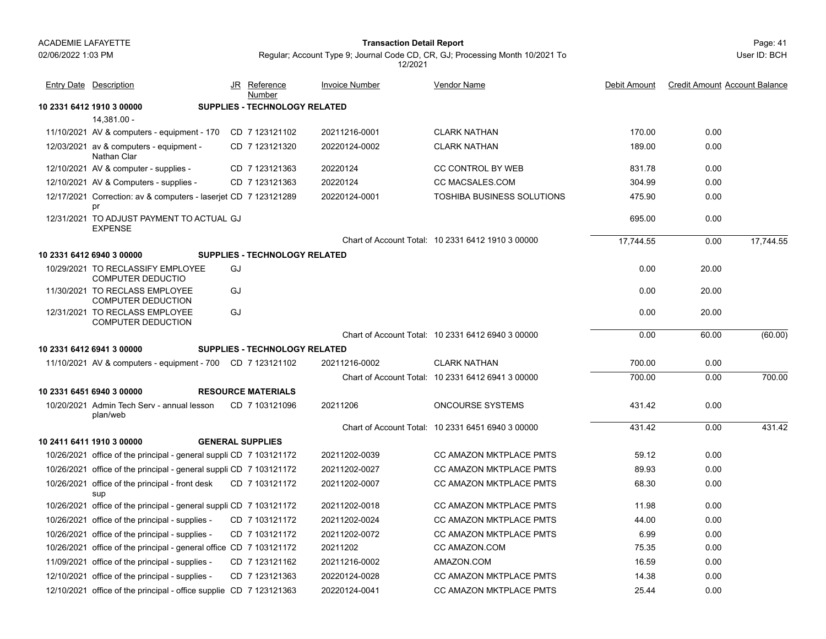#### Page: 41 **Transaction Detail Report**

User ID: BCH

| <b>Entry Date Description</b>                                         |    | JR Reference<br>Number               | <b>Invoice Number</b> | Vendor Name                                       | Debit Amount | <b>Credit Amount Account Balance</b> |           |
|-----------------------------------------------------------------------|----|--------------------------------------|-----------------------|---------------------------------------------------|--------------|--------------------------------------|-----------|
| 10 2331 6412 1910 3 00000                                             |    | SUPPLIES - TECHNOLOGY RELATED        |                       |                                                   |              |                                      |           |
| 14,381.00 -                                                           |    |                                      |                       |                                                   |              |                                      |           |
| 11/10/2021 AV & computers - equipment - 170                           |    | CD 7 123121102                       | 20211216-0001         | <b>CLARK NATHAN</b>                               | 170.00       | 0.00                                 |           |
| 12/03/2021 av & computers - equipment -<br>Nathan Clar                |    | CD 7 123121320                       | 20220124-0002         | <b>CLARK NATHAN</b>                               | 189.00       | 0.00                                 |           |
| 12/10/2021 AV & computer - supplies -                                 |    | CD 7 123121363                       | 20220124              | CC CONTROL BY WEB                                 | 831.78       | 0.00                                 |           |
| 12/10/2021 AV & Computers - supplies -                                |    | CD 7 123121363                       | 20220124              | <b>CC MACSALES.COM</b>                            | 304.99       | 0.00                                 |           |
| 12/17/2021 Correction: av & computers - laserjet CD 7 123121289<br>pr |    |                                      | 20220124-0001         | <b>TOSHIBA BUSINESS SOLUTIONS</b>                 | 475.90       | 0.00                                 |           |
| 12/31/2021 TO ADJUST PAYMENT TO ACTUAL GJ<br><b>EXPENSE</b>           |    |                                      |                       |                                                   | 695.00       | 0.00                                 |           |
|                                                                       |    |                                      |                       | Chart of Account Total: 10 2331 6412 1910 3 00000 | 17.744.55    | 0.00                                 | 17.744.55 |
| 10 2331 6412 6940 3 00000                                             |    | <b>SUPPLIES - TECHNOLOGY RELATED</b> |                       |                                                   |              |                                      |           |
| 10/29/2021 TO RECLASSIFY EMPLOYEE<br>COMPUTER DEDUCTIO                | GJ |                                      |                       |                                                   | 0.00         | 20.00                                |           |
| 11/30/2021 TO RECLASS EMPLOYEE<br><b>COMPUTER DEDUCTION</b>           | GJ |                                      |                       |                                                   | 0.00         | 20.00                                |           |
| 12/31/2021 TO RECLASS EMPLOYEE<br><b>COMPUTER DEDUCTION</b>           | GJ |                                      |                       |                                                   | 0.00         | 20.00                                |           |
|                                                                       |    |                                      |                       | Chart of Account Total: 10 2331 6412 6940 3 00000 | 0.00         | 60.00                                | (60.00)   |
| 10 2331 6412 6941 3 00000                                             |    | <b>SUPPLIES - TECHNOLOGY RELATED</b> |                       |                                                   |              |                                      |           |
| 11/10/2021 AV & computers - equipment - 700 CD 7 123121102            |    |                                      | 20211216-0002         | <b>CLARK NATHAN</b>                               | 700.00       | 0.00                                 |           |
|                                                                       |    |                                      |                       | Chart of Account Total: 10 2331 6412 6941 3 00000 | 700.00       | 0.00                                 | 700.00    |
| 10 2331 6451 6940 3 00000                                             |    | <b>RESOURCE MATERIALS</b>            |                       |                                                   |              |                                      |           |
| 10/20/2021 Admin Tech Serv - annual lesson<br>plan/web                |    | CD 7 103121096                       | 20211206              | <b>ONCOURSE SYSTEMS</b>                           | 431.42       | 0.00                                 |           |
|                                                                       |    |                                      |                       | Chart of Account Total: 10 2331 6451 6940 3 00000 | 431.42       | 0.00                                 | 431.42    |
| 10 2411 6411 1910 3 00000                                             |    | <b>GENERAL SUPPLIES</b>              |                       |                                                   |              |                                      |           |
| 10/26/2021 office of the principal - general suppli CD 7 103121172    |    |                                      | 20211202-0039         | CC AMAZON MKTPLACE PMTS                           | 59.12        | 0.00                                 |           |
| 10/26/2021 office of the principal - general suppli CD 7 103121172    |    |                                      | 20211202-0027         | <b>CC AMAZON MKTPLACE PMTS</b>                    | 89.93        | 0.00                                 |           |
| 10/26/2021 office of the principal - front desk<br>sup                |    | CD 7 103121172                       | 20211202-0007         | CC AMAZON MKTPLACE PMTS                           | 68.30        | 0.00                                 |           |
| 10/26/2021 office of the principal - general suppli CD 7 103121172    |    |                                      | 20211202-0018         | CC AMAZON MKTPLACE PMTS                           | 11.98        | 0.00                                 |           |
| 10/26/2021 office of the principal - supplies -                       |    | CD 7 103121172                       | 20211202-0024         | <b>CC AMAZON MKTPLACE PMTS</b>                    | 44.00        | 0.00                                 |           |
| 10/26/2021 office of the principal - supplies -                       |    | CD 7 103121172                       | 20211202-0072         | <b>CC AMAZON MKTPLACE PMTS</b>                    | 6.99         | 0.00                                 |           |
| 10/26/2021 office of the principal - general office CD 7 103121172    |    |                                      | 20211202              | CC AMAZON.COM                                     | 75.35        | 0.00                                 |           |
| 11/09/2021 office of the principal - supplies -                       |    | CD 7 123121162                       | 20211216-0002         | AMAZON.COM                                        | 16.59        | 0.00                                 |           |
| 12/10/2021 office of the principal - supplies -                       |    | CD 7 123121363                       | 20220124-0028         | <b>CC AMAZON MKTPLACE PMTS</b>                    | 14.38        | 0.00                                 |           |
| 12/10/2021 office of the principal - office supplie CD 7 123121363    |    |                                      | 20220124-0041         | <b>CC AMAZON MKTPLACE PMTS</b>                    | 25.44        | 0.00                                 |           |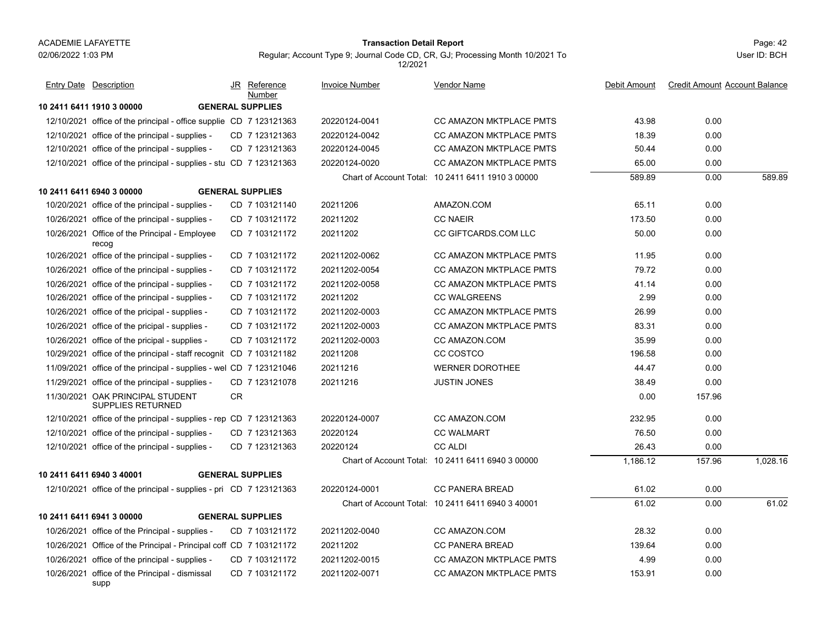supp

#### Page: 42 **Transaction Detail Report**

Regular; Account Type 9; Journal Code CD, CR, GJ; Processing Month 10/2021 To 12/2021

| Entry Date Description                                             |           | JR Reference<br>Number  | <b>Invoice Number</b> | Vendor Name                                       | Debit Amount | <b>Credit Amount Account Balance</b> |          |
|--------------------------------------------------------------------|-----------|-------------------------|-----------------------|---------------------------------------------------|--------------|--------------------------------------|----------|
| 10 2411 6411 1910 3 00000                                          |           | <b>GENERAL SUPPLIES</b> |                       |                                                   |              |                                      |          |
| 12/10/2021 office of the principal - office supplie CD 7 123121363 |           |                         | 20220124-0041         | <b>CC AMAZON MKTPLACE PMTS</b>                    | 43.98        | 0.00                                 |          |
| 12/10/2021 office of the principal - supplies -                    |           | CD 7 123121363          | 20220124-0042         | CC AMAZON MKTPLACE PMTS                           | 18.39        | 0.00                                 |          |
| 12/10/2021 office of the principal - supplies -                    |           | CD 7 123121363          | 20220124-0045         | <b>CC AMAZON MKTPLACE PMTS</b>                    | 50.44        | 0.00                                 |          |
| 12/10/2021 office of the principal - supplies - stu CD 7 123121363 |           |                         | 20220124-0020         | <b>CC AMAZON MKTPLACE PMTS</b>                    | 65.00        | 0.00                                 |          |
|                                                                    |           |                         |                       | Chart of Account Total: 10 2411 6411 1910 3 00000 | 589.89       | 0.00                                 | 589.89   |
| 10 2411 6411 6940 3 00000                                          |           | <b>GENERAL SUPPLIES</b> |                       |                                                   |              |                                      |          |
| 10/20/2021 office of the principal - supplies -                    |           | CD 7 103121140          | 20211206              | AMAZON.COM                                        | 65.11        | 0.00                                 |          |
| 10/26/2021 office of the principal - supplies -                    |           | CD 7 103121172          | 20211202              | <b>CC NAEIR</b>                                   | 173.50       | 0.00                                 |          |
| 10/26/2021 Office of the Principal - Employee<br>recog             |           | CD 7 103121172          | 20211202              | <b>CC GIFTCARDS.COM LLC</b>                       | 50.00        | 0.00                                 |          |
| 10/26/2021 office of the principal - supplies -                    |           | CD 7 103121172          | 20211202-0062         | CC AMAZON MKTPLACE PMTS                           | 11.95        | 0.00                                 |          |
| 10/26/2021 office of the principal - supplies -                    |           | CD 7 103121172          | 20211202-0054         | CC AMAZON MKTPLACE PMTS                           | 79.72        | 0.00                                 |          |
| 10/26/2021 office of the principal - supplies -                    |           | CD 7 103121172          | 20211202-0058         | <b>CC AMAZON MKTPLACE PMTS</b>                    | 41.14        | 0.00                                 |          |
| 10/26/2021 office of the principal - supplies -                    |           | CD 7 103121172          | 20211202              | <b>CC WALGREENS</b>                               | 2.99         | 0.00                                 |          |
| 10/26/2021 office of the pricipal - supplies -                     |           | CD 7 103121172          | 20211202-0003         | CC AMAZON MKTPLACE PMTS                           | 26.99        | 0.00                                 |          |
| 10/26/2021 office of the pricipal - supplies -                     |           | CD 7 103121172          | 20211202-0003         | <b>CC AMAZON MKTPLACE PMTS</b>                    | 83.31        | 0.00                                 |          |
| 10/26/2021 office of the pricipal - supplies -                     |           | CD 7 103121172          | 20211202-0003         | <b>CC AMAZON.COM</b>                              | 35.99        | 0.00                                 |          |
| 10/29/2021 office of the principal - staff recognit CD 7 103121182 |           |                         | 20211208              | CC COSTCO                                         | 196.58       | 0.00                                 |          |
| 11/09/2021 office of the principal - supplies - wel CD 7 123121046 |           |                         | 20211216              | <b>WERNER DOROTHEE</b>                            | 44.47        | 0.00                                 |          |
| 11/29/2021 office of the principal - supplies -                    |           | CD 7 123121078          | 20211216              | <b>JUSTIN JONES</b>                               | 38.49        | 0.00                                 |          |
| 11/30/2021 OAK PRINCIPAL STUDENT<br><b>SUPPLIES RETURNED</b>       | <b>CR</b> |                         |                       |                                                   | 0.00         | 157.96                               |          |
| 12/10/2021 office of the principal - supplies - rep CD 7 123121363 |           |                         | 20220124-0007         | CC AMAZON.COM                                     | 232.95       | 0.00                                 |          |
| 12/10/2021 office of the principal - supplies -                    |           | CD 7 123121363          | 20220124              | <b>CC WALMART</b>                                 | 76.50        | 0.00                                 |          |
| 12/10/2021 office of the principal - supplies -                    |           | CD 7 123121363          | 20220124              | <b>CC ALDI</b>                                    | 26.43        | 0.00                                 |          |
|                                                                    |           |                         |                       | Chart of Account Total: 10 2411 6411 6940 3 00000 | 1,186.12     | 157.96                               | 1.028.16 |
| 10 2411 6411 6940 3 40001                                          |           | <b>GENERAL SUPPLIES</b> |                       |                                                   |              |                                      |          |
| 12/10/2021 office of the principal - supplies - pri CD 7 123121363 |           |                         | 20220124-0001         | <b>CC PANERA BREAD</b>                            | 61.02        | 0.00                                 |          |
|                                                                    |           |                         |                       | Chart of Account Total: 10 2411 6411 6940 3 40001 | 61.02        | 0.00                                 | 61.02    |
| 10 2411 6411 6941 3 00000                                          |           | <b>GENERAL SUPPLIES</b> |                       |                                                   |              |                                      |          |
| 10/26/2021 office of the Principal - supplies -                    |           | CD 7 103121172          | 20211202-0040         | CC AMAZON.COM                                     | 28.32        | 0.00                                 |          |
| 10/26/2021 Office of the Principal - Principal coff CD 7 103121172 |           |                         | 20211202              | <b>CC PANERA BREAD</b>                            | 139.64       | 0.00                                 |          |
| 10/26/2021 office of the principal - supplies -                    |           | CD 7 103121172          | 20211202-0015         | <b>CC AMAZON MKTPLACE PMTS</b>                    | 4.99         | 0.00                                 |          |
| 10/26/2021 office of the Principal - dismissal                     |           | CD 7 103121172          | 20211202-0071         | <b>CC AMAZON MKTPLACE PMTS</b>                    | 153.91       | 0.00                                 |          |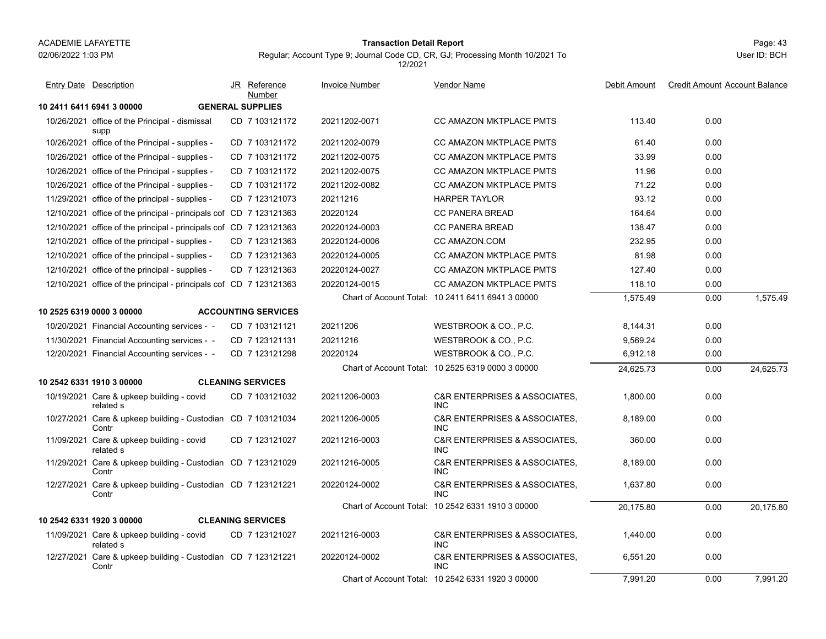#### Page: 43 **Transaction Detail Report**

Regular; Account Type 9; Journal Code CD, CR, GJ; Processing Month 10/2021 To 12/2021

User ID: BCHEntry Date Description JR Reference <u>Invoice Number</u> <u>Vendor Name</u> Debit Amount Credit Amount Account Balance

| <b>Entry Date</b> Description                                         | JR Reference<br>Number     | <b>Invoice Number</b> | <b>Vendor Name</b>                                         | Debit Amount | <b>Credit Amount Account Balance</b> |           |
|-----------------------------------------------------------------------|----------------------------|-----------------------|------------------------------------------------------------|--------------|--------------------------------------|-----------|
| 10 2411 6411 6941 3 00000                                             | <b>GENERAL SUPPLIES</b>    |                       |                                                            |              |                                      |           |
| 10/26/2021 office of the Principal - dismissal<br>supp                | CD 7 103121172             | 20211202-0071         | <b>CC AMAZON MKTPLACE PMTS</b>                             | 113.40       | 0.00                                 |           |
| 10/26/2021 office of the Principal - supplies -                       | CD 7 103121172             | 20211202-0079         | <b>CC AMAZON MKTPLACE PMTS</b>                             | 61.40        | 0.00                                 |           |
| 10/26/2021 office of the Principal - supplies -                       | CD 7 103121172             | 20211202-0075         | <b>CC AMAZON MKTPLACE PMTS</b>                             | 33.99        | 0.00                                 |           |
| 10/26/2021 office of the Principal - supplies -                       | CD 7 103121172             | 20211202-0075         | <b>CC AMAZON MKTPLACE PMTS</b>                             | 11.96        | 0.00                                 |           |
| 10/26/2021 office of the Principal - supplies -                       | CD 7 103121172             | 20211202-0082         | <b>CC AMAZON MKTPLACE PMTS</b>                             | 71.22        | 0.00                                 |           |
| 11/29/2021 office of the principal - supplies -                       | CD 7 123121073             | 20211216              | <b>HARPER TAYLOR</b>                                       | 93.12        | 0.00                                 |           |
| 12/10/2021 office of the principal - principals cof CD 7 123121363    |                            | 20220124              | <b>CC PANERA BREAD</b>                                     | 164.64       | 0.00                                 |           |
| 12/10/2021 office of the principal - principals cof CD 7 123121363    |                            | 20220124-0003         | <b>CC PANERA BREAD</b>                                     | 138.47       | 0.00                                 |           |
| 12/10/2021 office of the principal - supplies -                       | CD 7 123121363             | 20220124-0006         | CC AMAZON.COM                                              | 232.95       | 0.00                                 |           |
| 12/10/2021 office of the principal - supplies -                       | CD 7 123121363             | 20220124-0005         | CC AMAZON MKTPLACE PMTS                                    | 81.98        | 0.00                                 |           |
| 12/10/2021 office of the principal - supplies -                       | CD 7 123121363             | 20220124-0027         | CC AMAZON MKTPLACE PMTS                                    | 127.40       | 0.00                                 |           |
| 12/10/2021 office of the principal - principals cof CD 7 123121363    |                            | 20220124-0015         | CC AMAZON MKTPLACE PMTS                                    | 118.10       | 0.00                                 |           |
|                                                                       |                            |                       | Chart of Account Total: 10 2411 6411 6941 3 00000          | 1,575.49     | 0.00                                 | 1,575.49  |
| 10 2525 6319 0000 3 00000                                             | <b>ACCOUNTING SERVICES</b> |                       |                                                            |              |                                      |           |
| 10/20/2021 Financial Accounting services - -                          | CD 7 103121121             | 20211206              | WESTBROOK & CO., P.C.                                      | 8,144.31     | 0.00                                 |           |
| 11/30/2021 Financial Accounting services - -                          | CD 7 123121131             | 20211216              | WESTBROOK & CO., P.C.                                      | 9,569.24     | 0.00                                 |           |
| 12/20/2021 Financial Accounting services - -                          | CD 7 123121298             | 20220124              | WESTBROOK & CO., P.C.                                      | 6,912.18     | 0.00                                 |           |
|                                                                       |                            |                       | Chart of Account Total: 10 2525 6319 0000 3 00000          | 24,625.73    | 0.00                                 | 24,625.73 |
| 10 2542 6331 1910 3 00000                                             | <b>CLEANING SERVICES</b>   |                       |                                                            |              |                                      |           |
| 10/19/2021 Care & upkeep building - covid<br>related s                | CD 7 103121032             | 20211206-0003         | C&R ENTERPRISES & ASSOCIATES,<br><b>INC</b>                | 1,800.00     | 0.00                                 |           |
| 10/27/2021 Care & upkeep building - Custodian CD 7 103121034<br>Contr |                            | 20211206-0005         | <b>C&amp;R ENTERPRISES &amp; ASSOCIATES.</b><br><b>INC</b> | 8,189.00     | 0.00                                 |           |
| 11/09/2021 Care & upkeep building - covid<br>related s                | CD 7 123121027             | 20211216-0003         | <b>C&amp;R ENTERPRISES &amp; ASSOCIATES.</b><br><b>INC</b> | 360.00       | 0.00                                 |           |
| 11/29/2021 Care & upkeep building - Custodian CD 7 123121029<br>Contr |                            | 20211216-0005         | <b>C&amp;R ENTERPRISES &amp; ASSOCIATES.</b><br><b>INC</b> | 8.189.00     | 0.00                                 |           |
| 12/27/2021 Care & upkeep building - Custodian CD 7 123121221<br>Contr |                            | 20220124-0002         | <b>C&amp;R ENTERPRISES &amp; ASSOCIATES.</b><br><b>INC</b> | 1,637.80     | 0.00                                 |           |
|                                                                       |                            |                       | Chart of Account Total: 10 2542 6331 1910 3 00000          | 20.175.80    | 0.00                                 | 20.175.80 |
| 10 2542 6331 1920 3 00000                                             | <b>CLEANING SERVICES</b>   |                       |                                                            |              |                                      |           |
| 11/09/2021 Care & upkeep building - covid<br>related s                | CD 7 123121027             | 20211216-0003         | <b>C&amp;R ENTERPRISES &amp; ASSOCIATES.</b><br><b>INC</b> | 1,440.00     | 0.00                                 |           |
| 12/27/2021 Care & upkeep building - Custodian CD 7 123121221<br>Contr |                            | 20220124-0002         | <b>C&amp;R ENTERPRISES &amp; ASSOCIATES.</b><br><b>INC</b> | 6,551.20     | 0.00                                 |           |
|                                                                       |                            |                       | Chart of Account Total: 10 2542 6331 1920 3 00000          | 7,991.20     | 0.00                                 | 7.991.20  |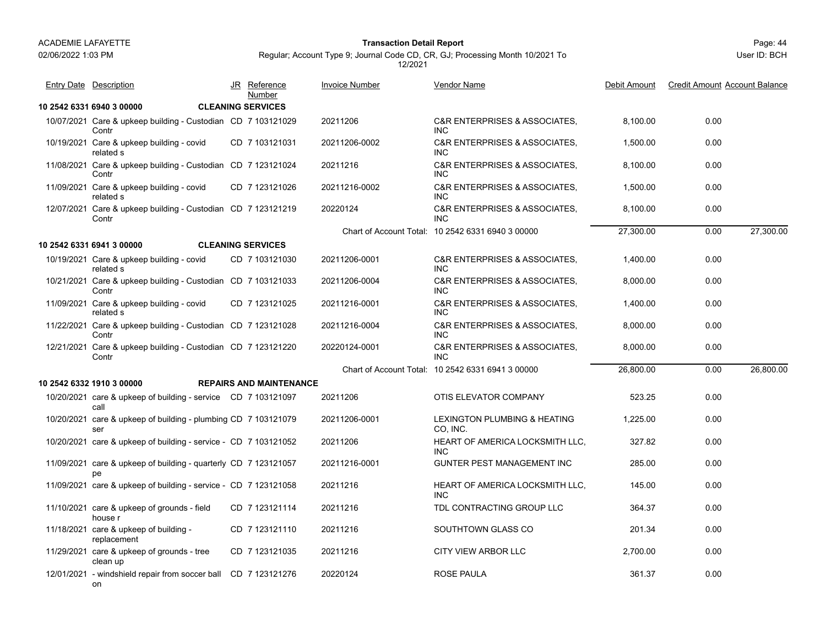#### Page: 44 **Transaction Detail Report**

Regular; Account Type 9; Journal Code CD, CR, GJ; Processing Month 10/2021 To 12/2021

| <b>Entry Date Description</b>                                         | JR Reference<br>Number         | <b>Invoice Number</b> | Vendor Name                                                | Debit Amount | <b>Credit Amount Account Balance</b> |           |
|-----------------------------------------------------------------------|--------------------------------|-----------------------|------------------------------------------------------------|--------------|--------------------------------------|-----------|
| 10 2542 6331 6940 3 00000                                             | <b>CLEANING SERVICES</b>       |                       |                                                            |              |                                      |           |
| 10/07/2021 Care & upkeep building - Custodian CD 7 103121029<br>Contr |                                | 20211206              | <b>C&amp;R ENTERPRISES &amp; ASSOCIATES.</b><br><b>INC</b> | 8,100.00     | 0.00                                 |           |
| 10/19/2021 Care & upkeep building - covid<br>related s                | CD 7 103121031                 | 20211206-0002         | <b>C&amp;R ENTERPRISES &amp; ASSOCIATES.</b><br><b>INC</b> | 1,500.00     | 0.00                                 |           |
| 11/08/2021 Care & upkeep building - Custodian CD 7 123121024<br>Contr |                                | 20211216              | <b>C&amp;R ENTERPRISES &amp; ASSOCIATES.</b><br><b>INC</b> | 8,100.00     | 0.00                                 |           |
| 11/09/2021 Care & upkeep building - covid<br>related s                | CD 7 123121026                 | 20211216-0002         | <b>C&amp;R ENTERPRISES &amp; ASSOCIATES.</b><br><b>INC</b> | 1,500.00     | 0.00                                 |           |
| 12/07/2021 Care & upkeep building - Custodian CD 7 123121219<br>Contr |                                | 20220124              | <b>C&amp;R ENTERPRISES &amp; ASSOCIATES.</b><br><b>INC</b> | 8,100.00     | 0.00                                 |           |
|                                                                       |                                |                       | Chart of Account Total: 10 2542 6331 6940 3 00000          | 27,300.00    | 0.00                                 | 27,300.00 |
| 10 2542 6331 6941 3 00000                                             | <b>CLEANING SERVICES</b>       |                       |                                                            |              |                                      |           |
| 10/19/2021 Care & upkeep building - covid<br>related s                | CD 7 103121030                 | 20211206-0001         | C&R ENTERPRISES & ASSOCIATES,<br><b>INC</b>                | 1,400.00     | 0.00                                 |           |
| 10/21/2021 Care & upkeep building - Custodian CD 7 103121033<br>Contr |                                | 20211206-0004         | C&R ENTERPRISES & ASSOCIATES.<br><b>INC</b>                | 8,000.00     | 0.00                                 |           |
| 11/09/2021 Care & upkeep building - covid<br>related s                | CD 7 123121025                 | 20211216-0001         | <b>C&amp;R ENTERPRISES &amp; ASSOCIATES,</b><br><b>INC</b> | 1,400.00     | 0.00                                 |           |
| 11/22/2021 Care & upkeep building - Custodian CD 7 123121028<br>Contr |                                | 20211216-0004         | C&R ENTERPRISES & ASSOCIATES.<br><b>INC</b>                | 8,000.00     | 0.00                                 |           |
| 12/21/2021 Care & upkeep building - Custodian CD 7 123121220<br>Contr |                                | 20220124-0001         | <b>C&amp;R ENTERPRISES &amp; ASSOCIATES.</b><br><b>INC</b> | 8,000.00     | 0.00                                 |           |
|                                                                       |                                |                       | Chart of Account Total: 10 2542 6331 6941 3 00000          | 26,800.00    | 0.00                                 | 26,800.00 |
| 10 2542 6332 1910 3 00000                                             | <b>REPAIRS AND MAINTENANCE</b> |                       |                                                            |              |                                      |           |
| 10/20/2021 care & upkeep of building - service CD 7 103121097<br>call |                                | 20211206              | OTIS ELEVATOR COMPANY                                      | 523.25       | 0.00                                 |           |
| 10/20/2021 care & upkeep of building - plumbing CD 7 103121079<br>ser |                                | 20211206-0001         | LEXINGTON PLUMBING & HEATING<br>CO, INC.                   | 1,225.00     | 0.00                                 |           |
| 10/20/2021 care & upkeep of building - service - CD 7 103121052       |                                | 20211206              | <b>HEART OF AMERICA LOCKSMITH LLC,</b><br><b>INC</b>       | 327.82       | 0.00                                 |           |
| 11/09/2021 care & upkeep of building - quarterly CD 7 123121057<br>pe |                                | 20211216-0001         | GUNTER PEST MANAGEMENT INC                                 | 285.00       | 0.00                                 |           |
| 11/09/2021 care & upkeep of building - service - CD 7 123121058       |                                | 20211216              | HEART OF AMERICA LOCKSMITH LLC,<br><b>INC</b>              | 145.00       | 0.00                                 |           |
| 11/10/2021 care & upkeep of grounds - field<br>house r                | CD 7 123121114                 | 20211216              | TDL CONTRACTING GROUP LLC                                  | 364.37       | 0.00                                 |           |
| 11/18/2021 care & upkeep of building -<br>replacement                 | CD 7 123121110                 | 20211216              | SOUTHTOWN GLASS CO                                         | 201.34       | 0.00                                 |           |
| 11/29/2021 care & upkeep of grounds - tree<br>clean up                | CD 7 123121035                 | 20211216              | <b>CITY VIEW ARBOR LLC</b>                                 | 2,700.00     | 0.00                                 |           |
| 12/01/2021 - windshield repair from soccer ball CD 7 123121276<br>on  |                                | 20220124              | <b>ROSE PAULA</b>                                          | 361.37       | 0.00                                 |           |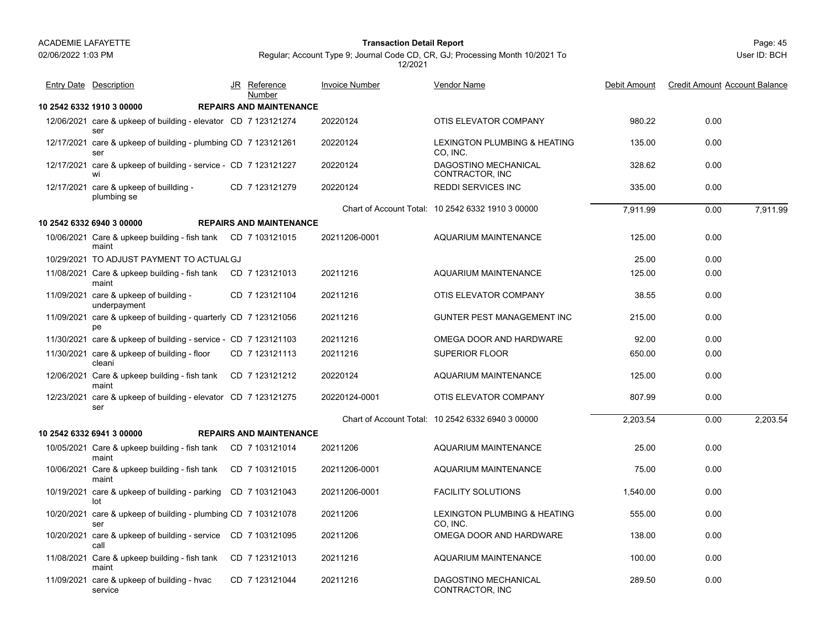#### Page: 45 **Transaction Detail Report**

|            | <b>Entry Date Description</b>                                         | JR Reference<br>Number         | <b>Invoice Number</b> | <b>Vendor Name</b>                                | Debit Amount | <b>Credit Amount Account Balance</b> |
|------------|-----------------------------------------------------------------------|--------------------------------|-----------------------|---------------------------------------------------|--------------|--------------------------------------|
|            | 10 2542 6332 1910 3 00000                                             | <b>REPAIRS AND MAINTENANCE</b> |                       |                                                   |              |                                      |
|            | 12/06/2021 care & upkeep of building - elevator CD 7 123121274<br>ser |                                | 20220124              | OTIS ELEVATOR COMPANY                             | 980.22       | 0.00                                 |
|            | 12/17/2021 care & upkeep of building - plumbing CD 7 123121261<br>ser |                                | 20220124              | LEXINGTON PLUMBING & HEATING<br>CO, INC.          | 135.00       | 0.00                                 |
|            | 12/17/2021 care & upkeep of building - service - CD 7 123121227<br>wi |                                | 20220124              | DAGOSTINO MECHANICAL<br>CONTRACTOR, INC           | 328.62       | 0.00                                 |
|            | 12/17/2021 care & upkeep of buillding -<br>plumbing se                | CD 7 123121279                 | 20220124              | <b>REDDI SERVICES INC</b>                         | 335.00       | 0.00                                 |
|            |                                                                       |                                |                       | Chart of Account Total: 10 2542 6332 1910 3 00000 | 7,911.99     | 0.00<br>7,911.99                     |
|            | 10 2542 6332 6940 3 00000                                             | <b>REPAIRS AND MAINTENANCE</b> |                       |                                                   |              |                                      |
|            | 10/06/2021 Care & upkeep building - fish tank CD 7 103121015<br>maint |                                | 20211206-0001         | AQUARIUM MAINTENANCE                              | 125.00       | 0.00                                 |
|            | 10/29/2021 TO ADJUST PAYMENT TO ACTUAL GJ                             |                                |                       |                                                   | 25.00        | 0.00                                 |
|            | 11/08/2021 Care & upkeep building - fish tank<br>maint                | CD 7 123121013                 | 20211216              | AQUARIUM MAINTENANCE                              | 125.00       | 0.00                                 |
|            | 11/09/2021 care & upkeep of building -<br>underpayment                | CD 7 123121104                 | 20211216              | OTIS ELEVATOR COMPANY                             | 38.55        | 0.00                                 |
|            | 11/09/2021 care & upkeep of building - quarterly CD 7 123121056<br>pe |                                | 20211216              | GUNTER PEST MANAGEMENT INC                        | 215.00       | 0.00                                 |
|            | 11/30/2021 care & upkeep of building - service - CD 7 123121103       |                                | 20211216              | OMEGA DOOR AND HARDWARE                           | 92.00        | 0.00                                 |
|            | 11/30/2021 care & upkeep of building - floor<br>cleani                | CD 7 123121113                 | 20211216              | <b>SUPERIOR FLOOR</b>                             | 650.00       | 0.00                                 |
|            | 12/06/2021 Care & upkeep building - fish tank<br>maint                | CD 7 123121212                 | 20220124              | AQUARIUM MAINTENANCE                              | 125.00       | 0.00                                 |
| 12/23/2021 | care & upkeep of building - elevator CD 7 123121275<br>ser            |                                | 20220124-0001         | OTIS ELEVATOR COMPANY                             | 807.99       | 0.00                                 |
|            |                                                                       |                                |                       | Chart of Account Total: 10 2542 6332 6940 3 00000 | 2,203.54     | 2,203.54<br>0.00                     |
|            | 10 2542 6332 6941 3 00000                                             | <b>REPAIRS AND MAINTENANCE</b> |                       |                                                   |              |                                      |
|            | 10/05/2021 Care & upkeep building - fish tank<br>maint                | CD 7 103121014                 | 20211206              | <b>AQUARIUM MAINTENANCE</b>                       | 25.00        | 0.00                                 |
|            | 10/06/2021 Care & upkeep building - fish tank<br>maint                | CD 7 103121015                 | 20211206-0001         | AQUARIUM MAINTENANCE                              | 75.00        | 0.00                                 |
|            | 10/19/2021 care & upkeep of building - parking<br>lot                 | CD 7 103121043                 | 20211206-0001         | <b>FACILITY SOLUTIONS</b>                         | 1.540.00     | 0.00                                 |
|            | 10/20/2021 care & upkeep of building - plumbing CD 7 103121078<br>ser |                                | 20211206              | LEXINGTON PLUMBING & HEATING<br>CO. INC.          | 555.00       | 0.00                                 |
|            | 10/20/2021 care & upkeep of building - service CD 7 103121095<br>call |                                | 20211206              | OMEGA DOOR AND HARDWARE                           | 138.00       | 0.00                                 |
|            | 11/08/2021 Care & upkeep building - fish tank<br>maint                | CD 7 123121013                 | 20211216              | <b>AQUARIUM MAINTENANCE</b>                       | 100.00       | 0.00                                 |
|            | 11/09/2021 care & upkeep of building - hvac<br>service                | CD 7 123121044                 | 20211216              | DAGOSTINO MECHANICAL<br>CONTRACTOR, INC           | 289.50       | 0.00                                 |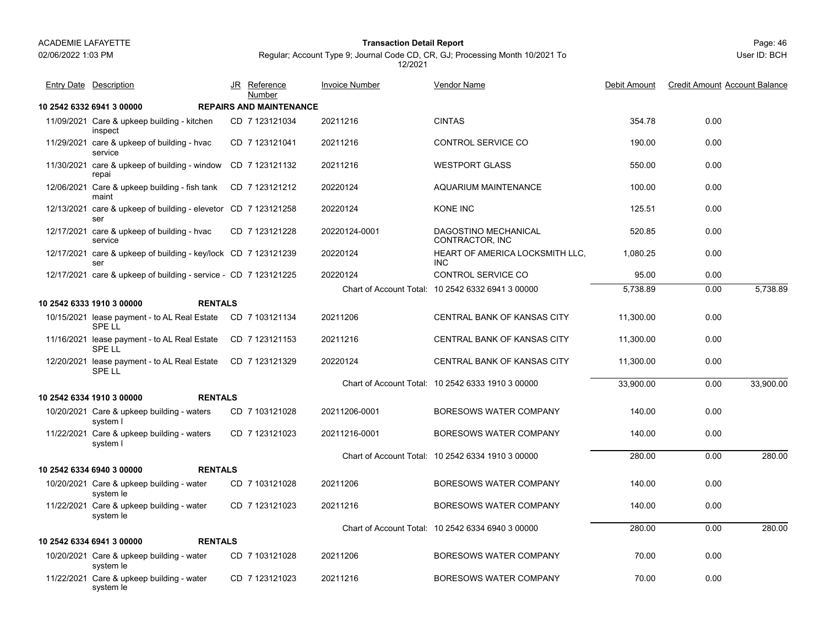#### Page: 46 **Transaction Detail Report**

Regular; Account Type 9; Journal Code CD, CR, GJ; Processing Month 10/2021 To 12/2021

| <b>Entry Date Description</b>                                         | <u>JR</u> | <u>Reference</u><br>Number     | <b>Invoice Number</b> | <b>Vendor Name</b>                                | Debit Amount | <b>Credit Amount Account Balance</b> |           |
|-----------------------------------------------------------------------|-----------|--------------------------------|-----------------------|---------------------------------------------------|--------------|--------------------------------------|-----------|
| 10 2542 6332 6941 3 00000                                             |           | <b>REPAIRS AND MAINTENANCE</b> |                       |                                                   |              |                                      |           |
| 11/09/2021 Care & upkeep building - kitchen<br>inspect                |           | CD 7 123121034                 | 20211216              | <b>CINTAS</b>                                     | 354.78       | 0.00                                 |           |
| 11/29/2021 care & upkeep of building - hvac<br>service                |           | CD 7 123121041                 | 20211216              | CONTROL SERVICE CO                                | 190.00       | 0.00                                 |           |
| 11/30/2021 care & upkeep of building - window<br>repai                |           | CD 7 123121132                 | 20211216              | <b>WESTPORT GLASS</b>                             | 550.00       | 0.00                                 |           |
| 12/06/2021 Care & upkeep building - fish tank<br>maint                |           | CD 7 123121212                 | 20220124              | AQUARIUM MAINTENANCE                              | 100.00       | 0.00                                 |           |
| 12/13/2021 care & upkeep of building - elevetor CD 7 123121258<br>ser |           |                                | 20220124              | <b>KONE INC</b>                                   | 125.51       | 0.00                                 |           |
| 12/17/2021 care & upkeep of building - hvac<br>service                |           | CD 7 123121228                 | 20220124-0001         | DAGOSTINO MECHANICAL<br>CONTRACTOR, INC           | 520.85       | 0.00                                 |           |
| 12/17/2021 care & upkeep of building - key/lock CD 7 123121239<br>ser |           |                                | 20220124              | HEART OF AMERICA LOCKSMITH LLC,<br><b>INC</b>     | 1,080.25     | 0.00                                 |           |
| 12/17/2021 care & upkeep of building - service - CD 7 123121225       |           |                                | 20220124              | <b>CONTROL SERVICE CO</b>                         | 95.00        | 0.00                                 |           |
|                                                                       |           |                                |                       | Chart of Account Total: 10 2542 6332 6941 3 00000 | 5,738.89     | 0.00                                 | 5,738.89  |
| <b>RENTALS</b><br>10 2542 6333 1910 3 00000                           |           |                                |                       |                                                   |              |                                      |           |
| 10/15/2021 lease payment - to AL Real Estate<br><b>SPELL</b>          |           | CD 7 103121134                 | 20211206              | CENTRAL BANK OF KANSAS CITY                       | 11,300.00    | 0.00                                 |           |
| 11/16/2021 lease payment - to AL Real Estate<br>SPE LL                |           | CD 7 123121153                 | 20211216              | CENTRAL BANK OF KANSAS CITY                       | 11,300.00    | 0.00                                 |           |
| 12/20/2021 lease payment - to AL Real Estate<br><b>SPELL</b>          |           | CD 7 123121329                 | 20220124              | CENTRAL BANK OF KANSAS CITY                       | 11,300.00    | 0.00                                 |           |
|                                                                       |           |                                |                       | Chart of Account Total: 10 2542 6333 1910 3 00000 | 33,900.00    | 0.00                                 | 33,900.00 |
| 10 2542 6334 1910 3 00000<br><b>RENTALS</b>                           |           |                                |                       |                                                   |              |                                      |           |
| 10/20/2021 Care & upkeep building - waters<br>system I                |           | CD 7 103121028                 | 20211206-0001         | <b>BORESOWS WATER COMPANY</b>                     | 140.00       | 0.00                                 |           |
| 11/22/2021 Care & upkeep building - waters<br>system I                |           | CD 7 123121023                 | 20211216-0001         | <b>BORESOWS WATER COMPANY</b>                     | 140.00       | 0.00                                 |           |
|                                                                       |           |                                |                       | Chart of Account Total: 10 2542 6334 1910 3 00000 | 280.00       | 0.00                                 | 280.00    |
| <b>RENTALS</b><br>10 2542 6334 6940 3 00000                           |           |                                |                       |                                                   |              |                                      |           |
| 10/20/2021 Care & upkeep building - water<br>system le                |           | CD 7 103121028                 | 20211206              | <b>BORESOWS WATER COMPANY</b>                     | 140.00       | 0.00                                 |           |
| 11/22/2021 Care & upkeep building - water<br>system le                |           | CD 7 123121023                 | 20211216              | <b>BORESOWS WATER COMPANY</b>                     | 140.00       | 0.00                                 |           |
|                                                                       |           |                                |                       | Chart of Account Total: 10 2542 6334 6940 3 00000 | 280.00       | 0.00                                 | 280.00    |
| 10 2542 6334 6941 3 00000<br><b>RENTALS</b>                           |           |                                |                       |                                                   |              |                                      |           |
| 10/20/2021 Care & upkeep building - water<br>system le                |           | CD 7 103121028                 | 20211206              | <b>BORESOWS WATER COMPANY</b>                     | 70.00        | 0.00                                 |           |
| 11/22/2021 Care & upkeep building - water<br>system le                |           | CD 7 123121023                 | 20211216              | <b>BORESOWS WATER COMPANY</b>                     | 70.00        | 0.00                                 |           |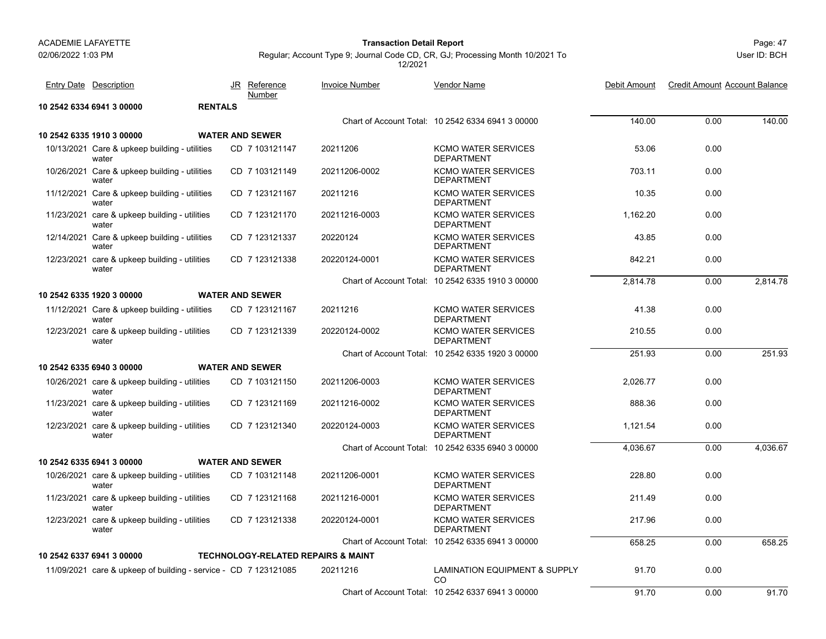#### Page: 47 **Transaction Detail Report**

User ID: BCH

| <b>Entry Date Description</b>                                   |                | JR Reference<br>Number                        | <b>Invoice Number</b> | Vendor Name                                       | Debit Amount | <b>Credit Amount Account Balance</b> |          |
|-----------------------------------------------------------------|----------------|-----------------------------------------------|-----------------------|---------------------------------------------------|--------------|--------------------------------------|----------|
| 10 2542 6334 6941 3 00000                                       | <b>RENTALS</b> |                                               |                       |                                                   |              |                                      |          |
|                                                                 |                |                                               |                       | Chart of Account Total: 10 2542 6334 6941 3 00000 | 140.00       | 0.00                                 | 140.00   |
| 10 2542 6335 1910 3 00000                                       |                | <b>WATER AND SEWER</b>                        |                       |                                                   |              |                                      |          |
| 10/13/2021 Care & upkeep building - utilities<br>water          |                | CD 7 103121147                                | 20211206              | <b>KCMO WATER SERVICES</b><br><b>DEPARTMENT</b>   | 53.06        | 0.00                                 |          |
| 10/26/2021 Care & upkeep building - utilities<br>water          |                | CD 7 103121149                                | 20211206-0002         | <b>KCMO WATER SERVICES</b><br><b>DEPARTMENT</b>   | 703.11       | 0.00                                 |          |
| 11/12/2021 Care & upkeep building - utilities<br>water          |                | CD 7 123121167                                | 20211216              | <b>KCMO WATER SERVICES</b><br><b>DEPARTMENT</b>   | 10.35        | 0.00                                 |          |
| 11/23/2021 care & upkeep building - utilities<br>water          |                | CD 7 123121170                                | 20211216-0003         | <b>KCMO WATER SERVICES</b><br><b>DEPARTMENT</b>   | 1.162.20     | 0.00                                 |          |
| 12/14/2021 Care & upkeep building - utilities<br>water          |                | CD 7 123121337                                | 20220124              | <b>KCMO WATER SERVICES</b><br><b>DEPARTMENT</b>   | 43.85        | 0.00                                 |          |
| 12/23/2021 care & upkeep building - utilities<br>water          |                | CD 7 123121338                                | 20220124-0001         | <b>KCMO WATER SERVICES</b><br><b>DEPARTMENT</b>   | 842.21       | 0.00                                 |          |
|                                                                 |                |                                               |                       | Chart of Account Total: 10 2542 6335 1910 3 00000 | 2,814.78     | 0.00                                 | 2.814.78 |
| 10 2542 6335 1920 3 00000                                       |                | <b>WATER AND SEWER</b>                        |                       |                                                   |              |                                      |          |
| 11/12/2021 Care & upkeep building - utilities<br>water          |                | CD 7 123121167                                | 20211216              | <b>KCMO WATER SERVICES</b><br><b>DEPARTMENT</b>   | 41.38        | 0.00                                 |          |
| 12/23/2021 care & upkeep building - utilities<br>water          |                | CD 7 123121339                                | 20220124-0002         | <b>KCMO WATER SERVICES</b><br><b>DEPARTMENT</b>   | 210.55       | 0.00                                 |          |
|                                                                 |                |                                               |                       | Chart of Account Total: 10 2542 6335 1920 3 00000 | 251.93       | 0.00                                 | 251.93   |
| 10 2542 6335 6940 3 00000                                       |                | <b>WATER AND SEWER</b>                        |                       |                                                   |              |                                      |          |
| 10/26/2021 care & upkeep building - utilities<br>water          |                | CD 7 103121150                                | 20211206-0003         | <b>KCMO WATER SERVICES</b><br><b>DEPARTMENT</b>   | 2,026.77     | 0.00                                 |          |
| 11/23/2021 care & upkeep building - utilities<br>water          |                | CD 7 123121169                                | 20211216-0002         | <b>KCMO WATER SERVICES</b><br><b>DEPARTMENT</b>   | 888.36       | 0.00                                 |          |
| 12/23/2021 care & upkeep building - utilities<br>water          |                | CD 7 123121340                                | 20220124-0003         | <b>KCMO WATER SERVICES</b><br><b>DEPARTMENT</b>   | 1,121.54     | 0.00                                 |          |
|                                                                 |                |                                               |                       | Chart of Account Total: 10 2542 6335 6940 3 00000 | 4,036.67     | 0.00                                 | 4,036.67 |
| 10 2542 6335 6941 3 00000                                       |                | <b>WATER AND SEWER</b>                        |                       |                                                   |              |                                      |          |
| 10/26/2021 care & upkeep building - utilities<br>water          |                | CD 7 103121148                                | 20211206-0001         | <b>KCMO WATER SERVICES</b><br><b>DEPARTMENT</b>   | 228.80       | 0.00                                 |          |
| 11/23/2021 care & upkeep building - utilities<br>water          |                | CD 7 123121168                                | 20211216-0001         | <b>KCMO WATER SERVICES</b><br><b>DEPARTMENT</b>   | 211.49       | 0.00                                 |          |
| 12/23/2021 care & upkeep building - utilities<br>water          |                | CD 7 123121338                                | 20220124-0001         | <b>KCMO WATER SERVICES</b><br><b>DEPARTMENT</b>   | 217.96       | 0.00                                 |          |
|                                                                 |                |                                               |                       | Chart of Account Total: 10 2542 6335 6941 3 00000 | 658.25       | 0.00                                 | 658.25   |
| 10 2542 6337 6941 3 00000                                       |                | <b>TECHNOLOGY-RELATED REPAIRS &amp; MAINT</b> |                       |                                                   |              |                                      |          |
| 11/09/2021 care & upkeep of building - service - CD 7 123121085 |                |                                               | 20211216              | <b>LAMINATION EQUIPMENT &amp; SUPPLY</b><br>CO    | 91.70        | 0.00                                 |          |
|                                                                 |                |                                               |                       | Chart of Account Total: 10 2542 6337 6941 3 00000 | 91.70        | 0.00                                 | 91.70    |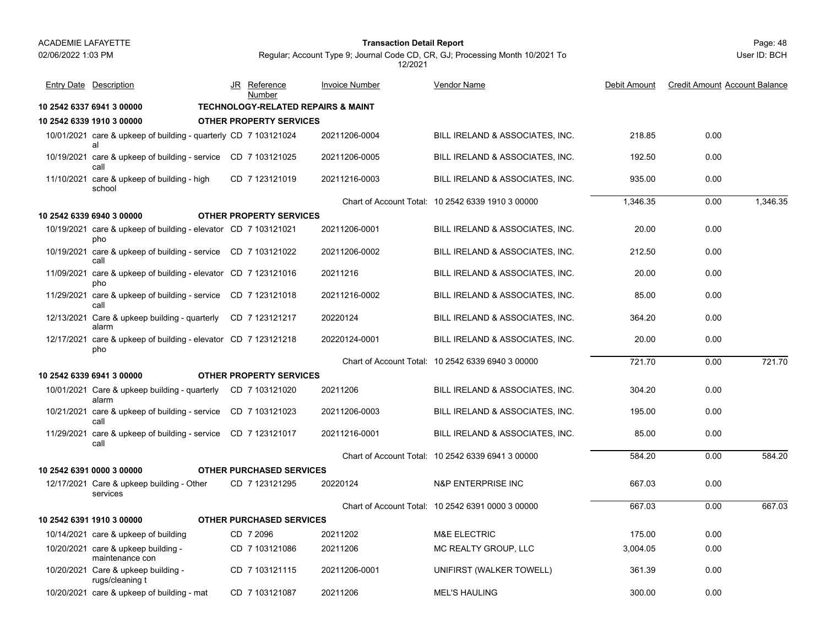#### Page: 48 **Transaction Detail Report**

Regular; Account Type 9; Journal Code CD, CR, GJ; Processing Month 10/2021 To 12/2021

|            | <b>Entry Date Description</b>                                         |  | JR Reference<br>Number                        | <b>Invoice Number</b> | Vendor Name                                       | Debit Amount | <b>Credit Amount Account Balance</b> |          |
|------------|-----------------------------------------------------------------------|--|-----------------------------------------------|-----------------------|---------------------------------------------------|--------------|--------------------------------------|----------|
|            | 10 2542 6337 6941 3 00000                                             |  | <b>TECHNOLOGY-RELATED REPAIRS &amp; MAINT</b> |                       |                                                   |              |                                      |          |
|            | 10 2542 6339 1910 3 00000                                             |  | <b>OTHER PROPERTY SERVICES</b>                |                       |                                                   |              |                                      |          |
|            | 10/01/2021 care & upkeep of building - quarterly CD 7 103121024<br>al |  |                                               | 20211206-0004         | BILL IRELAND & ASSOCIATES, INC.                   | 218.85       | 0.00                                 |          |
|            | 10/19/2021 care & upkeep of building - service CD 7 103121025<br>call |  |                                               | 20211206-0005         | BILL IRELAND & ASSOCIATES, INC.                   | 192.50       | 0.00                                 |          |
|            | 11/10/2021 care & upkeep of building - high<br>school                 |  | CD 7 123121019                                | 20211216-0003         | BILL IRELAND & ASSOCIATES, INC.                   | 935.00       | 0.00                                 |          |
|            |                                                                       |  |                                               |                       | Chart of Account Total: 10 2542 6339 1910 3 00000 | 1,346.35     | 0.00                                 | 1.346.35 |
|            | 10 2542 6339 6940 3 00000                                             |  | <b>OTHER PROPERTY SERVICES</b>                |                       |                                                   |              |                                      |          |
|            | 10/19/2021 care & upkeep of building - elevator CD 7 103121021<br>pho |  |                                               | 20211206-0001         | BILL IRELAND & ASSOCIATES, INC.                   | 20.00        | 0.00                                 |          |
|            | 10/19/2021 care & upkeep of building - service CD 7 103121022<br>call |  |                                               | 20211206-0002         | BILL IRELAND & ASSOCIATES, INC.                   | 212.50       | 0.00                                 |          |
|            | 11/09/2021 care & upkeep of building - elevator CD 7 123121016<br>pho |  |                                               | 20211216              | BILL IRELAND & ASSOCIATES, INC.                   | 20.00        | 0.00                                 |          |
|            | 11/29/2021 care & upkeep of building - service CD 7 123121018<br>call |  |                                               | 20211216-0002         | BILL IRELAND & ASSOCIATES, INC.                   | 85.00        | 0.00                                 |          |
|            | 12/13/2021 Care & upkeep building - quarterly<br>alarm                |  | CD 7 123121217                                | 20220124              | BILL IRELAND & ASSOCIATES, INC.                   | 364.20       | 0.00                                 |          |
|            | 12/17/2021 care & upkeep of building - elevator CD 7 123121218<br>pho |  |                                               | 20220124-0001         | BILL IRELAND & ASSOCIATES, INC.                   | 20.00        | 0.00                                 |          |
|            |                                                                       |  |                                               |                       | Chart of Account Total: 10 2542 6339 6940 3 00000 | 721.70       | 0.00                                 | 721.70   |
|            | 10 2542 6339 6941 3 00000                                             |  | <b>OTHER PROPERTY SERVICES</b>                |                       |                                                   |              |                                      |          |
|            | 10/01/2021 Care & upkeep building - quarterly CD 7 103121020<br>alarm |  |                                               | 20211206              | BILL IRELAND & ASSOCIATES, INC.                   | 304.20       | 0.00                                 |          |
| 10/21/2021 | care & upkeep of building - service CD 7 103121023<br>call            |  |                                               | 20211206-0003         | BILL IRELAND & ASSOCIATES, INC.                   | 195.00       | 0.00                                 |          |
| 11/29/2021 | care & upkeep of building - service CD 7 123121017<br>call            |  |                                               | 20211216-0001         | BILL IRELAND & ASSOCIATES, INC.                   | 85.00        | 0.00                                 |          |
|            |                                                                       |  |                                               |                       | Chart of Account Total: 10 2542 6339 6941 3 00000 | 584.20       | 0.00                                 | 584.20   |
|            | 10 2542 6391 0000 3 00000                                             |  | <b>OTHER PURCHASED SERVICES</b>               |                       |                                                   |              |                                      |          |
|            | 12/17/2021 Care & upkeep building - Other<br>services                 |  | CD 7 123121295                                | 20220124              | <b>N&amp;P ENTERPRISE INC</b>                     | 667.03       | 0.00                                 |          |
|            |                                                                       |  |                                               |                       | Chart of Account Total: 10 2542 6391 0000 3 00000 | 667.03       | 0.00                                 | 667.03   |
|            | 10 2542 6391 1910 3 00000                                             |  | <b>OTHER PURCHASED SERVICES</b>               |                       |                                                   |              |                                      |          |
|            | 10/14/2021 care & upkeep of building                                  |  | CD 7 2096                                     | 20211202              | <b>M&amp;E ELECTRIC</b>                           | 175.00       | 0.00                                 |          |
|            | 10/20/2021 care & upkeep building -<br>maintenance con                |  | CD 7 103121086                                | 20211206              | MC REALTY GROUP, LLC                              | 3,004.05     | 0.00                                 |          |
|            | 10/20/2021 Care & upkeep building -<br>rugs/cleaning t                |  | CD 7 103121115                                | 20211206-0001         | UNIFIRST (WALKER TOWELL)                          | 361.39       | 0.00                                 |          |
|            | 10/20/2021 care & upkeep of building - mat                            |  | CD 7 103121087                                | 20211206              | <b>MEL'S HAULING</b>                              | 300.00       | 0.00                                 |          |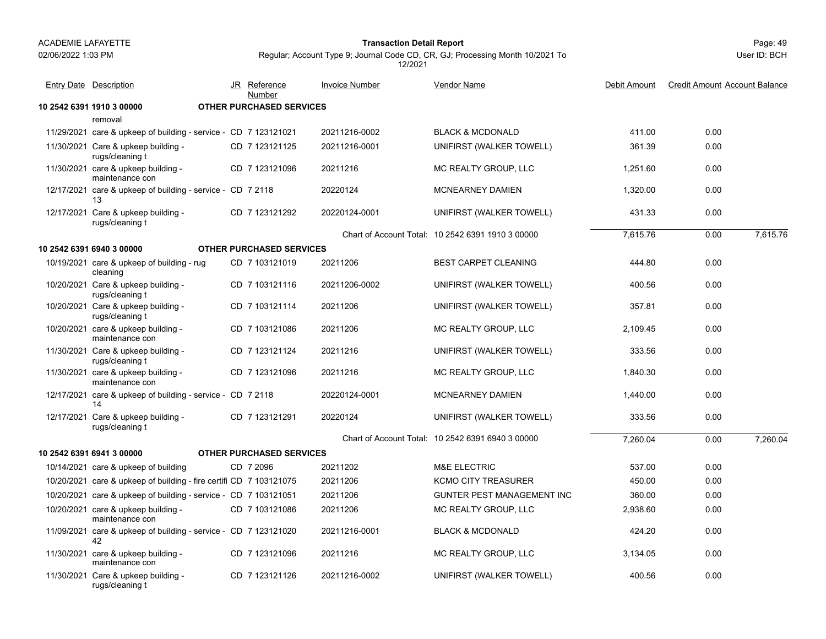Page: 49 **Transaction Detail Report**

User ID: BCH

| <b>Entry Date Description</b>                                         | JR Reference<br>Number          | <b>Invoice Number</b> | Vendor Name                                       | Debit Amount | <b>Credit Amount Account Balance</b> |          |
|-----------------------------------------------------------------------|---------------------------------|-----------------------|---------------------------------------------------|--------------|--------------------------------------|----------|
| 10 2542 6391 1910 3 00000                                             | <b>OTHER PURCHASED SERVICES</b> |                       |                                                   |              |                                      |          |
| removal                                                               |                                 |                       |                                                   |              |                                      |          |
| 11/29/2021 care & upkeep of building - service - CD 7 123121021       |                                 | 20211216-0002         | <b>BLACK &amp; MCDONALD</b>                       | 411.00       | 0.00                                 |          |
| 11/30/2021 Care & upkeep building -<br>rugs/cleaning t                | CD 7 123121125                  | 20211216-0001         | UNIFIRST (WALKER TOWELL)                          | 361.39       | 0.00                                 |          |
| 11/30/2021 care & upkeep building -<br>maintenance con                | CD 7 123121096                  | 20211216              | MC REALTY GROUP, LLC                              | 1,251.60     | 0.00                                 |          |
| 12/17/2021 care & upkeep of building - service - CD 7 2118<br>13      |                                 | 20220124              | <b>MCNEARNEY DAMIEN</b>                           | 1.320.00     | 0.00                                 |          |
| 12/17/2021 Care & upkeep building -<br>rugs/cleaning t                | CD 7 123121292                  | 20220124-0001         | UNIFIRST (WALKER TOWELL)                          | 431.33       | 0.00                                 |          |
|                                                                       |                                 |                       | Chart of Account Total: 10 2542 6391 1910 3 00000 | 7,615.76     | 0.00                                 | 7,615.76 |
| 10 2542 6391 6940 3 00000                                             | <b>OTHER PURCHASED SERVICES</b> |                       |                                                   |              |                                      |          |
| 10/19/2021 care & upkeep of building - rug<br>cleaning                | CD 7 103121019                  | 20211206              | <b>BEST CARPET CLEANING</b>                       | 444.80       | 0.00                                 |          |
| 10/20/2021 Care & upkeep building -<br>rugs/cleaning t                | CD 7 103121116                  | 20211206-0002         | UNIFIRST (WALKER TOWELL)                          | 400.56       | 0.00                                 |          |
| 10/20/2021 Care & upkeep building -<br>rugs/cleaning t                | CD 7 103121114                  | 20211206              | UNIFIRST (WALKER TOWELL)                          | 357.81       | 0.00                                 |          |
| 10/20/2021 care & upkeep building -<br>maintenance con                | CD 7 103121086                  | 20211206              | MC REALTY GROUP, LLC                              | 2.109.45     | 0.00                                 |          |
| 11/30/2021 Care & upkeep building -<br>rugs/cleaning t                | CD 7 123121124                  | 20211216              | UNIFIRST (WALKER TOWELL)                          | 333.56       | 0.00                                 |          |
| 11/30/2021 care & upkeep building -<br>maintenance con                | CD 7 123121096                  | 20211216              | MC REALTY GROUP, LLC                              | 1,840.30     | 0.00                                 |          |
| 12/17/2021 care & upkeep of building - service - CD 7 2118<br>14      |                                 | 20220124-0001         | <b>MCNEARNEY DAMIEN</b>                           | 1.440.00     | 0.00                                 |          |
| 12/17/2021 Care & upkeep building -<br>rugs/cleaning t                | CD 7 123121291                  | 20220124              | UNIFIRST (WALKER TOWELL)                          | 333.56       | 0.00                                 |          |
|                                                                       |                                 |                       | Chart of Account Total: 10 2542 6391 6940 3 00000 | 7,260.04     | 0.00                                 | 7,260.04 |
| 10 2542 6391 6941 3 00000                                             | <b>OTHER PURCHASED SERVICES</b> |                       |                                                   |              |                                      |          |
| 10/14/2021 care & upkeep of building                                  | CD 7 2096                       | 20211202              | <b>M&amp;E ELECTRIC</b>                           | 537.00       | 0.00                                 |          |
| 10/20/2021 care & upkeep of building - fire certifi CD 7 103121075    |                                 | 20211206              | <b>KCMO CITY TREASURER</b>                        | 450.00       | 0.00                                 |          |
| 10/20/2021 care & upkeep of building - service - CD 7 103121051       |                                 | 20211206              | GUNTER PEST MANAGEMENT INC                        | 360.00       | 0.00                                 |          |
| 10/20/2021 care & upkeep building -<br>maintenance con                | CD 7 103121086                  | 20211206              | MC REALTY GROUP, LLC                              | 2,938.60     | 0.00                                 |          |
| 11/09/2021 care & upkeep of building - service - CD 7 123121020<br>42 |                                 | 20211216-0001         | <b>BLACK &amp; MCDONALD</b>                       | 424.20       | 0.00                                 |          |
| 11/30/2021 care & upkeep building -<br>maintenance con                | CD 7 123121096                  | 20211216              | MC REALTY GROUP, LLC                              | 3,134.05     | 0.00                                 |          |
| 11/30/2021 Care & upkeep building -<br>rugs/cleaning t                | CD 7 123121126                  | 20211216-0002         | UNIFIRST (WALKER TOWELL)                          | 400.56       | 0.00                                 |          |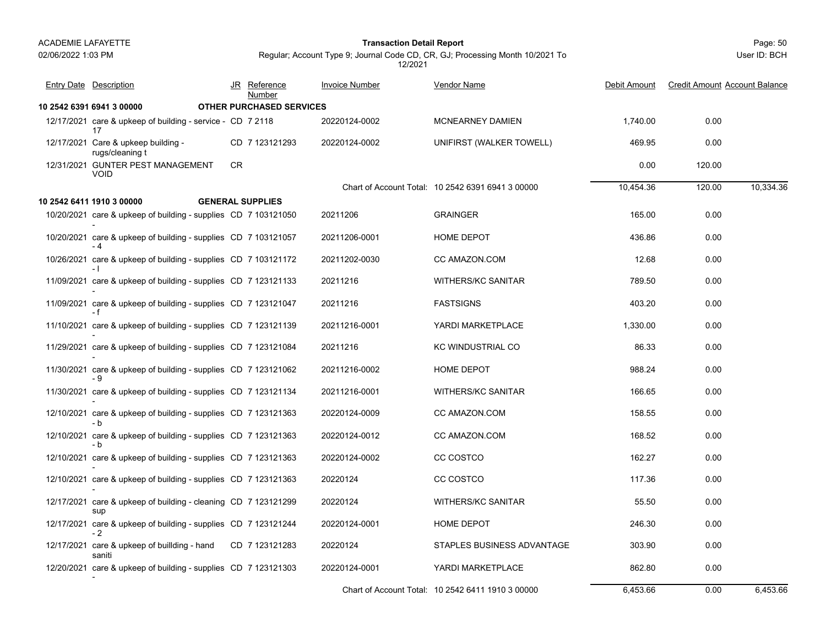#### Page: 50 **Transaction Detail Report**

Regular; Account Type 9; Journal Code CD, CR, GJ; Processing Month 10/2021 To 12/2021

| <b>Entry Date Description</b>                                          |           | JR Reference<br>Number   | <b>Invoice Number</b> | Vendor Name                                       | Debit Amount | <b>Credit Amount Account Balance</b> |           |
|------------------------------------------------------------------------|-----------|--------------------------|-----------------------|---------------------------------------------------|--------------|--------------------------------------|-----------|
| 10 2542 6391 6941 3 00000                                              |           | OTHER PURCHASED SERVICES |                       |                                                   |              |                                      |           |
| 12/17/2021 care & upkeep of building - service - CD 7 2118<br>17       |           |                          | 20220124-0002         | <b>MCNEARNEY DAMIEN</b>                           | 1,740.00     | 0.00                                 |           |
| 12/17/2021 Care & upkeep building -<br>rugs/cleaning t                 |           | CD 7 123121293           | 20220124-0002         | UNIFIRST (WALKER TOWELL)                          | 469.95       | 0.00                                 |           |
| 12/31/2021 GUNTER PEST MANAGEMENT<br><b>VOID</b>                       | <b>CR</b> |                          |                       |                                                   | 0.00         | 120.00                               |           |
|                                                                        |           |                          |                       | Chart of Account Total: 10 2542 6391 6941 3 00000 | 10,454.36    | 120.00                               | 10,334.36 |
| 10 2542 6411 1910 3 00000                                              |           | <b>GENERAL SUPPLIES</b>  |                       |                                                   |              |                                      |           |
| 10/20/2021 care & upkeep of building - supplies CD 7 103121050         |           |                          | 20211206              | <b>GRAINGER</b>                                   | 165.00       | 0.00                                 |           |
| 10/20/2021 care & upkeep of building - supplies CD 7 103121057         |           |                          | 20211206-0001         | HOME DEPOT                                        | 436.86       | 0.00                                 |           |
| 10/26/2021 care & upkeep of building - supplies CD 7 103121172<br>- 1  |           |                          | 20211202-0030         | CC AMAZON COM                                     | 12.68        | 0.00                                 |           |
| 11/09/2021 care & upkeep of building - supplies CD 7 123121133         |           |                          | 20211216              | <b>WITHERS/KC SANITAR</b>                         | 789.50       | 0.00                                 |           |
| 11/09/2021 care & upkeep of building - supplies CD 7 123121047<br>- f  |           |                          | 20211216              | <b>FASTSIGNS</b>                                  | 403.20       | 0.00                                 |           |
| 11/10/2021 care & upkeep of building - supplies CD 7 123121139         |           |                          | 20211216-0001         | YARDI MARKETPLACE                                 | 1,330.00     | 0.00                                 |           |
| 11/29/2021 care & upkeep of building - supplies CD 7 123121084         |           |                          | 20211216              | KC WINDUSTRIAL CO                                 | 86.33        | 0.00                                 |           |
| 11/30/2021 care & upkeep of building - supplies CD 7 123121062         |           |                          | 20211216-0002         | <b>HOME DEPOT</b>                                 | 988.24       | 0.00                                 |           |
| - 9<br>11/30/2021 care & upkeep of building - supplies CD 7 123121134  |           |                          | 20211216-0001         | <b>WITHERS/KC SANITAR</b>                         | 166.65       | 0.00                                 |           |
| 12/10/2021 care & upkeep of building - supplies CD 7 123121363         |           |                          | 20220124-0009         | CC AMAZON.COM                                     | 158.55       | 0.00                                 |           |
| - b<br>12/10/2021 care & upkeep of building - supplies CD 7 123121363  |           |                          | 20220124-0012         | CC AMAZON.COM                                     | 168.52       | 0.00                                 |           |
| 12/10/2021 care & upkeep of building - supplies CD 7 123121363         |           |                          | 20220124-0002         | CC COSTCO                                         | 162.27       | 0.00                                 |           |
| 12/10/2021 care & upkeep of building - supplies CD 7 123121363         |           |                          | 20220124              | CC COSTCO                                         | 117.36       | 0.00                                 |           |
| 12/17/2021 care & upkeep of building - cleaning CD 7 123121299<br>sup  |           |                          | 20220124              | WITHERS/KC SANITAR                                | 55.50        | 0.00                                 |           |
| 12/17/2021 care & upkeep of building - supplies CD 7 123121244<br>$-2$ |           |                          | 20220124-0001         | <b>HOME DEPOT</b>                                 | 246.30       | 0.00                                 |           |
| 12/17/2021 care & upkeep of buillding - hand<br>saniti                 |           | CD 7 123121283           | 20220124              | STAPLES BUSINESS ADVANTAGE                        | 303.90       | 0.00                                 |           |
| 12/20/2021 care & upkeep of building - supplies CD 7 123121303         |           |                          | 20220124-0001         | YARDI MARKETPLACE                                 | 862.80       | 0.00                                 |           |
|                                                                        |           |                          |                       | Chart of Account Total: 10 2542 6411 1910 3 00000 | 6,453.66     | 0.00                                 | 6,453.66  |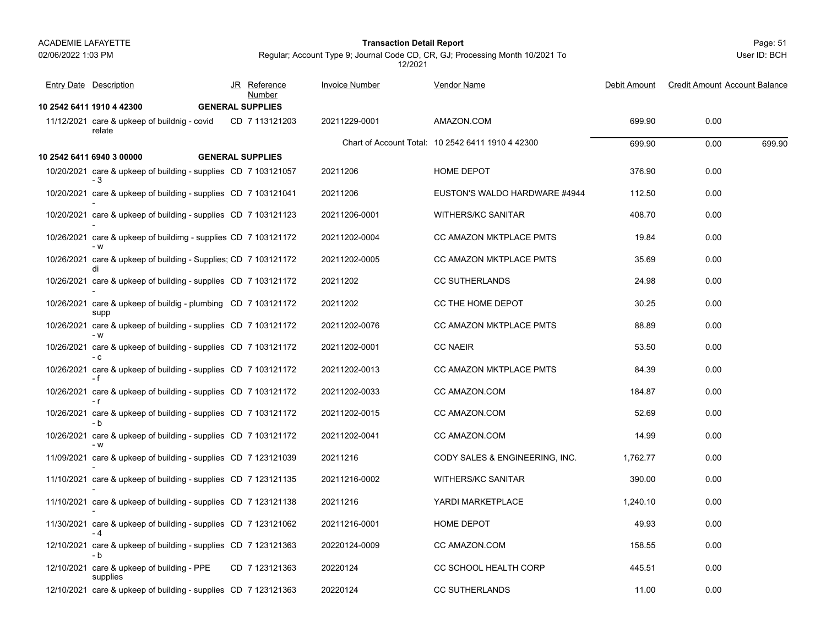# 02/06/2022 1:03 PM

#### Page: 51 **Transaction Detail Report**

Regular; Account Type 9; Journal Code CD, CR, GJ; Processing Month 10/2021 To 12/2021

| <b>Entry Date</b> Description                                         | JR Reference<br>Number  | <b>Invoice Number</b> | <b>Vendor Name</b>                                | Debit Amount | <b>Credit Amount Account Balance</b> |
|-----------------------------------------------------------------------|-------------------------|-----------------------|---------------------------------------------------|--------------|--------------------------------------|
| 10 2542 6411 1910 4 42300                                             | <b>GENERAL SUPPLIES</b> |                       |                                                   |              |                                      |
| 11/12/2021 care & upkeep of buildnig - covid<br>relate                | CD 7 113121203          | 20211229-0001         | AMAZON.COM                                        | 699.90       | 0.00                                 |
|                                                                       |                         |                       | Chart of Account Total: 10 2542 6411 1910 4 42300 | 699.90       | 699.90<br>0.00                       |
| 10 2542 6411 6940 3 00000                                             | <b>GENERAL SUPPLIES</b> |                       |                                                   |              |                                      |
| 10/20/2021 care & upkeep of building - supplies CD 7 103121057        |                         | 20211206              | HOME DEPOT                                        | 376.90       | 0.00                                 |
| 10/20/2021 care & upkeep of building - supplies CD 7 103121041        |                         | 20211206              | EUSTON'S WALDO HARDWARE #4944                     | 112.50       | 0.00                                 |
| 10/20/2021 care & upkeep of building - supplies CD 7 103121123        |                         | 20211206-0001         | <b>WITHERS/KC SANITAR</b>                         | 408.70       | 0.00                                 |
| 10/26/2021 care & upkeep of buildimg - supplies CD 7 103121172        |                         | 20211202-0004         | CC AMAZON MKTPLACE PMTS                           | 19.84        | 0.00                                 |
| 10/26/2021 care & upkeep of building - Supplies; CD 7 103121172<br>di |                         | 20211202-0005         | <b>CC AMAZON MKTPLACE PMTS</b>                    | 35.69        | 0.00                                 |
| 10/26/2021 care & upkeep of building - supplies CD 7 103121172        |                         | 20211202              | <b>CC SUTHERLANDS</b>                             | 24.98        | 0.00                                 |
| 10/26/2021 care & upkeep of buildig - plumbing CD 7 103121172<br>supp |                         | 20211202              | CC THE HOME DEPOT                                 | 30.25        | 0.00                                 |
| 10/26/2021 care & upkeep of building - supplies CD 7 103121172<br>- W |                         | 20211202-0076         | CC AMAZON MKTPLACE PMTS                           | 88.89        | 0.00                                 |
| 10/26/2021 care & upkeep of building - supplies CD 7 103121172<br>- C |                         | 20211202-0001         | <b>CC NAEIR</b>                                   | 53.50        | 0.00                                 |
| 10/26/2021 care & upkeep of building - supplies CD 7 103121172<br>- f |                         | 20211202-0013         | <b>CC AMAZON MKTPLACE PMTS</b>                    | 84.39        | 0.00                                 |
| 10/26/2021 care & upkeep of building - supplies CD 7 103121172        |                         | 20211202-0033         | CC AMAZON.COM                                     | 184.87       | 0.00                                 |
| 10/26/2021 care & upkeep of building - supplies CD 7 103121172<br>- b |                         | 20211202-0015         | CC AMAZON.COM                                     | 52.69        | 0.00                                 |
| 10/26/2021 care & upkeep of building - supplies CD 7 103121172        |                         | 20211202-0041         | CC AMAZON.COM                                     | 14.99        | 0.00                                 |
| 11/09/2021 care & upkeep of building - supplies CD 7 123121039        |                         | 20211216              | CODY SALES & ENGINEERING, INC.                    | 1,762.77     | 0.00                                 |
| 11/10/2021 care & upkeep of building - supplies CD 7 123121135        |                         | 20211216-0002         | WITHERS/KC SANITAR                                | 390.00       | 0.00                                 |
| 11/10/2021 care & upkeep of building - supplies CD 7 123121138        |                         | 20211216              | YARDI MARKETPLACE                                 | 1,240.10     | 0.00                                 |
| 11/30/2021 care & upkeep of building - supplies CD 7 123121062<br>- 4 |                         | 20211216-0001         | HOME DEPOT                                        | 49.93        | 0.00                                 |
| 12/10/2021 care & upkeep of building - supplies CD 7 123121363<br>- b |                         | 20220124-0009         | CC AMAZON COM                                     | 158.55       | 0.00                                 |
| 12/10/2021 care & upkeep of building - PPE<br>supplies                | CD 7 123121363          | 20220124              | CC SCHOOL HEALTH CORP                             | 445.51       | 0.00                                 |
| 12/10/2021 care & upkeep of building - supplies CD 7 123121363        |                         | 20220124              | <b>CC SUTHERLANDS</b>                             | 11.00        | 0.00                                 |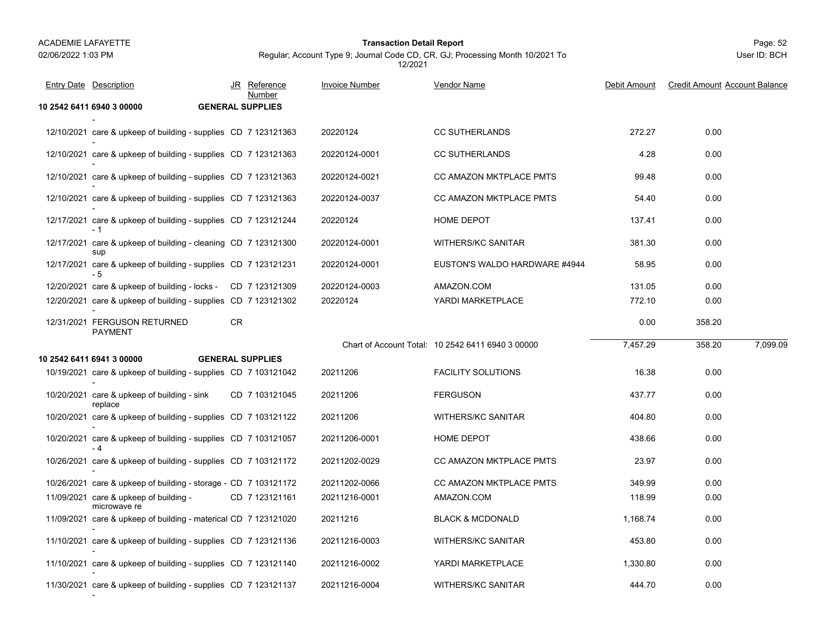#### Page: 52 **Transaction Detail Report**

Regular; Account Type 9; Journal Code CD, CR, GJ; Processing Month 10/2021 To 12/2021

| <b>Entry Date</b> Description                                          |    | JR Reference<br>Number  | <b>Invoice Number</b> | Vendor Name                                       | Debit Amount | <b>Credit Amount Account Balance</b> |          |
|------------------------------------------------------------------------|----|-------------------------|-----------------------|---------------------------------------------------|--------------|--------------------------------------|----------|
| 10 2542 6411 6940 3 00000                                              |    | <b>GENERAL SUPPLIES</b> |                       |                                                   |              |                                      |          |
| 12/10/2021 care & upkeep of building - supplies CD 7 123121363         |    |                         | 20220124              | <b>CC SUTHERLANDS</b>                             | 272.27       | 0.00                                 |          |
| 12/10/2021 care & upkeep of building - supplies CD 7 123121363         |    |                         | 20220124-0001         | <b>CC SUTHERLANDS</b>                             | 4.28         | 0.00                                 |          |
| 12/10/2021 care & upkeep of building - supplies CD 7 123121363         |    |                         | 20220124-0021         | CC AMAZON MKTPLACE PMTS                           | 99.48        | 0.00                                 |          |
| 12/10/2021 care & upkeep of building - supplies CD 7 123121363         |    |                         | 20220124-0037         | CC AMAZON MKTPLACE PMTS                           | 54.40        | 0.00                                 |          |
| 12/17/2021 care & upkeep of building - supplies CD 7 123121244<br>- 1  |    |                         | 20220124              | HOME DEPOT                                        | 137.41       | 0.00                                 |          |
| 12/17/2021 care & upkeep of building - cleaning CD 7 123121300<br>sup  |    |                         | 20220124-0001         | <b>WITHERS/KC SANITAR</b>                         | 381.30       | 0.00                                 |          |
| 12/17/2021 care & upkeep of building - supplies CD 7 123121231<br>- 5  |    |                         | 20220124-0001         | EUSTON'S WALDO HARDWARE #4944                     | 58.95        | 0.00                                 |          |
| 12/20/2021 care & upkeep of building - locks - CD 7 123121309          |    |                         | 20220124-0003         | AMAZON.COM                                        | 131.05       | 0.00                                 |          |
| 12/20/2021 care & upkeep of building - supplies CD 7 123121302         |    |                         | 20220124              | YARDI MARKETPLACE                                 | 772.10       | 0.00                                 |          |
| 12/31/2021 FERGUSON RETURNED<br>PAYMENT                                | CR |                         |                       |                                                   | 0.00         | 358.20                               |          |
|                                                                        |    |                         |                       | Chart of Account Total: 10 2542 6411 6940 3 00000 | 7,457.29     | 358.20                               | 7,099.09 |
| 10 2542 6411 6941 3 00000                                              |    | <b>GENERAL SUPPLIES</b> |                       |                                                   |              |                                      |          |
| 10/19/2021 care & upkeep of building - supplies CD 7 103121042         |    |                         | 20211206              | <b>FACILITY SOLUTIONS</b>                         | 16.38        | 0.00                                 |          |
| 10/20/2021 care & upkeep of building - sink<br>replace                 |    | CD 7 103121045          | 20211206              | <b>FERGUSON</b>                                   | 437.77       | 0.00                                 |          |
| 10/20/2021 care & upkeep of building - supplies CD 7 103121122         |    |                         | 20211206              | WITHERS/KC SANITAR                                | 404.80       | 0.00                                 |          |
| 10/20/2021 care & upkeep of building - supplies CD 7 103121057<br>$-4$ |    |                         | 20211206-0001         | HOME DEPOT                                        | 438.66       | 0.00                                 |          |
| 10/26/2021 care & upkeep of building - supplies CD 7 103121172         |    |                         | 20211202-0029         | CC AMAZON MKTPLACE PMTS                           | 23.97        | 0.00                                 |          |
| 10/26/2021 care & upkeep of building - storage - CD 7 103121172        |    |                         | 20211202-0066         | <b>CC AMAZON MKTPLACE PMTS</b>                    | 349.99       | 0.00                                 |          |
| 11/09/2021 care & upkeep of building -<br>microwave re                 |    | CD 7 123121161          | 20211216-0001         | AMAZON.COM                                        | 118.99       | 0.00                                 |          |
| 11/09/2021 care & upkeep of building - materical CD 7 123121020        |    |                         | 20211216              | <b>BLACK &amp; MCDONALD</b>                       | 1,168.74     | 0.00                                 |          |
| 11/10/2021 care & upkeep of building - supplies CD 7 123121136         |    |                         | 20211216-0003         | <b>WITHERS/KC SANITAR</b>                         | 453.80       | 0.00                                 |          |
| 11/10/2021 care & upkeep of building - supplies CD 7 123121140         |    |                         | 20211216-0002         | YARDI MARKETPLACE                                 | 1,330.80     | 0.00                                 |          |
| 11/30/2021 care & upkeep of building - supplies CD 7 123121137         |    |                         | 20211216-0004         | <b>WITHERS/KC SANITAR</b>                         | 444.70       | 0.00                                 |          |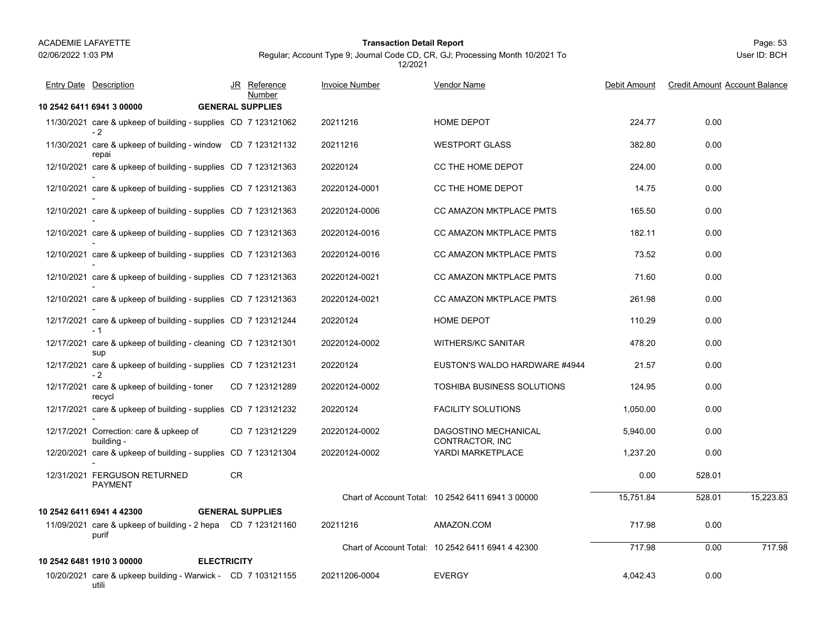utili

#### Page: 53 **Transaction Detail Report**

Regular; Account Type 9; Journal Code CD, CR, GJ; Processing Month 10/2021 To 12/2021

| <b>Entry Date Description</b>                                          |     | JR Reference<br>Number  | <b>Invoice Number</b> | Vendor Name                                       | Debit Amount | <b>Credit Amount Account Balance</b> |           |
|------------------------------------------------------------------------|-----|-------------------------|-----------------------|---------------------------------------------------|--------------|--------------------------------------|-----------|
| 10 2542 6411 6941 3 00000                                              |     | <b>GENERAL SUPPLIES</b> |                       |                                                   |              |                                      |           |
| 11/30/2021 care & upkeep of building - supplies CD 7 123121062<br>$-2$ |     |                         | 20211216              | HOME DEPOT                                        | 224.77       | 0.00                                 |           |
| 11/30/2021 care & upkeep of building - window CD 7 123121132<br>repai  |     |                         | 20211216              | <b>WESTPORT GLASS</b>                             | 382.80       | 0.00                                 |           |
| 12/10/2021 care & upkeep of building - supplies CD 7 123121363         |     |                         | 20220124              | CC THE HOME DEPOT                                 | 224.00       | 0.00                                 |           |
| 12/10/2021 care & upkeep of building - supplies CD 7 123121363         |     |                         | 20220124-0001         | CC THE HOME DEPOT                                 | 14.75        | 0.00                                 |           |
| 12/10/2021 care & upkeep of building - supplies CD 7 123121363         |     |                         | 20220124-0006         | CC AMAZON MKTPLACE PMTS                           | 165.50       | 0.00                                 |           |
| 12/10/2021 care & upkeep of building - supplies CD 7 123121363         |     |                         | 20220124-0016         | CC AMAZON MKTPLACE PMTS                           | 182.11       | 0.00                                 |           |
| 12/10/2021 care & upkeep of building - supplies CD 7 123121363         |     |                         | 20220124-0016         | CC AMAZON MKTPLACE PMTS                           | 73.52        | 0.00                                 |           |
| 12/10/2021 care & upkeep of building - supplies CD 7 123121363         |     |                         | 20220124-0021         | CC AMAZON MKTPLACE PMTS                           | 71.60        | 0.00                                 |           |
| 12/10/2021 care & upkeep of building - supplies CD 7 123121363         |     |                         | 20220124-0021         | CC AMAZON MKTPLACE PMTS                           | 261.98       | 0.00                                 |           |
| 12/17/2021 care & upkeep of building - supplies CD 7 123121244<br>- 1  |     |                         | 20220124              | HOME DEPOT                                        | 110.29       | 0.00                                 |           |
| 12/17/2021 care & upkeep of building - cleaning CD 7 123121301<br>sup  |     |                         | 20220124-0002         | <b>WITHERS/KC SANITAR</b>                         | 478.20       | 0.00                                 |           |
| 12/17/2021 care & upkeep of building - supplies CD 7 123121231<br>- 2  |     |                         | 20220124              | EUSTON'S WALDO HARDWARE #4944                     | 21.57        | 0.00                                 |           |
| 12/17/2021 care & upkeep of building - toner<br>recycl                 |     | CD 7 123121289          | 20220124-0002         | TOSHIBA BUSINESS SOLUTIONS                        | 124.95       | 0.00                                 |           |
| 12/17/2021 care & upkeep of building - supplies CD 7 123121232         |     |                         | 20220124              | <b>FACILITY SOLUTIONS</b>                         | 1,050.00     | 0.00                                 |           |
| 12/17/2021 Correction: care & upkeep of<br>building -                  |     | CD 7 123121229          | 20220124-0002         | DAGOSTINO MECHANICAL<br>CONTRACTOR, INC           | 5,940.00     | 0.00                                 |           |
| 12/20/2021 care & upkeep of building - supplies CD 7 123121304         |     |                         | 20220124-0002         | YARDI MARKETPLACE                                 | 1,237.20     | 0.00                                 |           |
| 12/31/2021 FERGUSON RETURNED<br><b>PAYMENT</b>                         | CR. |                         |                       |                                                   | 0.00         | 528.01                               |           |
|                                                                        |     |                         |                       | Chart of Account Total: 10 2542 6411 6941 3 00000 | 15,751.84    | 528.01                               | 15,223.83 |
| 10 2542 6411 6941 4 42300                                              |     | <b>GENERAL SUPPLIES</b> |                       |                                                   |              |                                      |           |
| 11/09/2021 care & upkeep of building - 2 hepa CD 7 123121160<br>purif  |     |                         | 20211216              | AMAZON.COM                                        | 717.98       | 0.00                                 |           |
|                                                                        |     |                         |                       | Chart of Account Total: 10 2542 6411 6941 4 42300 | 717.98       | 0.00                                 | 717.98    |
| <b>ELECTRICITY</b><br>10 2542 6481 1910 3 00000                        |     |                         |                       |                                                   |              |                                      |           |
| 10/20/2021 care & upkeep building - Warwick - CD 7 103121155           |     |                         | 20211206-0004         | <b>EVERGY</b>                                     | 4,042.43     | 0.00                                 |           |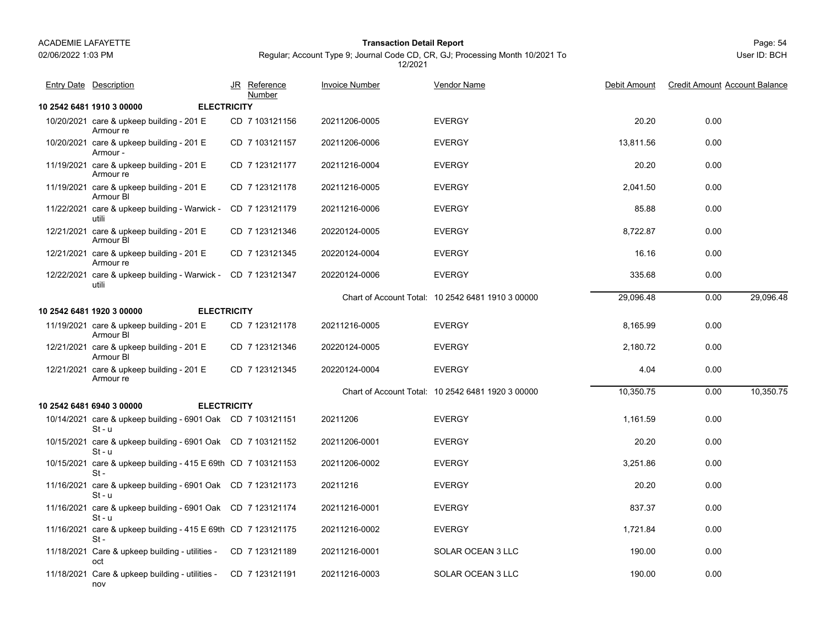nov

## 02/06/2022 1:03 PM

#### Page: 54 **Transaction Detail Report**

Regular; Account Type 9; Journal Code CD, CR, GJ; Processing Month 10/2021 To 12/2021

| <b>Entry Date Description</b>                                           |                    | JR Reference<br>Number | <b>Invoice Number</b> | <b>Vendor Name</b>                                | Debit Amount | <b>Credit Amount Account Balance</b> |           |
|-------------------------------------------------------------------------|--------------------|------------------------|-----------------------|---------------------------------------------------|--------------|--------------------------------------|-----------|
| 10 2542 6481 1910 3 00000                                               | <b>ELECTRICITY</b> |                        |                       |                                                   |              |                                      |           |
| 10/20/2021 care & upkeep building - 201 E<br>Armour re                  |                    | CD 7 103121156         | 20211206-0005         | <b>EVERGY</b>                                     | 20.20        | 0.00                                 |           |
| 10/20/2021 care & upkeep building - 201 E<br>Armour -                   |                    | CD 7 103121157         | 20211206-0006         | <b>EVERGY</b>                                     | 13,811.56    | 0.00                                 |           |
| 11/19/2021 care & upkeep building - 201 E<br>Armour re                  |                    | CD 7 123121177         | 20211216-0004         | <b>EVERGY</b>                                     | 20.20        | 0.00                                 |           |
| 11/19/2021 care & upkeep building - 201 E<br>Armour BI                  |                    | CD 7 123121178         | 20211216-0005         | <b>EVERGY</b>                                     | 2,041.50     | 0.00                                 |           |
| 11/22/2021 care & upkeep building - Warwick -<br>utili                  |                    | CD 7 123121179         | 20211216-0006         | <b>EVERGY</b>                                     | 85.88        | 0.00                                 |           |
| 12/21/2021 care & upkeep building - 201 E<br>Armour BI                  |                    | CD 7 123121346         | 20220124-0005         | <b>EVERGY</b>                                     | 8,722.87     | 0.00                                 |           |
| 12/21/2021 care & upkeep building - 201 E<br>Armour re                  |                    | CD 7 123121345         | 20220124-0004         | <b>EVERGY</b>                                     | 16.16        | 0.00                                 |           |
| 12/22/2021 care & upkeep building - Warwick - CD 7 123121347<br>utili   |                    |                        | 20220124-0006         | <b>EVERGY</b>                                     | 335.68       | 0.00                                 |           |
|                                                                         |                    |                        |                       | Chart of Account Total: 10 2542 6481 1910 3 00000 | 29,096.48    | 0.00                                 | 29,096.48 |
| <b>ELECTRICITY</b><br>10 2542 6481 1920 3 00000                         |                    |                        |                       |                                                   |              |                                      |           |
| 11/19/2021 care & upkeep building - 201 $E$<br>Armour BI                |                    | CD 7 123121178         | 20211216-0005         | <b>EVERGY</b>                                     | 8,165.99     | 0.00                                 |           |
| 12/21/2021 care & upkeep building - 201 E<br>Armour BI                  |                    | CD 7 123121346         | 20220124-0005         | <b>EVERGY</b>                                     | 2.180.72     | 0.00                                 |           |
| 12/21/2021 care & upkeep building - 201 E<br>Armour re                  |                    | CD 7 123121345         | 20220124-0004         | <b>EVERGY</b>                                     | 4.04         | 0.00                                 |           |
|                                                                         |                    |                        |                       | Chart of Account Total: 10 2542 6481 1920 3 00000 | 10,350.75    | 0.00                                 | 10,350.75 |
| 10 2542 6481 6940 3 00000<br><b>ELECTRICITY</b>                         |                    |                        |                       |                                                   |              |                                      |           |
| 10/14/2021 care & upkeep building - 6901 Oak CD 7 103121151<br>$St - u$ |                    |                        | 20211206              | <b>EVERGY</b>                                     | 1,161.59     | 0.00                                 |           |
| 10/15/2021 care & upkeep building - 6901 Oak CD 7 103121152<br>$St - u$ |                    |                        | 20211206-0001         | <b>EVERGY</b>                                     | 20.20        | 0.00                                 |           |
| 10/15/2021 care & upkeep building - 415 E 69th CD 7 103121153<br>$St -$ |                    |                        | 20211206-0002         | <b>EVERGY</b>                                     | 3,251.86     | 0.00                                 |           |
| 11/16/2021 care & upkeep building - 6901 Oak CD 7 123121173<br>$St - u$ |                    |                        | 20211216              | <b>EVERGY</b>                                     | 20.20        | 0.00                                 |           |
| 11/16/2021 care & upkeep building - 6901 Oak CD 7 123121174<br>$St - u$ |                    |                        | 20211216-0001         | <b>EVERGY</b>                                     | 837.37       | 0.00                                 |           |
| 11/16/2021 care & upkeep building - 415 E 69th CD 7 123121175<br>$St -$ |                    |                        | 20211216-0002         | <b>EVERGY</b>                                     | 1,721.84     | 0.00                                 |           |
| 11/18/2021 Care & upkeep building - utilities -<br>oct                  |                    | CD 7 123121189         | 20211216-0001         | SOLAR OCEAN 3 LLC                                 | 190.00       | 0.00                                 |           |
| 11/18/2021 Care & upkeep building - utilities - CD 7 123121191          |                    |                        | 20211216-0003         | SOLAR OCEAN 3 LLC                                 | 190.00       | 0.00                                 |           |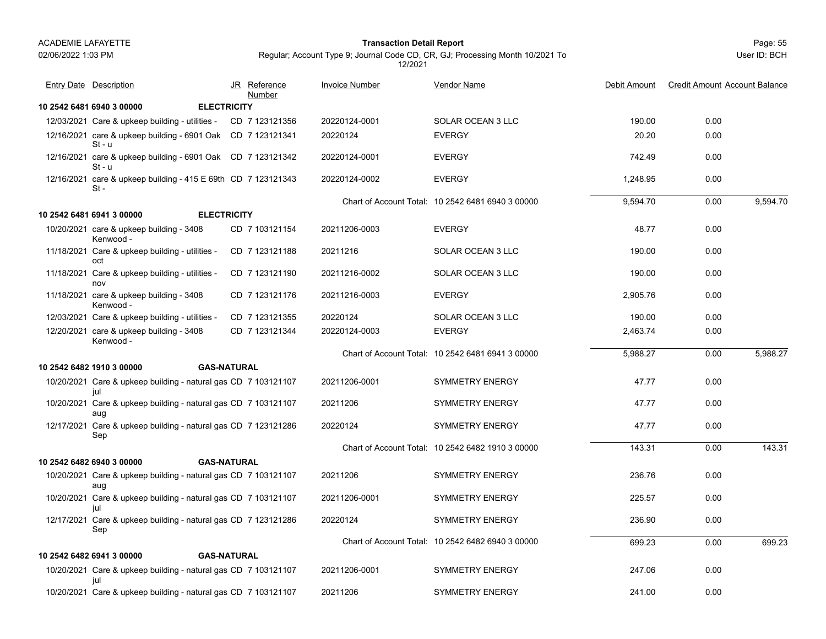#### Page: 55 **Transaction Detail Report**

Regular; Account Type 9; Journal Code CD, CR, GJ; Processing Month 10/2021 To 12/2021

| <b>Entry Date Description</b>                                           |                    | JR Reference<br>Number | <b>Invoice Number</b> | <b>Vendor Name</b>                                | Debit Amount | <b>Credit Amount Account Balance</b> |          |
|-------------------------------------------------------------------------|--------------------|------------------------|-----------------------|---------------------------------------------------|--------------|--------------------------------------|----------|
| 10 2542 6481 6940 3 00000                                               | <b>ELECTRICITY</b> |                        |                       |                                                   |              |                                      |          |
| 12/03/2021 Care & upkeep building - utilities - CD 7 123121356          |                    |                        | 20220124-0001         | SOLAR OCEAN 3 LLC                                 | 190.00       | 0.00                                 |          |
| 12/16/2021 care & upkeep building - 6901 Oak CD 7 123121341<br>$St - u$ |                    |                        | 20220124              | <b>EVERGY</b>                                     | 20.20        | 0.00                                 |          |
| 12/16/2021 care & upkeep building - 6901 Oak CD 7 123121342<br>$St - u$ |                    |                        | 20220124-0001         | <b>EVERGY</b>                                     | 742.49       | 0.00                                 |          |
| 12/16/2021 care & upkeep building - 415 E 69th CD 7 123121343<br>$St -$ |                    |                        | 20220124-0002         | <b>EVERGY</b>                                     | 1,248.95     | 0.00                                 |          |
|                                                                         |                    |                        |                       | Chart of Account Total: 10 2542 6481 6940 3 00000 | 9.594.70     | 0.00                                 | 9.594.70 |
| 10 2542 6481 6941 3 00000                                               | <b>ELECTRICITY</b> |                        |                       |                                                   |              |                                      |          |
| 10/20/2021 care & upkeep building - 3408<br>Kenwood -                   |                    | CD 7 103121154         | 20211206-0003         | <b>EVERGY</b>                                     | 48.77        | 0.00                                 |          |
| 11/18/2021 Care & upkeep building - utilities -<br>oct                  |                    | CD 7 123121188         | 20211216              | SOLAR OCEAN 3 LLC                                 | 190.00       | 0.00                                 |          |
| 11/18/2021 Care & upkeep building - utilities -<br>nov                  |                    | CD 7 123121190         | 20211216-0002         | SOLAR OCEAN 3 LLC                                 | 190.00       | 0.00                                 |          |
| 11/18/2021 care & upkeep building - 3408<br>Kenwood -                   |                    | CD 7 123121176         | 20211216-0003         | <b>EVERGY</b>                                     | 2,905.76     | 0.00                                 |          |
| 12/03/2021 Care & upkeep building - utilities -                         |                    | CD 7 123121355         | 20220124              | SOLAR OCEAN 3 LLC                                 | 190.00       | 0.00                                 |          |
| 12/20/2021 care & upkeep building - 3408<br>Kenwood -                   |                    | CD 7 123121344         | 20220124-0003         | <b>EVERGY</b>                                     | 2,463.74     | 0.00                                 |          |
|                                                                         |                    |                        |                       | Chart of Account Total: 10 2542 6481 6941 3 00000 | 5.988.27     | 0.00                                 | 5.988.27 |
| 10 2542 6482 1910 3 00000                                               | <b>GAS-NATURAL</b> |                        |                       |                                                   |              |                                      |          |
| 10/20/2021 Care & upkeep building - natural gas CD 7 103121107<br>jul   |                    |                        | 20211206-0001         | <b>SYMMETRY ENERGY</b>                            | 47.77        | 0.00                                 |          |
| 10/20/2021 Care & upkeep building - natural gas CD 7 103121107<br>aug   |                    |                        | 20211206              | <b>SYMMETRY ENERGY</b>                            | 47.77        | 0.00                                 |          |
| 12/17/2021 Care & upkeep building - natural gas CD 7 123121286<br>Sep   |                    |                        | 20220124              | <b>SYMMETRY ENERGY</b>                            | 47.77        | 0.00                                 |          |
|                                                                         |                    |                        |                       | Chart of Account Total: 10 2542 6482 1910 3 00000 | 143.31       | 0.00                                 | 143.31   |
| 10 2542 6482 6940 3 00000                                               | <b>GAS-NATURAL</b> |                        |                       |                                                   |              |                                      |          |
| 10/20/2021 Care & upkeep building - natural gas CD 7 103121107<br>aug   |                    |                        | 20211206              | SYMMETRY ENERGY                                   | 236.76       | 0.00                                 |          |
| 10/20/2021 Care & upkeep building - natural gas CD 7 103121107<br>jul   |                    |                        | 20211206-0001         | <b>SYMMETRY ENERGY</b>                            | 225.57       | 0.00                                 |          |
| 12/17/2021 Care & upkeep building - natural gas CD 7 123121286<br>Sep   |                    |                        | 20220124              | <b>SYMMETRY ENERGY</b>                            | 236.90       | 0.00                                 |          |
|                                                                         |                    |                        |                       | Chart of Account Total: 10 2542 6482 6940 3 00000 | 699.23       | 0.00                                 | 699.23   |
| 10 2542 6482 6941 3 00000                                               | <b>GAS-NATURAL</b> |                        |                       |                                                   |              |                                      |          |
| 10/20/2021 Care & upkeep building - natural gas CD 7 103121107<br>jul   |                    |                        | 20211206-0001         | <b>SYMMETRY ENERGY</b>                            | 247.06       | 0.00                                 |          |
| 10/20/2021 Care & upkeep building - natural gas CD 7 103121107          |                    |                        | 20211206              | <b>SYMMETRY ENERGY</b>                            | 241.00       | 0.00                                 |          |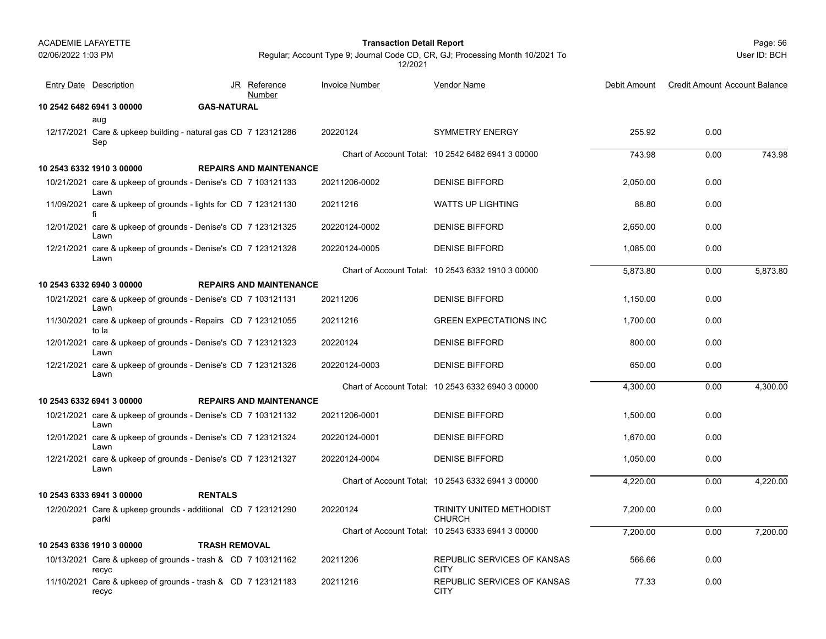Page: 56 **Transaction Detail Report**

User ID: BCH

| <b>Entry Date Description</b>                                         |                      | JR Reference<br>Number         | <b>Invoice Number</b> | Vendor Name                                       | Debit Amount | <b>Credit Amount Account Balance</b> |          |
|-----------------------------------------------------------------------|----------------------|--------------------------------|-----------------------|---------------------------------------------------|--------------|--------------------------------------|----------|
| 10 2542 6482 6941 3 00000                                             | <b>GAS-NATURAL</b>   |                                |                       |                                                   |              |                                      |          |
| aug                                                                   |                      |                                |                       |                                                   |              |                                      |          |
| 12/17/2021 Care & upkeep building - natural gas CD 7 123121286<br>Sep |                      |                                | 20220124              | <b>SYMMETRY ENERGY</b>                            | 255.92       | 0.00                                 |          |
|                                                                       |                      |                                |                       | Chart of Account Total: 10 2542 6482 6941 3 00000 | 743.98       | 0.00                                 | 743.98   |
| 10 2543 6332 1910 3 00000                                             |                      | <b>REPAIRS AND MAINTENANCE</b> |                       |                                                   |              |                                      |          |
| 10/21/2021 care & upkeep of grounds - Denise's CD 7 103121133<br>Lawn |                      |                                | 20211206-0002         | <b>DENISE BIFFORD</b>                             | 2.050.00     | 0.00                                 |          |
| 11/09/2021 care & upkeep of grounds - lights for CD 7 123121130       |                      |                                | 20211216              | <b>WATTS UP LIGHTING</b>                          | 88.80        | 0.00                                 |          |
| 12/01/2021 care & upkeep of grounds - Denise's CD 7 123121325<br>Lawn |                      |                                | 20220124-0002         | <b>DENISE BIFFORD</b>                             | 2,650.00     | 0.00                                 |          |
| 12/21/2021 care & upkeep of grounds - Denise's CD 7 123121328<br>Lawn |                      |                                | 20220124-0005         | <b>DENISE BIFFORD</b>                             | 1.085.00     | 0.00                                 |          |
|                                                                       |                      |                                |                       | Chart of Account Total: 10 2543 6332 1910 3 00000 | 5,873.80     | 0.00                                 | 5,873.80 |
| 10 2543 6332 6940 3 00000                                             |                      | <b>REPAIRS AND MAINTENANCE</b> |                       |                                                   |              |                                      |          |
| 10/21/2021 care & upkeep of grounds - Denise's CD 7 103121131<br>Lawn |                      |                                | 20211206              | <b>DENISE BIFFORD</b>                             | 1.150.00     | 0.00                                 |          |
| 11/30/2021 care & upkeep of grounds - Repairs CD 7 123121055<br>to la |                      |                                | 20211216              | <b>GREEN EXPECTATIONS INC</b>                     | 1.700.00     | 0.00                                 |          |
| 12/01/2021 care & upkeep of grounds - Denise's CD 7 123121323<br>Lawn |                      |                                | 20220124              | <b>DENISE BIFFORD</b>                             | 800.00       | 0.00                                 |          |
| 12/21/2021 care & upkeep of grounds - Denise's CD 7 123121326<br>Lawn |                      |                                | 20220124-0003         | <b>DENISE BIFFORD</b>                             | 650.00       | 0.00                                 |          |
|                                                                       |                      |                                |                       | Chart of Account Total: 10 2543 6332 6940 3 00000 | 4.300.00     | 0.00                                 | 4,300.00 |
| 10 2543 6332 6941 3 00000                                             |                      | <b>REPAIRS AND MAINTENANCE</b> |                       |                                                   |              |                                      |          |
| 10/21/2021 care & upkeep of grounds - Denise's CD 7 103121132<br>Lawn |                      |                                | 20211206-0001         | <b>DENISE BIFFORD</b>                             | 1,500.00     | 0.00                                 |          |
| 12/01/2021 care & upkeep of grounds - Denise's CD 7 123121324<br>Lawn |                      |                                | 20220124-0001         | <b>DENISE BIFFORD</b>                             | 1.670.00     | 0.00                                 |          |
| 12/21/2021 care & upkeep of grounds - Denise's CD 7 123121327<br>Lawn |                      |                                | 20220124-0004         | <b>DENISE BIFFORD</b>                             | 1.050.00     | 0.00                                 |          |
|                                                                       |                      |                                |                       | Chart of Account Total: 10 2543 6332 6941 3 00000 | 4,220.00     | 0.00                                 | 4,220.00 |
| 10 2543 6333 6941 3 00000                                             | <b>RENTALS</b>       |                                |                       |                                                   |              |                                      |          |
| 12/20/2021 Care & upkeep grounds - additional CD 7 123121290<br>parki |                      |                                | 20220124              | TRINITY UNITED METHODIST<br><b>CHURCH</b>         | 7,200.00     | 0.00                                 |          |
|                                                                       |                      |                                |                       | Chart of Account Total: 10 2543 6333 6941 3 00000 | 7,200.00     | 0.00                                 | 7,200.00 |
| 10 2543 6336 1910 3 00000                                             | <b>TRASH REMOVAL</b> |                                |                       |                                                   |              |                                      |          |
| 10/13/2021 Care & upkeep of grounds - trash & CD 7 103121162<br>recyc |                      |                                | 20211206              | REPUBLIC SERVICES OF KANSAS<br><b>CITY</b>        | 566.66       | 0.00                                 |          |
| 11/10/2021 Care & upkeep of grounds - trash & CD 7 123121183<br>recyc |                      |                                | 20211216              | REPUBLIC SERVICES OF KANSAS<br><b>CITY</b>        | 77.33        | 0.00                                 |          |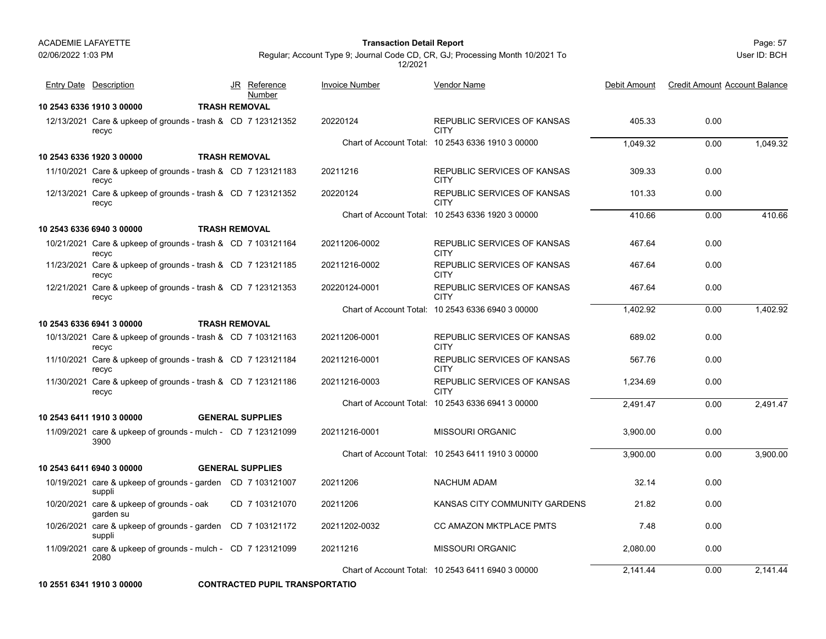02/06/2022 1:03 PM

#### Page: 57 **Transaction Detail Report**

Regular; Account Type 9; Journal Code CD, CR, GJ; Processing Month 10/2021 To 12/2021

| <b>Entry Date Description</b>                                         |                      | JR Reference<br>Number  | <b>Invoice Number</b> | <b>Vendor Name</b>                                | Debit Amount | <b>Credit Amount Account Balance</b> |          |
|-----------------------------------------------------------------------|----------------------|-------------------------|-----------------------|---------------------------------------------------|--------------|--------------------------------------|----------|
| 10 2543 6336 1910 3 00000                                             | <b>TRASH REMOVAL</b> |                         |                       |                                                   |              |                                      |          |
| 12/13/2021 Care & upkeep of grounds - trash & CD 7 123121352<br>recyc |                      |                         | 20220124              | REPUBLIC SERVICES OF KANSAS<br><b>CITY</b>        | 405.33       | 0.00                                 |          |
|                                                                       |                      |                         |                       | Chart of Account Total: 10 2543 6336 1910 3 00000 | 1.049.32     | 0.00                                 | 1.049.32 |
| 10 2543 6336 1920 3 00000                                             | <b>TRASH REMOVAL</b> |                         |                       |                                                   |              |                                      |          |
| 11/10/2021 Care & upkeep of grounds - trash & CD 7 123121183<br>recyc |                      |                         | 20211216              | REPUBLIC SERVICES OF KANSAS<br><b>CITY</b>        | 309.33       | 0.00                                 |          |
| 12/13/2021 Care & upkeep of grounds - trash & CD 7 123121352<br>recyc |                      |                         | 20220124              | REPUBLIC SERVICES OF KANSAS<br><b>CITY</b>        | 101.33       | 0.00                                 |          |
|                                                                       |                      |                         |                       | Chart of Account Total: 10 2543 6336 1920 3 00000 | 410.66       | 0.00                                 | 410.66   |
| 10 2543 6336 6940 3 00000                                             |                      | <b>TRASH REMOVAL</b>    |                       |                                                   |              |                                      |          |
| 10/21/2021 Care & upkeep of grounds - trash & CD 7 103121164<br>recyc |                      |                         | 20211206-0002         | REPUBLIC SERVICES OF KANSAS<br><b>CITY</b>        | 467.64       | 0.00                                 |          |
| 11/23/2021 Care & upkeep of grounds - trash & CD 7 123121185<br>recyc |                      |                         | 20211216-0002         | REPUBLIC SERVICES OF KANSAS<br><b>CITY</b>        | 467.64       | 0.00                                 |          |
| 12/21/2021 Care & upkeep of grounds - trash & CD 7 123121353<br>recyc |                      |                         | 20220124-0001         | REPUBLIC SERVICES OF KANSAS<br><b>CITY</b>        | 467.64       | 0.00                                 |          |
|                                                                       |                      |                         |                       | Chart of Account Total: 10 2543 6336 6940 3 00000 | 1,402.92     | 0.00                                 | 1,402.92 |
| 10 2543 6336 6941 3 00000                                             | <b>TRASH REMOVAL</b> |                         |                       |                                                   |              |                                      |          |
| 10/13/2021 Care & upkeep of grounds - trash & CD 7 103121163<br>recyc |                      |                         | 20211206-0001         | REPUBLIC SERVICES OF KANSAS<br><b>CITY</b>        | 689.02       | 0.00                                 |          |
| 11/10/2021 Care & upkeep of grounds - trash & CD 7 123121184<br>recyc |                      |                         | 20211216-0001         | REPUBLIC SERVICES OF KANSAS<br><b>CITY</b>        | 567.76       | 0.00                                 |          |
| 11/30/2021 Care & upkeep of grounds - trash & CD 7 123121186<br>recyc |                      |                         | 20211216-0003         | REPUBLIC SERVICES OF KANSAS<br><b>CITY</b>        | 1.234.69     | 0.00                                 |          |
|                                                                       |                      |                         |                       | Chart of Account Total: 10 2543 6336 6941 3 00000 | 2,491.47     | 0.00                                 | 2.491.47 |
| 10 2543 6411 1910 3 00000                                             |                      | <b>GENERAL SUPPLIES</b> |                       |                                                   |              |                                      |          |
| 11/09/2021 care & upkeep of grounds - mulch - CD 7 123121099<br>3900  |                      |                         | 20211216-0001         | <b>MISSOURI ORGANIC</b>                           | 3.900.00     | 0.00                                 |          |
|                                                                       |                      |                         |                       | Chart of Account Total: 10 2543 6411 1910 3 00000 | 3,900.00     | 0.00                                 | 3,900.00 |
| 10 2543 6411 6940 3 00000                                             |                      | <b>GENERAL SUPPLIES</b> |                       |                                                   |              |                                      |          |
| 10/19/2021 care & upkeep of grounds - garden CD 7 103121007<br>suppli |                      |                         | 20211206              | <b>NACHUM ADAM</b>                                | 32.14        | 0.00                                 |          |
| 10/20/2021 care & upkeep of grounds - oak<br>garden su                |                      | CD 7 103121070          | 20211206              | KANSAS CITY COMMUNITY GARDENS                     | 21.82        | 0.00                                 |          |
| 10/26/2021 care & upkeep of grounds - garden CD 7 103121172<br>suppli |                      |                         | 20211202-0032         | CC AMAZON MKTPLACE PMTS                           | 7.48         | 0.00                                 |          |
| 11/09/2021 care & upkeep of grounds - mulch - CD 7 123121099<br>2080  |                      |                         | 20211216              | <b>MISSOURI ORGANIC</b>                           | 2,080.00     | 0.00                                 |          |
|                                                                       |                      |                         |                       | Chart of Account Total: 10 2543 6411 6940 3 00000 | 2.141.44     | 0.00                                 | 2.141.44 |

**10 2551 6341 1910 3 00000 CONTRACTED PUPIL TRANSPORTATIO**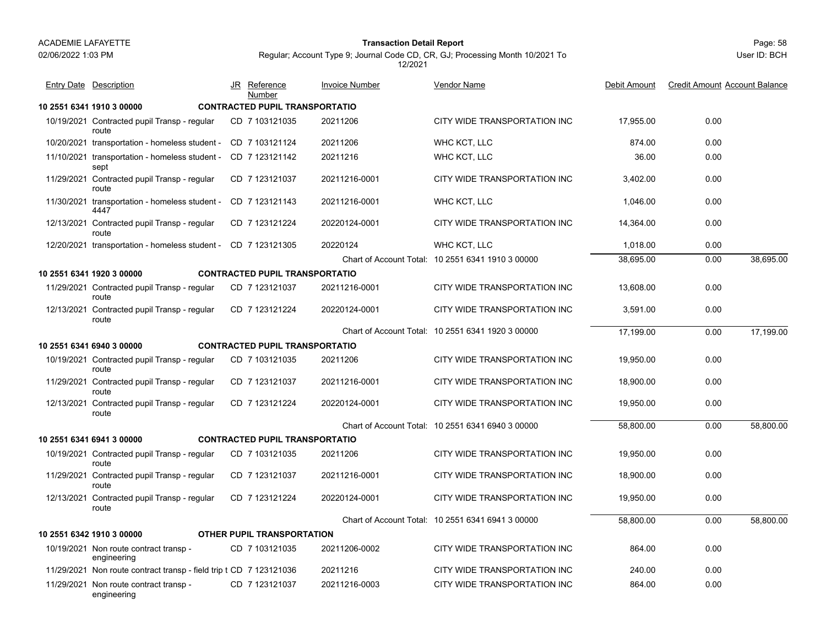#### Page: 58 **Transaction Detail Report**

| <b>Entry Date Description</b>                                      | <u>JR</u> | <u>Reference</u><br>Number            | Invoice Number | <u>Vendor Name</u>                                | Debit Amount | <b>Credit Amount Account Balance</b> |           |
|--------------------------------------------------------------------|-----------|---------------------------------------|----------------|---------------------------------------------------|--------------|--------------------------------------|-----------|
| 10 2551 6341 1910 3 00000                                          |           | <b>CONTRACTED PUPIL TRANSPORTATIO</b> |                |                                                   |              |                                      |           |
| 10/19/2021 Contracted pupil Transp - regular<br>route              |           | CD 7 103121035                        | 20211206       | CITY WIDE TRANSPORTATION INC                      | 17.955.00    | 0.00                                 |           |
| 10/20/2021 transportation - homeless student -                     |           | CD 7 103121124                        | 20211206       | WHC KCT, LLC                                      | 874.00       | 0.00                                 |           |
| 11/10/2021 transportation - homeless student -<br>sept             |           | CD 7 123121142                        | 20211216       | WHC KCT, LLC                                      | 36.00        | 0.00                                 |           |
| 11/29/2021 Contracted pupil Transp - regular<br>route              |           | CD 7 123121037                        | 20211216-0001  | CITY WIDE TRANSPORTATION INC                      | 3,402.00     | 0.00                                 |           |
| 11/30/2021 transportation - homeless student -<br>4447             |           | CD 7 123121143                        | 20211216-0001  | WHC KCT, LLC                                      | 1,046.00     | 0.00                                 |           |
| 12/13/2021 Contracted pupil Transp - regular<br>route              |           | CD 7 123121224                        | 20220124-0001  | CITY WIDE TRANSPORTATION INC                      | 14,364.00    | 0.00                                 |           |
| 12/20/2021 transportation - homeless student - CD 7 123121305      |           |                                       | 20220124       | WHC KCT, LLC                                      | 1,018.00     | 0.00                                 |           |
|                                                                    |           |                                       |                | Chart of Account Total: 10 2551 6341 1910 3 00000 | 38,695.00    | 0.00                                 | 38,695.00 |
| 10 2551 6341 1920 3 00000                                          |           | <b>CONTRACTED PUPIL TRANSPORTATIO</b> |                |                                                   |              |                                      |           |
| 11/29/2021 Contracted pupil Transp - regular<br>route              |           | CD 7 123121037                        | 20211216-0001  | CITY WIDE TRANSPORTATION INC                      | 13,608.00    | 0.00                                 |           |
| 12/13/2021 Contracted pupil Transp - regular<br>route              |           | CD 7 123121224                        | 20220124-0001  | CITY WIDE TRANSPORTATION INC                      | 3,591.00     | 0.00                                 |           |
|                                                                    |           |                                       |                | Chart of Account Total: 10 2551 6341 1920 3 00000 | 17,199.00    | 0.00                                 | 17,199.00 |
| 10 2551 6341 6940 3 00000                                          |           | <b>CONTRACTED PUPIL TRANSPORTATIO</b> |                |                                                   |              |                                      |           |
| 10/19/2021 Contracted pupil Transp - regular<br>route              |           | CD 7 103121035                        | 20211206       | CITY WIDE TRANSPORTATION INC                      | 19.950.00    | 0.00                                 |           |
| 11/29/2021 Contracted pupil Transp - regular<br>route              |           | CD 7 123121037                        | 20211216-0001  | CITY WIDE TRANSPORTATION INC                      | 18,900.00    | 0.00                                 |           |
| 12/13/2021 Contracted pupil Transp - regular<br>route              |           | CD 7 123121224                        | 20220124-0001  | CITY WIDE TRANSPORTATION INC                      | 19,950.00    | 0.00                                 |           |
|                                                                    |           |                                       |                | Chart of Account Total: 10 2551 6341 6940 3 00000 | 58.800.00    | 0.00                                 | 58.800.00 |
| 10 2551 6341 6941 3 00000                                          |           | <b>CONTRACTED PUPIL TRANSPORTATIO</b> |                |                                                   |              |                                      |           |
| 10/19/2021 Contracted pupil Transp - regular<br>route              |           | CD 7 103121035                        | 20211206       | CITY WIDE TRANSPORTATION INC                      | 19.950.00    | 0.00                                 |           |
| 11/29/2021 Contracted pupil Transp - regular<br>route              |           | CD 7 123121037                        | 20211216-0001  | CITY WIDE TRANSPORTATION INC                      | 18,900.00    | 0.00                                 |           |
| 12/13/2021 Contracted pupil Transp - regular<br>route              |           | CD 7 123121224                        | 20220124-0001  | CITY WIDE TRANSPORTATION INC                      | 19,950.00    | 0.00                                 |           |
|                                                                    |           |                                       |                | Chart of Account Total: 10 2551 6341 6941 3 00000 | 58,800.00    | 0.00                                 | 58,800.00 |
| 10 2551 6342 1910 3 00000                                          |           | <b>OTHER PUPIL TRANSPORTATION</b>     |                |                                                   |              |                                      |           |
| 10/19/2021 Non route contract transp -<br>engineering              |           | CD 7 103121035                        | 20211206-0002  | CITY WIDE TRANSPORTATION INC                      | 864.00       | 0.00                                 |           |
| 11/29/2021 Non route contract transp - field trip t CD 7 123121036 |           |                                       | 20211216       | CITY WIDE TRANSPORTATION INC                      | 240.00       | 0.00                                 |           |
| 11/29/2021 Non route contract transp -<br>engineering              |           | CD 7 123121037                        | 20211216-0003  | CITY WIDE TRANSPORTATION INC                      | 864.00       | 0.00                                 |           |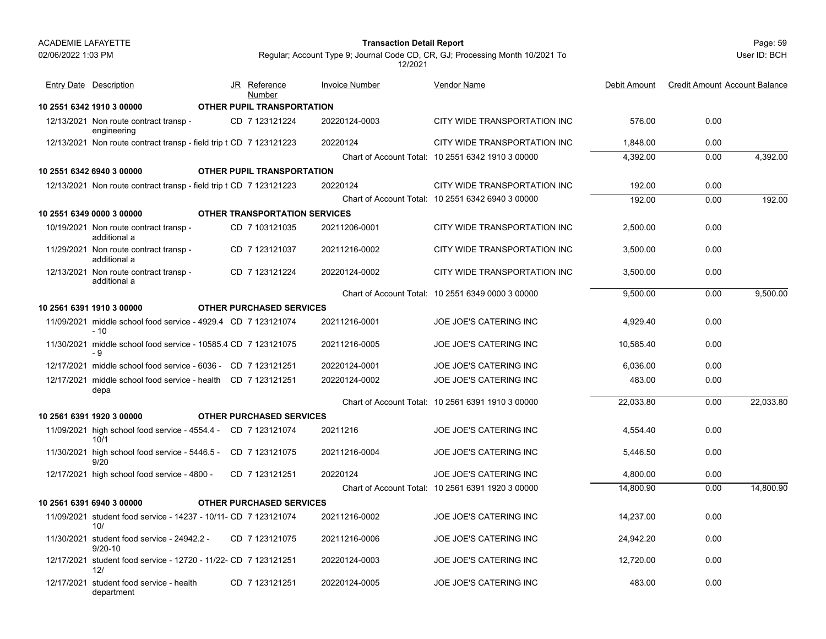#### Page: 59 **Transaction Detail Report**

User ID: BCH

| <b>Entry Date Description</b>                                          | JR | Reference<br>Number                  | <b>Invoice Number</b> | Vendor Name                                       | Debit Amount | <b>Credit Amount Account Balance</b> |           |
|------------------------------------------------------------------------|----|--------------------------------------|-----------------------|---------------------------------------------------|--------------|--------------------------------------|-----------|
| 10 2551 6342 1910 3 00000                                              |    | OTHER PUPIL TRANSPORTATION           |                       |                                                   |              |                                      |           |
| 12/13/2021 Non route contract transp -<br>engineering                  |    | CD 7 123121224                       | 20220124-0003         | CITY WIDE TRANSPORTATION INC                      | 576.00       | 0.00                                 |           |
| 12/13/2021 Non route contract transp - field trip t CD 7 123121223     |    |                                      | 20220124              | CITY WIDE TRANSPORTATION INC                      | 1.848.00     | 0.00                                 |           |
|                                                                        |    |                                      |                       | Chart of Account Total: 10 2551 6342 1910 3 00000 | 4,392.00     | 0.00                                 | 4,392.00  |
| 10 2551 6342 6940 3 00000                                              |    | <b>OTHER PUPIL TRANSPORTATION</b>    |                       |                                                   |              |                                      |           |
| 12/13/2021 Non route contract transp - field trip t CD 7 123121223     |    |                                      | 20220124              | CITY WIDE TRANSPORTATION INC                      | 192.00       | 0.00                                 |           |
|                                                                        |    |                                      |                       | Chart of Account Total: 10 2551 6342 6940 3 00000 | 192.00       | 0.00                                 | 192.00    |
| 10 2551 6349 0000 3 00000                                              |    | <b>OTHER TRANSPORTATION SERVICES</b> |                       |                                                   |              |                                      |           |
| 10/19/2021 Non route contract transp -<br>additional a                 |    | CD 7 103121035                       | 20211206-0001         | CITY WIDE TRANSPORTATION INC                      | 2.500.00     | 0.00                                 |           |
| 11/29/2021 Non route contract transp -<br>additional a                 |    | CD 7 123121037                       | 20211216-0002         | CITY WIDE TRANSPORTATION INC                      | 3,500.00     | 0.00                                 |           |
| 12/13/2021 Non route contract transp -<br>additional a                 |    | CD 7 123121224                       | 20220124-0002         | CITY WIDE TRANSPORTATION INC                      | 3,500.00     | 0.00                                 |           |
|                                                                        |    |                                      |                       | Chart of Account Total: 10 2551 6349 0000 3 00000 | 9,500.00     | 0.00                                 | 9,500.00  |
| 10 2561 6391 1910 3 00000                                              |    | <b>OTHER PURCHASED SERVICES</b>      |                       |                                                   |              |                                      |           |
| 11/09/2021 middle school food service - 4929.4 CD 7 123121074<br>$-10$ |    |                                      | 20211216-0001         | JOE JOE'S CATERING INC                            | 4,929.40     | 0.00                                 |           |
| 11/30/2021 middle school food service - 10585.4 CD 7 123121075<br>- 9  |    |                                      | 20211216-0005         | <b>JOE JOE'S CATERING INC</b>                     | 10,585.40    | 0.00                                 |           |
| 12/17/2021 middle school food service - 6036 - CD 7 123121251          |    |                                      | 20220124-0001         | <b>JOE JOE'S CATERING INC</b>                     | 6.036.00     | 0.00                                 |           |
| 12/17/2021 middle school food service - health CD 7 123121251<br>depa  |    |                                      | 20220124-0002         | <b>JOE JOE'S CATERING INC</b>                     | 483.00       | 0.00                                 |           |
|                                                                        |    |                                      |                       | Chart of Account Total: 10 2561 6391 1910 3 00000 | 22.033.80    | 0.00                                 | 22,033.80 |
| 10 2561 6391 1920 3 00000                                              |    | <b>OTHER PURCHASED SERVICES</b>      |                       |                                                   |              |                                      |           |
| 11/09/2021 high school food service - 4554.4 - CD 7 123121074<br>10/1  |    |                                      | 20211216              | <b>JOE JOE'S CATERING INC</b>                     | 4.554.40     | 0.00                                 |           |
| 11/30/2021 high school food service - 5446.5 - CD 7 123121075<br>9/20  |    |                                      | 20211216-0004         | JOE JOE'S CATERING INC                            | 5,446.50     | 0.00                                 |           |
| 12/17/2021 high school food service - 4800 -                           |    | CD 7 123121251                       | 20220124              | <b>JOE JOE'S CATERING INC</b>                     | 4.800.00     | 0.00                                 |           |
|                                                                        |    |                                      |                       | Chart of Account Total: 10 2561 6391 1920 3 00000 | 14,800.90    | 0.00                                 | 14,800.90 |
| 10 2561 6391 6940 3 00000                                              |    | <b>OTHER PURCHASED SERVICES</b>      |                       |                                                   |              |                                      |           |
| 11/09/2021 student food service - 14237 - 10/11- CD 7 123121074<br>10/ |    |                                      | 20211216-0002         | JOE JOE'S CATERING INC                            | 14,237.00    | 0.00                                 |           |
| 11/30/2021 student food service - 24942.2 -<br>$9/20-10$               |    | CD 7 123121075                       | 20211216-0006         | JOE JOE'S CATERING INC                            | 24,942.20    | 0.00                                 |           |
| 12/17/2021 student food service - 12720 - 11/22- CD 7 123121251<br>12/ |    |                                      | 20220124-0003         | <b>JOE JOE'S CATERING INC</b>                     | 12.720.00    | 0.00                                 |           |
| 12/17/2021 student food service - health<br>department                 |    | CD 7 123121251                       | 20220124-0005         | <b>JOE JOE'S CATERING INC</b>                     | 483.00       | 0.00                                 |           |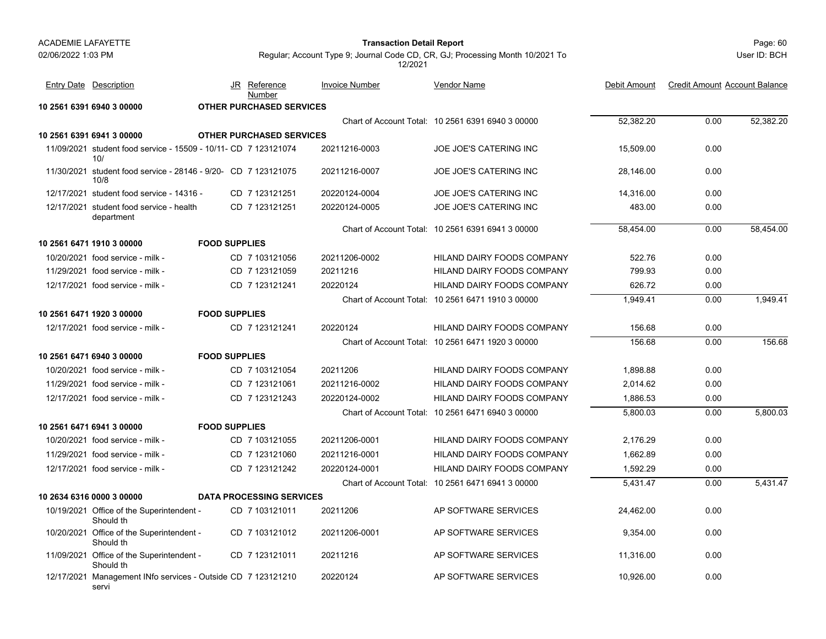#### Page: 60 **Transaction Detail Report**

User ID: BCH

| <b>Entry Date Description</b>                                           | JR                   | Reference<br>Number             | <b>Invoice Number</b> | <b>Vendor Name</b>                                | Debit Amount | <b>Credit Amount Account Balance</b> |           |
|-------------------------------------------------------------------------|----------------------|---------------------------------|-----------------------|---------------------------------------------------|--------------|--------------------------------------|-----------|
| 10 2561 6391 6940 3 00000                                               |                      | <b>OTHER PURCHASED SERVICES</b> |                       |                                                   |              |                                      |           |
|                                                                         |                      |                                 |                       | Chart of Account Total: 10 2561 6391 6940 3 00000 | 52,382.20    | 0.00                                 | 52,382.20 |
| 10 2561 6391 6941 3 00000                                               |                      | <b>OTHER PURCHASED SERVICES</b> |                       |                                                   |              |                                      |           |
| 11/09/2021 student food service - 15509 - 10/11 - CD 7 123121074<br>10/ |                      |                                 | 20211216-0003         | <b>JOE JOE'S CATERING INC</b>                     | 15,509.00    | 0.00                                 |           |
| 11/30/2021 student food service - 28146 - 9/20- CD 7 123121075<br>10/8  |                      |                                 | 20211216-0007         | JOE JOE'S CATERING INC                            | 28,146.00    | 0.00                                 |           |
| 12/17/2021 student food service - 14316 -                               |                      | CD 7 123121251                  | 20220124-0004         | JOE JOE'S CATERING INC                            | 14,316.00    | 0.00                                 |           |
| 12/17/2021 student food service - health<br>department                  |                      | CD 7 123121251                  | 20220124-0005         | JOE JOE'S CATERING INC                            | 483.00       | 0.00                                 |           |
|                                                                         |                      |                                 |                       | Chart of Account Total: 10 2561 6391 6941 3 00000 | 58,454.00    | 0.00                                 | 58,454.00 |
| 10 2561 6471 1910 3 00000                                               | <b>FOOD SUPPLIES</b> |                                 |                       |                                                   |              |                                      |           |
| 10/20/2021 food service - milk -                                        |                      | CD 7 103121056                  | 20211206-0002         | HILAND DAIRY FOODS COMPANY                        | 522.76       | 0.00                                 |           |
| 11/29/2021 food service - milk -                                        |                      | CD 7 123121059                  | 20211216              | HILAND DAIRY FOODS COMPANY                        | 799.93       | 0.00                                 |           |
| 12/17/2021 food service - milk -                                        |                      | CD 7 123121241                  | 20220124              | HILAND DAIRY FOODS COMPANY                        | 626.72       | 0.00                                 |           |
|                                                                         |                      |                                 |                       | Chart of Account Total: 10 2561 6471 1910 3 00000 | 1.949.41     | 0.00                                 | 1.949.41  |
| 10 2561 6471 1920 3 00000                                               | <b>FOOD SUPPLIES</b> |                                 |                       |                                                   |              |                                      |           |
| 12/17/2021 food service - milk -                                        |                      | CD 7 123121241                  | 20220124              | <b>HILAND DAIRY FOODS COMPANY</b>                 | 156.68       | 0.00                                 |           |
|                                                                         |                      |                                 |                       | Chart of Account Total: 10 2561 6471 1920 3 00000 | 156.68       | 0.00                                 | 156.68    |
| 10 2561 6471 6940 3 00000                                               | <b>FOOD SUPPLIES</b> |                                 |                       |                                                   |              |                                      |           |
| 10/20/2021 food service - milk -                                        |                      | CD 7 103121054                  | 20211206              | HILAND DAIRY FOODS COMPANY                        | 1,898.88     | 0.00                                 |           |
| 11/29/2021 food service - milk -                                        |                      | CD 7 123121061                  | 20211216-0002         | HILAND DAIRY FOODS COMPANY                        | 2,014.62     | 0.00                                 |           |
| 12/17/2021 food service - milk -                                        |                      | CD 7 123121243                  | 20220124-0002         | HILAND DAIRY FOODS COMPANY                        | 1,886.53     | 0.00                                 |           |
|                                                                         |                      |                                 |                       | Chart of Account Total: 10 2561 6471 6940 3 00000 | 5,800.03     | 0.00                                 | 5,800.03  |
| 10 2561 6471 6941 3 00000                                               | <b>FOOD SUPPLIES</b> |                                 |                       |                                                   |              |                                      |           |
| 10/20/2021 food service - milk -                                        |                      | CD 7 103121055                  | 20211206-0001         | HILAND DAIRY FOODS COMPANY                        | 2.176.29     | 0.00                                 |           |
| 11/29/2021 food service - milk -                                        |                      | CD 7 123121060                  | 20211216-0001         | HILAND DAIRY FOODS COMPANY                        | 1,662.89     | 0.00                                 |           |
| 12/17/2021 food service - milk -                                        |                      | CD 7 123121242                  | 20220124-0001         | <b>HILAND DAIRY FOODS COMPANY</b>                 | 1.592.29     | 0.00                                 |           |
|                                                                         |                      |                                 |                       | Chart of Account Total: 10 2561 6471 6941 3 00000 | 5.431.47     | 0.00                                 | 5.431.47  |
| 10 2634 6316 0000 3 00000                                               |                      | <b>DATA PROCESSING SERVICES</b> |                       |                                                   |              |                                      |           |
| 10/19/2021 Office of the Superintendent -<br>Should th                  |                      | CD 7 103121011                  | 20211206              | AP SOFTWARE SERVICES                              | 24,462.00    | 0.00                                 |           |
| 10/20/2021 Office of the Superintendent -<br>Should th                  |                      | CD 7 103121012                  | 20211206-0001         | AP SOFTWARE SERVICES                              | 9,354.00     | 0.00                                 |           |
| 11/09/2021 Office of the Superintendent -<br>Should th                  |                      | CD 7 123121011                  | 20211216              | AP SOFTWARE SERVICES                              | 11,316.00    | 0.00                                 |           |
| 12/17/2021 Management INfo services - Outside CD 7 123121210<br>servi   |                      |                                 | 20220124              | AP SOFTWARE SERVICES                              | 10,926.00    | 0.00                                 |           |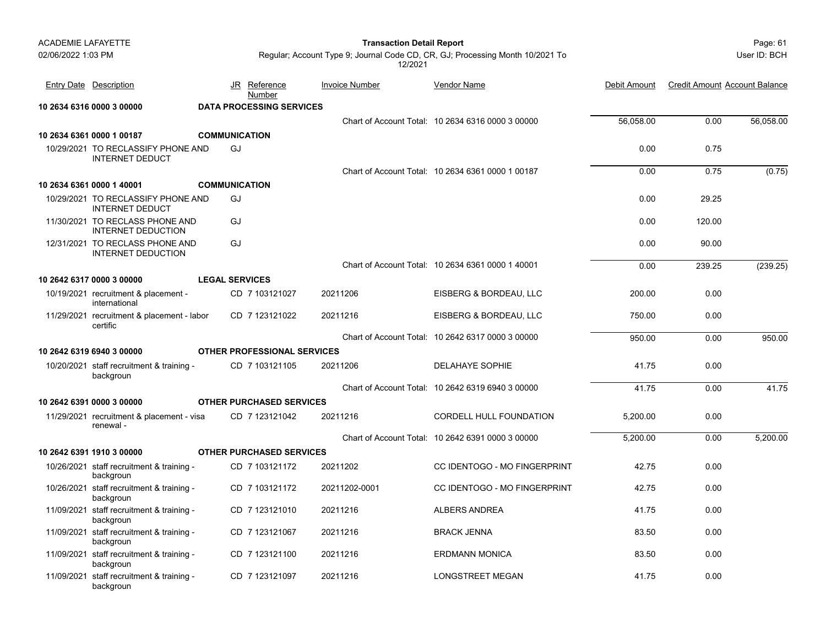#### Page: 61 **Transaction Detail Report**

User ID: BCH

| Entry Date Description                                       |                       | JR Reference<br>Number             | <b>Invoice Number</b> | Vendor Name                                       | Debit Amount | <b>Credit Amount Account Balance</b> |           |
|--------------------------------------------------------------|-----------------------|------------------------------------|-----------------------|---------------------------------------------------|--------------|--------------------------------------|-----------|
| 10 2634 6316 0000 3 00000                                    |                       | <b>DATA PROCESSING SERVICES</b>    |                       |                                                   |              |                                      |           |
|                                                              |                       |                                    |                       | Chart of Account Total: 10 2634 6316 0000 3 00000 | 56,058.00    | 0.00                                 | 56,058.00 |
| 10 2634 6361 0000 1 00187                                    | <b>COMMUNICATION</b>  |                                    |                       |                                                   |              |                                      |           |
| 10/29/2021 TO RECLASSIFY PHONE AND<br><b>INTERNET DEDUCT</b> | GJ                    |                                    |                       |                                                   | 0.00         | 0.75                                 |           |
|                                                              |                       |                                    |                       | Chart of Account Total: 10 2634 6361 0000 1 00187 | 0.00         | 0.75                                 | (0.75)    |
| 10 2634 6361 0000 1 40001                                    | <b>COMMUNICATION</b>  |                                    |                       |                                                   |              |                                      |           |
| 10/29/2021 TO RECLASSIFY PHONE AND<br><b>INTERNET DEDUCT</b> | GJ                    |                                    |                       |                                                   | 0.00         | 29.25                                |           |
| 11/30/2021 TO RECLASS PHONE AND<br><b>INTERNET DEDUCTION</b> | GJ                    |                                    |                       |                                                   | 0.00         | 120.00                               |           |
| 12/31/2021 TO RECLASS PHONE AND<br><b>INTERNET DEDUCTION</b> | GJ                    |                                    |                       |                                                   | 0.00         | 90.00                                |           |
|                                                              |                       |                                    |                       | Chart of Account Total: 10 2634 6361 0000 1 40001 | 0.00         | 239.25                               | (239.25)  |
| 10 2642 6317 0000 3 00000                                    | <b>LEGAL SERVICES</b> |                                    |                       |                                                   |              |                                      |           |
| 10/19/2021 recruitment & placement -<br>international        |                       | CD 7 103121027                     | 20211206              | EISBERG & BORDEAU, LLC                            | 200.00       | 0.00                                 |           |
| 11/29/2021 recruitment & placement - labor<br>certific       |                       | CD 7 123121022                     | 20211216              | EISBERG & BORDEAU, LLC                            | 750.00       | 0.00                                 |           |
|                                                              |                       |                                    |                       | Chart of Account Total: 10 2642 6317 0000 3 00000 | 950.00       | 0.00                                 | 950.00    |
| 10 2642 6319 6940 3 00000                                    |                       | <b>OTHER PROFESSIONAL SERVICES</b> |                       |                                                   |              |                                      |           |
| 10/20/2021 staff recruitment & training -<br>backgroun       |                       | CD 7 103121105                     | 20211206              | DELAHAYE SOPHIE                                   | 41.75        | 0.00                                 |           |
|                                                              |                       |                                    |                       | Chart of Account Total: 10 2642 6319 6940 3 00000 | 41.75        | 0.00                                 | 41.75     |
| 10 2642 6391 0000 3 00000                                    |                       | <b>OTHER PURCHASED SERVICES</b>    |                       |                                                   |              |                                      |           |
| 11/29/2021 recruitment & placement - visa<br>renewal -       |                       | CD 7 123121042                     | 20211216              | CORDELL HULL FOUNDATION                           | 5,200.00     | 0.00                                 |           |
|                                                              |                       |                                    |                       | Chart of Account Total: 10 2642 6391 0000 3 00000 | 5,200.00     | 0.00                                 | 5,200.00  |
| 10 2642 6391 1910 3 00000                                    |                       | <b>OTHER PURCHASED SERVICES</b>    |                       |                                                   |              |                                      |           |
| 10/26/2021 staff recruitment & training -<br>backgroun       |                       | CD 7 103121172                     | 20211202              | CC IDENTOGO - MO FINGERPRINT                      | 42.75        | 0.00                                 |           |
| 10/26/2021 staff recruitment & training -<br>backgroun       |                       | CD 7 103121172                     | 20211202-0001         | CC IDENTOGO - MO FINGERPRINT                      | 42.75        | 0.00                                 |           |
| 11/09/2021 staff recruitment & training -<br>backgroun       |                       | CD 7 123121010                     | 20211216              | ALBERS ANDREA                                     | 41.75        | 0.00                                 |           |
| 11/09/2021 staff recruitment & training -<br>backgroun       |                       | CD 7 123121067                     | 20211216              | <b>BRACK JENNA</b>                                | 83.50        | 0.00                                 |           |
| 11/09/2021 staff recruitment & training -<br>backgroun       |                       | CD 7 123121100                     | 20211216              | <b>ERDMANN MONICA</b>                             | 83.50        | 0.00                                 |           |
| 11/09/2021 staff recruitment & training -<br>backgroun       |                       | CD 7 123121097                     | 20211216              | LONGSTREET MEGAN                                  | 41.75        | 0.00                                 |           |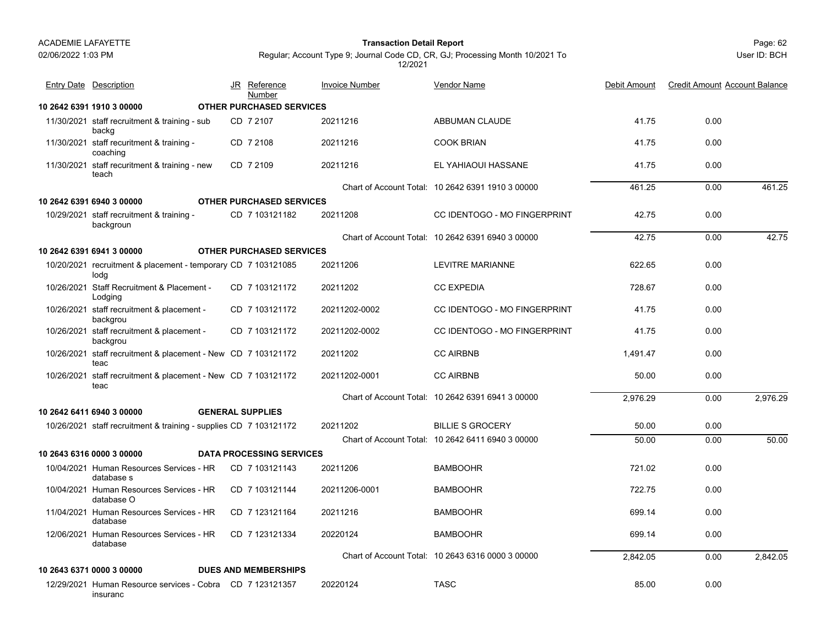#### Page: 62 **Transaction Detail Report**

Regular; Account Type 9; Journal Code CD, CR, GJ; Processing Month 10/2021 To 12/2021

| <b>Entry Date Description</b>                                         | JR Reference<br>Number          | <b>Invoice Number</b> | <b>Vendor Name</b>                                | Debit Amount | <b>Credit Amount Account Balance</b> |          |
|-----------------------------------------------------------------------|---------------------------------|-----------------------|---------------------------------------------------|--------------|--------------------------------------|----------|
| 10 2642 6391 1910 3 00000                                             | <b>OTHER PURCHASED SERVICES</b> |                       |                                                   |              |                                      |          |
| 11/30/2021 staff recruitment & training - sub<br>backg                | CD 7 2107                       | 20211216              | ABBUMAN CLAUDE                                    | 41.75        | 0.00                                 |          |
| 11/30/2021 staff recuritment & training -<br>coaching                 | CD 7 2108                       | 20211216              | <b>COOK BRIAN</b>                                 | 41.75        | 0.00                                 |          |
| 11/30/2021 staff recuritment & training - new<br>teach                | CD 7 2109                       | 20211216              | EL YAHIAOUI HASSANE                               | 41.75        | 0.00                                 |          |
|                                                                       |                                 |                       | Chart of Account Total: 10 2642 6391 1910 3 00000 | 461.25       | 0.00                                 | 461.25   |
| 10 2642 6391 6940 3 00000                                             | <b>OTHER PURCHASED SERVICES</b> |                       |                                                   |              |                                      |          |
| 10/29/2021 staff recruitment & training -<br>backgroun                | CD 7 103121182                  | 20211208              | <b>CC IDENTOGO - MO FINGERPRINT</b>               | 42.75        | 0.00                                 |          |
|                                                                       |                                 |                       | Chart of Account Total: 10 2642 6391 6940 3 00000 | 42.75        | 0.00                                 | 42.75    |
| 10 2642 6391 6941 3 00000                                             | <b>OTHER PURCHASED SERVICES</b> |                       |                                                   |              |                                      |          |
| 10/20/2021 recruitment & placement - temporary CD 7 103121085<br>lodg |                                 | 20211206              | LEVITRE MARIANNE                                  | 622.65       | 0.00                                 |          |
| 10/26/2021 Staff Recruitment & Placement -<br>Lodging                 | CD 7 103121172                  | 20211202              | <b>CC EXPEDIA</b>                                 | 728.67       | 0.00                                 |          |
| 10/26/2021 staff recruitment & placement -<br>backgrou                | CD 7 103121172                  | 20211202-0002         | CC IDENTOGO - MO FINGERPRINT                      | 41.75        | 0.00                                 |          |
| 10/26/2021 staff recruitment & placement -<br>backgrou                | CD 7 103121172                  | 20211202-0002         | <b>CC IDENTOGO - MO FINGERPRINT</b>               | 41.75        | 0.00                                 |          |
| 10/26/2021 staff recruitment & placement - New CD 7 103121172<br>teac |                                 | 20211202              | <b>CC AIRBNB</b>                                  | 1,491.47     | 0.00                                 |          |
| 10/26/2021 staff recruitment & placement - New CD 7 103121172<br>teac |                                 | 20211202-0001         | <b>CC AIRBNB</b>                                  | 50.00        | 0.00                                 |          |
|                                                                       |                                 |                       | Chart of Account Total: 10 2642 6391 6941 3 00000 | 2,976.29     | 0.00                                 | 2,976.29 |
| 10 2642 6411 6940 3 00000                                             | <b>GENERAL SUPPLIES</b>         |                       |                                                   |              |                                      |          |
| 10/26/2021 staff recruitment & training - supplies CD 7 103121172     |                                 | 20211202              | <b>BILLIE S GROCERY</b>                           | 50.00        | 0.00                                 |          |
|                                                                       |                                 |                       | Chart of Account Total: 10 2642 6411 6940 3 00000 | 50.00        | 0.00                                 | 50.00    |
| 10 2643 6316 0000 3 00000                                             | <b>DATA PROCESSING SERVICES</b> |                       |                                                   |              |                                      |          |
| 10/04/2021 Human Resources Services - HR<br>database s                | CD 7 103121143                  | 20211206              | <b>BAMBOOHR</b>                                   | 721.02       | 0.00                                 |          |
| 10/04/2021 Human Resources Services - HR<br>database O                | CD 7 103121144                  | 20211206-0001         | <b>BAMBOOHR</b>                                   | 722.75       | 0.00                                 |          |
| 11/04/2021 Human Resources Services - HR<br>database                  | CD 7 123121164                  | 20211216              | <b>BAMBOOHR</b>                                   | 699.14       | 0.00                                 |          |
| 12/06/2021 Human Resources Services - HR<br>database                  | CD 7 123121334                  | 20220124              | <b>BAMBOOHR</b>                                   | 699.14       | 0.00                                 |          |
|                                                                       |                                 |                       | Chart of Account Total: 10 2643 6316 0000 3 00000 | 2,842.05     | 0.00                                 | 2.842.05 |
| 10 2643 6371 0000 3 00000                                             | <b>DUES AND MEMBERSHIPS</b>     |                       |                                                   |              |                                      |          |
| 12/29/2021 Human Resource services - Cobra CD 7 123121357<br>insuranc |                                 | 20220124              | <b>TASC</b>                                       | 85.00        | 0.00                                 |          |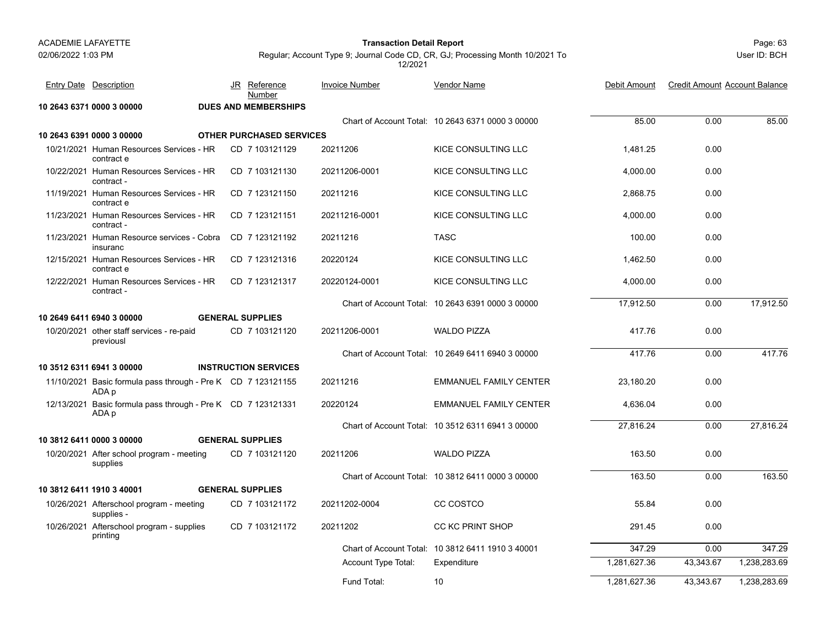#### Page: 63 **Transaction Detail Report**

User ID: BCH

| <b>Entry Date Description</b>                                         |  | JR Reference<br>Number          | <b>Invoice Number</b> | <b>Vendor Name</b>                                | Debit Amount | <b>Credit Amount Account Balance</b> |              |
|-----------------------------------------------------------------------|--|---------------------------------|-----------------------|---------------------------------------------------|--------------|--------------------------------------|--------------|
| 10 2643 6371 0000 3 00000                                             |  | <b>DUES AND MEMBERSHIPS</b>     |                       |                                                   |              |                                      |              |
|                                                                       |  |                                 |                       | Chart of Account Total: 10 2643 6371 0000 3 00000 | 85.00        | 0.00                                 | 85.00        |
| 10 2643 6391 0000 3 00000                                             |  | <b>OTHER PURCHASED SERVICES</b> |                       |                                                   |              |                                      |              |
| 10/21/2021 Human Resources Services - HR<br>contract e                |  | CD 7 103121129                  | 20211206              | KICE CONSULTING LLC                               | 1.481.25     | 0.00                                 |              |
| 10/22/2021 Human Resources Services - HR<br>contract -                |  | CD 7 103121130                  | 20211206-0001         | KICE CONSULTING LLC                               | 4,000.00     | 0.00                                 |              |
| 11/19/2021 Human Resources Services - HR<br>contract e                |  | CD 7 123121150                  | 20211216              | KICE CONSULTING LLC                               | 2.868.75     | 0.00                                 |              |
| 11/23/2021 Human Resources Services - HR<br>contract -                |  | CD 7 123121151                  | 20211216-0001         | KICE CONSULTING LLC                               | 4,000.00     | 0.00                                 |              |
| 11/23/2021 Human Resource services - Cobra<br>insuranc                |  | CD 7 123121192                  | 20211216              | <b>TASC</b>                                       | 100.00       | 0.00                                 |              |
| 12/15/2021 Human Resources Services - HR<br>contract e                |  | CD 7 123121316                  | 20220124              | <b>KICE CONSULTING LLC</b>                        | 1.462.50     | 0.00                                 |              |
| 12/22/2021 Human Resources Services - HR<br>contract -                |  | CD 7 123121317                  | 20220124-0001         | KICE CONSULTING LLC                               | 4,000.00     | 0.00                                 |              |
|                                                                       |  |                                 |                       | Chart of Account Total: 10 2643 6391 0000 3 00000 | 17.912.50    | 0.00                                 | 17,912.50    |
| 10 2649 6411 6940 3 00000                                             |  | <b>GENERAL SUPPLIES</b>         |                       |                                                   |              |                                      |              |
| 10/20/2021 other staff services - re-paid<br>previousl                |  | CD 7 103121120                  | 20211206-0001         | <b>WALDO PIZZA</b>                                | 417.76       | 0.00                                 |              |
|                                                                       |  |                                 |                       | Chart of Account Total: 10 2649 6411 6940 3 00000 | 417.76       | 0.00                                 | 417.76       |
| 10 3512 6311 6941 3 00000                                             |  | <b>INSTRUCTION SERVICES</b>     |                       |                                                   |              |                                      |              |
| 11/10/2021 Basic formula pass through - Pre K CD 7 123121155<br>ADA p |  |                                 | 20211216              | <b>EMMANUEL FAMILY CENTER</b>                     | 23.180.20    | 0.00                                 |              |
| 12/13/2021 Basic formula pass through - Pre K CD 7 123121331<br>ADA p |  |                                 | 20220124              | <b>EMMANUEL FAMILY CENTER</b>                     | 4,636.04     | 0.00                                 |              |
|                                                                       |  |                                 |                       | Chart of Account Total: 10 3512 6311 6941 3 00000 | 27.816.24    | 0.00                                 | 27.816.24    |
| 10 3812 6411 0000 3 00000                                             |  | <b>GENERAL SUPPLIES</b>         |                       |                                                   |              |                                      |              |
| 10/20/2021 After school program - meeting<br>supplies                 |  | CD 7 103121120                  | 20211206              | <b>WALDO PIZZA</b>                                | 163.50       | 0.00                                 |              |
|                                                                       |  |                                 |                       | Chart of Account Total: 10 3812 6411 0000 3 00000 | 163.50       | 0.00                                 | 163.50       |
| 10 3812 6411 1910 3 40001                                             |  | <b>GENERAL SUPPLIES</b>         |                       |                                                   |              |                                      |              |
| 10/26/2021 Afterschool program - meeting<br>supplies -                |  | CD 7 103121172                  | 20211202-0004         | CC COSTCO                                         | 55.84        | 0.00                                 |              |
| 10/26/2021 Afterschool program - supplies<br>printing                 |  | CD 7 103121172                  | 20211202              | <b>CC KC PRINT SHOP</b>                           | 291.45       | 0.00                                 |              |
|                                                                       |  |                                 |                       | Chart of Account Total: 10 3812 6411 1910 3 40001 | 347.29       | 0.00                                 | 347.29       |
|                                                                       |  |                                 | Account Type Total:   | Expenditure                                       | 1,281,627.36 | 43,343.67                            | 1,238,283.69 |
|                                                                       |  |                                 | Fund Total:           | 10                                                | 1,281,627.36 | 43,343.67                            | 1,238,283.69 |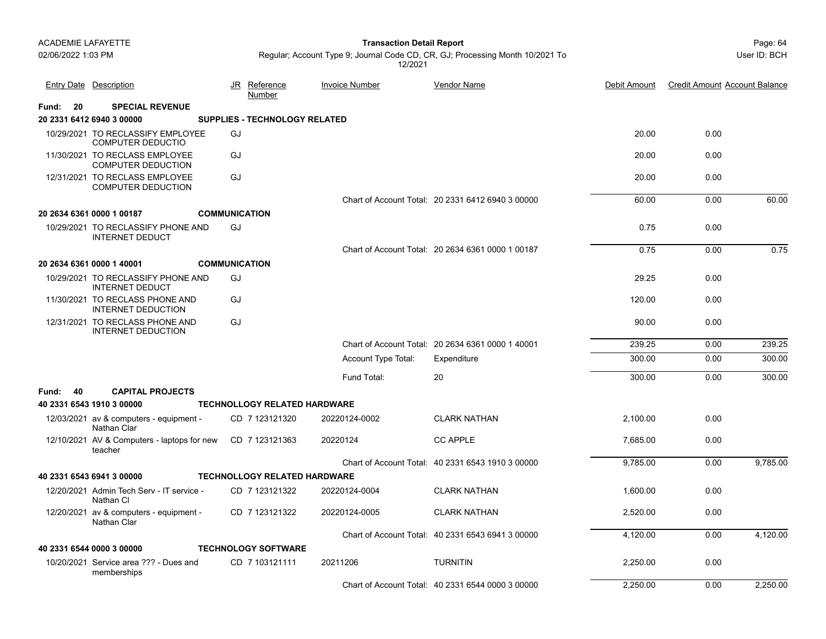Page: 64 **Transaction Detail Report**

Regular; Account Type 9; Journal Code CD, CR, GJ; Processing Month 10/2021 To 12/2021

|             | <b>Entry Date Description</b>                                 | <u>Reference</u><br><u>JR</u><br>Number | <b>Invoice Number</b> | <b>Vendor Name</b>                                | Debit Amount | <b>Credit Amount Account Balance</b> |          |
|-------------|---------------------------------------------------------------|-----------------------------------------|-----------------------|---------------------------------------------------|--------------|--------------------------------------|----------|
| 20<br>Fund: | <b>SPECIAL REVENUE</b>                                        |                                         |                       |                                                   |              |                                      |          |
|             | 20 2331 6412 6940 3 00000                                     | <b>SUPPLIES - TECHNOLOGY RELATED</b>    |                       |                                                   |              |                                      |          |
|             | 10/29/2021 TO RECLASSIFY EMPLOYEE<br><b>COMPUTER DEDUCTIO</b> | GJ                                      |                       |                                                   | 20.00        | 0.00                                 |          |
|             | 11/30/2021 TO RECLASS EMPLOYEE<br><b>COMPUTER DEDUCTION</b>   | GJ                                      |                       |                                                   | 20.00        | 0.00                                 |          |
|             | 12/31/2021 TO RECLASS EMPLOYEE<br><b>COMPUTER DEDUCTION</b>   | GJ                                      |                       |                                                   | 20.00        | 0.00                                 |          |
|             |                                                               |                                         |                       | Chart of Account Total: 20 2331 6412 6940 3 00000 | 60.00        | 0.00                                 | 60.00    |
|             | 20 2634 6361 0000 1 00187                                     | <b>COMMUNICATION</b>                    |                       |                                                   |              |                                      |          |
|             | 10/29/2021 TO RECLASSIFY PHONE AND<br><b>INTERNET DEDUCT</b>  | GJ                                      |                       |                                                   | 0.75         | 0.00                                 |          |
|             |                                                               |                                         |                       | Chart of Account Total: 20 2634 6361 0000 1 00187 | 0.75         | 0.00                                 | 0.75     |
|             | 20 2634 6361 0000 1 40001                                     | <b>COMMUNICATION</b>                    |                       |                                                   |              |                                      |          |
|             | 10/29/2021 TO RECLASSIFY PHONE AND<br><b>INTERNET DEDUCT</b>  | GJ                                      |                       |                                                   | 29.25        | 0.00                                 |          |
|             | 11/30/2021 TO RECLASS PHONE AND<br><b>INTERNET DEDUCTION</b>  | GJ                                      |                       |                                                   | 120.00       | 0.00                                 |          |
|             | 12/31/2021 TO RECLASS PHONE AND<br><b>INTERNET DEDUCTION</b>  | GJ                                      |                       |                                                   | 90.00        | 0.00                                 |          |
|             |                                                               |                                         |                       | Chart of Account Total: 20 2634 6361 0000 1 40001 | 239.25       | 0.00                                 | 239.25   |
|             |                                                               |                                         | Account Type Total:   | Expenditure                                       | 300.00       | 0.00                                 | 300.00   |
|             |                                                               |                                         | Fund Total:           | 20                                                | 300.00       | 0.00                                 | 300.00   |
| Fund: 40    | <b>CAPITAL PROJECTS</b>                                       |                                         |                       |                                                   |              |                                      |          |
|             | 40 2331 6543 1910 3 00000                                     | <b>TECHNOLLOGY RELATED HARDWARE</b>     |                       |                                                   |              |                                      |          |
|             | 12/03/2021 av & computers - equipment -<br><b>Nathan Clar</b> | CD 7 123121320                          | 20220124-0002         | <b>CLARK NATHAN</b>                               | 2,100.00     | 0.00                                 |          |
|             | 12/10/2021 AV & Computers - laptops for new<br>teacher        | CD 7 123121363                          | 20220124              | <b>CC APPLE</b>                                   | 7,685.00     | 0.00                                 |          |
|             |                                                               |                                         |                       | Chart of Account Total: 40 2331 6543 1910 3 00000 | 9,785.00     | 0.00                                 | 9,785.00 |
|             | 40 2331 6543 6941 3 00000                                     | <b>TECHNOLLOGY RELATED HARDWARE</b>     |                       |                                                   |              |                                      |          |
|             | 12/20/2021 Admin Tech Serv - IT service -<br>Nathan CI        | CD 7 123121322                          | 20220124-0004         | <b>CLARK NATHAN</b>                               | 1,600.00     | 0.00                                 |          |
|             | 12/20/2021 av & computers - equipment -<br>Nathan Clar        | CD 7 123121322                          | 20220124-0005         | <b>CLARK NATHAN</b>                               | 2,520.00     | 0.00                                 |          |
|             |                                                               |                                         |                       | Chart of Account Total: 40 2331 6543 6941 3 00000 | 4,120.00     | 0.00                                 | 4,120.00 |
|             | 40 2331 6544 0000 3 00000                                     | <b>TECHNOLOGY SOFTWARE</b>              |                       |                                                   |              |                                      |          |
|             | 10/20/2021 Service area ??? - Dues and<br>memberships         | CD 7 103121111                          | 20211206              | <b>TURNITIN</b>                                   | 2,250.00     | 0.00                                 |          |
|             |                                                               |                                         |                       | Chart of Account Total: 40 2331 6544 0000 3 00000 | 2,250.00     | 0.00                                 | 2.250.00 |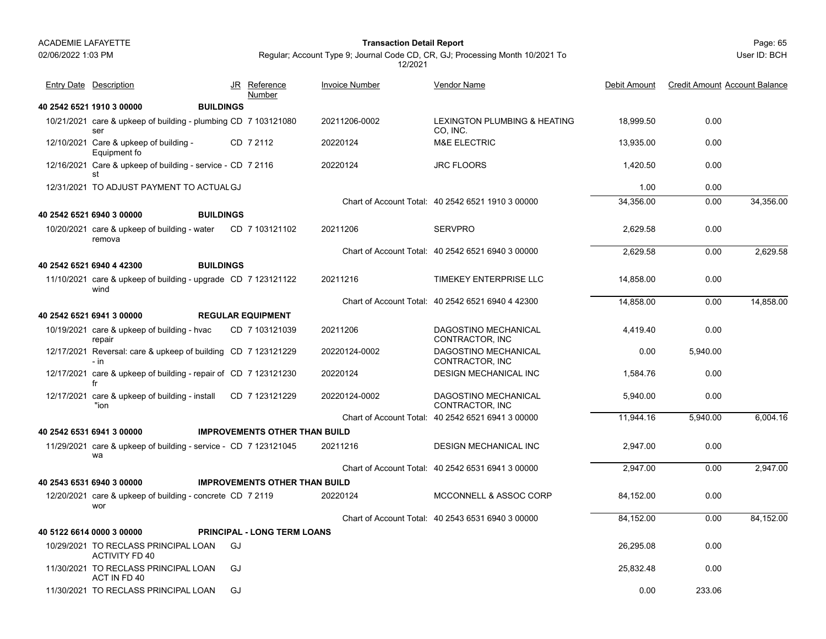02/06/2022 1:03 PM

#### Page: 65 **Transaction Detail Report**

Regular; Account Type 9; Journal Code CD, CR, GJ; Processing Month 10/2021 To 12/2021

| <b>Entry Date Description</b>                                         |    | JR Reference<br>Number               | <b>Invoice Number</b> | Vendor Name                                       | Debit Amount | <b>Credit Amount Account Balance</b> |           |
|-----------------------------------------------------------------------|----|--------------------------------------|-----------------------|---------------------------------------------------|--------------|--------------------------------------|-----------|
| 40 2542 6521 1910 3 00000<br><b>BUILDINGS</b>                         |    |                                      |                       |                                                   |              |                                      |           |
| 10/21/2021 care & upkeep of building - plumbing CD 7 103121080<br>ser |    |                                      | 20211206-0002         | LEXINGTON PLUMBING & HEATING<br>CO, INC.          | 18.999.50    | 0.00                                 |           |
| 12/10/2021 Care & upkeep of building -<br>Equipment fo                |    | CD 7 2112                            | 20220124              | <b>M&amp;E ELECTRIC</b>                           | 13,935.00    | 0.00                                 |           |
| 12/16/2021 Care & upkeep of building - service - CD 7 2116<br>st      |    |                                      | 20220124              | <b>JRC FLOORS</b>                                 | 1,420.50     | 0.00                                 |           |
| 12/31/2021 TO ADJUST PAYMENT TO ACTUAL GJ                             |    |                                      |                       |                                                   | 1.00         | 0.00                                 |           |
|                                                                       |    |                                      |                       | Chart of Account Total: 40 2542 6521 1910 3 00000 | 34.356.00    | 0.00                                 | 34,356.00 |
| 40 2542 6521 6940 3 00000<br><b>BUILDINGS</b>                         |    |                                      |                       |                                                   |              |                                      |           |
| 10/20/2021 care & upkeep of building - water<br>remova                |    | CD 7 103121102                       | 20211206              | <b>SERVPRO</b>                                    | 2,629.58     | 0.00                                 |           |
|                                                                       |    |                                      |                       | Chart of Account Total: 40 2542 6521 6940 3 00000 | 2,629.58     | 0.00                                 | 2,629.58  |
| 40 2542 6521 6940 4 42300<br><b>BUILDINGS</b>                         |    |                                      |                       |                                                   |              |                                      |           |
| 11/10/2021 care & upkeep of building - upgrade CD 7 123121122<br>wind |    |                                      | 20211216              | TIMEKEY ENTERPRISE LLC                            | 14,858.00    | 0.00                                 |           |
|                                                                       |    |                                      |                       | Chart of Account Total: 40 2542 6521 6940 4 42300 | 14,858.00    | 0.00                                 | 14,858.00 |
| 40 2542 6521 6941 3 00000                                             |    | <b>REGULAR EQUIPMENT</b>             |                       |                                                   |              |                                      |           |
| 10/19/2021 care & upkeep of building - hvac<br>repair                 |    | CD 7 103121039                       | 20211206              | DAGOSTINO MECHANICAL<br>CONTRACTOR, INC           | 4,419.40     | 0.00                                 |           |
| 12/17/2021 Reversal: care & upkeep of building CD 7 123121229<br>- in |    |                                      | 20220124-0002         | DAGOSTINO MECHANICAL<br>CONTRACTOR, INC           | 0.00         | 5,940.00                             |           |
| 12/17/2021 care & upkeep of building - repair of CD 7 123121230<br>fr |    |                                      | 20220124              | <b>DESIGN MECHANICAL INC</b>                      | 1,584.76     | 0.00                                 |           |
| 12/17/2021 care & upkeep of building - install<br>"ion                |    | CD 7 123121229                       | 20220124-0002         | DAGOSTINO MECHANICAL<br>CONTRACTOR, INC           | 5,940.00     | 0.00                                 |           |
|                                                                       |    |                                      |                       | Chart of Account Total: 40 2542 6521 6941 3 00000 | 11.944.16    | 5.940.00                             | 6.004.16  |
| 40 2542 6531 6941 3 00000                                             |    | <b>IMPROVEMENTS OTHER THAN BUILD</b> |                       |                                                   |              |                                      |           |
| 11/29/2021 care & upkeep of building - service - CD 7 123121045<br>wa |    |                                      | 20211216              | DESIGN MECHANICAL INC                             | 2,947.00     | 0.00                                 |           |
|                                                                       |    |                                      |                       | Chart of Account Total: 40 2542 6531 6941 3 00000 | 2.947.00     | 0.00                                 | 2,947.00  |
| 40 2543 6531 6940 3 00000                                             |    | <b>IMPROVEMENTS OTHER THAN BUILD</b> |                       |                                                   |              |                                      |           |
| 12/20/2021 care & upkeep of building - concrete CD 7 2119<br>wor      |    |                                      | 20220124              | MCCONNELL & ASSOC CORP                            | 84,152.00    | 0.00                                 |           |
|                                                                       |    |                                      |                       | Chart of Account Total: 40 2543 6531 6940 3 00000 | 84,152.00    | 0.00                                 | 84,152.00 |
| 40 5122 6614 0000 3 00000                                             |    | <b>PRINCIPAL - LONG TERM LOANS</b>   |                       |                                                   |              |                                      |           |
| 10/29/2021 TO RECLASS PRINCIPAL LOAN<br><b>ACTIVITY FD 40</b>         | GJ |                                      |                       |                                                   | 26,295.08    | 0.00                                 |           |
| 11/30/2021 TO RECLASS PRINCIPAL LOAN<br>ACT IN FD 40                  | GJ |                                      |                       |                                                   | 25,832.48    | 0.00                                 |           |
| 11/30/2021 TO RECLASS PRINCIPAL LOAN                                  | GJ |                                      |                       |                                                   | 0.00         | 233.06                               |           |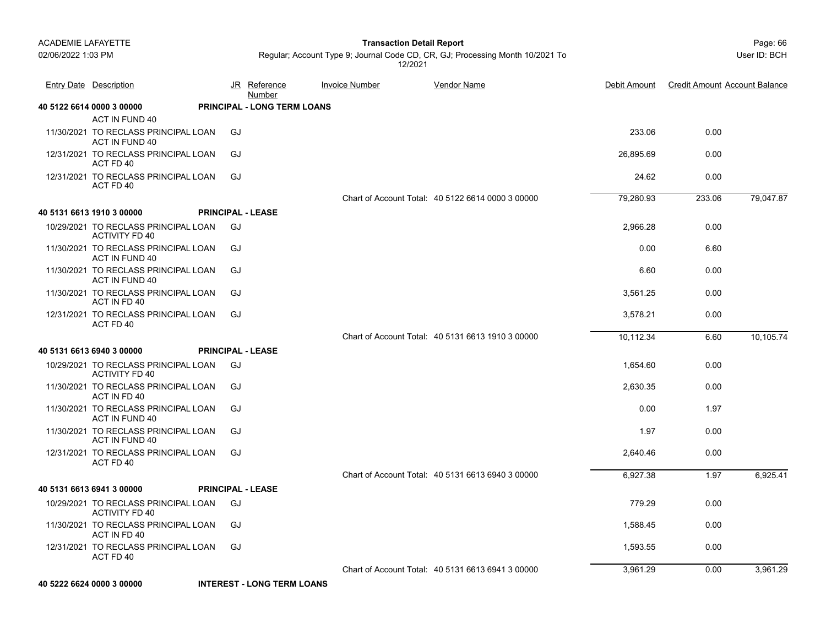ACT IN FUND 40

#### Page: 66 **Transaction Detail Report**

79,047.87

10,105.74

Regular; Account Type 9; Journal Code CD, CR, GJ; Processing Month 10/2021 To 12/2021

Entry Date Description JR Reference <u>Invoice Number</u> <u>Vendor Name</u> Debit Amount Credit Amount Account Balance

Vendor Name

| 11/30/2021 TO RECLASS PRINCIPAL LOAN<br>ACT IN FUND 40        | GJ                       |                                                   | 233.06    | 0.00   |
|---------------------------------------------------------------|--------------------------|---------------------------------------------------|-----------|--------|
| 12/31/2021 TO RECLASS PRINCIPAL LOAN<br>ACT FD 40             | GJ                       |                                                   | 26.895.69 | 0.00   |
| 12/31/2021 TO RECLASS PRINCIPAL LOAN<br>ACT FD 40             | GJ.                      |                                                   | 24.62     | 0.00   |
|                                                               |                          | Chart of Account Total: 40 5122 6614 0000 3 00000 | 79,280.93 | 233.06 |
| 40 5131 6613 1910 3 00000                                     | <b>PRINCIPAL - LEASE</b> |                                                   |           |        |
| 10/29/2021 TO RECLASS PRINCIPAL LOAN<br><b>ACTIVITY FD 40</b> | GJ                       |                                                   | 2,966.28  | 0.00   |
| 11/30/2021 TO RECLASS PRINCIPAL LOAN<br>ACT IN FUND 40        | GJ                       |                                                   | 0.00      | 6.60   |
| 11/30/2021 TO RECLASS PRINCIPAL LOAN<br>ACT IN FUND 40        | GJ                       |                                                   | 6.60      | 0.00   |
| 11/30/2021 TO RECLASS PRINCIPAL LOAN<br>ACT IN FD 40          | GJ                       |                                                   | 3.561.25  | 0.00   |
| 12/31/2021 TO RECLASS PRINCIPAL LOAN<br>ACT FD 40             | GJ                       |                                                   | 3,578.21  | 0.00   |
|                                                               |                          | Chart of Account Total: 40 5131 6613 1910 3 00000 | 10.112.34 | 6.60   |
| 40 5131 6613 6940 3 00000                                     | <b>PRINCIPAL - LEASE</b> |                                                   |           |        |
| 10/29/2021 TO RECLASS PRINCIPAL LOAN<br><b>ACTIVITY FD 40</b> | GJ                       |                                                   | 1,654.60  | 0.00   |
| 11/30/2021 TO RECLASS PRINCIPAL LOAN<br>ACT IN FD 40          | GJ                       |                                                   | 2,630.35  | 0.00   |
| 11/30/2021 TO RECLASS PRINCIPAL LOAN<br>ACT IN FUND 40        | GJ                       |                                                   | 0.00      | 1.97   |
| 11/30/2021 TO RECLASS PRINCIPAL LOAN                          | GJ                       |                                                   | 1.97      | 0.00   |

JR Reference Invoice Number

<u>Number</u>

11/30/2021ACT IN FUND 40GJ  $12/3$ GJ

**40 5122 6614 0000 3 00000 PRINCIPAL - LONG TERM LOANS**

| 12/31/2021 TO RECLASS PRINCIPAL LOAN<br>ACT FD 40      | GJ                       |  |                                                   | 2,640.46 | 0.00 |          |
|--------------------------------------------------------|--------------------------|--|---------------------------------------------------|----------|------|----------|
|                                                        |                          |  | Chart of Account Total: 40 5131 6613 6940 3 00000 | 6.927.38 | 1.97 | 6,925.41 |
| 40 5131 6613 6941 3 00000                              | <b>PRINCIPAL - LEASE</b> |  |                                                   |          |      |          |
| 10/29/2021 TO RECLASS PRINCIPAL LOAN<br>ACTIVITY FD 40 | GJ                       |  |                                                   | 779.29   | 0.00 |          |
| 11/30/2021 TO RECLASS PRINCIPAL LOAN<br>ACT IN FD 40   | GJ                       |  |                                                   | 1.588.45 | 0.00 |          |
| 12/31/2021 TO RECLASS PRINCIPAL LOAN<br>ACT FD 40      | GJ                       |  |                                                   | 1.593.55 | 0.00 |          |
|                                                        |                          |  | Chart of Account Total: 40 5131 6613 6941 3 00000 | 3,961.29 | 0.00 | 3,961.29 |
|                                                        |                          |  |                                                   |          |      |          |

**40 5222 6624 0000 3 00000 INTEREST - LONG TERM LOANS**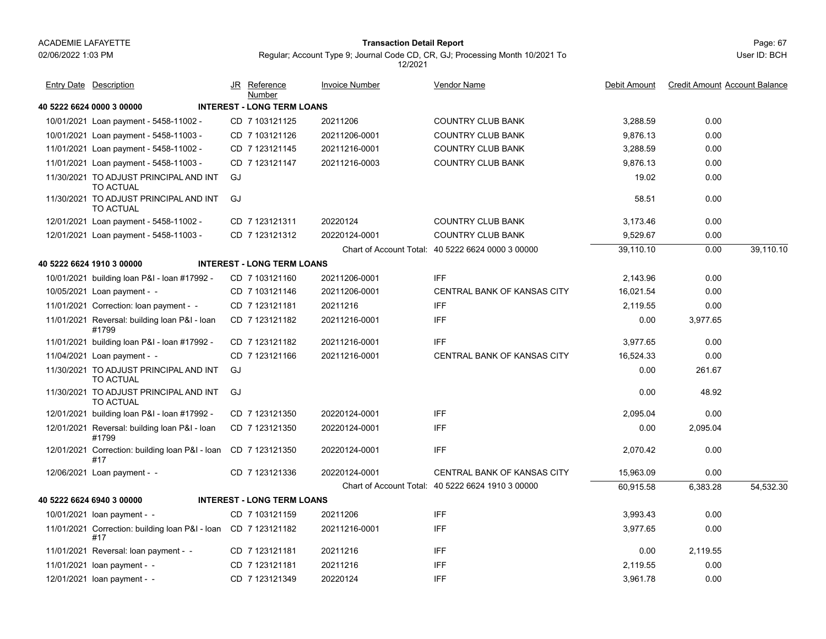#### Page: 67 **Transaction Detail Report**

Regular; Account Type 9; Journal Code CD, CR, GJ; Processing Month 10/2021 To

**40 5222 6624 0000 3 00000 INTEREST - LONG TERM LOANS**10/01/2021 Loan payment - 5458-11002 - CD 7 103121125 20211206 COUNTRY CLUB BANK 3,288.59 0.00 10/01/2021 Loan payment - 5458-11003 - CD 7 103121126 20211206-0001 COUNTRY CLUB BANK 9,876.13 0.00 11/01/2021 Loan payment - 5458-11002 - CD 7 123121145 20211216-0001 COUNTRY CLUB BANK 3,288.59 0.00 11/01/2021 Loan payment - 5458-11003 - CD 7 123121147 20211216-0003 COUNTRY CLUB BANK 9,876.13 0.00 11/30/2021 TO ADJUST PRINCIPAL AND INT 19.02 0.00 TO ACTUALGJ<sub>1</sub> 11/30/2021 TO ADJUST PRINCIPAL AND INT 58.51 0.00 TO ACTUALGJ 12/01/2021 Loan payment - 5458-11002 - CD 7 123121311 20220124 COUNTRY CLUB BANK 3,173.46 0.00 12/01/2021 Loan payment - 5458-11003 - CD 7 123121312 20220124-0001 COUNTRY CLUB BANK 9,529.67 0.00 Chart of Account Total: 40 5222 6624 0000 3 00000 39,110.10 0.00 39,110.10 **40 5222 6624 1910 3 00000 INTEREST - LONG TERM LOANS**10/01/2021 building loan P&I - loan #17992 - CD 7 103121160 20211206-0001 IFF 2,143.96 0.00 10/05/2021 Loan payment - -CD 7 103121146 20211206-0001 CENTRAL BANK OF KANSAS CITY 16.021.54 0.00 11/01/2021 Correction: loan payment - - CD\_7 123121181 20211216 IFF 2,119.55 0.00 11/01/2021 Reversal: building loan P&I - loan 0.00 3,977.65 #1799CD 7 123121182 20211216-0001 IFF 20211216-0001 11/01/2021 building loan P&I - loan #17992 - CD 7 123121182 20211216-0001 FFF 3,977.65 0.00 11/04/2021 Loan payment - -CD 7 123121166 20211216-0001 CENTRAL BANK OF KANSAS CITY 16.524.33 0.00 11/30/2021 TO ADJUST PRINCIPAL AND INT 0.00 261.67 TO ACTUALGJ. 11/30/2021 TO ADJUST PRINCIPAL AND INT 0.00 48.92 TO ACTUALGJ<sub>1</sub> 12/01/2021 building loan P&I - loan #17992 - CD 7 123121350 20220124-0001 IFF 0 12/01/2021 Reversal: building loan P&I - loan 0.00 2,095.04 #1799CD 7 123121350 20220124-0001 IFF 20220124-0001 12/01/2021 Correction: building loan P&I - loan CD 7 123121350 20220124-0001 IFF 2,070.42 0.00 #1720220124-0001 IFF 12/06/2021 Loan payment - -CD 7 123121336 20220124-0001 CENTRAL BANK OF KANSAS CITY 15,963.09 0.00 Chart of Account Total: 40 5222 6624 1910 3 00000 60,915.58 6,383.28 54,532.30 **40 5222 6624 6940 3 00000 INTEREST - LONG TERM LOANS**10/01/2021 loan payment - CD 7 103121159 20211206 FF 3,993.43 0.00 11/01/2021 Correction: building loan P&I - loan 3,977.65 0.00 CD 20211216-0001 IFF#1720211216-0001 IFF 11/01/2021 Reversal: loan payment - CD 7 123121181 20211216 FF 0.00 2,119.55 11/01/2021 loan payment - CD 7 123121181 20211216 FF 2,119.55 0.00 12/01/2021 loan payment - CD 7 123121349 20220124 FFF 3,961.78 0.00 JR Reference Invoice Number Vendor NameDebit Amount Credit Amount Account Balance NumberEntry Date Description JR Reference <u>Invoice Number</u> <u>Vendor Name</u> Debit Amount Credit Amount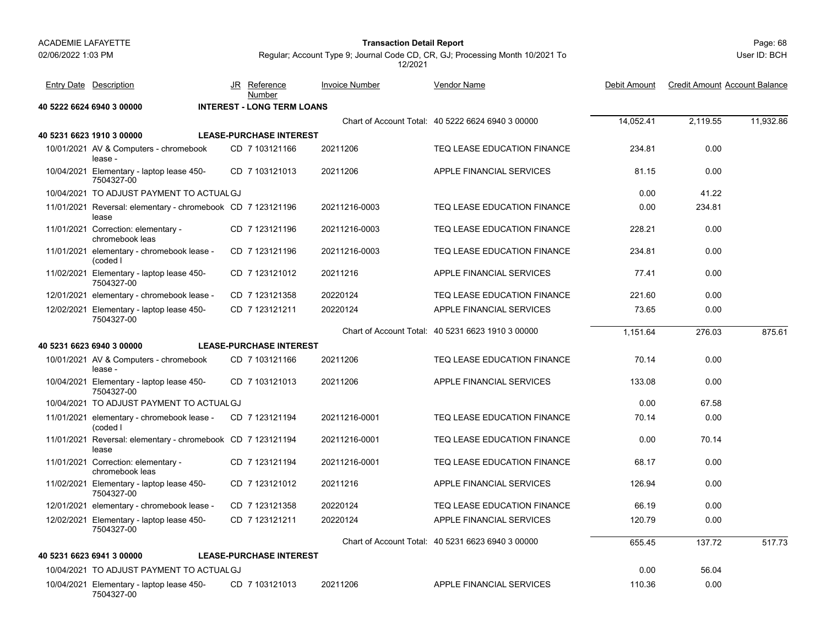#### Page: 68 **Transaction Detail Report**

User ID: BCH

| <b>Entry Date Description</b>                                        | JR Reference<br>Number            | <b>Invoice Number</b> | Vendor Name                                       | Debit Amount | <b>Credit Amount Account Balance</b> |           |
|----------------------------------------------------------------------|-----------------------------------|-----------------------|---------------------------------------------------|--------------|--------------------------------------|-----------|
| 40 5222 6624 6940 3 00000                                            | <b>INTEREST - LONG TERM LOANS</b> |                       |                                                   |              |                                      |           |
|                                                                      |                                   |                       | Chart of Account Total: 40 5222 6624 6940 3 00000 | 14,052.41    | 2.119.55                             | 11,932.86 |
| 40 5231 6623 1910 3 00000                                            | <b>LEASE-PURCHASE INTEREST</b>    |                       |                                                   |              |                                      |           |
| 10/01/2021 AV & Computers - chromebook<br>lease -                    | CD 7 103121166                    | 20211206              | TEQ LEASE EDUCATION FINANCE                       | 234.81       | 0.00                                 |           |
| 10/04/2021 Elementary - laptop lease 450-<br>7504327-00              | CD 7 103121013                    | 20211206              | APPLE FINANCIAL SERVICES                          | 81.15        | 0.00                                 |           |
| 10/04/2021 TO ADJUST PAYMENT TO ACTUAL GJ                            |                                   |                       |                                                   | 0.00         | 41.22                                |           |
| 11/01/2021 Reversal: elementary - chromebook CD 7 123121196<br>lease |                                   | 20211216-0003         | TEQ LEASE EDUCATION FINANCE                       | 0.00         | 234.81                               |           |
| 11/01/2021 Correction: elementary -<br>chromebook leas               | CD 7 123121196                    | 20211216-0003         | TEQ LEASE EDUCATION FINANCE                       | 228.21       | 0.00                                 |           |
| 11/01/2021 elementary - chromebook lease -<br>(coded I               | CD 7 123121196                    | 20211216-0003         | TEQ LEASE EDUCATION FINANCE                       | 234.81       | 0.00                                 |           |
| 11/02/2021 Elementary - laptop lease 450-<br>7504327-00              | CD 7 123121012                    | 20211216              | APPLE FINANCIAL SERVICES                          | 77.41        | 0.00                                 |           |
| 12/01/2021 elementary - chromebook lease -                           | CD 7 123121358                    | 20220124              | TEQ LEASE EDUCATION FINANCE                       | 221.60       | 0.00                                 |           |
| 12/02/2021 Elementary - laptop lease 450-<br>7504327-00              | CD 7 123121211                    | 20220124              | APPLE FINANCIAL SERVICES                          | 73.65        | 0.00                                 |           |
|                                                                      |                                   |                       | Chart of Account Total: 40 5231 6623 1910 3 00000 | 1,151.64     | 276.03                               | 875.61    |
| 40 5231 6623 6940 3 00000                                            | <b>LEASE-PURCHASE INTEREST</b>    |                       |                                                   |              |                                      |           |
| 10/01/2021 AV & Computers - chromebook<br>lease -                    | CD 7 103121166                    | 20211206              | <b>TEQ LEASE EDUCATION FINANCE</b>                | 70.14        | 0.00                                 |           |
| 10/04/2021 Elementary - laptop lease 450-<br>7504327-00              | CD 7 103121013                    | 20211206              | APPLE FINANCIAL SERVICES                          | 133.08       | 0.00                                 |           |
| 10/04/2021 TO ADJUST PAYMENT TO ACTUAL GJ                            |                                   |                       |                                                   | 0.00         | 67.58                                |           |
| 11/01/2021 elementary - chromebook lease -<br>(coded I               | CD 7 123121194                    | 20211216-0001         | TEQ LEASE EDUCATION FINANCE                       | 70.14        | 0.00                                 |           |
| 11/01/2021 Reversal: elementary - chromebook CD 7 123121194<br>lease |                                   | 20211216-0001         | TEQ LEASE EDUCATION FINANCE                       | 0.00         | 70.14                                |           |
| 11/01/2021 Correction: elementary -<br>chromebook leas               | CD 7 123121194                    | 20211216-0001         | TEQ LEASE EDUCATION FINANCE                       | 68.17        | 0.00                                 |           |
| 11/02/2021 Elementary - laptop lease 450-<br>7504327-00              | CD 7 123121012                    | 20211216              | APPLE FINANCIAL SERVICES                          | 126.94       | 0.00                                 |           |
| 12/01/2021 elementary - chromebook lease -                           | CD 7 123121358                    | 20220124              | TEQ LEASE EDUCATION FINANCE                       | 66.19        | 0.00                                 |           |
| 12/02/2021 Elementary - laptop lease 450-<br>7504327-00              | CD 7 123121211                    | 20220124              | APPLE FINANCIAL SERVICES                          | 120.79       | 0.00                                 |           |
|                                                                      |                                   |                       | Chart of Account Total: 40 5231 6623 6940 3 00000 | 655.45       | 137.72                               | 517.73    |
| 40 5231 6623 6941 3 00000                                            | <b>LEASE-PURCHASE INTEREST</b>    |                       |                                                   |              |                                      |           |
| 10/04/2021 TO ADJUST PAYMENT TO ACTUAL GJ                            |                                   |                       |                                                   | 0.00         | 56.04                                |           |
| 10/04/2021 Elementary - laptop lease 450-<br>7504327-00              | CD 7 103121013                    | 20211206              | APPLE FINANCIAL SERVICES                          | 110.36       | 0.00                                 |           |